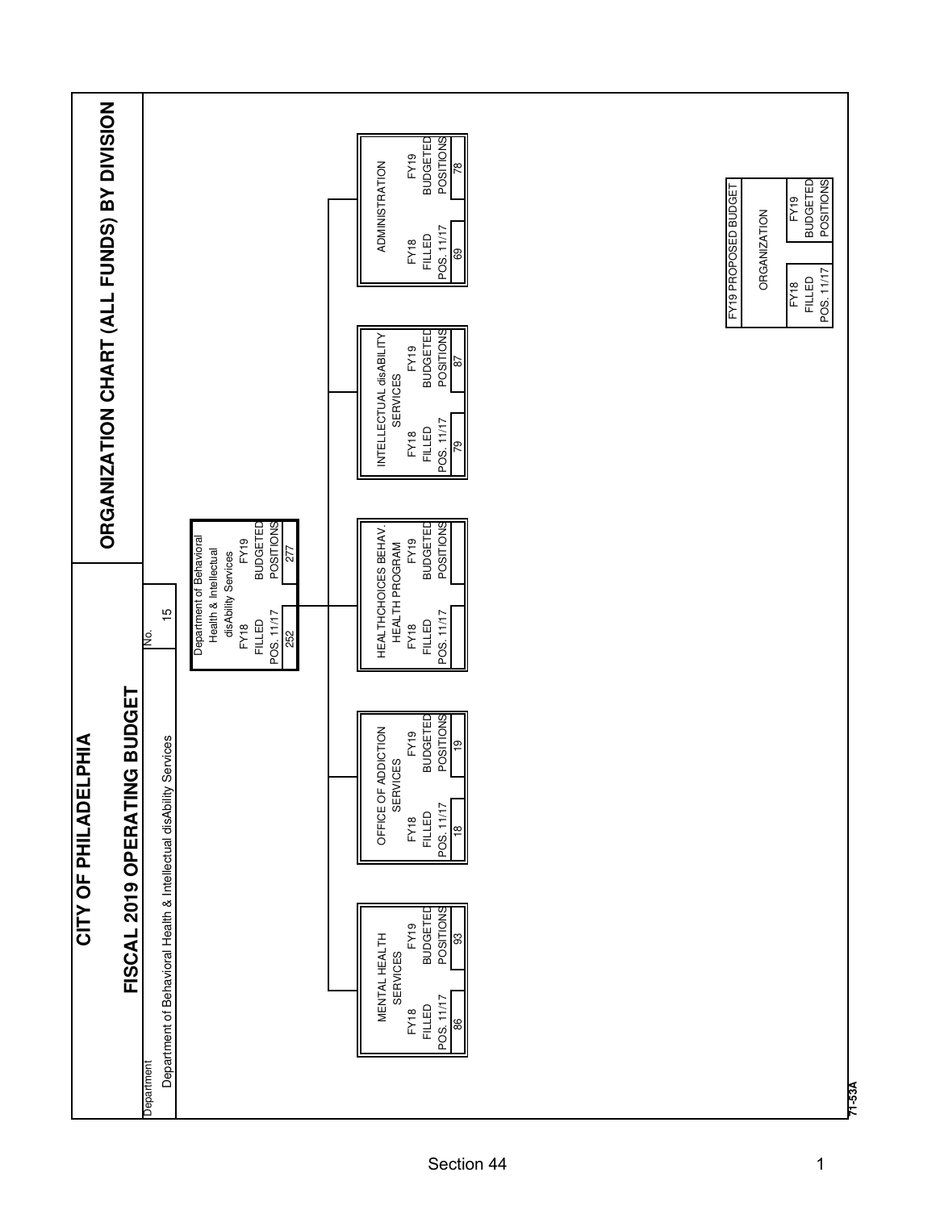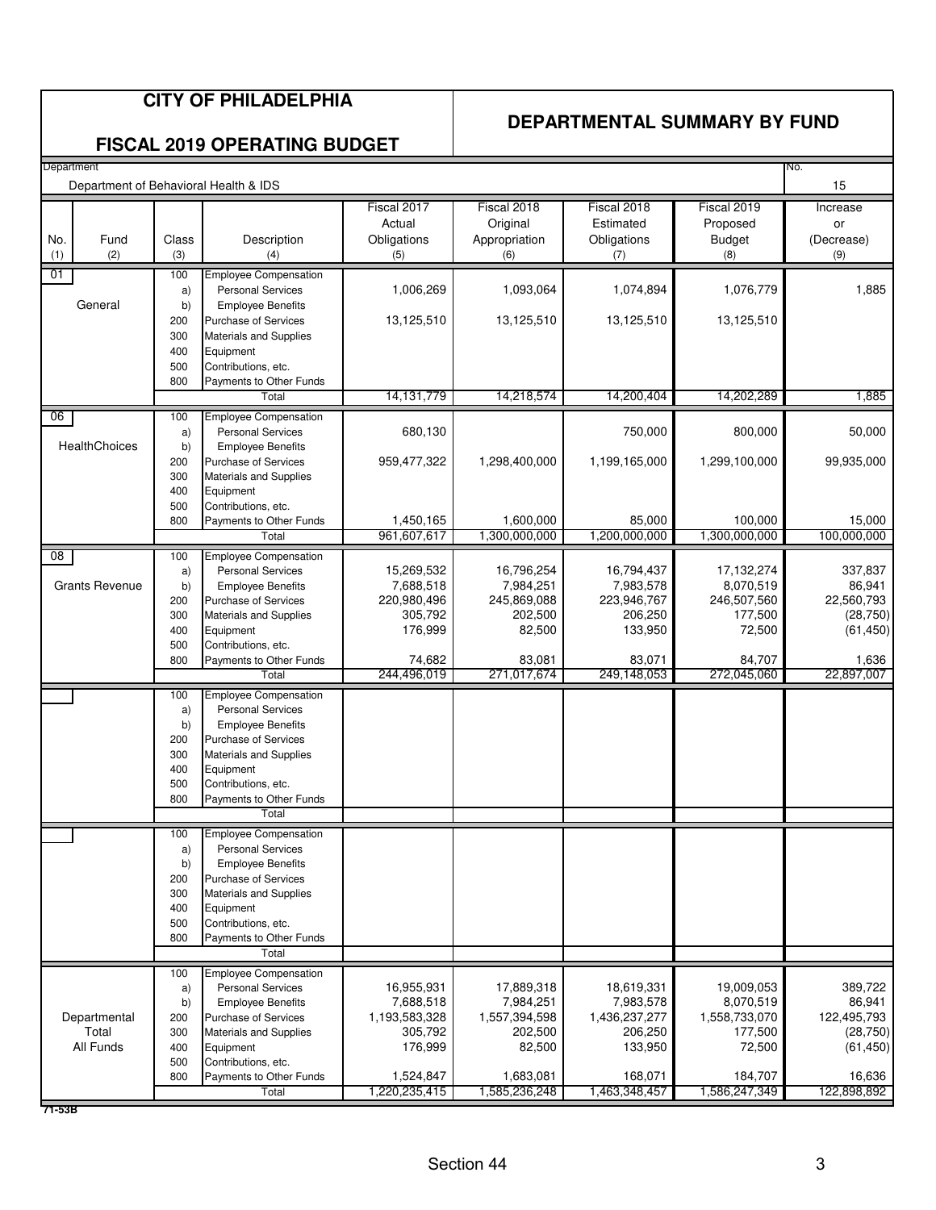# **CITY OF PHILADELPHIA**

### **FISCAL 2019 OPERATING BUDGET**

## **DEPARTMENTAL SUMMARY BY FUND**

| Department<br>No.                     |                                                    |                                                                                                                                                                                                                       |                                                                             |                                                                            |                                                                           |                                                                          |                                                                      |
|---------------------------------------|----------------------------------------------------|-----------------------------------------------------------------------------------------------------------------------------------------------------------------------------------------------------------------------|-----------------------------------------------------------------------------|----------------------------------------------------------------------------|---------------------------------------------------------------------------|--------------------------------------------------------------------------|----------------------------------------------------------------------|
| Department of Behavioral Health & IDS |                                                    |                                                                                                                                                                                                                       |                                                                             |                                                                            |                                                                           |                                                                          | 15                                                                   |
| No.<br>Fund<br>(2)<br>(1)             | Class<br>(3)                                       | Description<br>(4)                                                                                                                                                                                                    | Fiscal 2017<br>Actual<br>Obligations<br>(5)                                 | Fiscal 2018<br>Original<br>Appropriation<br>(6)                            | Fiscal 2018<br>Estimated<br>Obligations<br>(7)                            | Fiscal 2019<br>Proposed<br><b>Budget</b><br>(8)                          | Increase<br>or<br>(Decrease)<br>(9)                                  |
| 01                                    | 100                                                | <b>Employee Compensation</b>                                                                                                                                                                                          |                                                                             |                                                                            |                                                                           |                                                                          |                                                                      |
| General                               | a)<br>b)<br>200<br>300                             | <b>Personal Services</b><br><b>Employee Benefits</b><br><b>Purchase of Services</b><br>Materials and Supplies                                                                                                         | 1,006,269<br>13,125,510                                                     | 1,093,064<br>13,125,510                                                    | 1,074,894<br>13,125,510                                                   | 1,076,779<br>13,125,510                                                  | 1,885                                                                |
|                                       | 400<br>500<br>800                                  | Equipment<br>Contributions, etc.<br>Payments to Other Funds                                                                                                                                                           |                                                                             |                                                                            |                                                                           |                                                                          |                                                                      |
|                                       |                                                    | Total                                                                                                                                                                                                                 | 14, 131, 779                                                                | 14,218,574                                                                 | 14,200,404                                                                | 14,202,289                                                               | 1,885                                                                |
| 06<br><b>HealthChoices</b>            | 100<br>a)<br>b)<br>200                             | <b>Employee Compensation</b><br><b>Personal Services</b><br><b>Employee Benefits</b><br>Purchase of Services                                                                                                          | 680,130<br>959,477,322                                                      | 1,298,400,000                                                              | 750,000<br>1,199,165,000                                                  | 800,000<br>1,299,100,000                                                 | 50,000<br>99,935,000                                                 |
|                                       | 300<br>400<br>500<br>800                           | Materials and Supplies<br>Equipment<br>Contributions, etc.<br>Payments to Other Funds                                                                                                                                 | 1,450,165                                                                   | 1,600,000                                                                  | 85,000                                                                    | 100,000                                                                  | 15,000                                                               |
|                                       |                                                    | Total                                                                                                                                                                                                                 | 961,607,617                                                                 | 1,300,000,000                                                              | 1,200,000,000                                                             | 1,300,000,000                                                            | 100,000,000                                                          |
| 08                                    | 100<br>a)                                          | Employee Compensation<br><b>Personal Services</b>                                                                                                                                                                     | 15,269,532                                                                  | 16,796,254                                                                 | 16,794,437                                                                | 17,132,274                                                               | 337,837                                                              |
| <b>Grants Revenue</b>                 | b)<br>200<br>300<br>400                            | <b>Employee Benefits</b><br><b>Purchase of Services</b><br>Materials and Supplies<br>Equipment                                                                                                                        | 7,688,518<br>220,980,496<br>305,792<br>176,999                              | 7,984,251<br>245,869,088<br>202,500<br>82,500                              | 7,983,578<br>223,946,767<br>206,250<br>133,950                            | 8,070,519<br>246,507,560<br>177,500<br>72,500                            | 86,941<br>22,560,793<br>(28, 750)<br>(61, 450)                       |
|                                       | 500<br>800                                         | Contributions, etc.<br>Payments to Other Funds<br>Total                                                                                                                                                               | 74,682<br>244,496,019                                                       | 83,081<br>271,017,674                                                      | 83,071<br>249,148,053                                                     | 84,707<br>272,045,060                                                    | 1,636<br>22,897,007                                                  |
|                                       | 100<br>a)<br>b)<br>200<br>300<br>400<br>500<br>800 | <b>Employee Compensation</b><br><b>Personal Services</b><br><b>Employee Benefits</b><br><b>Purchase of Services</b><br>Materials and Supplies<br>Equipment<br>Contributions, etc.<br>Payments to Other Funds<br>Total |                                                                             |                                                                            |                                                                           |                                                                          |                                                                      |
|                                       | 100                                                | <b>Employee Compensation</b>                                                                                                                                                                                          |                                                                             |                                                                            |                                                                           |                                                                          |                                                                      |
|                                       | a)<br>b)<br>200<br>300<br>400<br>500<br>800        | <b>Personal Services</b><br><b>Employee Benefits</b><br><b>Purchase of Services</b><br>Materials and Supplies<br>Equipment<br>Contributions, etc.<br>Payments to Other Funds<br>Total                                 |                                                                             |                                                                            |                                                                           |                                                                          |                                                                      |
| Departmental<br>Total<br>All Funds    | 100<br>a)<br>b)<br>200<br>300<br>400<br>500<br>800 | <b>Employee Compensation</b><br><b>Personal Services</b><br><b>Employee Benefits</b><br>Purchase of Services<br>Materials and Supplies<br>Equipment<br>Contributions, etc.<br>Payments to Other Funds                 | 16,955,931<br>7,688,518<br>1,193,583,328<br>305,792<br>176,999<br>1,524,847 | 17,889,318<br>7,984,251<br>1,557,394,598<br>202,500<br>82,500<br>1,683,081 | 18,619,331<br>7,983,578<br>1,436,237,277<br>206,250<br>133,950<br>168,071 | 19,009,053<br>8,070,519<br>1,558,733,070<br>177,500<br>72,500<br>184,707 | 389,722<br>86,941<br>122,495,793<br>(28, 750)<br>(61, 450)<br>16,636 |
|                                       |                                                    | Total                                                                                                                                                                                                                 | 1,220,235,415                                                               | 1,585,236,248                                                              | 1,463,348,457                                                             | 1,586,247,349                                                            | 122,898,892                                                          |

**71-53B**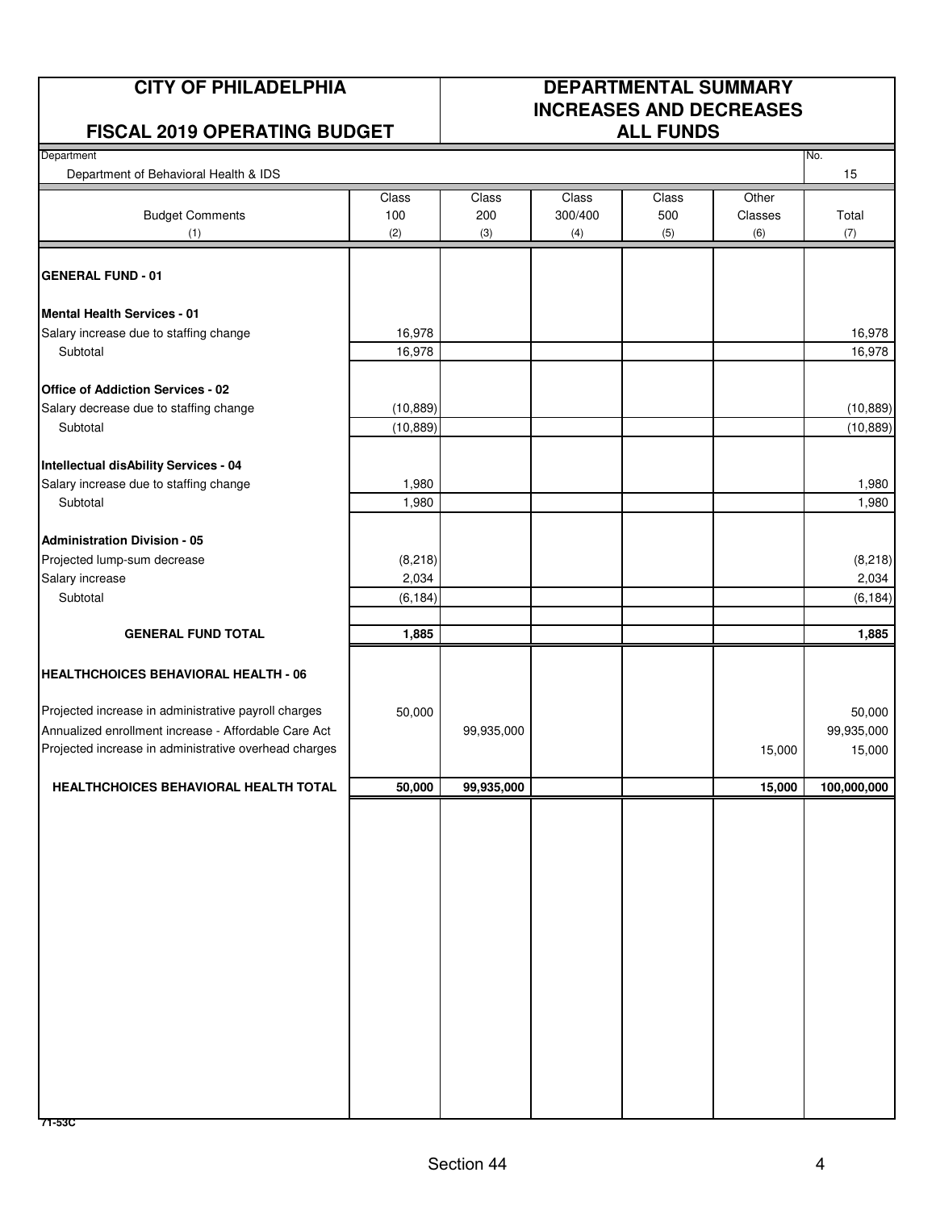# **FISCAL 2019 OPERATING BUDGET ALL FUNDS**

# **CITY OF PHILADELPHIA DEPARTMENTAL SUMMARY INCREASES AND DECREASES**

| FISCAL ZUTS OPERATING BUDGET                          |                   |            |         | ALL FUNDS |         |                   |
|-------------------------------------------------------|-------------------|------------|---------|-----------|---------|-------------------|
| Department                                            |                   |            |         |           |         | No.               |
| Department of Behavioral Health & IDS                 |                   |            |         |           |         | 15                |
|                                                       | Class             | Class      | Class   | Class     | Other   |                   |
| <b>Budget Comments</b>                                | 100               | 200        | 300/400 | 500       | Classes | Total             |
| (1)                                                   | (2)               | (3)        | (4)     | (5)       | (6)     | (7)               |
| <b>GENERAL FUND - 01</b>                              |                   |            |         |           |         |                   |
| <b>Mental Health Services - 01</b>                    |                   |            |         |           |         |                   |
| Salary increase due to staffing change                | 16,978            |            |         |           |         | 16,978            |
| Subtotal                                              | 16,978            |            |         |           |         | 16,978            |
| <b>Office of Addiction Services - 02</b>              |                   |            |         |           |         |                   |
|                                                       |                   |            |         |           |         |                   |
| Salary decrease due to staffing change                | (10, 889)         |            |         |           |         | (10, 889)         |
| Subtotal                                              | (10, 889)         |            |         |           |         | (10, 889)         |
| <b>Intellectual disAbility Services - 04</b>          |                   |            |         |           |         |                   |
| Salary increase due to staffing change                | 1,980             |            |         |           |         | 1,980             |
| Subtotal                                              | 1,980             |            |         |           |         | 1,980             |
| <b>Administration Division - 05</b>                   |                   |            |         |           |         |                   |
|                                                       |                   |            |         |           |         |                   |
| Projected lump-sum decrease<br>Salary increase        | (8, 218)<br>2,034 |            |         |           |         | (8, 218)<br>2,034 |
| Subtotal                                              | (6, 184)          |            |         |           |         | (6, 184)          |
|                                                       |                   |            |         |           |         |                   |
| <b>GENERAL FUND TOTAL</b>                             | 1,885             |            |         |           |         | 1,885             |
| HEALTHCHOICES BEHAVIORAL HEALTH - 06                  |                   |            |         |           |         |                   |
|                                                       |                   |            |         |           |         |                   |
| Projected increase in administrative payroll charges  | 50,000            |            |         |           |         | 50,000            |
| Annualized enrollment increase - Affordable Care Act  |                   | 99,935,000 |         |           |         | 99,935,000        |
| Projected increase in administrative overhead charges |                   |            |         |           | 15,000  | 15,000            |
| HEALTHCHOICES BEHAVIORAL HEALTH TOTAL                 | 50,000            | 99,935,000 |         |           | 15,000  | 100,000,000       |
|                                                       |                   |            |         |           |         |                   |
|                                                       |                   |            |         |           |         |                   |
|                                                       |                   |            |         |           |         |                   |
|                                                       |                   |            |         |           |         |                   |
|                                                       |                   |            |         |           |         |                   |
|                                                       |                   |            |         |           |         |                   |
|                                                       |                   |            |         |           |         |                   |
|                                                       |                   |            |         |           |         |                   |
|                                                       |                   |            |         |           |         |                   |
|                                                       |                   |            |         |           |         |                   |
|                                                       |                   |            |         |           |         |                   |
|                                                       |                   |            |         |           |         |                   |
|                                                       |                   |            |         |           |         |                   |
|                                                       |                   |            |         |           |         |                   |
|                                                       |                   |            |         |           |         |                   |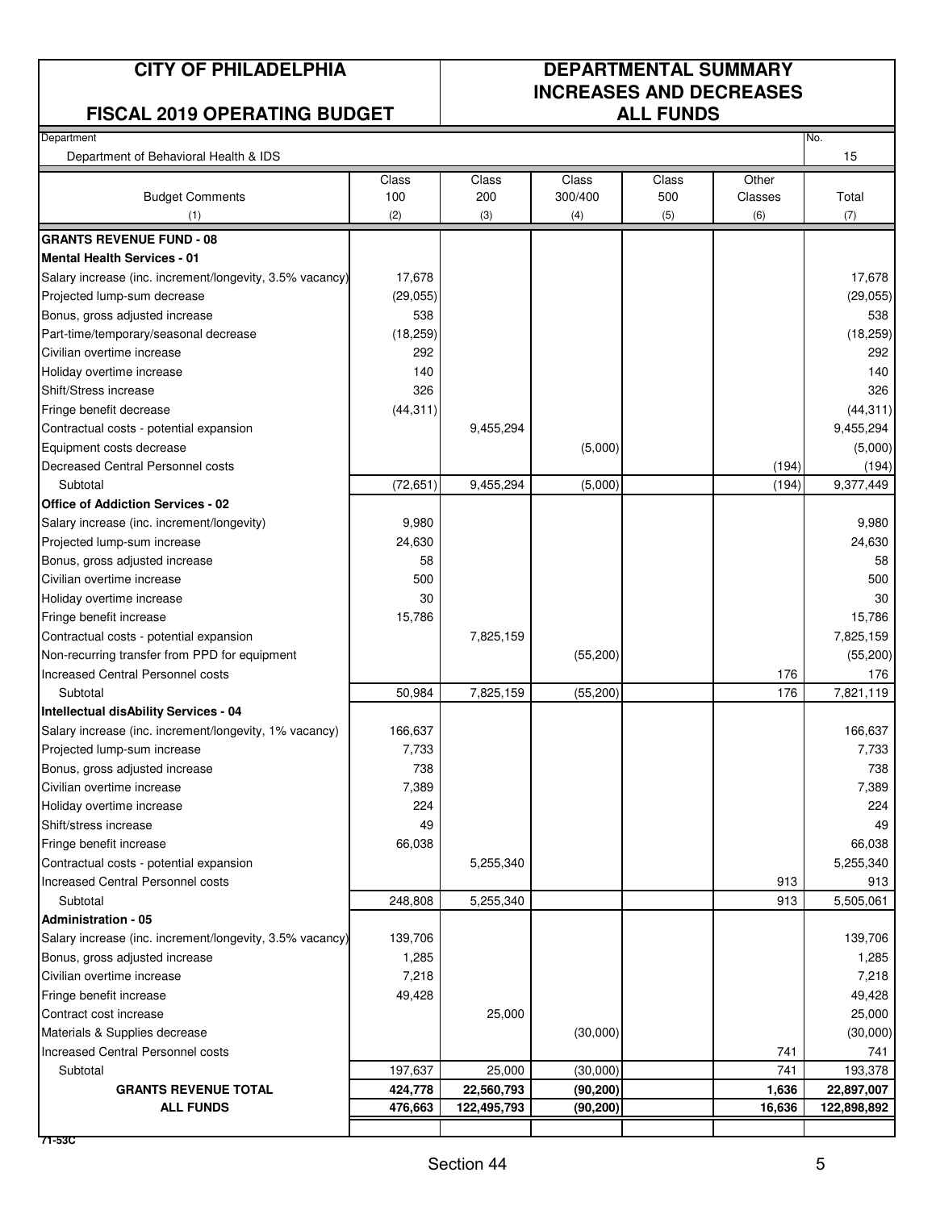# **FISCAL 2019 OPERATING BUDGET**

# **CITY OF PHILADELPHIA DEPARTMENTAL SUMMARY INCREASES AND DECREASES**

| Department                                               |           |             |           |       |         | No.         |
|----------------------------------------------------------|-----------|-------------|-----------|-------|---------|-------------|
| Department of Behavioral Health & IDS                    |           |             |           |       |         | 15          |
|                                                          | Class     | Class       | Class     | Class | Other   |             |
| <b>Budget Comments</b>                                   | 100       | 200         | 300/400   | 500   | Classes | Total       |
| (1)                                                      | (2)       | (3)         | (4)       | (5)   | (6)     | (7)         |
| <b>GRANTS REVENUE FUND - 08</b>                          |           |             |           |       |         |             |
| Mental Health Services - 01                              |           |             |           |       |         |             |
| Salary increase (inc. increment/longevity, 3.5% vacancy) | 17,678    |             |           |       |         | 17,678      |
| Projected lump-sum decrease                              | (29, 055) |             |           |       |         | (29, 055)   |
| Bonus, gross adjusted increase                           | 538       |             |           |       |         | 538         |
| Part-time/temporary/seasonal decrease                    | (18, 259) |             |           |       |         | (18, 259)   |
| Civilian overtime increase                               | 292       |             |           |       |         | 292         |
| Holiday overtime increase                                | 140       |             |           |       |         | 140         |
| Shift/Stress increase                                    | 326       |             |           |       |         | 326         |
| Fringe benefit decrease                                  | (44, 311) |             |           |       |         | (44, 311)   |
| Contractual costs - potential expansion                  |           | 9,455,294   |           |       |         | 9,455,294   |
| Equipment costs decrease                                 |           |             | (5,000)   |       |         | (5,000)     |
| Decreased Central Personnel costs                        |           |             |           |       | (194)   | (194)       |
| Subtotal                                                 | (72, 651) | 9,455,294   | (5,000)   |       | (194)   | 9,377,449   |
| <b>Office of Addiction Services - 02</b>                 |           |             |           |       |         |             |
| Salary increase (inc. increment/longevity)               | 9,980     |             |           |       |         | 9,980       |
| Projected lump-sum increase                              | 24,630    |             |           |       |         | 24,630      |
| Bonus, gross adjusted increase                           | 58        |             |           |       |         | 58          |
| Civilian overtime increase                               | 500       |             |           |       |         | 500         |
| Holiday overtime increase                                | 30        |             |           |       |         | 30          |
| Fringe benefit increase                                  | 15,786    |             |           |       |         | 15,786      |
| Contractual costs - potential expansion                  |           | 7,825,159   |           |       |         | 7,825,159   |
| Non-recurring transfer from PPD for equipment            |           |             | (55, 200) |       |         | (55, 200)   |
| Increased Central Personnel costs                        |           |             |           |       | 176     | 176         |
| Subtotal                                                 | 50,984    | 7,825,159   | (55, 200) |       | 176     | 7,821,119   |
| <b>Intellectual disAbility Services - 04</b>             |           |             |           |       |         |             |
| Salary increase (inc. increment/longevity, 1% vacancy)   | 166,637   |             |           |       |         | 166,637     |
| Projected lump-sum increase                              | 7,733     |             |           |       |         | 7,733       |
| Bonus, gross adjusted increase                           | 738       |             |           |       |         | 738         |
| Civilian overtime increase                               | 7,389     |             |           |       |         | 7,389       |
| Holidav overtime increase                                | 224       |             |           |       |         | 224         |
| Shift/stress increase                                    | 49        |             |           |       |         | 49          |
| Fringe benefit increase                                  | 66,038    |             |           |       |         | 66,038      |
| Contractual costs - potential expansion                  |           | 5,255,340   |           |       |         | 5,255,340   |
| <b>Increased Central Personnel costs</b>                 |           |             |           |       | 913     | 913         |
| Subtotal                                                 | 248,808   | 5,255,340   |           |       | 913     | 5,505,061   |
| <b>Administration - 05</b>                               |           |             |           |       |         |             |
| Salary increase (inc. increment/longevity, 3.5% vacancy) | 139,706   |             |           |       |         | 139,706     |
| Bonus, gross adjusted increase                           | 1,285     |             |           |       |         | 1,285       |
| Civilian overtime increase                               | 7,218     |             |           |       |         | 7,218       |
| Fringe benefit increase                                  | 49,428    |             |           |       |         | 49,428      |
| Contract cost increase                                   |           | 25,000      |           |       |         | 25,000      |
| Materials & Supplies decrease                            |           |             | (30,000)  |       |         | (30,000)    |
| <b>Increased Central Personnel costs</b>                 |           |             |           |       | 741     | 741         |
| Subtotal                                                 | 197,637   | 25,000      | (30,000)  |       | 741     | 193,378     |
| <b>GRANTS REVENUE TOTAL</b>                              | 424,778   | 22,560,793  | (90, 200) |       | 1,636   | 22,897,007  |
| <b>ALL FUNDS</b>                                         | 476,663   | 122,495,793 | (90, 200) |       | 16,636  | 122,898,892 |

**71-53C**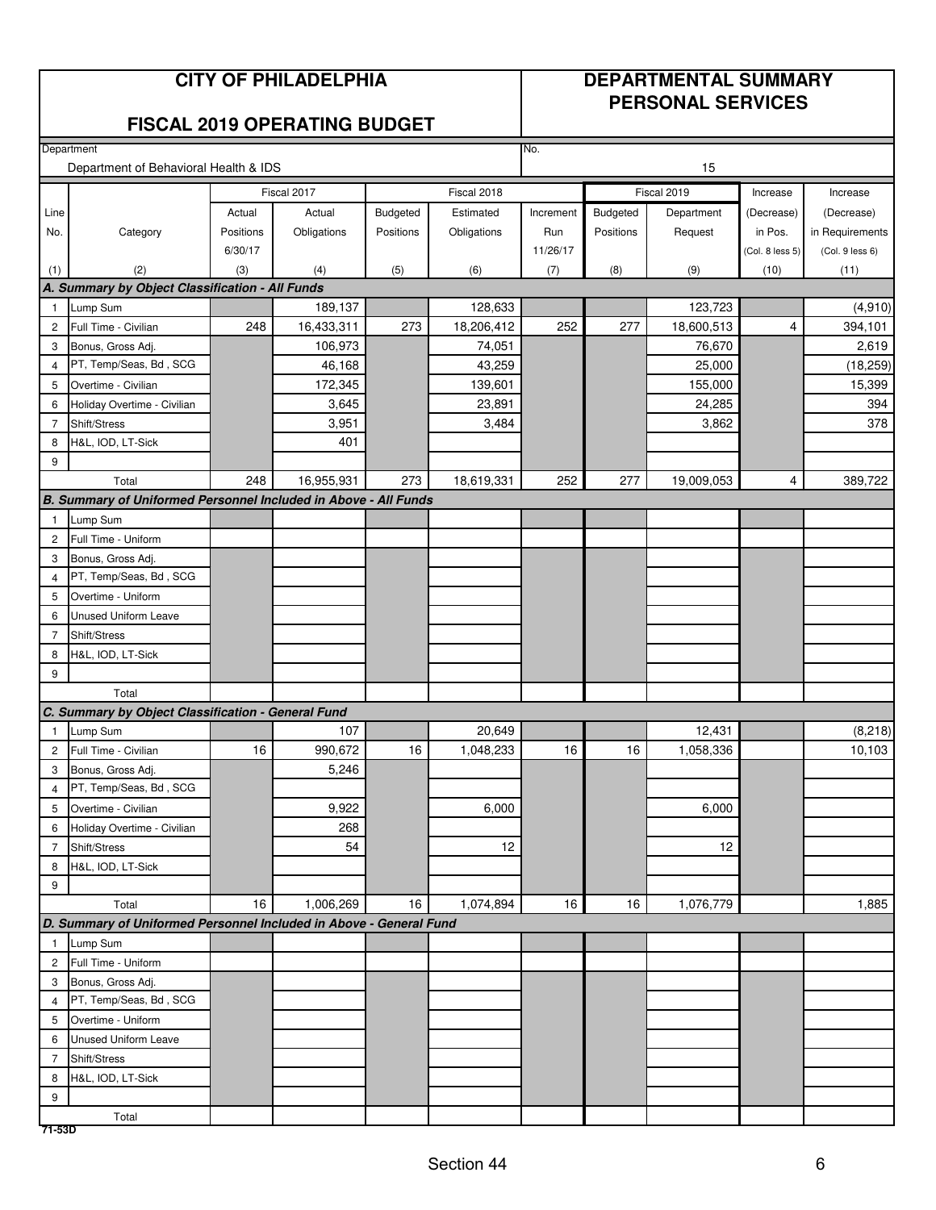## **CITY OF PHILADELPHIA DEPARTMENTAL SUMMARY PERSONAL SERVICES**

## **FISCAL 2019 OPERATING BUDGET**

|                     | Department<br>Department of Behavioral Health & IDS                         |           |             |           |             | No.<br>15 |           |             |                 |                 |
|---------------------|-----------------------------------------------------------------------------|-----------|-------------|-----------|-------------|-----------|-----------|-------------|-----------------|-----------------|
|                     |                                                                             |           |             |           |             |           |           |             |                 |                 |
|                     |                                                                             |           | Fiscal 2017 |           | Fiscal 2018 |           |           | Fiscal 2019 | Increase        | Increase        |
| Line                |                                                                             | Actual    | Actual      | Budgeted  | Estimated   | Increment | Budgeted  | Department  | (Decrease)      | (Decrease)      |
| No.                 | Category                                                                    | Positions | Obligations | Positions | Obligations | Run       | Positions | Request     | in Pos.         | in Requirements |
|                     |                                                                             | 6/30/17   |             |           |             | 11/26/17  |           |             | (Col. 8 less 5) | (Col. 9 less 6) |
| (1)                 | (2)                                                                         | (3)       | (4)         | (5)       | (6)         | (7)       | (8)       | (9)         | (10)            | (11)            |
|                     | A. Summary by Object Classification - All Funds                             |           |             |           |             |           |           |             |                 |                 |
| 1                   | Lump Sum                                                                    |           | 189,137     |           | 128,633     |           |           | 123,723     |                 | (4,910)         |
| $\overline{c}$      | Full Time - Civilian                                                        | 248       | 16,433,311  | 273       | 18,206,412  | 252       | 277       | 18,600,513  | 4               | 394,101         |
| 3                   | Bonus, Gross Adj.                                                           |           | 106,973     |           | 74,051      |           |           | 76,670      |                 | 2,619           |
| 4                   | PT, Temp/Seas, Bd, SCG                                                      |           | 46,168      |           | 43,259      |           |           | 25,000      |                 | (18, 259)       |
| 5                   | Overtime - Civilian                                                         |           | 172,345     |           | 139,601     |           |           | 155,000     |                 | 15,399          |
| 6                   | Holiday Overtime - Civilian                                                 |           | 3,645       |           | 23,891      |           |           | 24,285      |                 | 394             |
| $\overline{7}$      | Shift/Stress                                                                |           | 3,951       |           | 3,484       |           |           | 3,862       |                 | 378             |
| 8                   | H&L, IOD, LT-Sick                                                           |           | 401         |           |             |           |           |             |                 |                 |
| 9                   |                                                                             |           |             |           |             |           |           |             |                 |                 |
|                     | Total                                                                       | 248       | 16,955,931  | 273       | 18,619,331  | 252       | 277       | 19,009,053  | 4               | 389,722         |
|                     | B. Summary of Uniformed Personnel Included in Above - All Funds<br>Lump Sum |           |             |           |             |           |           |             |                 |                 |
| 1<br>$\overline{c}$ | Full Time - Uniform                                                         |           |             |           |             |           |           |             |                 |                 |
| 3                   |                                                                             |           |             |           |             |           |           |             |                 |                 |
| $\overline{4}$      | Bonus, Gross Adj.<br>PT, Temp/Seas, Bd, SCG                                 |           |             |           |             |           |           |             |                 |                 |
| 5                   | Overtime - Uniform                                                          |           |             |           |             |           |           |             |                 |                 |
| 6                   | <b>Unused Uniform Leave</b>                                                 |           |             |           |             |           |           |             |                 |                 |
| $\overline{7}$      | Shift/Stress                                                                |           |             |           |             |           |           |             |                 |                 |
| 8                   | H&L, IOD, LT-Sick                                                           |           |             |           |             |           |           |             |                 |                 |
| 9                   |                                                                             |           |             |           |             |           |           |             |                 |                 |
|                     | Total                                                                       |           |             |           |             |           |           |             |                 |                 |
|                     | C. Summary by Object Classification - General Fund                          |           |             |           |             |           |           |             |                 |                 |
| $\mathbf{1}$        | Lump Sum                                                                    |           | 107         |           | 20,649      |           |           | 12,431      |                 | (8, 218)        |
| $\overline{c}$      | Full Time - Civilian                                                        | 16        | 990,672     | 16        | 1,048,233   | 16        | 16        | 1,058,336   |                 | 10,103          |
| 3                   | Bonus, Gross Adj.                                                           |           | 5,246       |           |             |           |           |             |                 |                 |
| $\overline{4}$      | PT, Temp/Seas, Bd, SCG                                                      |           |             |           |             |           |           |             |                 |                 |
| 5                   | Overtime - Civilian                                                         |           | 9,922       |           | 6,000       |           |           | 6,000       |                 |                 |
| 6                   | Holiday Overtime - Civilian                                                 |           | 268         |           |             |           |           |             |                 |                 |
| $\overline{7}$      | Shift/Stress                                                                |           | 54          |           | 12          |           |           | 12          |                 |                 |
| 8                   | H&L, IOD, LT-Sick                                                           |           |             |           |             |           |           |             |                 |                 |
| 9                   |                                                                             |           |             |           |             |           |           |             |                 |                 |
|                     | Total                                                                       | 16        | 1,006,269   | 16        | 1,074,894   | 16        | 16        | 1,076,779   |                 | 1,885           |
|                     | D. Summary of Uniformed Personnel Included in Above - General Fund          |           |             |           |             |           |           |             |                 |                 |
| $\mathbf{1}$        | Lump Sum                                                                    |           |             |           |             |           |           |             |                 |                 |
| $\overline{c}$      | Full Time - Uniform                                                         |           |             |           |             |           |           |             |                 |                 |
| 3                   | Bonus, Gross Adj.                                                           |           |             |           |             |           |           |             |                 |                 |
| 4                   | PT, Temp/Seas, Bd, SCG                                                      |           |             |           |             |           |           |             |                 |                 |
| 5                   | Overtime - Uniform                                                          |           |             |           |             |           |           |             |                 |                 |
| 6                   | Unused Uniform Leave                                                        |           |             |           |             |           |           |             |                 |                 |
| $\overline{7}$      | Shift/Stress                                                                |           |             |           |             |           |           |             |                 |                 |
| 8                   | H&L, IOD, LT-Sick                                                           |           |             |           |             |           |           |             |                 |                 |
| 9                   |                                                                             |           |             |           |             |           |           |             |                 |                 |
|                     | Total                                                                       |           |             |           |             |           |           |             |                 |                 |
| $71-53D$            |                                                                             |           |             |           |             |           |           |             |                 |                 |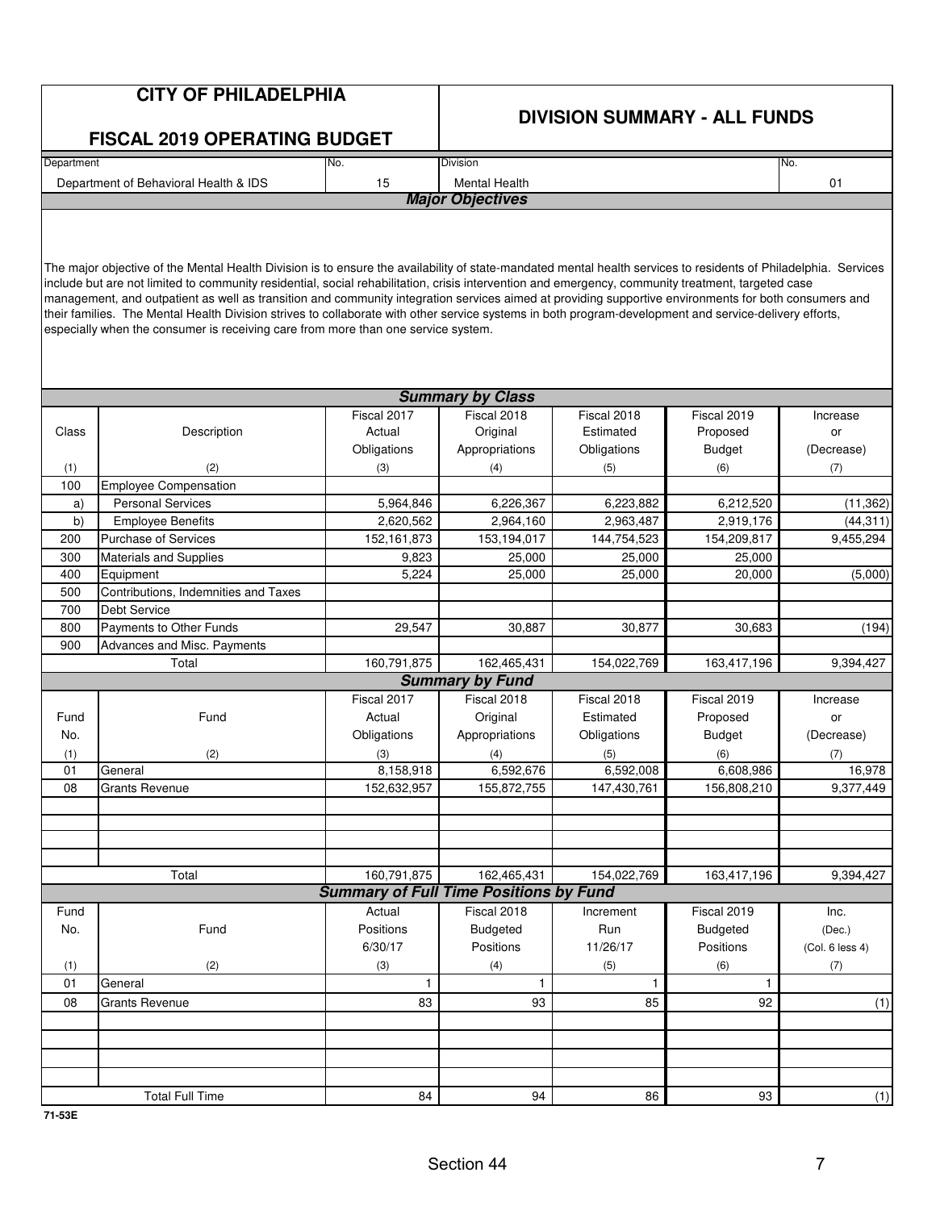|            | <b>CITY OF PHILADELPHIA</b><br><b>FISCAL 2019 OPERATING BUDGET</b>                                                                                                                                                                                                                                                                                                                                                                                                                                                                                                                                                                                                                                                            |                                               |                                       | <b>DIVISION SUMMARY - ALL FUNDS</b> |                              |                           |
|------------|-------------------------------------------------------------------------------------------------------------------------------------------------------------------------------------------------------------------------------------------------------------------------------------------------------------------------------------------------------------------------------------------------------------------------------------------------------------------------------------------------------------------------------------------------------------------------------------------------------------------------------------------------------------------------------------------------------------------------------|-----------------------------------------------|---------------------------------------|-------------------------------------|------------------------------|---------------------------|
| Department |                                                                                                                                                                                                                                                                                                                                                                                                                                                                                                                                                                                                                                                                                                                               | No.                                           | Division                              |                                     |                              | No.                       |
|            | Department of Behavioral Health & IDS                                                                                                                                                                                                                                                                                                                                                                                                                                                                                                                                                                                                                                                                                         | 15                                            | <b>Mental Health</b>                  |                                     |                              | 01                        |
|            |                                                                                                                                                                                                                                                                                                                                                                                                                                                                                                                                                                                                                                                                                                                               |                                               | <b>Major Objectives</b>               |                                     |                              |                           |
|            | The major objective of the Mental Health Division is to ensure the availability of state-mandated mental health services to residents of Philadelphia. Services<br>include but are not limited to community residential, social rehabilitation, crisis intervention and emergency, community treatment, targeted case<br>management, and outpatient as well as transition and community integration services aimed at providing supportive environments for both consumers and<br>their families. The Mental Health Division strives to collaborate with other service systems in both program-development and service-delivery efforts,<br>especially when the consumer is receiving care from more than one service system. |                                               |                                       |                                     |                              |                           |
|            |                                                                                                                                                                                                                                                                                                                                                                                                                                                                                                                                                                                                                                                                                                                               |                                               | <b>Summary by Class</b>               |                                     |                              |                           |
|            |                                                                                                                                                                                                                                                                                                                                                                                                                                                                                                                                                                                                                                                                                                                               | Fiscal 2017                                   | Fiscal 2018                           | Fiscal 2018                         | Fiscal 2019                  | Increase                  |
| Class      | Description                                                                                                                                                                                                                                                                                                                                                                                                                                                                                                                                                                                                                                                                                                                   | Actual                                        | Original                              | Estimated                           | Proposed                     | or                        |
|            |                                                                                                                                                                                                                                                                                                                                                                                                                                                                                                                                                                                                                                                                                                                               | Obligations                                   | Appropriations                        | Obligations                         | <b>Budget</b>                | (Decrease)                |
| (1)        | (2)                                                                                                                                                                                                                                                                                                                                                                                                                                                                                                                                                                                                                                                                                                                           | (3)                                           | (4)                                   | (5)                                 | (6)                          | (7)                       |
| 100        | <b>Employee Compensation</b>                                                                                                                                                                                                                                                                                                                                                                                                                                                                                                                                                                                                                                                                                                  |                                               |                                       |                                     |                              |                           |
| a)         | <b>Personal Services</b>                                                                                                                                                                                                                                                                                                                                                                                                                                                                                                                                                                                                                                                                                                      | 5,964,846                                     | 6,226,367                             | 6,223,882                           | 6,212,520                    | (11, 362)                 |
| b)         | <b>Employee Benefits</b>                                                                                                                                                                                                                                                                                                                                                                                                                                                                                                                                                                                                                                                                                                      | 2,620,562                                     | 2,964,160                             | 2,963,487                           | 2,919,176                    | (44, 311)                 |
| 200        | Purchase of Services                                                                                                                                                                                                                                                                                                                                                                                                                                                                                                                                                                                                                                                                                                          | 152,161,873                                   | 153,194,017                           | 144,754,523                         | 154,209,817                  | 9,455,294                 |
| 300        | <b>Materials and Supplies</b>                                                                                                                                                                                                                                                                                                                                                                                                                                                                                                                                                                                                                                                                                                 | 9,823                                         | 25,000                                | 25,000                              | 25,000                       |                           |
| 400        | Equipment                                                                                                                                                                                                                                                                                                                                                                                                                                                                                                                                                                                                                                                                                                                     | 5,224                                         | 25,000                                | 25,000                              | 20,000                       | (5,000)                   |
| 500        | Contributions, Indemnities and Taxes                                                                                                                                                                                                                                                                                                                                                                                                                                                                                                                                                                                                                                                                                          |                                               |                                       |                                     |                              |                           |
| 700        | <b>Debt Service</b>                                                                                                                                                                                                                                                                                                                                                                                                                                                                                                                                                                                                                                                                                                           |                                               |                                       |                                     |                              |                           |
| 800        | Payments to Other Funds                                                                                                                                                                                                                                                                                                                                                                                                                                                                                                                                                                                                                                                                                                       | 29,547                                        | 30,887                                | 30,877                              | 30,683                       | (194)                     |
| 900        |                                                                                                                                                                                                                                                                                                                                                                                                                                                                                                                                                                                                                                                                                                                               |                                               |                                       |                                     |                              |                           |
|            | Advances and Misc. Payments                                                                                                                                                                                                                                                                                                                                                                                                                                                                                                                                                                                                                                                                                                   |                                               |                                       |                                     |                              |                           |
|            | Total                                                                                                                                                                                                                                                                                                                                                                                                                                                                                                                                                                                                                                                                                                                         | 160,791,875                                   | 162,465,431<br><b>Summary by Fund</b> | 154,022,769                         | 163,417,196                  | 9,394,427                 |
|            |                                                                                                                                                                                                                                                                                                                                                                                                                                                                                                                                                                                                                                                                                                                               | Fiscal 2017                                   | Fiscal 2018                           | Fiscal 2018                         | Fiscal 2019                  | Increase                  |
|            |                                                                                                                                                                                                                                                                                                                                                                                                                                                                                                                                                                                                                                                                                                                               |                                               |                                       | Estimated                           | Proposed                     |                           |
| Fund       | Fund                                                                                                                                                                                                                                                                                                                                                                                                                                                                                                                                                                                                                                                                                                                          | Actual                                        | Original                              |                                     |                              | or                        |
| No.        |                                                                                                                                                                                                                                                                                                                                                                                                                                                                                                                                                                                                                                                                                                                               | Obligations                                   | Appropriations                        | Obligations                         | <b>Budget</b>                | (Decrease)                |
| (1)<br>01  | (2)                                                                                                                                                                                                                                                                                                                                                                                                                                                                                                                                                                                                                                                                                                                           | (3)                                           | (4)                                   | (5)<br>6,592,008                    | (6)<br>6,608,986             | (7)                       |
| 08         | General<br><b>Grants Revenue</b>                                                                                                                                                                                                                                                                                                                                                                                                                                                                                                                                                                                                                                                                                              | 8,158,918<br>152,632,957                      | 6,592,676                             | 147,430,761                         | 156,808,210                  | 16,978<br>9,377,449       |
|            |                                                                                                                                                                                                                                                                                                                                                                                                                                                                                                                                                                                                                                                                                                                               |                                               | 155,872,755                           |                                     |                              |                           |
|            |                                                                                                                                                                                                                                                                                                                                                                                                                                                                                                                                                                                                                                                                                                                               |                                               |                                       |                                     |                              |                           |
|            | Total                                                                                                                                                                                                                                                                                                                                                                                                                                                                                                                                                                                                                                                                                                                         | 160,791,875                                   |                                       |                                     |                              |                           |
|            |                                                                                                                                                                                                                                                                                                                                                                                                                                                                                                                                                                                                                                                                                                                               | <b>Summary of Full Time Positions by Fund</b> | 162,465,431                           | 154,022,769                         | 163,417,196                  | 9,394,427                 |
|            |                                                                                                                                                                                                                                                                                                                                                                                                                                                                                                                                                                                                                                                                                                                               |                                               |                                       |                                     |                              |                           |
| Fund       | Fund                                                                                                                                                                                                                                                                                                                                                                                                                                                                                                                                                                                                                                                                                                                          | Actual                                        | Fiscal 2018                           | Increment                           | Fiscal 2019                  | Inc.                      |
| No.        |                                                                                                                                                                                                                                                                                                                                                                                                                                                                                                                                                                                                                                                                                                                               | Positions<br>6/30/17                          | <b>Budgeted</b><br>Positions          | Run<br>11/26/17                     | <b>Budgeted</b><br>Positions | (Dec.)<br>(Col. 6 less 4) |
|            |                                                                                                                                                                                                                                                                                                                                                                                                                                                                                                                                                                                                                                                                                                                               |                                               |                                       |                                     |                              |                           |
| (1)        | (2)                                                                                                                                                                                                                                                                                                                                                                                                                                                                                                                                                                                                                                                                                                                           | (3)                                           | (4)                                   | (5)                                 | (6)                          | (7)                       |
| 01         | General                                                                                                                                                                                                                                                                                                                                                                                                                                                                                                                                                                                                                                                                                                                       | 1                                             | 1                                     | 1                                   | 1                            |                           |
| 08         | <b>Grants Revenue</b>                                                                                                                                                                                                                                                                                                                                                                                                                                                                                                                                                                                                                                                                                                         | 83                                            | 93                                    | 85                                  | 92                           | (1)                       |
|            |                                                                                                                                                                                                                                                                                                                                                                                                                                                                                                                                                                                                                                                                                                                               |                                               |                                       |                                     |                              |                           |
|            |                                                                                                                                                                                                                                                                                                                                                                                                                                                                                                                                                                                                                                                                                                                               |                                               |                                       |                                     |                              |                           |
|            | <b>Total Full Time</b>                                                                                                                                                                                                                                                                                                                                                                                                                                                                                                                                                                                                                                                                                                        | 84                                            | 94                                    | 86                                  | 93                           | (1)                       |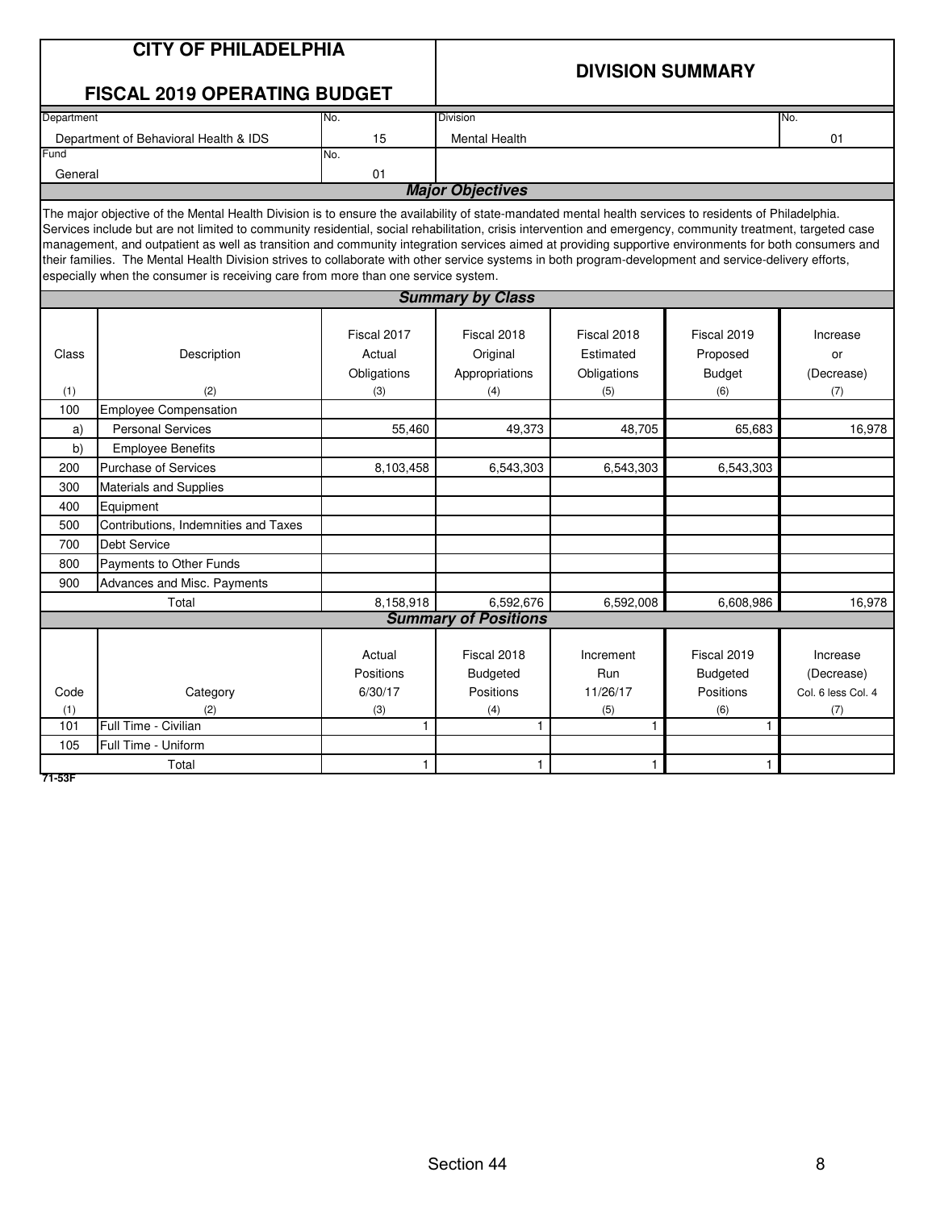|             | <b>CITY OF PHILADELPHIA</b><br><b>FISCAL 2019 OPERATING BUDGET</b>                                                                                                                                                                                                                                                                                                                                                                                                                                                                                                                                                                                                                                                            |                                       | <b>DIVISION SUMMARY</b>                            |                                     |                                                    |                                                     |  |  |  |  |  |
|-------------|-------------------------------------------------------------------------------------------------------------------------------------------------------------------------------------------------------------------------------------------------------------------------------------------------------------------------------------------------------------------------------------------------------------------------------------------------------------------------------------------------------------------------------------------------------------------------------------------------------------------------------------------------------------------------------------------------------------------------------|---------------------------------------|----------------------------------------------------|-------------------------------------|----------------------------------------------------|-----------------------------------------------------|--|--|--|--|--|
| Department  |                                                                                                                                                                                                                                                                                                                                                                                                                                                                                                                                                                                                                                                                                                                               | No.                                   | <b>Division</b><br>No.                             |                                     |                                                    |                                                     |  |  |  |  |  |
|             | Department of Behavioral Health & IDS                                                                                                                                                                                                                                                                                                                                                                                                                                                                                                                                                                                                                                                                                         | 15                                    | <b>Mental Health</b><br>01                         |                                     |                                                    |                                                     |  |  |  |  |  |
| Fund        |                                                                                                                                                                                                                                                                                                                                                                                                                                                                                                                                                                                                                                                                                                                               | No.                                   |                                                    |                                     |                                                    |                                                     |  |  |  |  |  |
| General     |                                                                                                                                                                                                                                                                                                                                                                                                                                                                                                                                                                                                                                                                                                                               | 01                                    |                                                    |                                     |                                                    |                                                     |  |  |  |  |  |
|             |                                                                                                                                                                                                                                                                                                                                                                                                                                                                                                                                                                                                                                                                                                                               |                                       | <b>Major Objectives</b>                            |                                     |                                                    |                                                     |  |  |  |  |  |
|             | The major objective of the Mental Health Division is to ensure the availability of state-mandated mental health services to residents of Philadelphia.<br>Services include but are not limited to community residential, social rehabilitation, crisis intervention and emergency, community treatment, targeted case<br>management, and outpatient as well as transition and community integration services aimed at providing supportive environments for both consumers and<br>their families. The Mental Health Division strives to collaborate with other service systems in both program-development and service-delivery efforts,<br>especially when the consumer is receiving care from more than one service system. |                                       |                                                    |                                     |                                                    |                                                     |  |  |  |  |  |
|             |                                                                                                                                                                                                                                                                                                                                                                                                                                                                                                                                                                                                                                                                                                                               |                                       | <b>Summary by Class</b>                            |                                     |                                                    |                                                     |  |  |  |  |  |
| Class       | Description                                                                                                                                                                                                                                                                                                                                                                                                                                                                                                                                                                                                                                                                                                                   | Fiscal 2017<br>Actual                 | Fiscal 2018<br>Original                            | Fiscal 2018<br>Estimated            | Fiscal 2019<br>Proposed                            | Increase<br>or                                      |  |  |  |  |  |
|             |                                                                                                                                                                                                                                                                                                                                                                                                                                                                                                                                                                                                                                                                                                                               | Obligations                           | Appropriations                                     | Obligations                         | <b>Budget</b>                                      | (Decrease)                                          |  |  |  |  |  |
| (1)         | (2)                                                                                                                                                                                                                                                                                                                                                                                                                                                                                                                                                                                                                                                                                                                           | (3)                                   | (4)                                                | (5)                                 | (6)                                                | (7)                                                 |  |  |  |  |  |
| 100         | <b>Employee Compensation</b>                                                                                                                                                                                                                                                                                                                                                                                                                                                                                                                                                                                                                                                                                                  |                                       |                                                    |                                     |                                                    |                                                     |  |  |  |  |  |
| a)          | <b>Personal Services</b>                                                                                                                                                                                                                                                                                                                                                                                                                                                                                                                                                                                                                                                                                                      | 55,460                                | 49,373                                             | 48,705                              | 65,683                                             | 16,978                                              |  |  |  |  |  |
| b)          | <b>Employee Benefits</b>                                                                                                                                                                                                                                                                                                                                                                                                                                                                                                                                                                                                                                                                                                      |                                       |                                                    |                                     |                                                    |                                                     |  |  |  |  |  |
| 200         | <b>Purchase of Services</b>                                                                                                                                                                                                                                                                                                                                                                                                                                                                                                                                                                                                                                                                                                   | 8,103,458                             | 6,543,303                                          | 6,543,303                           | 6,543,303                                          |                                                     |  |  |  |  |  |
| 300         | Materials and Supplies                                                                                                                                                                                                                                                                                                                                                                                                                                                                                                                                                                                                                                                                                                        |                                       |                                                    |                                     |                                                    |                                                     |  |  |  |  |  |
| 400         | Equipment                                                                                                                                                                                                                                                                                                                                                                                                                                                                                                                                                                                                                                                                                                                     |                                       |                                                    |                                     |                                                    |                                                     |  |  |  |  |  |
| 500         | Contributions, Indemnities and Taxes                                                                                                                                                                                                                                                                                                                                                                                                                                                                                                                                                                                                                                                                                          |                                       |                                                    |                                     |                                                    |                                                     |  |  |  |  |  |
| 700         | <b>Debt Service</b>                                                                                                                                                                                                                                                                                                                                                                                                                                                                                                                                                                                                                                                                                                           |                                       |                                                    |                                     |                                                    |                                                     |  |  |  |  |  |
| 800         | Payments to Other Funds                                                                                                                                                                                                                                                                                                                                                                                                                                                                                                                                                                                                                                                                                                       |                                       |                                                    |                                     |                                                    |                                                     |  |  |  |  |  |
| 900         | Advances and Misc. Payments                                                                                                                                                                                                                                                                                                                                                                                                                                                                                                                                                                                                                                                                                                   |                                       |                                                    |                                     |                                                    |                                                     |  |  |  |  |  |
|             | Total                                                                                                                                                                                                                                                                                                                                                                                                                                                                                                                                                                                                                                                                                                                         | 8,158,918                             | 6,592,676                                          | 6,592,008                           | 6,608,986                                          | 16.978                                              |  |  |  |  |  |
|             |                                                                                                                                                                                                                                                                                                                                                                                                                                                                                                                                                                                                                                                                                                                               |                                       | <b>Summary of Positions</b>                        |                                     |                                                    |                                                     |  |  |  |  |  |
| Code<br>(1) | Category<br>(2)                                                                                                                                                                                                                                                                                                                                                                                                                                                                                                                                                                                                                                                                                                               | Actual<br>Positions<br>6/30/17<br>(3) | Fiscal 2018<br><b>Budgeted</b><br>Positions<br>(4) | Increment<br>Run<br>11/26/17<br>(5) | Fiscal 2019<br><b>Budgeted</b><br>Positions<br>(6) | Increase<br>(Decrease)<br>Col. 6 less Col. 4<br>(7) |  |  |  |  |  |
| 101         | Full Time - Civilian                                                                                                                                                                                                                                                                                                                                                                                                                                                                                                                                                                                                                                                                                                          | 1                                     | 1                                                  | 1                                   | $\mathbf{1}$                                       |                                                     |  |  |  |  |  |
| 105         | Full Time - Uniform                                                                                                                                                                                                                                                                                                                                                                                                                                                                                                                                                                                                                                                                                                           |                                       |                                                    |                                     |                                                    |                                                     |  |  |  |  |  |
|             | Total                                                                                                                                                                                                                                                                                                                                                                                                                                                                                                                                                                                                                                                                                                                         | 1                                     | 1                                                  | 1                                   | 1                                                  |                                                     |  |  |  |  |  |
| 71-53F      |                                                                                                                                                                                                                                                                                                                                                                                                                                                                                                                                                                                                                                                                                                                               |                                       |                                                    |                                     |                                                    |                                                     |  |  |  |  |  |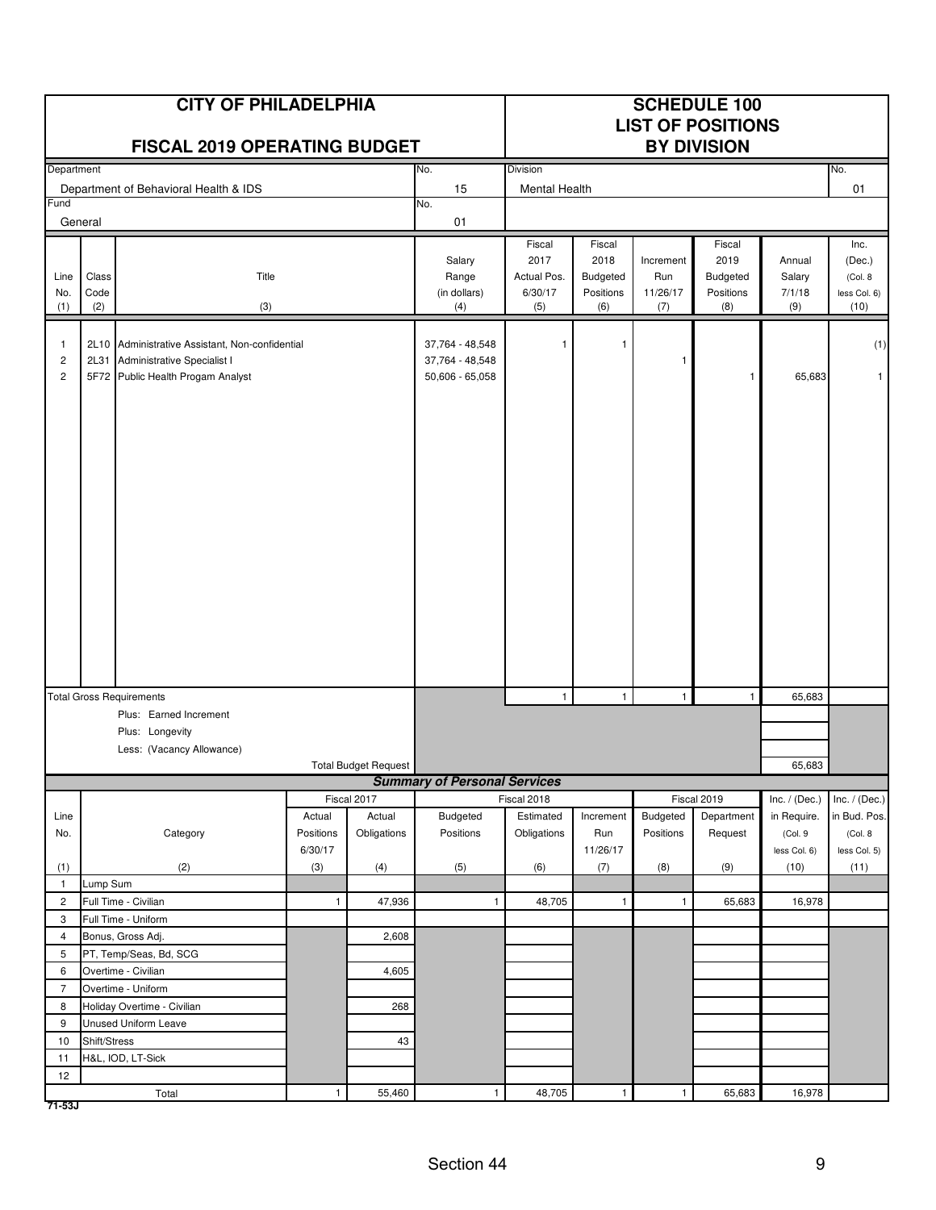|                                                  |                      | <b>CITY OF PHILADELPHIA</b><br><b>FISCAL 2019 OPERATING BUDGET</b>                                                       |                                                         | <b>SCHEDULE 100</b><br><b>LIST OF POSITIONS</b><br><b>BY DIVISION</b> |                                        |                                                 |                                                |                                     |                                                       |                                   |                                                   |
|--------------------------------------------------|----------------------|--------------------------------------------------------------------------------------------------------------------------|---------------------------------------------------------|-----------------------------------------------------------------------|----------------------------------------|-------------------------------------------------|------------------------------------------------|-------------------------------------|-------------------------------------------------------|-----------------------------------|---------------------------------------------------|
| Department                                       |                      |                                                                                                                          |                                                         |                                                                       | No.                                    | <b>Division</b>                                 |                                                |                                     |                                                       |                                   | No.                                               |
|                                                  |                      | Department of Behavioral Health & IDS                                                                                    |                                                         |                                                                       | 15                                     | <b>Mental Health</b>                            |                                                |                                     |                                                       |                                   | 01                                                |
| Fund                                             | General              |                                                                                                                          |                                                         |                                                                       | No.<br>01                              |                                                 |                                                |                                     |                                                       |                                   |                                                   |
| Line<br>No.<br>(1)                               | Class<br>Code<br>(2) | Title<br>(3)                                                                                                             |                                                         |                                                                       | Salary<br>Range<br>(in dollars)<br>(4) | Fiscal<br>2017<br>Actual Pos.<br>6/30/17<br>(5) | Fiscal<br>2018<br>Budgeted<br>Positions<br>(6) | Increment<br>Run<br>11/26/17<br>(7) | Fiscal<br>2019<br><b>Budgeted</b><br>Positions<br>(8) | Annual<br>Salary<br>7/1/18<br>(9) | Inc.<br>(Dec.)<br>(Col. 8<br>less Col. 6)<br>(10) |
| $\mathbf{1}$<br>$\overline{c}$<br>$\overline{c}$ |                      | 2L10 Administrative Assistant, Non-confidential<br>2L31 Administrative Specialist I<br>5F72 Public Health Progam Analyst | 37,764 - 48,548<br>37,764 - 48,548<br>$50,606 - 65,058$ | 1                                                                     | $\mathbf{1}$                           | $\mathbf{1}$                                    | 1                                              | 65,683                              | (1)<br>$\mathbf{1}$                                   |                                   |                                                   |
|                                                  |                      | <b>Total Gross Requirements</b><br>Plus: Earned Increment<br>Plus: Longevity                                             |                                                         |                                                                       |                                        | $\mathbf{1}$                                    | $\mathbf{1}$                                   | $\mathbf{1}$                        | $\mathbf{1}$                                          | 65,683                            |                                                   |
|                                                  |                      | Less: (Vacancy Allowance)                                                                                                |                                                         |                                                                       |                                        |                                                 |                                                |                                     |                                                       |                                   |                                                   |
|                                                  |                      |                                                                                                                          |                                                         | <b>Total Budget Request</b>                                           |                                        |                                                 |                                                |                                     |                                                       | 65,683                            |                                                   |
|                                                  |                      |                                                                                                                          |                                                         |                                                                       | <b>Summary of Personal Services</b>    |                                                 |                                                |                                     |                                                       |                                   |                                                   |
|                                                  |                      |                                                                                                                          |                                                         | Fiscal 2017                                                           | Budgeted                               | Fiscal 2018<br>Estimated                        |                                                | Budgeted                            | Fiscal 2019                                           | Inc. $/$ (Dec.)                   | Inc. $/$ (Dec.)<br>in Bud. Pos.                   |
| Line<br>No.                                      |                      | Category                                                                                                                 | Actual<br>Positions                                     | Actual<br>Obligations                                                 | Positions                              | Obligations                                     | Increment<br>Run                               | Positions                           | Department<br>Request                                 | in Require.<br>(Col. 9            | (Col. 8                                           |
|                                                  |                      |                                                                                                                          | 6/30/17                                                 |                                                                       |                                        |                                                 | 11/26/17                                       |                                     |                                                       | less Col. 6)                      | less Col. 5)                                      |
| (1)                                              |                      | (2)                                                                                                                      | (3)                                                     | (4)                                                                   | (5)                                    | (6)                                             | (7)                                            | (8)                                 | (9)                                                   | (10)                              | (11)                                              |
| $\mathbf{1}$                                     | Lump Sum             |                                                                                                                          |                                                         |                                                                       |                                        |                                                 |                                                |                                     |                                                       |                                   |                                                   |
| $\overline{c}$                                   |                      | Full Time - Civilian                                                                                                     | $\mathbf{1}$                                            | 47,936                                                                | $\mathbf{1}$                           | 48,705                                          | $\mathbf{1}$                                   | $\mathbf{1}$                        | 65,683                                                | 16,978                            |                                                   |
| 3                                                |                      | Full Time - Uniform                                                                                                      |                                                         |                                                                       |                                        |                                                 |                                                |                                     |                                                       |                                   |                                                   |
| $\overline{4}$                                   |                      | Bonus, Gross Adj.                                                                                                        |                                                         | 2,608                                                                 |                                        |                                                 |                                                |                                     |                                                       |                                   |                                                   |
| 5<br>6                                           |                      | PT, Temp/Seas, Bd, SCG<br>Overtime - Civilian                                                                            |                                                         |                                                                       |                                        |                                                 |                                                |                                     |                                                       |                                   |                                                   |
| $\overline{7}$                                   |                      | Overtime - Uniform                                                                                                       |                                                         | 4,605                                                                 |                                        |                                                 |                                                |                                     |                                                       |                                   |                                                   |
| 8                                                |                      | Holiday Overtime - Civilian<br>268                                                                                       |                                                         |                                                                       |                                        |                                                 |                                                |                                     |                                                       |                                   |                                                   |
| 9                                                |                      | Unused Uniform Leave                                                                                                     |                                                         |                                                                       |                                        |                                                 |                                                |                                     |                                                       |                                   |                                                   |
| 10                                               | Shift/Stress         |                                                                                                                          |                                                         | 43                                                                    |                                        |                                                 |                                                |                                     |                                                       |                                   |                                                   |
| 11                                               |                      | H&L, IOD, LT-Sick                                                                                                        |                                                         |                                                                       |                                        |                                                 |                                                |                                     |                                                       |                                   |                                                   |
| 12                                               |                      |                                                                                                                          |                                                         |                                                                       |                                        |                                                 |                                                |                                     |                                                       |                                   |                                                   |
| 71-53J                                           |                      | Total                                                                                                                    | $\mathbf{1}$                                            | 55,460                                                                | $\mathbf{1}$                           | 48,705                                          | $\mathbf{1}$                                   | $\mathbf{1}$                        | 65,683                                                | 16,978                            |                                                   |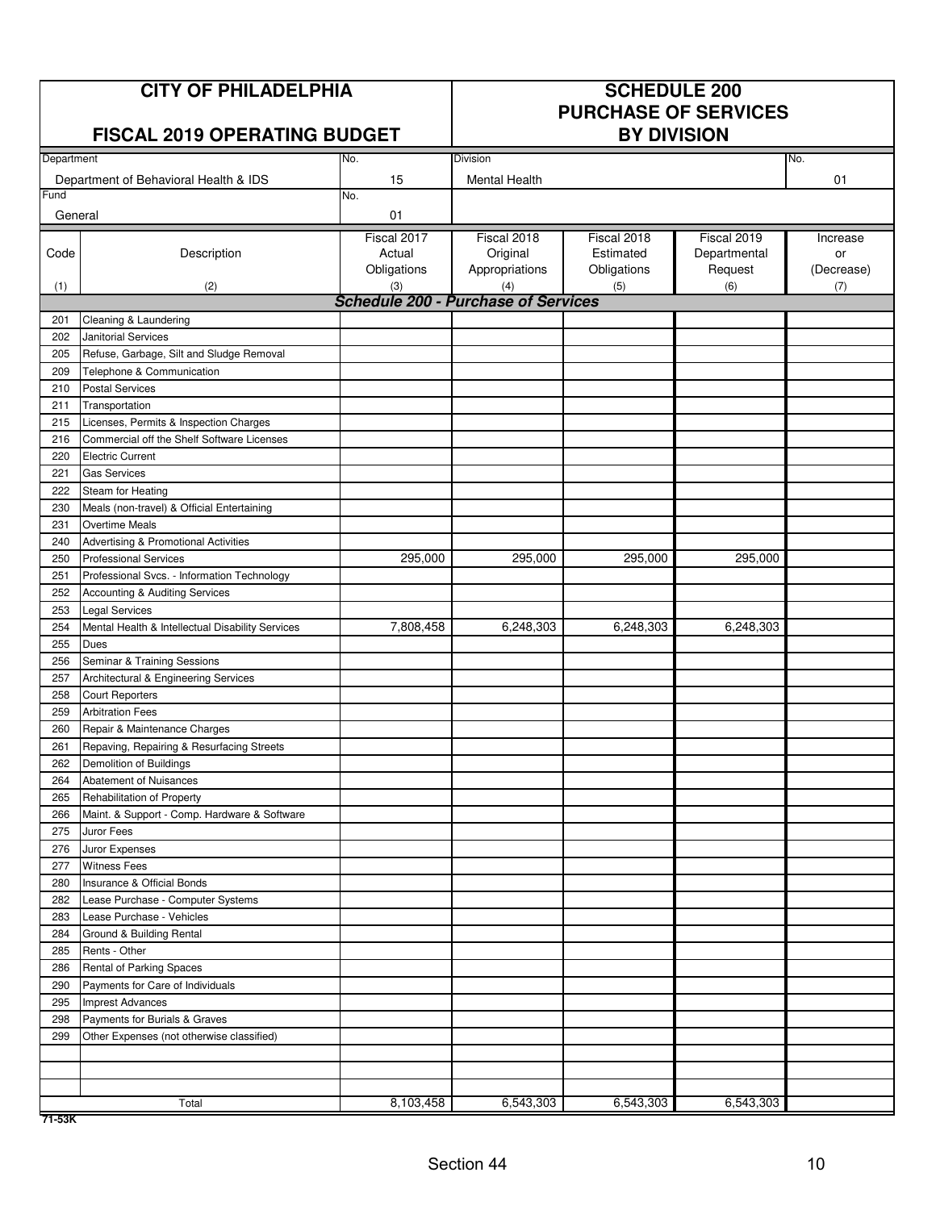|            | <b>CITY OF PHILADELPHIA</b>                                         |                       | <b>SCHEDULE 200</b><br><b>PURCHASE OF SERVICES</b> |                          |                             |                   |  |  |
|------------|---------------------------------------------------------------------|-----------------------|----------------------------------------------------|--------------------------|-----------------------------|-------------------|--|--|
|            | <b>FISCAL 2019 OPERATING BUDGET</b>                                 |                       |                                                    | <b>BY DIVISION</b>       |                             |                   |  |  |
| Department |                                                                     | No.                   | <b>Division</b>                                    |                          |                             | No.               |  |  |
|            | Department of Behavioral Health & IDS                               | 15                    | <b>Mental Health</b>                               |                          |                             | 01                |  |  |
| Fund       |                                                                     | No.                   |                                                    |                          |                             |                   |  |  |
| General    |                                                                     | 01                    |                                                    |                          |                             |                   |  |  |
| Code       | Description                                                         | Fiscal 2017<br>Actual | Fiscal 2018<br>Original                            | Fiscal 2018<br>Estimated | Fiscal 2019<br>Departmental | Increase<br>or    |  |  |
| (1)        | (2)                                                                 | Obligations<br>(3)    | Appropriations<br>(4)                              | Obligations<br>(5)       | Request<br>(6)              | (Decrease)<br>(7) |  |  |
|            |                                                                     |                       | <b>Schedule 200 - Purchase of Services</b>         |                          |                             |                   |  |  |
| 201        | Cleaning & Laundering                                               |                       |                                                    |                          |                             |                   |  |  |
| 202        | Janitorial Services                                                 |                       |                                                    |                          |                             |                   |  |  |
| 205        | Refuse, Garbage, Silt and Sludge Removal                            |                       |                                                    |                          |                             |                   |  |  |
| 209        | Telephone & Communication                                           |                       |                                                    |                          |                             |                   |  |  |
| 210        | <b>Postal Services</b>                                              |                       |                                                    |                          |                             |                   |  |  |
| 211        | Transportation                                                      |                       |                                                    |                          |                             |                   |  |  |
| 215        | Licenses, Permits & Inspection Charges                              |                       |                                                    |                          |                             |                   |  |  |
| 216        | Commercial off the Shelf Software Licenses                          |                       |                                                    |                          |                             |                   |  |  |
| 220        | <b>Electric Current</b>                                             |                       |                                                    |                          |                             |                   |  |  |
| 221        | <b>Gas Services</b>                                                 |                       |                                                    |                          |                             |                   |  |  |
| 222        | Steam for Heating                                                   |                       |                                                    |                          |                             |                   |  |  |
| 230        | Meals (non-travel) & Official Entertaining                          |                       |                                                    |                          |                             |                   |  |  |
| 231        | <b>Overtime Meals</b>                                               |                       |                                                    |                          |                             |                   |  |  |
| 240        | Advertising & Promotional Activities                                |                       |                                                    |                          |                             |                   |  |  |
| 250        | <b>Professional Services</b>                                        | 295,000               | 295,000                                            | 295,000                  | 295,000                     |                   |  |  |
| 251        | Professional Svcs. - Information Technology                         |                       |                                                    |                          |                             |                   |  |  |
| 252        | <b>Accounting &amp; Auditing Services</b>                           |                       |                                                    |                          |                             |                   |  |  |
| 253        | <b>Legal Services</b>                                               |                       |                                                    |                          |                             |                   |  |  |
| 254        | Mental Health & Intellectual Disability Services                    | 7,808,458             | 6,248,303                                          | 6,248,303                | 6,248,303                   |                   |  |  |
| 255<br>256 | <b>Dues</b>                                                         |                       |                                                    |                          |                             |                   |  |  |
| 257        | Seminar & Training Sessions<br>Architectural & Engineering Services |                       |                                                    |                          |                             |                   |  |  |
| 258        | <b>Court Reporters</b>                                              |                       |                                                    |                          |                             |                   |  |  |
| 259        | <b>Arbitration Fees</b>                                             |                       |                                                    |                          |                             |                   |  |  |
| 260        | Repair & Maintenance Charges                                        |                       |                                                    |                          |                             |                   |  |  |
| 261        | Repaving, Repairing & Resurfacing Streets                           |                       |                                                    |                          |                             |                   |  |  |
| 262        | Demolition of Buildings                                             |                       |                                                    |                          |                             |                   |  |  |
| 264        | Abatement of Nuisances                                              |                       |                                                    |                          |                             |                   |  |  |
| 265        | Rehabilitation of Property                                          |                       |                                                    |                          |                             |                   |  |  |
| 266        | Maint. & Support - Comp. Hardware & Software                        |                       |                                                    |                          |                             |                   |  |  |
| 275        | Juror Fees                                                          |                       |                                                    |                          |                             |                   |  |  |
| 276        | Juror Expenses                                                      |                       |                                                    |                          |                             |                   |  |  |
| 277        | <b>Witness Fees</b>                                                 |                       |                                                    |                          |                             |                   |  |  |
| 280        | Insurance & Official Bonds                                          |                       |                                                    |                          |                             |                   |  |  |
| 282        | Lease Purchase - Computer Systems                                   |                       |                                                    |                          |                             |                   |  |  |
| 283        | Lease Purchase - Vehicles                                           |                       |                                                    |                          |                             |                   |  |  |
| 284        | Ground & Building Rental                                            |                       |                                                    |                          |                             |                   |  |  |
| 285        | Rents - Other                                                       |                       |                                                    |                          |                             |                   |  |  |
| 286        | Rental of Parking Spaces                                            |                       |                                                    |                          |                             |                   |  |  |
| 290        | Payments for Care of Individuals                                    |                       |                                                    |                          |                             |                   |  |  |
| 295        | <b>Imprest Advances</b>                                             |                       |                                                    |                          |                             |                   |  |  |
| 298        | Payments for Burials & Graves                                       |                       |                                                    |                          |                             |                   |  |  |
| 299        | Other Expenses (not otherwise classified)                           |                       |                                                    |                          |                             |                   |  |  |
|            |                                                                     |                       |                                                    |                          |                             |                   |  |  |
|            |                                                                     |                       |                                                    |                          |                             |                   |  |  |
|            |                                                                     |                       |                                                    |                          |                             |                   |  |  |
|            | Total                                                               | 8,103,458             | 6,543,303                                          | 6,543,303                | 6,543,303                   |                   |  |  |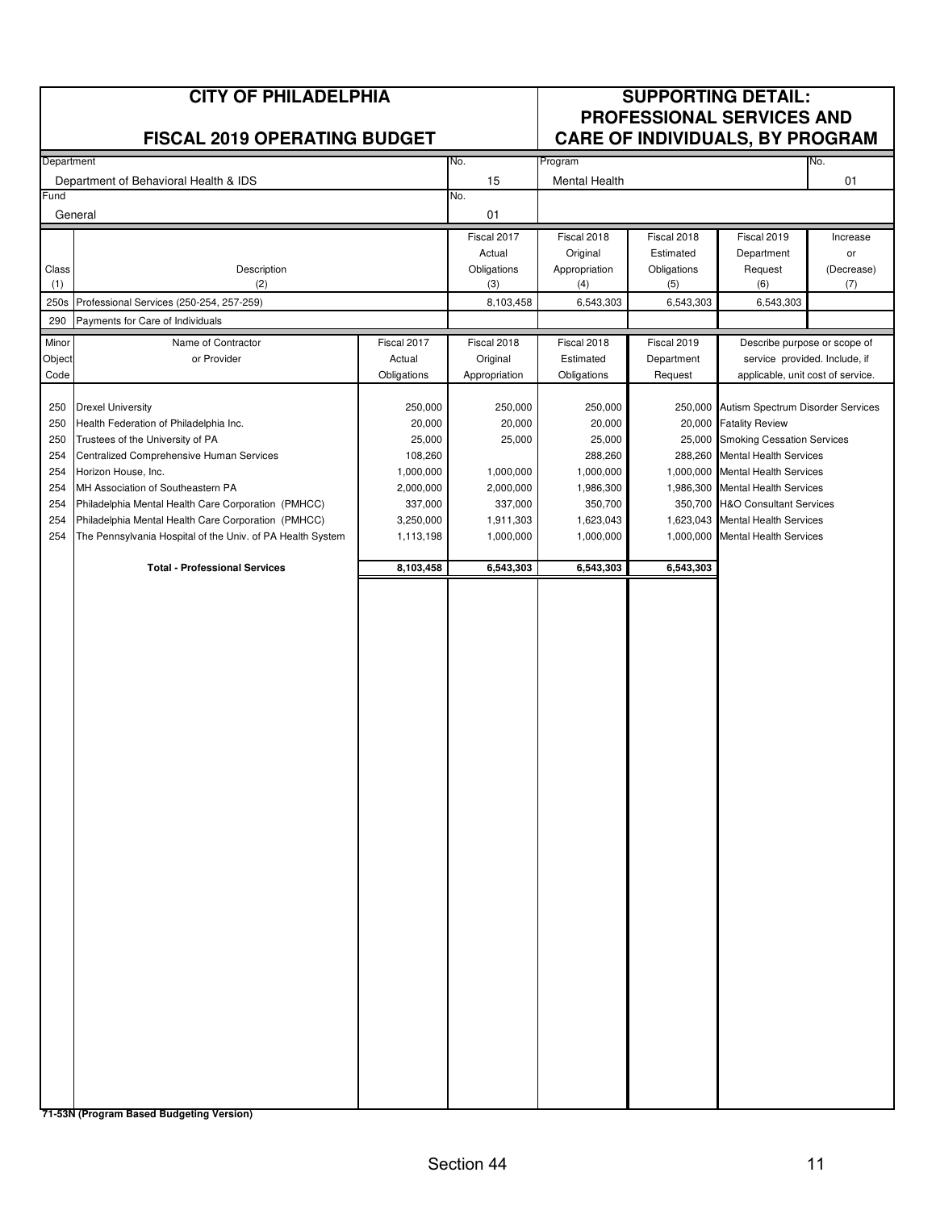|              | <b>CITY OF PHILADELPHIA</b><br><b>FISCAL 2019 OPERATING BUDGET</b>                                         | <b>SUPPORTING DETAIL:</b><br><b>PROFESSIONAL SERVICES AND</b><br><b>CARE OF INDIVIDUALS, BY PROGRAM</b> |                      |                      |                      |                                                                     |                   |
|--------------|------------------------------------------------------------------------------------------------------------|---------------------------------------------------------------------------------------------------------|----------------------|----------------------|----------------------|---------------------------------------------------------------------|-------------------|
| Department   |                                                                                                            |                                                                                                         | No.                  | Program              |                      |                                                                     | No.               |
|              | Department of Behavioral Health & IDS                                                                      |                                                                                                         | 15                   | <b>Mental Health</b> |                      |                                                                     | 01                |
| Fund         | General                                                                                                    |                                                                                                         | No.<br>01            |                      |                      |                                                                     |                   |
|              |                                                                                                            |                                                                                                         | Fiscal 2017          | Fiscal 2018          | Fiscal 2018          | Fiscal 2019                                                         | Increase          |
|              |                                                                                                            |                                                                                                         | Actual               | Original             | Estimated            | Department                                                          | or                |
| Class<br>(1) | Description<br>(2)                                                                                         |                                                                                                         | Obligations<br>(3)   | Appropriation<br>(4) | Obligations<br>(5)   | Request<br>(6)                                                      | (Decrease)<br>(7) |
| 250s         | Professional Services (250-254, 257-259)                                                                   |                                                                                                         | 8,103,458            | 6,543,303            | 6,543,303            | 6,543,303                                                           |                   |
| 290          | Payments for Care of Individuals                                                                           |                                                                                                         |                      |                      |                      |                                                                     |                   |
| Minor        | Name of Contractor                                                                                         | Fiscal 2017                                                                                             | Fiscal 2018          | Fiscal 2018          | Fiscal 2019          | Describe purpose or scope of                                        |                   |
| Object       | or Provider                                                                                                | Actual                                                                                                  | Original             | Estimated            | Department           | service provided. Include, if                                       |                   |
| Code         |                                                                                                            | Obligations                                                                                             | Appropriation        | Obligations          | Request              | applicable, unit cost of service.                                   |                   |
| 250          | <b>Drexel University</b>                                                                                   | 250,000                                                                                                 | 250,000              | 250,000              |                      | 250,000 Autism Spectrum Disorder Services                           |                   |
| 250          | Health Federation of Philadelphia Inc.                                                                     | 20,000                                                                                                  | 20,000               | 20,000               | 20,000               | <b>Fatality Review</b>                                              |                   |
| 250          | Trustees of the University of PA                                                                           | 25,000                                                                                                  | 25,000               | 25,000               | 25,000               | <b>Smoking Cessation Services</b>                                   |                   |
| 254          | Centralized Comprehensive Human Services                                                                   | 108,260                                                                                                 |                      | 288,260              | 288,260              | <b>Mental Health Services</b>                                       |                   |
| 254          | Horizon House, Inc.                                                                                        | 1,000,000                                                                                               | 1,000,000            | 1,000,000            |                      | 1,000,000 Mental Health Services                                    |                   |
| 254          | MH Association of Southeastern PA                                                                          | 2,000,000                                                                                               | 2,000,000            | 1,986,300            | 1,986,300            | <b>Mental Health Services</b><br><b>H&amp;O Consultant Services</b> |                   |
| 254<br>254   | Philadelphia Mental Health Care Corporation (PMHCC)<br>Philadelphia Mental Health Care Corporation (PMHCC) | 337,000<br>3,250,000                                                                                    | 337,000<br>1,911,303 | 350,700<br>1,623,043 | 350,700<br>1,623,043 | <b>Mental Health Services</b>                                       |                   |
| 254          | The Pennsylvania Hospital of the Univ. of PA Health System                                                 | 1,113,198                                                                                               | 1,000,000            | 1,000,000            | 1,000,000            | <b>Mental Health Services</b>                                       |                   |
|              |                                                                                                            |                                                                                                         |                      |                      |                      |                                                                     |                   |
|              | <b>Total - Professional Services</b>                                                                       | 8,103,458                                                                                               | 6,543,303            | 6,543,303            | 6,543,303            |                                                                     |                   |
|              |                                                                                                            |                                                                                                         |                      |                      |                      |                                                                     |                   |

**71-53N (Program Based Budgeting Version)**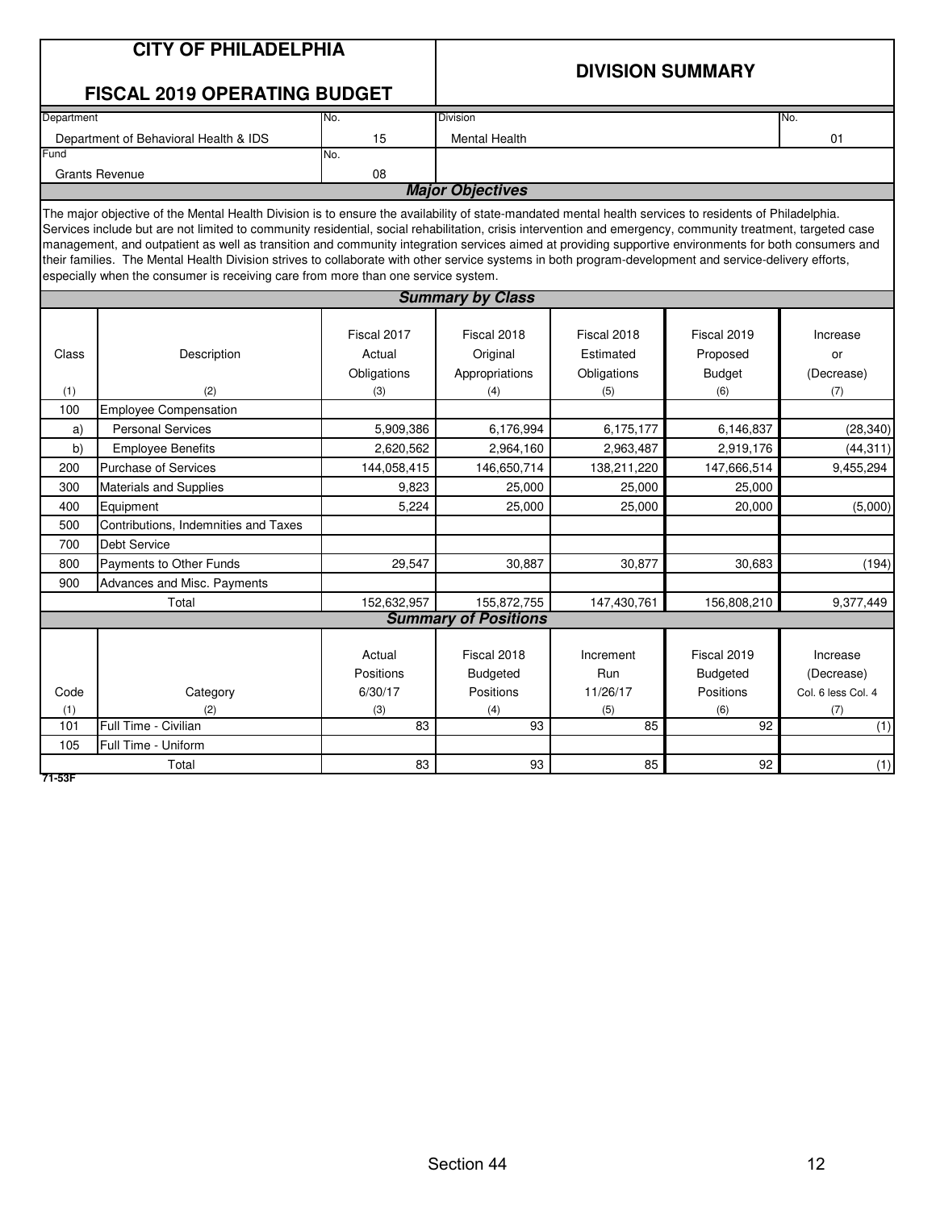|            | <b>CITY OF PHILADELPHIA</b><br><b>FISCAL 2019 OPERATING BUDGET</b>                                                                                                                                                                                                                                                                                                                                                                                                                                                                                                                                                                                                                                                            |                                | <b>DIVISION SUMMARY</b>                     |                              |                                                    |                                              |  |  |  |  |  |
|------------|-------------------------------------------------------------------------------------------------------------------------------------------------------------------------------------------------------------------------------------------------------------------------------------------------------------------------------------------------------------------------------------------------------------------------------------------------------------------------------------------------------------------------------------------------------------------------------------------------------------------------------------------------------------------------------------------------------------------------------|--------------------------------|---------------------------------------------|------------------------------|----------------------------------------------------|----------------------------------------------|--|--|--|--|--|
| Department |                                                                                                                                                                                                                                                                                                                                                                                                                                                                                                                                                                                                                                                                                                                               | No.                            | <b>Division</b>                             |                              |                                                    | No.                                          |  |  |  |  |  |
|            | Department of Behavioral Health & IDS                                                                                                                                                                                                                                                                                                                                                                                                                                                                                                                                                                                                                                                                                         | 15                             | <b>Mental Health</b>                        |                              |                                                    | 01                                           |  |  |  |  |  |
| Fund       |                                                                                                                                                                                                                                                                                                                                                                                                                                                                                                                                                                                                                                                                                                                               | No.                            |                                             |                              |                                                    |                                              |  |  |  |  |  |
|            | <b>Grants Revenue</b>                                                                                                                                                                                                                                                                                                                                                                                                                                                                                                                                                                                                                                                                                                         | 08                             | <b>Major Objectives</b>                     |                              |                                                    |                                              |  |  |  |  |  |
|            | The major objective of the Mental Health Division is to ensure the availability of state-mandated mental health services to residents of Philadelphia.<br>Services include but are not limited to community residential, social rehabilitation, crisis intervention and emergency, community treatment, targeted case<br>management, and outpatient as well as transition and community integration services aimed at providing supportive environments for both consumers and<br>their families. The Mental Health Division strives to collaborate with other service systems in both program-development and service-delivery efforts,<br>especially when the consumer is receiving care from more than one service system. |                                |                                             |                              |                                                    |                                              |  |  |  |  |  |
|            |                                                                                                                                                                                                                                                                                                                                                                                                                                                                                                                                                                                                                                                                                                                               |                                | <b>Summary by Class</b>                     |                              |                                                    |                                              |  |  |  |  |  |
| Class      | Description                                                                                                                                                                                                                                                                                                                                                                                                                                                                                                                                                                                                                                                                                                                   | Fiscal 2017<br>Actual          | Fiscal 2018<br>Original                     | Fiscal 2018<br>Estimated     | Fiscal 2019<br>Proposed                            | Increase<br>or                               |  |  |  |  |  |
|            |                                                                                                                                                                                                                                                                                                                                                                                                                                                                                                                                                                                                                                                                                                                               | Obligations                    | Appropriations                              | Obligations                  | <b>Budget</b>                                      | (Decrease)                                   |  |  |  |  |  |
| (1)        | (2)                                                                                                                                                                                                                                                                                                                                                                                                                                                                                                                                                                                                                                                                                                                           | (3)                            | (4)                                         | (5)                          | (6)                                                | (7)                                          |  |  |  |  |  |
| 100        | <b>Employee Compensation</b>                                                                                                                                                                                                                                                                                                                                                                                                                                                                                                                                                                                                                                                                                                  |                                |                                             |                              |                                                    |                                              |  |  |  |  |  |
| a)         | <b>Personal Services</b>                                                                                                                                                                                                                                                                                                                                                                                                                                                                                                                                                                                                                                                                                                      | 5,909,386                      | 6,176,994                                   | 6,175,177                    | 6,146,837                                          | (28, 340)                                    |  |  |  |  |  |
| b)         | <b>Employee Benefits</b>                                                                                                                                                                                                                                                                                                                                                                                                                                                                                                                                                                                                                                                                                                      | 2,620,562                      | 2,964,160                                   | 2,963,487                    | 2,919,176                                          | (44, 311)                                    |  |  |  |  |  |
| 200        | <b>Purchase of Services</b>                                                                                                                                                                                                                                                                                                                                                                                                                                                                                                                                                                                                                                                                                                   | 144,058,415                    | 146,650,714                                 | 138,211,220                  | 147,666,514                                        | 9,455,294                                    |  |  |  |  |  |
| 300        | <b>Materials and Supplies</b>                                                                                                                                                                                                                                                                                                                                                                                                                                                                                                                                                                                                                                                                                                 | 9.823                          | 25.000                                      | 25.000                       | 25.000                                             |                                              |  |  |  |  |  |
| 400        | Equipment                                                                                                                                                                                                                                                                                                                                                                                                                                                                                                                                                                                                                                                                                                                     | 5,224                          | 25,000                                      | 25,000                       | 20,000                                             | (5,000)                                      |  |  |  |  |  |
| 500        | Contributions. Indemnities and Taxes                                                                                                                                                                                                                                                                                                                                                                                                                                                                                                                                                                                                                                                                                          |                                |                                             |                              |                                                    |                                              |  |  |  |  |  |
| 700        | <b>Debt Service</b>                                                                                                                                                                                                                                                                                                                                                                                                                                                                                                                                                                                                                                                                                                           |                                |                                             |                              |                                                    |                                              |  |  |  |  |  |
| 800        | Payments to Other Funds                                                                                                                                                                                                                                                                                                                                                                                                                                                                                                                                                                                                                                                                                                       | 29,547                         | 30,887                                      | 30,877                       | 30,683                                             | (194)                                        |  |  |  |  |  |
| 900        | <b>Advances and Misc. Payments</b>                                                                                                                                                                                                                                                                                                                                                                                                                                                                                                                                                                                                                                                                                            |                                |                                             |                              |                                                    |                                              |  |  |  |  |  |
|            | Total                                                                                                                                                                                                                                                                                                                                                                                                                                                                                                                                                                                                                                                                                                                         | 152,632,957                    | 155,872,755                                 | 147,430,761                  | 156,808,210                                        | 9,377,449                                    |  |  |  |  |  |
|            |                                                                                                                                                                                                                                                                                                                                                                                                                                                                                                                                                                                                                                                                                                                               |                                | <b>Summary of Positions</b>                 |                              |                                                    |                                              |  |  |  |  |  |
| Code       | Category                                                                                                                                                                                                                                                                                                                                                                                                                                                                                                                                                                                                                                                                                                                      | Actual<br>Positions<br>6/30/17 | Fiscal 2018<br><b>Budgeted</b><br>Positions | Increment<br>Run<br>11/26/17 | Fiscal 2019<br><b>Budgeted</b><br><b>Positions</b> | Increase<br>(Decrease)<br>Col. 6 less Col. 4 |  |  |  |  |  |
| (1)        | (2)                                                                                                                                                                                                                                                                                                                                                                                                                                                                                                                                                                                                                                                                                                                           | (3)                            | (4)                                         | (5)                          | (6)                                                | (7)                                          |  |  |  |  |  |
| 101        | Full Time - Civilian                                                                                                                                                                                                                                                                                                                                                                                                                                                                                                                                                                                                                                                                                                          | 83                             | 93                                          | 85                           | 92                                                 | (1)                                          |  |  |  |  |  |
| 105        | Full Time - Uniform                                                                                                                                                                                                                                                                                                                                                                                                                                                                                                                                                                                                                                                                                                           |                                |                                             |                              |                                                    |                                              |  |  |  |  |  |
| 71-53F     | Total                                                                                                                                                                                                                                                                                                                                                                                                                                                                                                                                                                                                                                                                                                                         | 83                             | 93                                          | 85                           | 92                                                 | (1)                                          |  |  |  |  |  |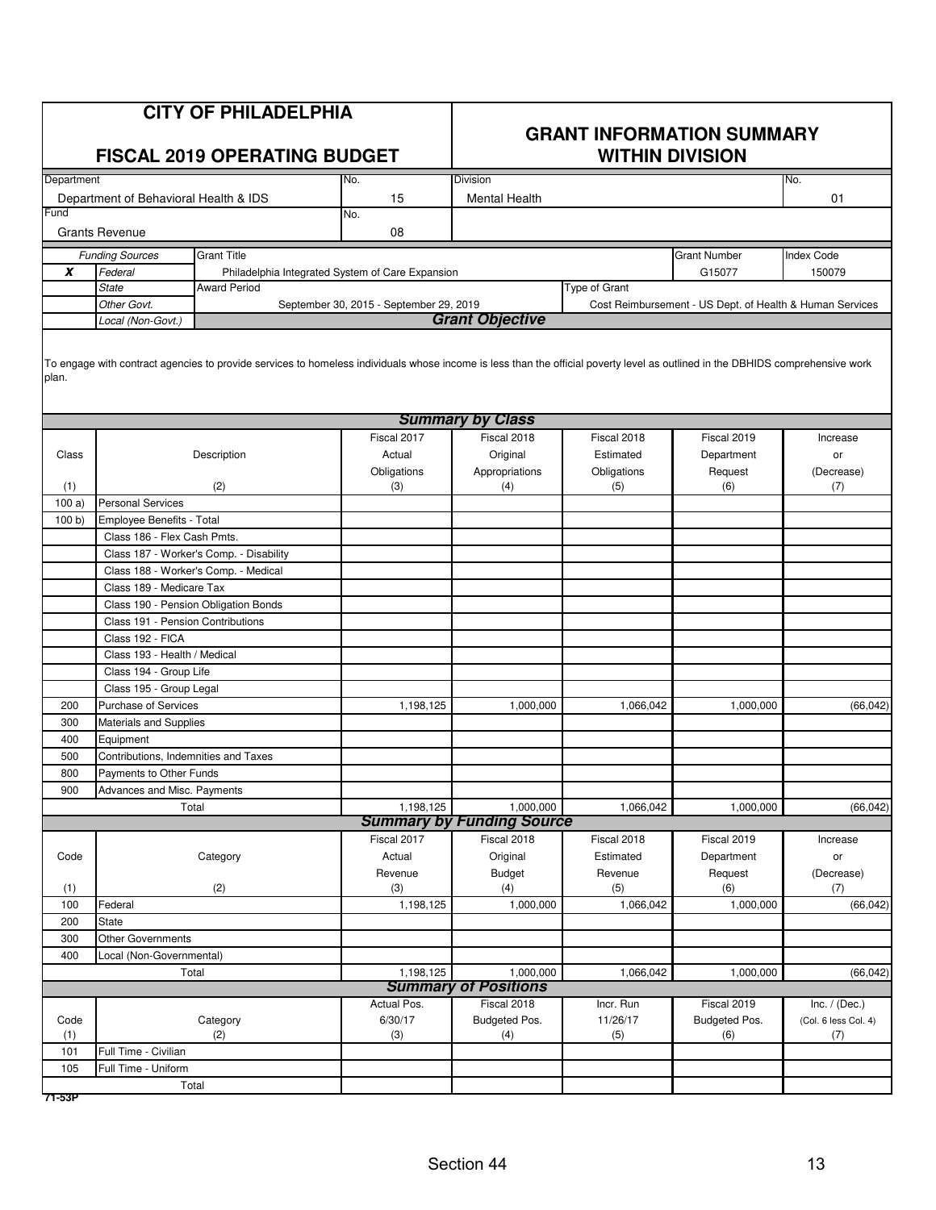|              |                                             | <b>CITY OF PHILADELPHIA</b><br><b>FISCAL 2019 OPERATING BUDGET</b>                                                                                                             | <b>GRANT INFORMATION SUMMARY</b><br><b>WITHIN DIVISION</b> |                                  |               |                                                          |                      |  |
|--------------|---------------------------------------------|--------------------------------------------------------------------------------------------------------------------------------------------------------------------------------|------------------------------------------------------------|----------------------------------|---------------|----------------------------------------------------------|----------------------|--|
| Department   |                                             |                                                                                                                                                                                | No.                                                        | <b>Division</b>                  |               |                                                          | No.                  |  |
| Fund         | Department of Behavioral Health & IDS       |                                                                                                                                                                                | 15<br>No.                                                  | <b>Mental Health</b>             |               |                                                          | 01                   |  |
|              | <b>Grants Revenue</b>                       |                                                                                                                                                                                | 08                                                         |                                  |               |                                                          |                      |  |
|              | <b>Funding Sources</b>                      | <b>Grant Title</b>                                                                                                                                                             |                                                            |                                  |               | <b>Grant Number</b>                                      | Index Code           |  |
| X            | Federal                                     | Philadelphia Integrated System of Care Expansion                                                                                                                               |                                                            |                                  |               | G15077                                                   | 150079               |  |
|              | <b>State</b>                                | <b>Award Period</b>                                                                                                                                                            |                                                            |                                  | Type of Grant |                                                          |                      |  |
|              | Other Govt.                                 |                                                                                                                                                                                | September 30, 2015 - September 29, 2019                    |                                  |               | Cost Reimbursement - US Dept. of Health & Human Services |                      |  |
|              | Local (Non-Govt.)                           |                                                                                                                                                                                |                                                            | <b>Grant Objective</b>           |               |                                                          |                      |  |
| plan.        |                                             | To engage with contract agencies to provide services to homeless individuals whose income is less than the official poverty level as outlined in the DBHIDS comprehensive work |                                                            |                                  |               |                                                          |                      |  |
|              |                                             |                                                                                                                                                                                |                                                            | <b>Summary by Class</b>          |               |                                                          |                      |  |
|              |                                             |                                                                                                                                                                                | Fiscal 2017                                                | Fiscal 2018                      | Fiscal 2018   | Fiscal 2019                                              | Increase             |  |
| Class        |                                             | Description                                                                                                                                                                    | Actual                                                     | Original                         | Estimated     | Department                                               | or                   |  |
|              |                                             | (2)                                                                                                                                                                            | Obligations                                                | Appropriations                   | Obligations   | Request                                                  | (Decrease)           |  |
| (1)<br>100a) | <b>Personal Services</b>                    |                                                                                                                                                                                | (3)                                                        | (4)                              | (5)           | (6)                                                      | (7)                  |  |
| 100 b        | Employee Benefits - Total                   |                                                                                                                                                                                |                                                            |                                  |               |                                                          |                      |  |
|              | Class 186 - Flex Cash Pmts.                 |                                                                                                                                                                                |                                                            |                                  |               |                                                          |                      |  |
|              |                                             | Class 187 - Worker's Comp. - Disability                                                                                                                                        |                                                            |                                  |               |                                                          |                      |  |
|              |                                             | Class 188 - Worker's Comp. - Medical                                                                                                                                           |                                                            |                                  |               |                                                          |                      |  |
|              | Class 189 - Medicare Tax                    |                                                                                                                                                                                |                                                            |                                  |               |                                                          |                      |  |
|              |                                             | Class 190 - Pension Obligation Bonds                                                                                                                                           |                                                            |                                  |               |                                                          |                      |  |
|              | Class 191 - Pension Contributions           |                                                                                                                                                                                |                                                            |                                  |               |                                                          |                      |  |
|              | Class 192 - FICA                            |                                                                                                                                                                                |                                                            |                                  |               |                                                          |                      |  |
|              | Class 193 - Health / Medical                |                                                                                                                                                                                |                                                            |                                  |               |                                                          |                      |  |
|              | Class 194 - Group Life                      |                                                                                                                                                                                |                                                            |                                  |               |                                                          |                      |  |
|              | Class 195 - Group Legal                     |                                                                                                                                                                                |                                                            |                                  |               |                                                          |                      |  |
| 200          | Purchase of Services                        |                                                                                                                                                                                | 1,198,125                                                  | 1,000,000                        | 1,066,042     | 1,000,000                                                | (66, 042)            |  |
| 300          | Materials and Supplies                      |                                                                                                                                                                                |                                                            |                                  |               |                                                          |                      |  |
| 400          | Equipment                                   |                                                                                                                                                                                |                                                            |                                  |               |                                                          |                      |  |
| 500          | Contributions, Indemnities and Taxes        |                                                                                                                                                                                |                                                            |                                  |               |                                                          |                      |  |
| 800          | Payments to Other Funds                     |                                                                                                                                                                                |                                                            |                                  |               |                                                          |                      |  |
| 900          | Advances and Misc. Payments                 |                                                                                                                                                                                |                                                            |                                  |               |                                                          |                      |  |
|              |                                             | Total                                                                                                                                                                          | 1,198,125                                                  | 1,000,000                        | 1,066,042     | 1,000,000                                                | (66, 042)            |  |
|              |                                             |                                                                                                                                                                                |                                                            | <b>Summary by Funding Source</b> |               |                                                          |                      |  |
|              |                                             |                                                                                                                                                                                | Fiscal 2017                                                | Fiscal 2018                      | Fiscal 2018   | Fiscal 2019                                              | Increase             |  |
| Code         |                                             | Category                                                                                                                                                                       | Actual                                                     | Original                         | Estimated     | Department                                               | or                   |  |
|              |                                             |                                                                                                                                                                                | Revenue                                                    | <b>Budget</b>                    | Revenue       | Request                                                  | (Decrease)           |  |
| (1)          |                                             | (2)                                                                                                                                                                            | (3)                                                        | (4)                              | (5)           | (6)                                                      | (7)                  |  |
| 100          | Federal                                     |                                                                                                                                                                                | 1,198,125                                                  | 1,000,000                        | 1,066,042     | 1,000,000                                                | (66, 042)            |  |
| 200          | <b>State</b>                                |                                                                                                                                                                                |                                                            |                                  |               |                                                          |                      |  |
| 300          | <b>Other Governments</b>                    |                                                                                                                                                                                |                                                            |                                  |               |                                                          |                      |  |
| 400          | Local (Non-Governmental)                    |                                                                                                                                                                                |                                                            |                                  |               |                                                          |                      |  |
|              |                                             | Total                                                                                                                                                                          | 1,198,125                                                  | 1,000,000                        | 1,066,042     | 1,000,000                                                | (66, 042)            |  |
|              |                                             |                                                                                                                                                                                |                                                            | <b>Summary of Positions</b>      |               |                                                          |                      |  |
|              |                                             |                                                                                                                                                                                | Actual Pos.                                                | Fiscal 2018                      | Incr. Run     | Fiscal 2019                                              | Inc. $/$ (Dec.)      |  |
| Code         |                                             | Category                                                                                                                                                                       | 6/30/17                                                    | Budgeted Pos.                    | 11/26/17      | Budgeted Pos.                                            | (Col. 6 less Col. 4) |  |
| (1)          |                                             | (2)                                                                                                                                                                            | (3)                                                        | (4)                              | (5)           | (6)                                                      | (7)                  |  |
| 101          | Full Time - Civilian<br>Full Time - Uniform |                                                                                                                                                                                |                                                            |                                  |               |                                                          |                      |  |
| 105          |                                             | Total                                                                                                                                                                          |                                                            |                                  |               |                                                          |                      |  |
|              |                                             |                                                                                                                                                                                |                                                            |                                  |               |                                                          |                      |  |

**71-53P**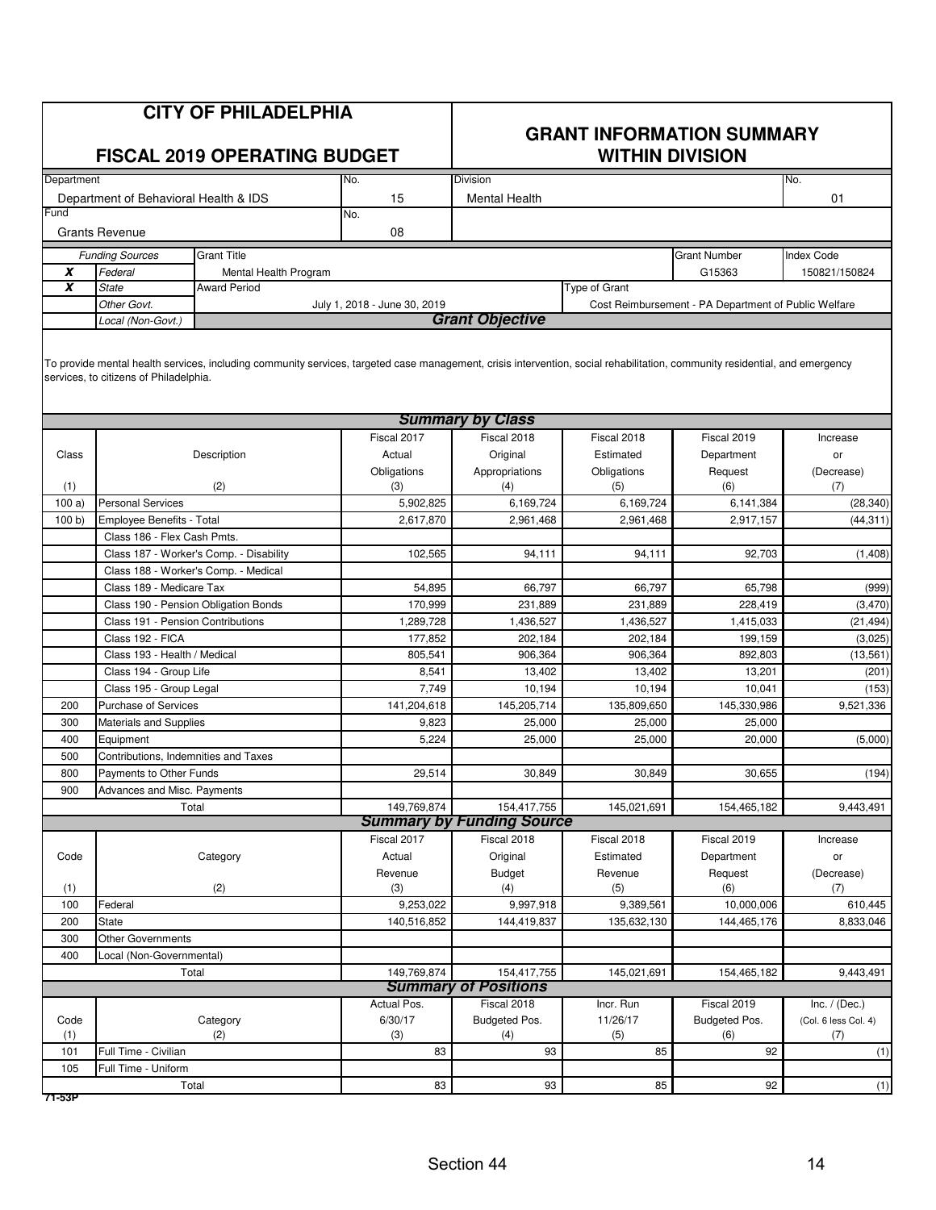|            | <b>CITY OF PHILADELPHIA</b><br><b>FISCAL 2019 OPERATING BUDGET</b> |                                                                                                                                                                             |                              |                                                 | <b>GRANT INFORMATION SUMMARY</b> |                                                      |                      |
|------------|--------------------------------------------------------------------|-----------------------------------------------------------------------------------------------------------------------------------------------------------------------------|------------------------------|-------------------------------------------------|----------------------------------|------------------------------------------------------|----------------------|
|            |                                                                    |                                                                                                                                                                             |                              |                                                 | <b>WITHIN DIVISION</b>           |                                                      |                      |
| Department |                                                                    |                                                                                                                                                                             | No.                          | <b>Division</b>                                 |                                  |                                                      | No.                  |
|            | Department of Behavioral Health & IDS                              |                                                                                                                                                                             | 15                           | <b>Mental Health</b>                            |                                  |                                                      | 01                   |
| Fund       |                                                                    |                                                                                                                                                                             | No.                          |                                                 |                                  |                                                      |                      |
|            | <b>Grants Revenue</b>                                              |                                                                                                                                                                             | 08                           |                                                 |                                  |                                                      |                      |
|            | <b>Funding Sources</b>                                             | <b>Grant Title</b>                                                                                                                                                          |                              |                                                 |                                  | <b>Grant Number</b>                                  | <b>Index Code</b>    |
| X<br>X     | Federal                                                            | Mental Health Program<br><b>Award Period</b>                                                                                                                                |                              |                                                 | Type of Grant                    | G15363                                               | 150821/150824        |
|            | <b>State</b>                                                       |                                                                                                                                                                             |                              |                                                 |                                  |                                                      |                      |
|            | Other Govt.<br>Local (Non-Govt.)                                   |                                                                                                                                                                             | July 1, 2018 - June 30, 2019 | <b>Grant Objective</b>                          |                                  | Cost Reimbursement - PA Department of Public Welfare |                      |
|            | services, to citizens of Philadelphia.                             | To provide mental health services, including community services, targeted case management, crisis intervention, social rehabilitation, community residential, and emergency |                              |                                                 |                                  |                                                      |                      |
|            |                                                                    |                                                                                                                                                                             |                              | <b>Summary by Class</b>                         |                                  |                                                      |                      |
|            |                                                                    |                                                                                                                                                                             | Fiscal 2017                  | Fiscal 2018                                     | Fiscal 2018                      | Fiscal 2019                                          | Increase             |
| Class      |                                                                    | Description                                                                                                                                                                 | Actual                       | Original                                        | Estimated                        | Department                                           | or                   |
|            |                                                                    |                                                                                                                                                                             | Obligations                  | Appropriations                                  | Obligations                      | Request                                              | (Decrease)           |
| (1)        |                                                                    | (2)                                                                                                                                                                         | (3)                          | (4)                                             | (5)                              | (6)                                                  | (7)                  |
| 100a       | <b>Personal Services</b>                                           |                                                                                                                                                                             | 5,902,825                    | 6,169,724                                       | 6.169.724                        | 6,141,384                                            | (28, 340)            |
| 100 b      | <b>Employee Benefits - Total</b>                                   |                                                                                                                                                                             | 2,617,870                    | 2,961,468                                       | 2,961,468                        | 2,917,157                                            | (44, 311)            |
|            | Class 186 - Flex Cash Pmts.                                        |                                                                                                                                                                             |                              |                                                 |                                  |                                                      |                      |
|            |                                                                    | Class 187 - Worker's Comp. - Disability                                                                                                                                     | 102,565                      | 94,111                                          | 94,111                           | 92,703                                               | (1, 408)             |
|            |                                                                    | Class 188 - Worker's Comp. - Medical                                                                                                                                        |                              |                                                 |                                  |                                                      |                      |
|            | Class 189 - Medicare Tax                                           |                                                                                                                                                                             | 54,895                       | 66,797                                          | 66,797                           | 65,798                                               | (999)                |
|            |                                                                    | Class 190 - Pension Obligation Bonds                                                                                                                                        | 170,999                      | 231,889                                         | 231,889                          | 228,419                                              | (3, 470)             |
|            | Class 191 - Pension Contributions                                  |                                                                                                                                                                             | 1,289,728                    | 1,436,527                                       | 1,436,527                        | 1,415,033                                            | (21, 494)            |
|            | Class 192 - FICA                                                   |                                                                                                                                                                             | 177,852                      | 202,184                                         | 202,184                          | 199,159                                              | (3,025)              |
|            | Class 193 - Health / Medical                                       |                                                                                                                                                                             | 805,541                      | 906,364                                         | 906,364                          | 892,803                                              | (13, 561)            |
|            | Class 194 - Group Life                                             |                                                                                                                                                                             | 8,541                        | 13,402                                          | 13,402                           | 13,201                                               | (201)                |
|            | Class 195 - Group Legal                                            |                                                                                                                                                                             | 7,749                        | 10,194                                          | 10,194                           | 10,041                                               | (153)                |
| 200        | <b>Purchase of Services</b>                                        |                                                                                                                                                                             | 141,204,618                  | 145,205,714                                     | 135,809,650                      | 145,330,986                                          | 9,521,336            |
| 300        | Materials and Supplies                                             |                                                                                                                                                                             | 9,823                        | 25,000                                          | 25,000                           | 25,000                                               |                      |
| 400        | Equipment                                                          |                                                                                                                                                                             | 5,224                        | 25,000                                          | 25,000                           | 20,000                                               | (5,000)              |
| 500        | Contributions, Indemnities and Taxes                               |                                                                                                                                                                             |                              |                                                 |                                  |                                                      |                      |
| 800        | Payments to Other Funds                                            |                                                                                                                                                                             | 29,514                       | 30,849                                          | 30,849                           | 30,655                                               | (194)                |
| 900        | Advances and Misc. Payments                                        |                                                                                                                                                                             |                              |                                                 |                                  |                                                      |                      |
|            |                                                                    | Total                                                                                                                                                                       | 149,769,874                  | 154,417,755<br><b>Summary by Funding Source</b> | 145,021,691                      | 154,465,182                                          | 9,443,491            |
|            |                                                                    |                                                                                                                                                                             | Fiscal 2017                  | Fiscal 2018                                     | Fiscal 2018                      | Fiscal 2019                                          | Increase             |
| Code       |                                                                    |                                                                                                                                                                             | Actual                       | Original                                        | Estimated                        | Department                                           |                      |
|            |                                                                    | Category                                                                                                                                                                    | Revenue                      | <b>Budget</b>                                   | Revenue                          | Request                                              | or<br>(Decrease)     |
| (1)        |                                                                    | (2)                                                                                                                                                                         | (3)                          | (4)                                             | (5)                              | (6)                                                  | (7)                  |
| 100        | Federal                                                            |                                                                                                                                                                             | 9,253,022                    | 9,997,918                                       | 9,389,561                        | 10,000,006                                           | 610,445              |
| 200        | <b>State</b>                                                       |                                                                                                                                                                             | 140,516,852                  | 144,419,837                                     | 135,632,130                      | 144,465,176                                          | 8,833,046            |
| 300        | <b>Other Governments</b>                                           |                                                                                                                                                                             |                              |                                                 |                                  |                                                      |                      |
| 400        | Local (Non-Governmental)                                           |                                                                                                                                                                             |                              |                                                 |                                  |                                                      |                      |
|            |                                                                    | Total                                                                                                                                                                       | 149,769,874                  | 154,417,755                                     | 145,021,691                      | 154,465,182                                          | 9,443,491            |
|            |                                                                    |                                                                                                                                                                             |                              | <b>Summary of Positions</b>                     |                                  |                                                      |                      |
|            |                                                                    |                                                                                                                                                                             | Actual Pos.                  | Fiscal 2018                                     | Incr. Run                        | Fiscal 2019                                          | Inc. $/$ (Dec.)      |
| Code       |                                                                    | Category                                                                                                                                                                    | 6/30/17                      | Budgeted Pos.                                   | 11/26/17                         | Budgeted Pos.                                        | (Col. 6 less Col. 4) |
| (1)        |                                                                    | (2)                                                                                                                                                                         | (3)                          | (4)                                             | (5)                              | (6)                                                  | (7)                  |
| 101        | Full Time - Civilian                                               |                                                                                                                                                                             | 83                           | 93                                              | 85                               | 92                                                   | (1)                  |
| 105        | Full Time - Uniform                                                |                                                                                                                                                                             |                              |                                                 |                                  |                                                      |                      |
|            |                                                                    | Total                                                                                                                                                                       | 83                           | 93                                              | 85                               | 92                                                   | (1)                  |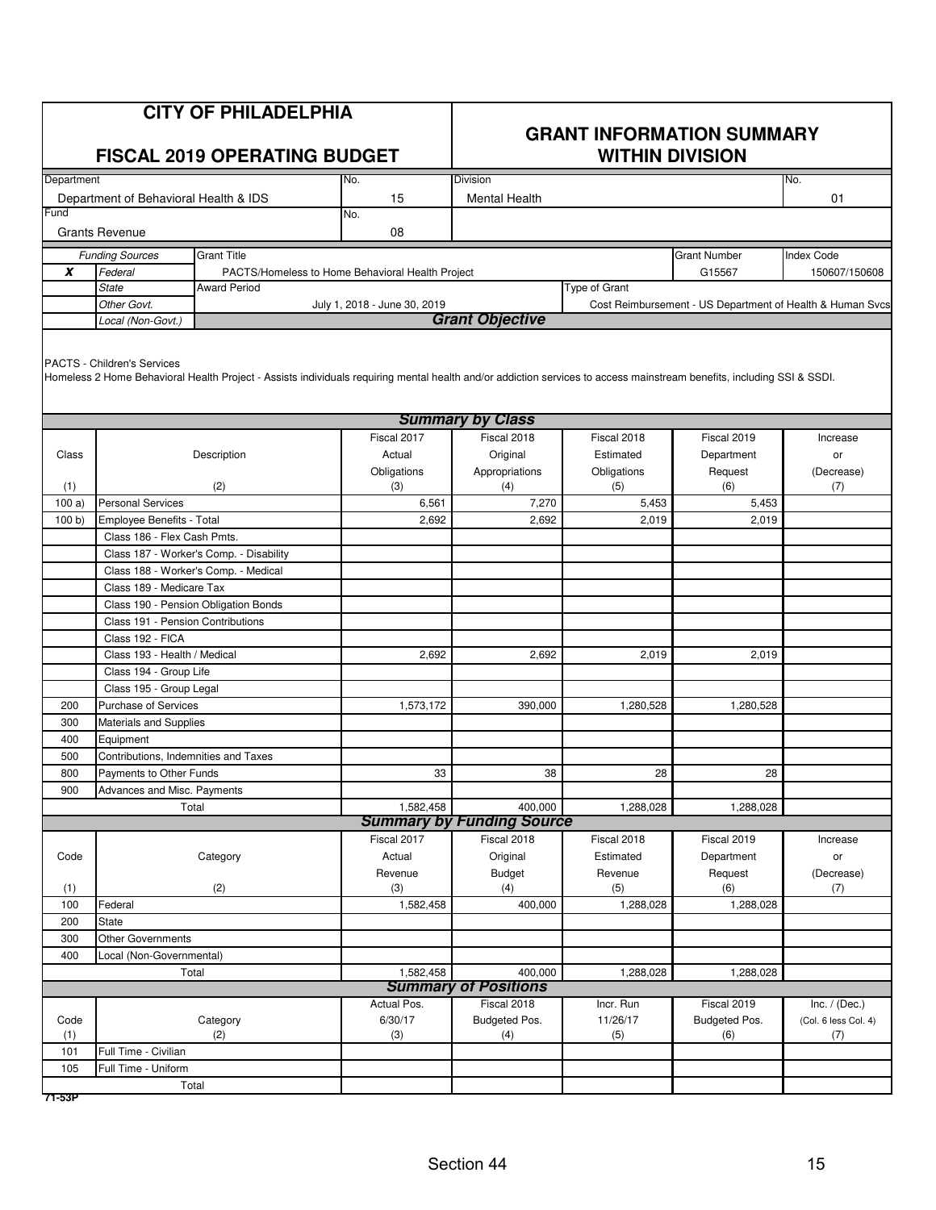|            | <b>CITY OF PHILADELPHIA</b><br><b>FISCAL 2019 OPERATING BUDGET</b><br>No.                                                                                                                                    |                                                  |                              | <b>GRANT INFORMATION SUMMARY</b><br><b>WITHIN DIVISION</b> |                      |                                                           |                      |  |  |  |
|------------|--------------------------------------------------------------------------------------------------------------------------------------------------------------------------------------------------------------|--------------------------------------------------|------------------------------|------------------------------------------------------------|----------------------|-----------------------------------------------------------|----------------------|--|--|--|
| Department |                                                                                                                                                                                                              |                                                  |                              | Division                                                   |                      |                                                           | No.                  |  |  |  |
| Fund       | Department of Behavioral Health & IDS                                                                                                                                                                        |                                                  | 15<br>No.                    | <b>Mental Health</b>                                       |                      |                                                           | 01                   |  |  |  |
|            | <b>Grants Revenue</b>                                                                                                                                                                                        |                                                  | 08                           |                                                            |                      |                                                           |                      |  |  |  |
|            | <b>Funding Sources</b>                                                                                                                                                                                       | <b>Grant Title</b>                               |                              |                                                            |                      | <b>Grant Number</b>                                       | <b>Index Code</b>    |  |  |  |
| X          | Federal                                                                                                                                                                                                      | PACTS/Homeless to Home Behavioral Health Project |                              |                                                            |                      | G15567                                                    | 150607/150608        |  |  |  |
|            | <b>State</b>                                                                                                                                                                                                 | <b>Award Period</b>                              |                              |                                                            | <b>Type of Grant</b> |                                                           |                      |  |  |  |
|            | Other Govt.<br>Local (Non-Govt.)                                                                                                                                                                             |                                                  | July 1, 2018 - June 30, 2019 | <b>Grant Objective</b>                                     |                      | Cost Reimbursement - US Department of Health & Human Svcs |                      |  |  |  |
|            | <b>PACTS - Children's Services</b><br>Homeless 2 Home Behavioral Health Project - Assists individuals requiring mental health and/or addiction services to access mainstream benefits, including SSI & SSDI. |                                                  |                              |                                                            |                      |                                                           |                      |  |  |  |
|            |                                                                                                                                                                                                              |                                                  |                              | <b>Summary by Class</b>                                    |                      |                                                           |                      |  |  |  |
|            |                                                                                                                                                                                                              |                                                  | Fiscal 2017                  | Fiscal 2018                                                | Fiscal 2018          | Fiscal 2019                                               | Increase             |  |  |  |
| Class      |                                                                                                                                                                                                              | Description                                      | Actual                       | Original                                                   | Estimated            | Department                                                | or<br>(Decrease)     |  |  |  |
| (1)        |                                                                                                                                                                                                              | (2)                                              | Obligations<br>(3)           | Appropriations<br>(4)                                      | Obligations<br>(5)   | Request<br>(6)                                            | (7)                  |  |  |  |
| 100a)      | <b>Personal Services</b>                                                                                                                                                                                     |                                                  | 6,561                        | 7,270                                                      | 5,453                | 5,453                                                     |                      |  |  |  |
| 100 b)     | Employee Benefits - Total                                                                                                                                                                                    |                                                  | 2,692                        | 2,692                                                      | 2,019                | 2,019                                                     |                      |  |  |  |
|            | Class 186 - Flex Cash Pmts.                                                                                                                                                                                  |                                                  |                              |                                                            |                      |                                                           |                      |  |  |  |
|            |                                                                                                                                                                                                              | Class 187 - Worker's Comp. - Disability          |                              |                                                            |                      |                                                           |                      |  |  |  |
|            | Class 188 - Worker's Comp. - Medical                                                                                                                                                                         |                                                  |                              |                                                            |                      |                                                           |                      |  |  |  |
|            | Class 189 - Medicare Tax                                                                                                                                                                                     |                                                  |                              |                                                            |                      |                                                           |                      |  |  |  |
|            | Class 190 - Pension Obligation Bonds                                                                                                                                                                         |                                                  |                              |                                                            |                      |                                                           |                      |  |  |  |
|            | Class 191 - Pension Contributions                                                                                                                                                                            |                                                  |                              |                                                            |                      |                                                           |                      |  |  |  |
|            | Class 192 - FICA                                                                                                                                                                                             |                                                  |                              |                                                            |                      |                                                           |                      |  |  |  |
|            | Class 193 - Health / Medical                                                                                                                                                                                 |                                                  | 2,692                        | 2,692                                                      | 2,019                | 2,019                                                     |                      |  |  |  |
|            | Class 194 - Group Life                                                                                                                                                                                       |                                                  |                              |                                                            |                      |                                                           |                      |  |  |  |
|            | Class 195 - Group Legal                                                                                                                                                                                      |                                                  |                              |                                                            |                      |                                                           |                      |  |  |  |
| 200        | <b>Purchase of Services</b>                                                                                                                                                                                  |                                                  | 1,573,172                    | 390,000                                                    | 1,280,528            | 1,280,528                                                 |                      |  |  |  |
| 300        | Materials and Supplies                                                                                                                                                                                       |                                                  |                              |                                                            |                      |                                                           |                      |  |  |  |
| 400        | Equipment<br>Contributions, Indemnities and Taxes                                                                                                                                                            |                                                  |                              |                                                            |                      |                                                           |                      |  |  |  |
| 500<br>800 | Payments to Other Funds                                                                                                                                                                                      |                                                  | 33                           | 38                                                         | 28                   | 28                                                        |                      |  |  |  |
| 900        | Advances and Misc. Payments                                                                                                                                                                                  |                                                  |                              |                                                            |                      |                                                           |                      |  |  |  |
|            | Total                                                                                                                                                                                                        |                                                  | 1,582,458                    | 400,000                                                    | 1,288,028            | 1,288,028                                                 |                      |  |  |  |
|            |                                                                                                                                                                                                              |                                                  |                              | <b>Summary by Funding Source</b>                           |                      |                                                           |                      |  |  |  |
|            |                                                                                                                                                                                                              |                                                  | Fiscal 2017                  | Fiscal 2018                                                | Fiscal 2018          | Fiscal 2019                                               | Increase             |  |  |  |
| Code       |                                                                                                                                                                                                              | Category                                         | Actual                       | Original                                                   | Estimated            | Department                                                | or                   |  |  |  |
|            |                                                                                                                                                                                                              |                                                  | Revenue                      | <b>Budget</b>                                              | Revenue              | Request                                                   | (Decrease)           |  |  |  |
| (1)        |                                                                                                                                                                                                              | (2)                                              | (3)                          | (4)                                                        | (5)                  | (6)                                                       | (7)                  |  |  |  |
| 100        | Federal                                                                                                                                                                                                      |                                                  | 1,582,458                    | 400,000                                                    | 1,288,028            | 1,288,028                                                 |                      |  |  |  |
| 200        | <b>State</b>                                                                                                                                                                                                 |                                                  |                              |                                                            |                      |                                                           |                      |  |  |  |
| 300        | <b>Other Governments</b>                                                                                                                                                                                     |                                                  |                              |                                                            |                      |                                                           |                      |  |  |  |
| 400        | Local (Non-Governmental)<br>Total                                                                                                                                                                            |                                                  | 1,582,458                    | 400,000                                                    | 1,288,028            | 1,288,028                                                 |                      |  |  |  |
|            |                                                                                                                                                                                                              |                                                  |                              | <b>Summary of Positions</b>                                |                      |                                                           |                      |  |  |  |
|            |                                                                                                                                                                                                              |                                                  | Actual Pos.                  | Fiscal 2018                                                | Incr. Run            | Fiscal 2019                                               | Inc. $/$ (Dec.)      |  |  |  |
| Code       |                                                                                                                                                                                                              | Category                                         | 6/30/17                      | Budgeted Pos.                                              | 11/26/17             | Budgeted Pos.                                             | (Col. 6 less Col. 4) |  |  |  |
| (1)        |                                                                                                                                                                                                              | (2)                                              | (3)                          | (4)                                                        | (5)                  | (6)                                                       | (7)                  |  |  |  |
| 101        | Full Time - Civilian                                                                                                                                                                                         |                                                  |                              |                                                            |                      |                                                           |                      |  |  |  |
| 105        | Full Time - Uniform                                                                                                                                                                                          |                                                  |                              |                                                            |                      |                                                           |                      |  |  |  |
|            | Total                                                                                                                                                                                                        |                                                  |                              |                                                            |                      |                                                           |                      |  |  |  |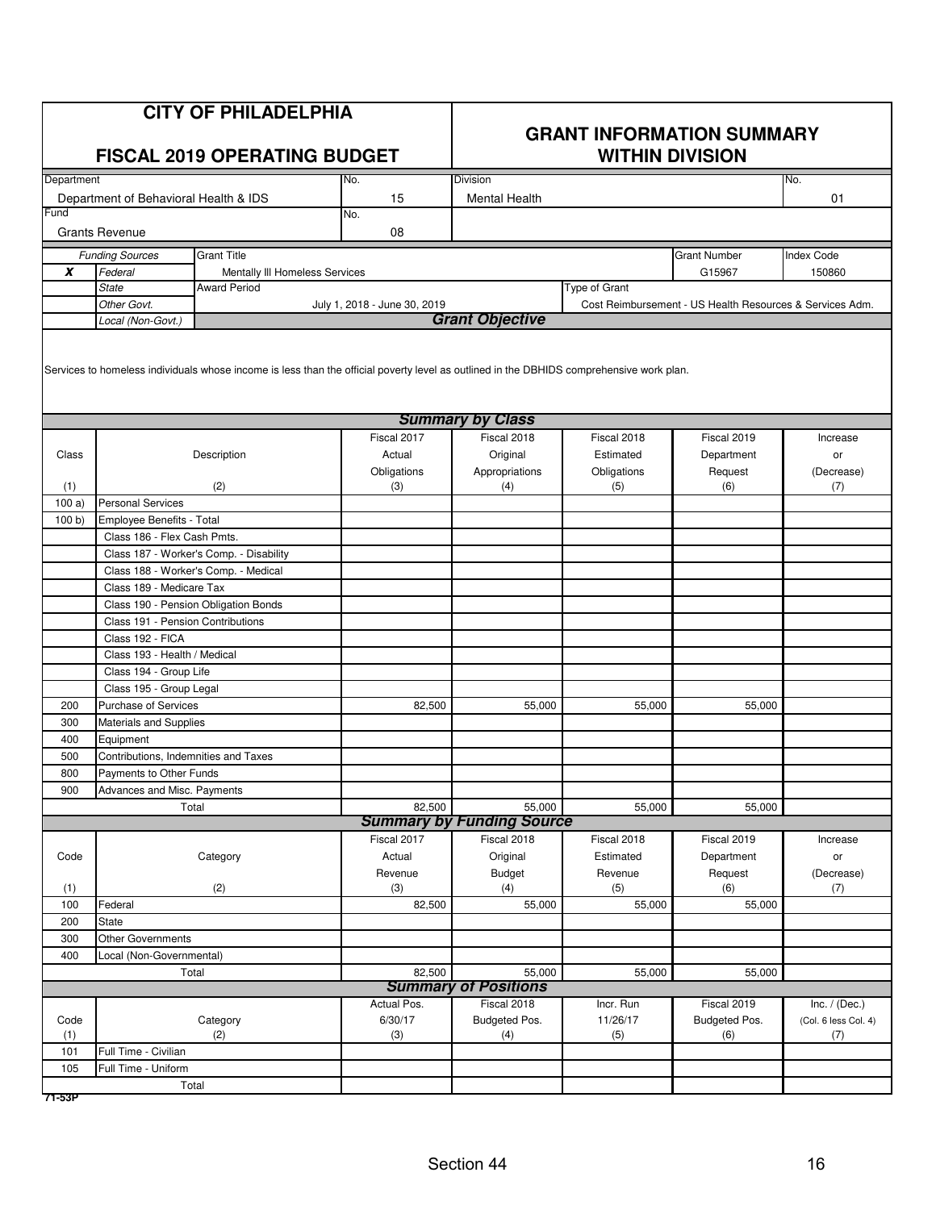|            | <b>CITY OF PHILADELPHIA</b><br>FISCAL 2019 OPERATING BUDGET<br>No. |                                                                                                                                          |                              | <b>GRANT INFORMATION SUMMARY</b><br><b>WITHIN DIVISION</b> |                |                                                          |                      |  |
|------------|--------------------------------------------------------------------|------------------------------------------------------------------------------------------------------------------------------------------|------------------------------|------------------------------------------------------------|----------------|----------------------------------------------------------|----------------------|--|
| Department |                                                                    |                                                                                                                                          |                              | Division                                                   |                |                                                          | No.                  |  |
| Fund       | Department of Behavioral Health & IDS                              |                                                                                                                                          | 15                           | <b>Mental Health</b>                                       |                |                                                          | 01                   |  |
|            | <b>Grants Revenue</b>                                              |                                                                                                                                          | No.<br>08                    |                                                            |                |                                                          |                      |  |
|            | <b>Funding Sources</b>                                             | <b>Grant Title</b>                                                                                                                       |                              |                                                            |                | <b>Grant Number</b>                                      | <b>Index Code</b>    |  |
| X          | Federal                                                            | Mentally III Homeless Services                                                                                                           |                              |                                                            |                | G15967                                                   | 150860               |  |
|            | <b>State</b>                                                       | <b>Award Period</b>                                                                                                                      |                              |                                                            | Type of Grant  |                                                          |                      |  |
|            | Other Govt.                                                        |                                                                                                                                          | July 1, 2018 - June 30, 2019 |                                                            |                | Cost Reimbursement - US Health Resources & Services Adm. |                      |  |
|            | Local (Non-Govt.)                                                  |                                                                                                                                          |                              | <b>Grant Objective</b>                                     |                |                                                          |                      |  |
|            |                                                                    | Services to homeless individuals whose income is less than the official poverty level as outlined in the DBHIDS comprehensive work plan. |                              | <b>Summary by Class</b>                                    |                |                                                          |                      |  |
|            |                                                                    |                                                                                                                                          | Fiscal 2017                  | Fiscal 2018                                                | Fiscal 2018    | Fiscal 2019                                              | Increase             |  |
| Class      |                                                                    | Description                                                                                                                              | Actual                       | Original                                                   | Estimated      | Department                                               | or                   |  |
|            |                                                                    |                                                                                                                                          | Obligations                  | Appropriations                                             | Obligations    | Request                                                  | (Decrease)           |  |
| (1)        |                                                                    | (2)                                                                                                                                      | (3)                          | (4)                                                        | (5)            | (6)                                                      | (7)                  |  |
| 100a)      | <b>Personal Services</b>                                           |                                                                                                                                          |                              |                                                            |                |                                                          |                      |  |
| 100 b      | Employee Benefits - Total                                          |                                                                                                                                          |                              |                                                            |                |                                                          |                      |  |
|            | Class 186 - Flex Cash Pmts.                                        |                                                                                                                                          |                              |                                                            |                |                                                          |                      |  |
|            |                                                                    | Class 187 - Worker's Comp. - Disability                                                                                                  |                              |                                                            |                |                                                          |                      |  |
|            |                                                                    | Class 188 - Worker's Comp. - Medical                                                                                                     |                              |                                                            |                |                                                          |                      |  |
|            | Class 189 - Medicare Tax                                           |                                                                                                                                          |                              |                                                            |                |                                                          |                      |  |
|            |                                                                    | Class 190 - Pension Obligation Bonds                                                                                                     |                              |                                                            |                |                                                          |                      |  |
|            | Class 191 - Pension Contributions                                  |                                                                                                                                          |                              |                                                            |                |                                                          |                      |  |
|            | Class 192 - FICA                                                   |                                                                                                                                          |                              |                                                            |                |                                                          |                      |  |
|            | Class 193 - Health / Medical                                       |                                                                                                                                          |                              |                                                            |                |                                                          |                      |  |
|            | Class 194 - Group Life                                             |                                                                                                                                          |                              |                                                            |                |                                                          |                      |  |
|            | Class 195 - Group Legal                                            |                                                                                                                                          |                              |                                                            |                |                                                          |                      |  |
| 200        | <b>Purchase of Services</b>                                        |                                                                                                                                          | 82,500                       | 55,000                                                     | 55,000         | 55.000                                                   |                      |  |
| 300        | Materials and Supplies                                             |                                                                                                                                          |                              |                                                            |                |                                                          |                      |  |
| 400        | Equipment                                                          |                                                                                                                                          |                              |                                                            |                |                                                          |                      |  |
| 500        | Contributions, Indemnities and Taxes                               |                                                                                                                                          |                              |                                                            |                |                                                          |                      |  |
| 800        | Payments to Other Funds                                            |                                                                                                                                          |                              |                                                            |                |                                                          |                      |  |
| 900        | Advances and Misc. Payments                                        |                                                                                                                                          |                              |                                                            |                |                                                          |                      |  |
|            | Total                                                              |                                                                                                                                          | 82,500                       | 55.000                                                     | 55.000         | 55,000                                                   |                      |  |
|            |                                                                    |                                                                                                                                          |                              | <b>Summary by Funding Source</b>                           |                |                                                          |                      |  |
|            |                                                                    |                                                                                                                                          | Fiscal 2017                  | Fiscal 2018                                                | Fiscal 2018    | Fiscal 2019                                              | Increase             |  |
| Code       |                                                                    | Category                                                                                                                                 | Actual                       | Original                                                   | Estimated      | Department                                               | or                   |  |
| (1)        |                                                                    | (2)                                                                                                                                      | Revenue<br>(3)               | <b>Budget</b><br>(4)                                       | Revenue<br>(5) | Request<br>(6)                                           | (Decrease)           |  |
| 100        | Federal                                                            |                                                                                                                                          | 82,500                       | 55,000                                                     | 55,000         | 55,000                                                   | (7)                  |  |
| 200        | State                                                              |                                                                                                                                          |                              |                                                            |                |                                                          |                      |  |
| 300        | <b>Other Governments</b>                                           |                                                                                                                                          |                              |                                                            |                |                                                          |                      |  |
| 400        | Local (Non-Governmental)                                           |                                                                                                                                          |                              |                                                            |                |                                                          |                      |  |
|            | Total                                                              |                                                                                                                                          | 82,500                       | 55,000                                                     | 55,000         | 55,000                                                   |                      |  |
|            |                                                                    |                                                                                                                                          |                              | <b>Summary of Positions</b>                                |                |                                                          |                      |  |
|            |                                                                    |                                                                                                                                          | Actual Pos.                  | Fiscal 2018                                                | Incr. Run      | Fiscal 2019                                              | Inc. $/$ (Dec.)      |  |
| Code       |                                                                    | Category                                                                                                                                 | 6/30/17                      | Budgeted Pos.                                              | 11/26/17       | Budgeted Pos.                                            | (Col. 6 less Col. 4) |  |
| (1)        |                                                                    | (2)                                                                                                                                      | (3)                          | (4)                                                        | (5)            | (6)                                                      | (7)                  |  |
| 101        | Full Time - Civilian                                               |                                                                                                                                          |                              |                                                            |                |                                                          |                      |  |
| 105        | Full Time - Uniform                                                |                                                                                                                                          |                              |                                                            |                |                                                          |                      |  |
|            | Total                                                              |                                                                                                                                          |                              |                                                            |                |                                                          |                      |  |
| 71-53P     |                                                                    |                                                                                                                                          |                              |                                                            |                |                                                          |                      |  |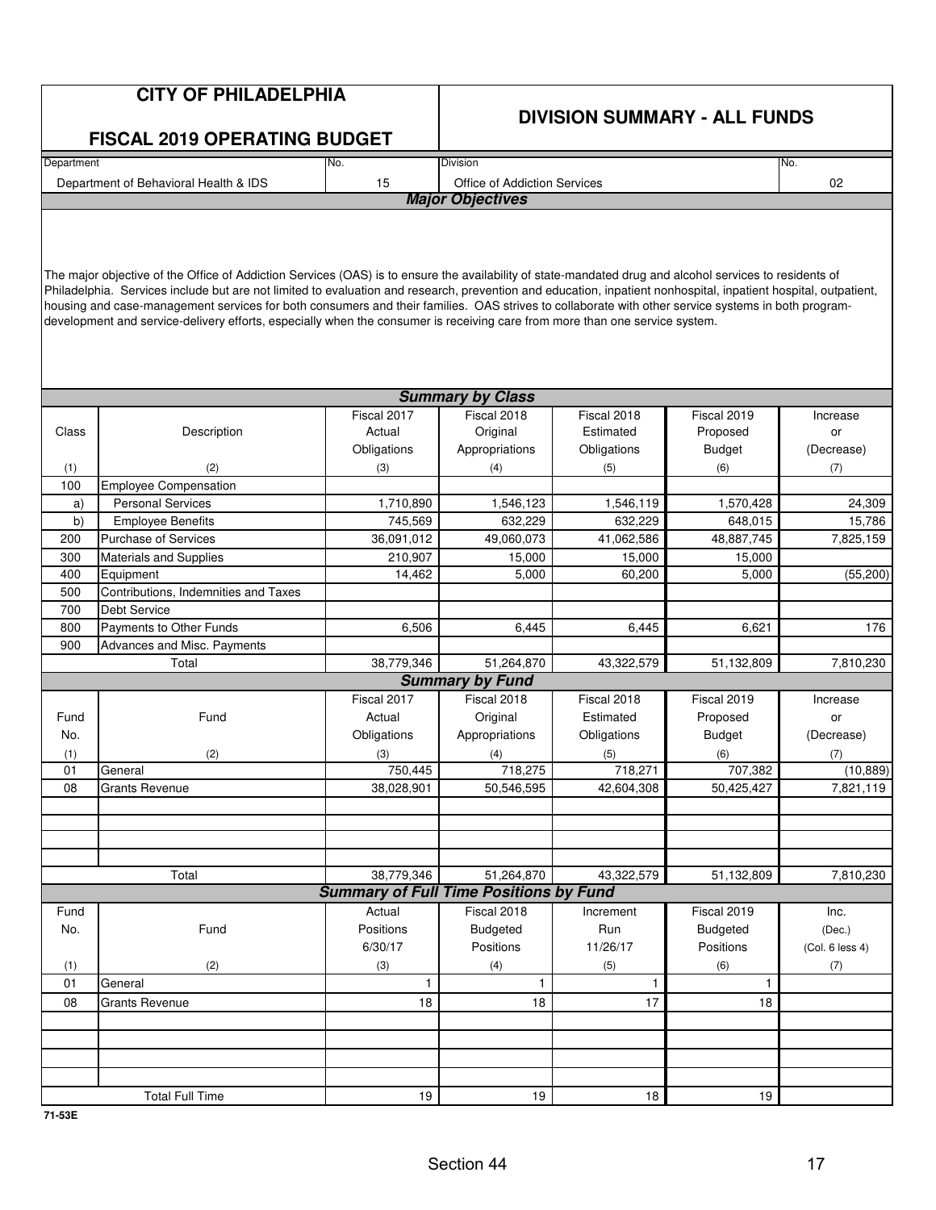|            | <b>CITY OF PHILADELPHIA</b>                                                                                                                                                                                                                                                                                                                                                                                                                                                                                                                                                                                     |                                               |                                        |                                     |                 |                 |
|------------|-----------------------------------------------------------------------------------------------------------------------------------------------------------------------------------------------------------------------------------------------------------------------------------------------------------------------------------------------------------------------------------------------------------------------------------------------------------------------------------------------------------------------------------------------------------------------------------------------------------------|-----------------------------------------------|----------------------------------------|-------------------------------------|-----------------|-----------------|
|            | <b>FISCAL 2019 OPERATING BUDGET</b>                                                                                                                                                                                                                                                                                                                                                                                                                                                                                                                                                                             |                                               |                                        | <b>DIVISION SUMMARY - ALL FUNDS</b> |                 |                 |
| Department |                                                                                                                                                                                                                                                                                                                                                                                                                                                                                                                                                                                                                 | No.                                           | Division                               |                                     |                 | No.             |
|            | Department of Behavioral Health & IDS                                                                                                                                                                                                                                                                                                                                                                                                                                                                                                                                                                           | 15                                            | Office of Addiction Services           |                                     |                 | 02              |
|            |                                                                                                                                                                                                                                                                                                                                                                                                                                                                                                                                                                                                                 |                                               | <b>Major Objectives</b>                |                                     |                 |                 |
|            |                                                                                                                                                                                                                                                                                                                                                                                                                                                                                                                                                                                                                 |                                               |                                        |                                     |                 |                 |
|            | The major objective of the Office of Addiction Services (OAS) is to ensure the availability of state-mandated drug and alcohol services to residents of<br>Philadelphia. Services include but are not limited to evaluation and research, prevention and education, inpatient nonhospital, inpatient hospital, outpatient,<br>housing and case-management services for both consumers and their families. OAS strives to collaborate with other service systems in both program-<br>development and service-delivery efforts, especially when the consumer is receiving care from more than one service system. |                                               |                                        |                                     |                 |                 |
|            |                                                                                                                                                                                                                                                                                                                                                                                                                                                                                                                                                                                                                 |                                               |                                        |                                     |                 |                 |
|            |                                                                                                                                                                                                                                                                                                                                                                                                                                                                                                                                                                                                                 | Fiscal 2017                                   | <b>Summary by Class</b><br>Fiscal 2018 | Fiscal 2018                         | Fiscal 2019     |                 |
| Class      | Description                                                                                                                                                                                                                                                                                                                                                                                                                                                                                                                                                                                                     | Actual                                        | Original                               | Estimated                           | Proposed        | Increase<br>or  |
|            |                                                                                                                                                                                                                                                                                                                                                                                                                                                                                                                                                                                                                 | Obligations                                   | Appropriations                         | Obligations                         | <b>Budget</b>   | (Decrease)      |
| (1)        | (2)                                                                                                                                                                                                                                                                                                                                                                                                                                                                                                                                                                                                             | (3)                                           | (4)                                    | (5)                                 | (6)             | (7)             |
| 100        | <b>Employee Compensation</b>                                                                                                                                                                                                                                                                                                                                                                                                                                                                                                                                                                                    |                                               |                                        |                                     |                 |                 |
| a)         | <b>Personal Services</b>                                                                                                                                                                                                                                                                                                                                                                                                                                                                                                                                                                                        | 1,710,890                                     | 1,546,123                              | 1,546,119                           | 1,570,428       | 24,309          |
| b)         | <b>Employee Benefits</b>                                                                                                                                                                                                                                                                                                                                                                                                                                                                                                                                                                                        | 745,569                                       | 632,229                                | 632,229                             | 648,015         | 15,786          |
| 200        | <b>Purchase of Services</b>                                                                                                                                                                                                                                                                                                                                                                                                                                                                                                                                                                                     | 36,091,012                                    | 49,060,073                             | 41,062,586                          | 48,887,745      | 7,825,159       |
| 300        | <b>Materials and Supplies</b>                                                                                                                                                                                                                                                                                                                                                                                                                                                                                                                                                                                   | 210,907                                       | 15,000                                 | 15,000                              | 15,000          |                 |
| 400        | Equipment                                                                                                                                                                                                                                                                                                                                                                                                                                                                                                                                                                                                       | 14,462                                        | 5,000                                  | 60,200                              | 5,000           | (55, 200)       |
| 500        | Contributions, Indemnities and Taxes                                                                                                                                                                                                                                                                                                                                                                                                                                                                                                                                                                            |                                               |                                        |                                     |                 |                 |
| 700        | <b>Debt Service</b>                                                                                                                                                                                                                                                                                                                                                                                                                                                                                                                                                                                             |                                               |                                        |                                     |                 |                 |
| 800        | Payments to Other Funds                                                                                                                                                                                                                                                                                                                                                                                                                                                                                                                                                                                         | 6,506                                         | 6,445                                  | 6,445                               | 6,621           | 176             |
| 900        | Advances and Misc. Payments                                                                                                                                                                                                                                                                                                                                                                                                                                                                                                                                                                                     |                                               |                                        |                                     |                 |                 |
|            | Total                                                                                                                                                                                                                                                                                                                                                                                                                                                                                                                                                                                                           | 38,779,346                                    | 51,264,870                             | 43,322,579                          | 51,132,809      | 7,810,230       |
|            |                                                                                                                                                                                                                                                                                                                                                                                                                                                                                                                                                                                                                 |                                               | <b>Summary by Fund</b>                 |                                     |                 |                 |
|            |                                                                                                                                                                                                                                                                                                                                                                                                                                                                                                                                                                                                                 | Fiscal 2017                                   | Fiscal 2018                            | Fiscal 2018                         | Fiscal 2019     | Increase        |
| Fund       | Fund                                                                                                                                                                                                                                                                                                                                                                                                                                                                                                                                                                                                            | Actual                                        | Original                               | Estimated                           | Proposed        | or              |
| No.        |                                                                                                                                                                                                                                                                                                                                                                                                                                                                                                                                                                                                                 | Obligations                                   | Appropriations                         | Obligations                         | <b>Budget</b>   | (Decrease)      |
| (1)        | (2)                                                                                                                                                                                                                                                                                                                                                                                                                                                                                                                                                                                                             | (3)                                           | (4)                                    | (5)                                 | (6)             | (7)             |
| 01         | General                                                                                                                                                                                                                                                                                                                                                                                                                                                                                                                                                                                                         | 750,445                                       | 718,275                                | 718,271                             | 707,382         | (10, 889)       |
| 08         | <b>Grants Revenue</b>                                                                                                                                                                                                                                                                                                                                                                                                                                                                                                                                                                                           | 38,028,901                                    | 50,546,595                             | 42,604,308                          | 50,425,427      | 7,821,119       |
|            |                                                                                                                                                                                                                                                                                                                                                                                                                                                                                                                                                                                                                 |                                               |                                        |                                     |                 |                 |
|            |                                                                                                                                                                                                                                                                                                                                                                                                                                                                                                                                                                                                                 |                                               |                                        |                                     |                 |                 |
|            |                                                                                                                                                                                                                                                                                                                                                                                                                                                                                                                                                                                                                 |                                               |                                        |                                     |                 |                 |
|            |                                                                                                                                                                                                                                                                                                                                                                                                                                                                                                                                                                                                                 |                                               |                                        |                                     |                 |                 |
|            | Total                                                                                                                                                                                                                                                                                                                                                                                                                                                                                                                                                                                                           | 38,779,346                                    | 51,264,870                             | 43,322,579                          | 51,132,809      | 7,810,230       |
|            |                                                                                                                                                                                                                                                                                                                                                                                                                                                                                                                                                                                                                 | <b>Summary of Full Time Positions by Fund</b> |                                        |                                     |                 |                 |
| Fund       |                                                                                                                                                                                                                                                                                                                                                                                                                                                                                                                                                                                                                 | Actual                                        | Fiscal 2018                            | Increment                           | Fiscal 2019     | Inc.            |
| No.        | Fund                                                                                                                                                                                                                                                                                                                                                                                                                                                                                                                                                                                                            | Positions                                     | Budgeted                               | Run                                 | <b>Budgeted</b> | (Dec.)          |
|            |                                                                                                                                                                                                                                                                                                                                                                                                                                                                                                                                                                                                                 | 6/30/17                                       | Positions                              | 11/26/17                            | Positions       | (Col. 6 less 4) |
| (1)        | (2)                                                                                                                                                                                                                                                                                                                                                                                                                                                                                                                                                                                                             | (3)                                           | (4)                                    | (5)                                 | (6)             | (7)             |
| 01         | General                                                                                                                                                                                                                                                                                                                                                                                                                                                                                                                                                                                                         | $\mathbf{1}$                                  | 1                                      | 1                                   | 1               |                 |
| 08         | <b>Grants Revenue</b>                                                                                                                                                                                                                                                                                                                                                                                                                                                                                                                                                                                           | 18                                            | 18                                     | 17                                  | 18              |                 |
|            |                                                                                                                                                                                                                                                                                                                                                                                                                                                                                                                                                                                                                 |                                               |                                        |                                     |                 |                 |
|            |                                                                                                                                                                                                                                                                                                                                                                                                                                                                                                                                                                                                                 |                                               |                                        |                                     |                 |                 |
|            |                                                                                                                                                                                                                                                                                                                                                                                                                                                                                                                                                                                                                 |                                               |                                        |                                     |                 |                 |
|            |                                                                                                                                                                                                                                                                                                                                                                                                                                                                                                                                                                                                                 |                                               |                                        |                                     |                 |                 |
|            | <b>Total Full Time</b>                                                                                                                                                                                                                                                                                                                                                                                                                                                                                                                                                                                          | 19                                            | 19                                     | 18                                  | 19              |                 |
|            |                                                                                                                                                                                                                                                                                                                                                                                                                                                                                                                                                                                                                 |                                               |                                        |                                     |                 |                 |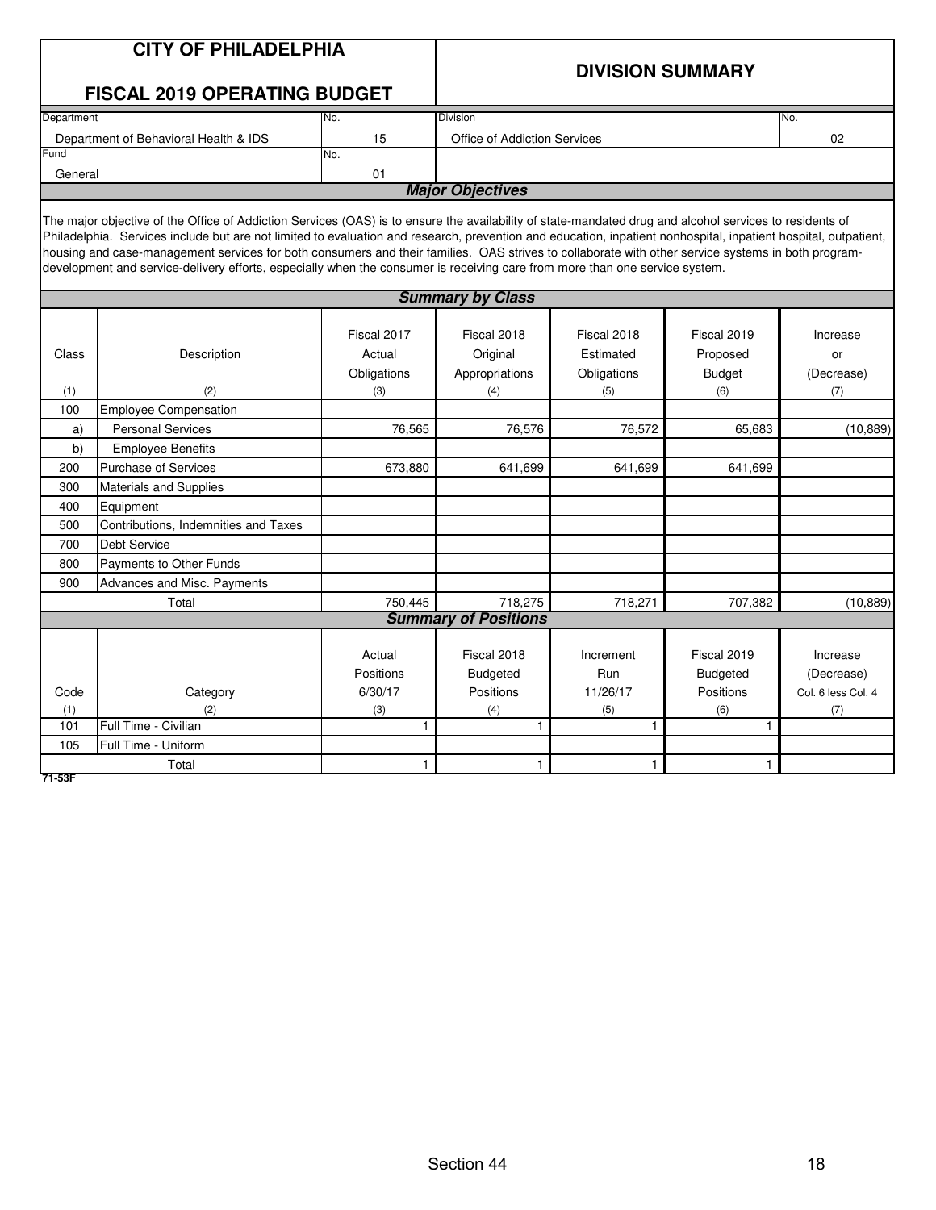|            | <b>CITY OF PHILADELPHIA</b>                                                                                                                                                                                                                                                                                                                                                                                                                                                                                                                                                                                     |                                |                                             |                              |                                             |                                              |  |
|------------|-----------------------------------------------------------------------------------------------------------------------------------------------------------------------------------------------------------------------------------------------------------------------------------------------------------------------------------------------------------------------------------------------------------------------------------------------------------------------------------------------------------------------------------------------------------------------------------------------------------------|--------------------------------|---------------------------------------------|------------------------------|---------------------------------------------|----------------------------------------------|--|
|            |                                                                                                                                                                                                                                                                                                                                                                                                                                                                                                                                                                                                                 |                                |                                             |                              | <b>DIVISION SUMMARY</b>                     |                                              |  |
|            | <b>FISCAL 2019 OPERATING BUDGET</b>                                                                                                                                                                                                                                                                                                                                                                                                                                                                                                                                                                             |                                |                                             |                              |                                             |                                              |  |
| Department |                                                                                                                                                                                                                                                                                                                                                                                                                                                                                                                                                                                                                 | No.                            | Division                                    |                              |                                             | No.                                          |  |
|            | Department of Behavioral Health & IDS                                                                                                                                                                                                                                                                                                                                                                                                                                                                                                                                                                           | 15                             | 02<br><b>Office of Addiction Services</b>   |                              |                                             |                                              |  |
| Fund       |                                                                                                                                                                                                                                                                                                                                                                                                                                                                                                                                                                                                                 | No.                            |                                             |                              |                                             |                                              |  |
| General    |                                                                                                                                                                                                                                                                                                                                                                                                                                                                                                                                                                                                                 | 01                             |                                             |                              |                                             |                                              |  |
|            |                                                                                                                                                                                                                                                                                                                                                                                                                                                                                                                                                                                                                 |                                | <b>Major Objectives</b>                     |                              |                                             |                                              |  |
|            | The major objective of the Office of Addiction Services (OAS) is to ensure the availability of state-mandated drug and alcohol services to residents of<br>Philadelphia. Services include but are not limited to evaluation and research, prevention and education, inpatient nonhospital, inpatient hospital, outpatient,<br>housing and case-management services for both consumers and their families. OAS strives to collaborate with other service systems in both program-<br>development and service-delivery efforts, especially when the consumer is receiving care from more than one service system. |                                |                                             |                              |                                             |                                              |  |
|            |                                                                                                                                                                                                                                                                                                                                                                                                                                                                                                                                                                                                                 |                                | <b>Summary by Class</b>                     |                              |                                             |                                              |  |
| Class      | Description                                                                                                                                                                                                                                                                                                                                                                                                                                                                                                                                                                                                     | Fiscal 2017<br>Actual          | Fiscal 2018<br>Original                     | Fiscal 2018<br>Estimated     | Fiscal 2019<br>Proposed                     | Increase<br>or                               |  |
|            |                                                                                                                                                                                                                                                                                                                                                                                                                                                                                                                                                                                                                 | Obligations                    | Appropriations                              | Obligations                  | <b>Budget</b>                               | (Decrease)                                   |  |
| (1)        | (2)                                                                                                                                                                                                                                                                                                                                                                                                                                                                                                                                                                                                             | (3)                            | (4)                                         | (5)                          | (6)                                         | (7)                                          |  |
| 100        | <b>Employee Compensation</b>                                                                                                                                                                                                                                                                                                                                                                                                                                                                                                                                                                                    |                                |                                             |                              |                                             |                                              |  |
| a)         | <b>Personal Services</b>                                                                                                                                                                                                                                                                                                                                                                                                                                                                                                                                                                                        | 76,565                         | 76,576                                      | 76,572                       | 65.683                                      | (10, 889)                                    |  |
| b)         | <b>Employee Benefits</b>                                                                                                                                                                                                                                                                                                                                                                                                                                                                                                                                                                                        |                                |                                             |                              |                                             |                                              |  |
| 200        | <b>Purchase of Services</b>                                                                                                                                                                                                                                                                                                                                                                                                                                                                                                                                                                                     | 673,880                        | 641,699                                     | 641,699                      | 641,699                                     |                                              |  |
| 300        | Materials and Supplies                                                                                                                                                                                                                                                                                                                                                                                                                                                                                                                                                                                          |                                |                                             |                              |                                             |                                              |  |
| 400        | Equipment                                                                                                                                                                                                                                                                                                                                                                                                                                                                                                                                                                                                       |                                |                                             |                              |                                             |                                              |  |
| 500        | Contributions, Indemnities and Taxes                                                                                                                                                                                                                                                                                                                                                                                                                                                                                                                                                                            |                                |                                             |                              |                                             |                                              |  |
| 700        | <b>Debt Service</b>                                                                                                                                                                                                                                                                                                                                                                                                                                                                                                                                                                                             |                                |                                             |                              |                                             |                                              |  |
| 800        | Payments to Other Funds                                                                                                                                                                                                                                                                                                                                                                                                                                                                                                                                                                                         |                                |                                             |                              |                                             |                                              |  |
| 900        | Advances and Misc. Payments                                                                                                                                                                                                                                                                                                                                                                                                                                                                                                                                                                                     |                                |                                             |                              |                                             |                                              |  |
|            | Total                                                                                                                                                                                                                                                                                                                                                                                                                                                                                                                                                                                                           | 750,445                        | 718,275                                     | 718,271                      | 707,382                                     | (10, 889)                                    |  |
|            |                                                                                                                                                                                                                                                                                                                                                                                                                                                                                                                                                                                                                 |                                | <b>Summary of Positions</b>                 |                              |                                             |                                              |  |
| Code       | Category                                                                                                                                                                                                                                                                                                                                                                                                                                                                                                                                                                                                        | Actual<br>Positions<br>6/30/17 | Fiscal 2018<br><b>Budgeted</b><br>Positions | Increment<br>Run<br>11/26/17 | Fiscal 2019<br><b>Budgeted</b><br>Positions | Increase<br>(Decrease)<br>Col. 6 less Col. 4 |  |
| (1)        | (2)                                                                                                                                                                                                                                                                                                                                                                                                                                                                                                                                                                                                             | (3)                            | (4)                                         | (5)                          | (6)                                         | (7)                                          |  |
| 101        | Full Time - Civilian                                                                                                                                                                                                                                                                                                                                                                                                                                                                                                                                                                                            | 1                              | 1                                           | 1                            | $\mathbf{1}$                                |                                              |  |
| 105        | Full Time - Uniform                                                                                                                                                                                                                                                                                                                                                                                                                                                                                                                                                                                             |                                |                                             |                              |                                             |                                              |  |
|            | Total                                                                                                                                                                                                                                                                                                                                                                                                                                                                                                                                                                                                           | 1                              | 1                                           | 1                            | 1                                           |                                              |  |
| 71-53F     |                                                                                                                                                                                                                                                                                                                                                                                                                                                                                                                                                                                                                 |                                |                                             |                              |                                             |                                              |  |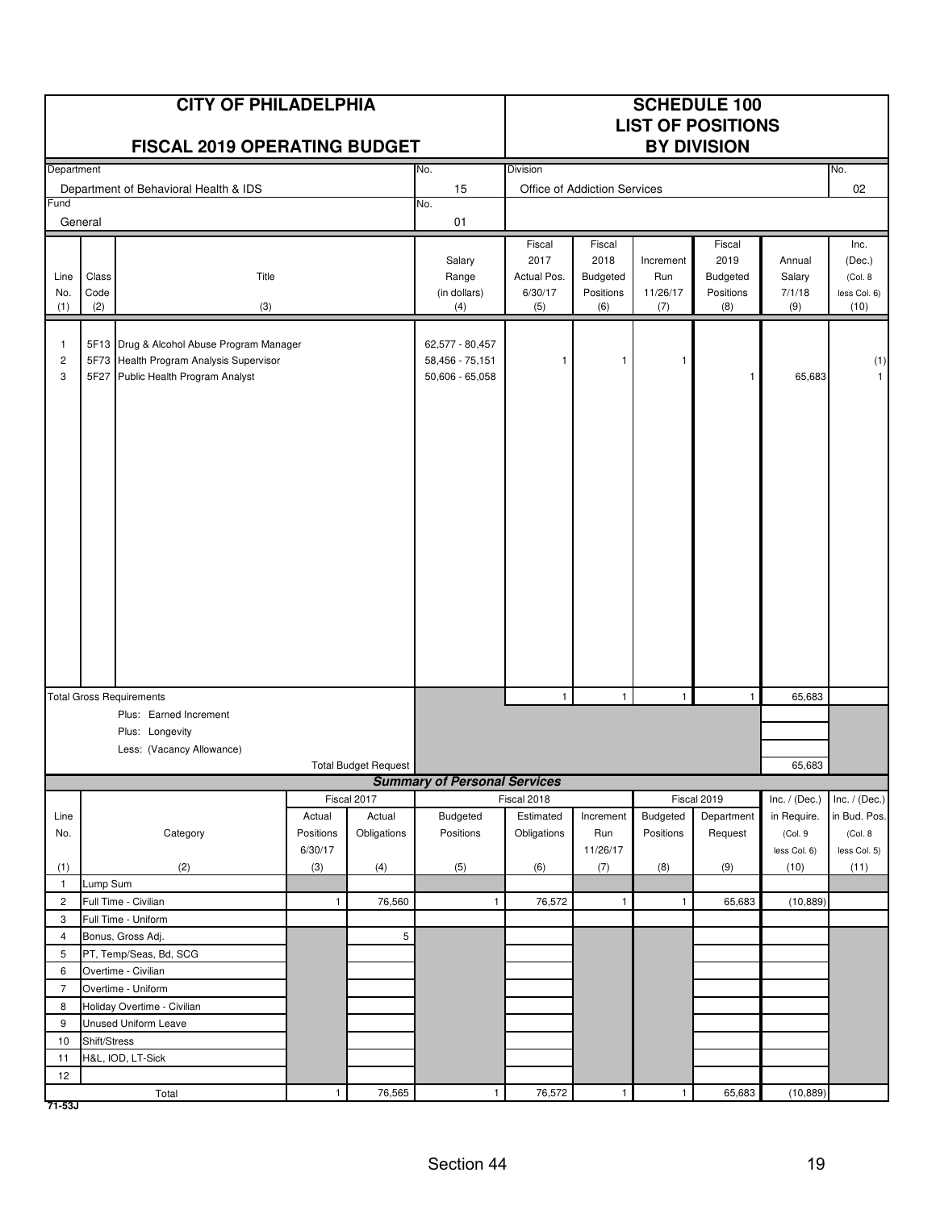|                                     |              | <b>CITY OF PHILADELPHIA</b><br><b>FISCAL 2019 OPERATING BUDGET</b>                                                         |                      |                             |                                                         | <b>SCHEDULE 100</b><br><b>LIST OF POSITIONS</b><br><b>BY DIVISION</b> |                              |                 |                  |                      |                      |
|-------------------------------------|--------------|----------------------------------------------------------------------------------------------------------------------------|----------------------|-----------------------------|---------------------------------------------------------|-----------------------------------------------------------------------|------------------------------|-----------------|------------------|----------------------|----------------------|
| Department                          |              |                                                                                                                            |                      |                             | No.                                                     | Division                                                              |                              |                 |                  |                      | No.                  |
|                                     |              | Department of Behavioral Health & IDS                                                                                      |                      |                             | 15                                                      |                                                                       | Office of Addiction Services |                 |                  |                      | 02                   |
| Fund                                | General      |                                                                                                                            |                      |                             | No.<br>01                                               |                                                                       |                              |                 |                  |                      |                      |
|                                     |              |                                                                                                                            |                      |                             |                                                         | Fiscal                                                                | Fiscal                       |                 | Fiscal           |                      | Inc.                 |
|                                     |              |                                                                                                                            |                      |                             | Salary                                                  | 2017                                                                  | 2018                         | Increment       | 2019             | Annual               | (Dec.)               |
| Line                                | Class        | Title                                                                                                                      |                      |                             | Range                                                   | Actual Pos.                                                           | Budgeted                     | Run             | Budgeted         | Salary               | (Col. 8              |
| No.<br>(1)                          | Code<br>(2)  | (3)                                                                                                                        |                      |                             | (in dollars)                                            | 6/30/17<br>(5)                                                        | Positions<br>(6)             | 11/26/17<br>(7) | Positions<br>(8) | 7/1/18<br>(9)        | less Col. 6)<br>(10) |
|                                     |              |                                                                                                                            |                      |                             | (4)                                                     |                                                                       |                              |                 |                  |                      |                      |
| $\mathbf{1}$<br>$\overline{c}$<br>3 |              | 5F13 Drug & Alcohol Abuse Program Manager<br>5F73 Health Program Analysis Supervisor<br>5F27 Public Health Program Analyst |                      |                             | 62,577 - 80,457<br>58,456 - 75,151<br>$50,606 - 65,058$ | 1                                                                     | 1                            | $\mathbf{1}$    | $\mathbf{1}$     | 65,683               | (1)<br>$\mathbf{1}$  |
|                                     |              |                                                                                                                            |                      |                             |                                                         |                                                                       |                              |                 |                  |                      |                      |
|                                     |              | <b>Total Gross Requirements</b>                                                                                            |                      |                             |                                                         | $\mathbf{1}$                                                          | $\mathbf{1}$                 | $\mathbf{1}$    | $\mathbf{1}$     | 65,683               |                      |
|                                     |              | Plus: Earned Increment                                                                                                     |                      |                             |                                                         |                                                                       |                              |                 |                  |                      |                      |
|                                     |              | Plus: Longevity                                                                                                            |                      |                             |                                                         |                                                                       |                              |                 |                  |                      |                      |
|                                     |              | Less: (Vacancy Allowance)                                                                                                  |                      | <b>Total Budget Request</b> |                                                         |                                                                       |                              |                 |                  | 65,683               |                      |
|                                     |              |                                                                                                                            |                      |                             | <b>Summary of Personal Services</b>                     |                                                                       |                              |                 |                  |                      |                      |
|                                     |              |                                                                                                                            |                      | Fiscal 2017                 |                                                         | Fiscal 2018                                                           |                              |                 | Fiscal 2019      | Inc. $/$ (Dec.)      | Inc. $/$ (Dec.)      |
| Line                                |              |                                                                                                                            | Actual               | Actual                      | <b>Budgeted</b>                                         | Estimated                                                             | Increment                    | Budgeted        | Department       | in Require.          | in Bud. Pos.         |
| No.                                 |              | Category                                                                                                                   | Positions<br>6/30/17 | Obligations                 | Positions                                               | Obligations                                                           | Run<br>11/26/17              | Positions       | Request          | (Col. 9              | (Col. 8)             |
| (1)                                 |              | (2)                                                                                                                        | (3)                  | (4)                         | (5)                                                     | (6)                                                                   | (7)                          | (8)             | (9)              | less Col. 6)<br>(10) | less Col. 5)<br>(11) |
| $\mathbf{1}$                        | Lump Sum     |                                                                                                                            |                      |                             |                                                         |                                                                       |                              |                 |                  |                      |                      |
| 2                                   |              | Full Time - Civilian                                                                                                       | 1                    | 76,560                      | $\mathbf{1}$                                            | 76,572                                                                | $\mathbf{1}$                 | $\mathbf{1}$    | 65,683           | (10, 889)            |                      |
| 3                                   |              | Full Time - Uniform                                                                                                        |                      |                             |                                                         |                                                                       |                              |                 |                  |                      |                      |
| $\overline{4}$                      |              | Bonus, Gross Adj.                                                                                                          |                      | 5                           |                                                         |                                                                       |                              |                 |                  |                      |                      |
| 5                                   |              | PT, Temp/Seas, Bd, SCG                                                                                                     |                      |                             |                                                         |                                                                       |                              |                 |                  |                      |                      |
| 6                                   |              | Overtime - Civilian                                                                                                        |                      |                             |                                                         |                                                                       |                              |                 |                  |                      |                      |
| $\overline{7}$<br>8                 |              | Overtime - Uniform<br>Holiday Overtime - Civilian                                                                          |                      |                             |                                                         |                                                                       |                              |                 |                  |                      |                      |
| 9                                   |              | <b>Unused Uniform Leave</b>                                                                                                |                      |                             |                                                         |                                                                       |                              |                 |                  |                      |                      |
| 10                                  | Shift/Stress |                                                                                                                            |                      |                             |                                                         |                                                                       |                              |                 |                  |                      |                      |
| 11                                  |              | H&L, IOD, LT-Sick                                                                                                          |                      |                             |                                                         |                                                                       |                              |                 |                  |                      |                      |
| 12                                  |              |                                                                                                                            |                      |                             |                                                         |                                                                       |                              |                 |                  |                      |                      |
| 71-53J                              |              | Total                                                                                                                      | $\mathbf{1}$         | 76,565                      | $\mathbf{1}$                                            | 76,572                                                                | $\mathbf{1}$                 | $\mathbf{1}$    | 65,683           | (10, 889)            |                      |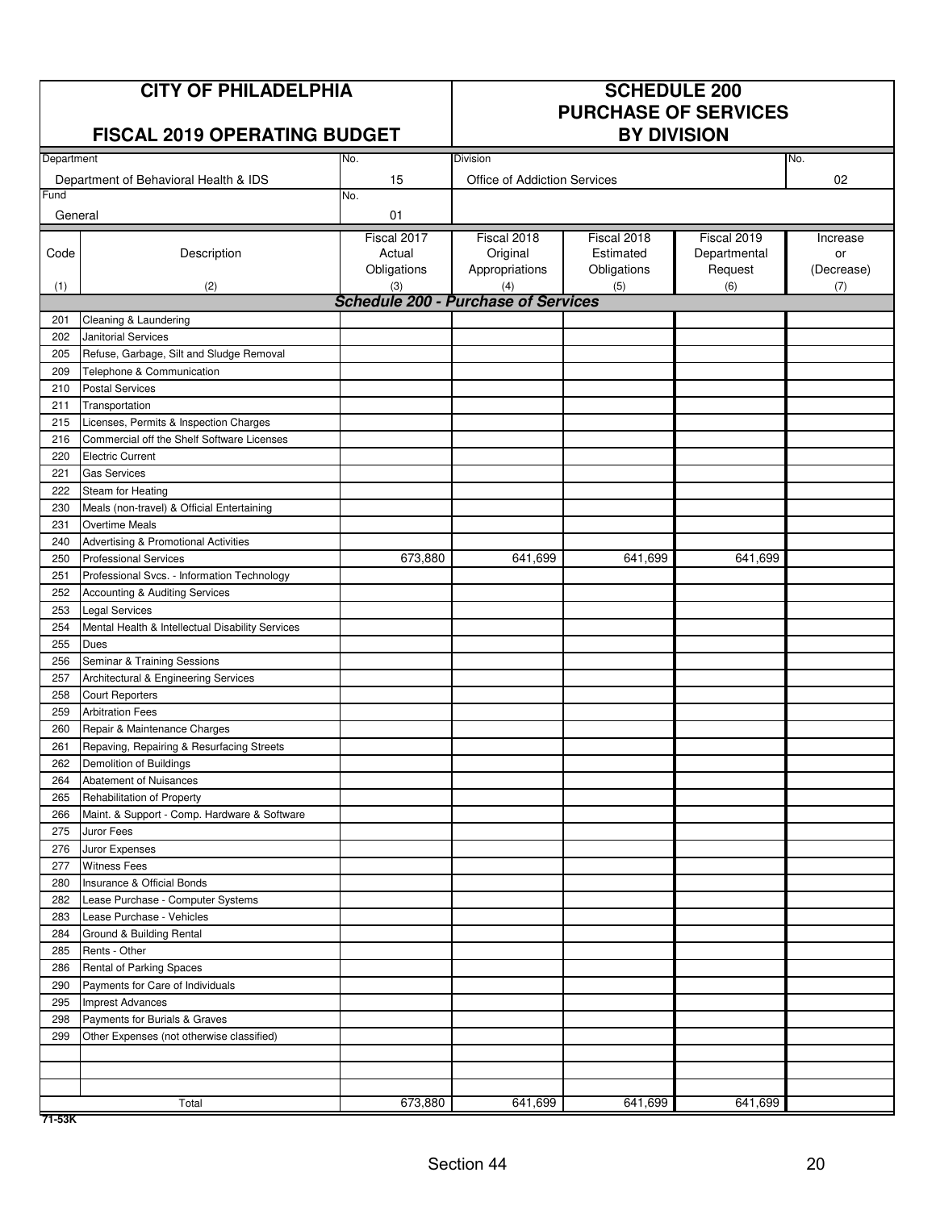|            | <b>CITY OF PHILADELPHIA</b>                                               | <b>SCHEDULE 200</b><br><b>PURCHASE OF SERVICES</b> |                              |                    |              |            |
|------------|---------------------------------------------------------------------------|----------------------------------------------------|------------------------------|--------------------|--------------|------------|
|            | <b>FISCAL 2019 OPERATING BUDGET</b>                                       |                                                    |                              | <b>BY DIVISION</b> |              |            |
| Department |                                                                           | No.                                                | Division                     |                    |              | No.        |
|            | Department of Behavioral Health & IDS                                     | 15                                                 | Office of Addiction Services |                    |              | 02         |
| Fund       |                                                                           | No.                                                |                              |                    |              |            |
| General    |                                                                           | 01                                                 |                              |                    |              |            |
|            |                                                                           | Fiscal 2017                                        | Fiscal 2018                  | Fiscal 2018        | Fiscal 2019  | Increase   |
| Code       | Description                                                               | Actual                                             | Original                     | Estimated          | Departmental | or         |
|            |                                                                           | Obligations                                        | Appropriations               | Obligations        | Request      | (Decrease) |
| (1)        | (2)                                                                       | (3)<br><b>Schedule 200 - Purchase of Services</b>  | (4)                          | (5)                | (6)          | (7)        |
| 201        | Cleaning & Laundering                                                     |                                                    |                              |                    |              |            |
| 202        | <b>Janitorial Services</b>                                                |                                                    |                              |                    |              |            |
| 205        | Refuse, Garbage, Silt and Sludge Removal                                  |                                                    |                              |                    |              |            |
| 209        | Telephone & Communication                                                 |                                                    |                              |                    |              |            |
| 210        | <b>Postal Services</b>                                                    |                                                    |                              |                    |              |            |
| 211        | Transportation                                                            |                                                    |                              |                    |              |            |
| 215        | Licenses, Permits & Inspection Charges                                    |                                                    |                              |                    |              |            |
| 216        | Commercial off the Shelf Software Licenses                                |                                                    |                              |                    |              |            |
| 220        | <b>Electric Current</b>                                                   |                                                    |                              |                    |              |            |
| 221        | <b>Gas Services</b>                                                       |                                                    |                              |                    |              |            |
| 222        | Steam for Heating                                                         |                                                    |                              |                    |              |            |
| 230        | Meals (non-travel) & Official Entertaining                                |                                                    |                              |                    |              |            |
| 231        | <b>Overtime Meals</b>                                                     |                                                    |                              |                    |              |            |
| 240        | <b>Advertising &amp; Promotional Activities</b>                           |                                                    |                              |                    |              |            |
| 250        | <b>Professional Services</b>                                              | 673,880                                            | 641,699                      | 641,699            | 641,699      |            |
| 251        | Professional Svcs. - Information Technology                               |                                                    |                              |                    |              |            |
| 252        | Accounting & Auditing Services                                            |                                                    |                              |                    |              |            |
| 253        | <b>Legal Services</b>                                                     |                                                    |                              |                    |              |            |
| 254        | Mental Health & Intellectual Disability Services                          |                                                    |                              |                    |              |            |
| 255        | Dues                                                                      |                                                    |                              |                    |              |            |
| 256        | Seminar & Training Sessions                                               |                                                    |                              |                    |              |            |
| 257        | Architectural & Engineering Services                                      |                                                    |                              |                    |              |            |
| 258        | Court Reporters                                                           |                                                    |                              |                    |              |            |
| 259        | <b>Arbitration Fees</b>                                                   |                                                    |                              |                    |              |            |
| 260<br>261 | Repair & Maintenance Charges<br>Repaving, Repairing & Resurfacing Streets |                                                    |                              |                    |              |            |
| 262        | Demolition of Buildings                                                   |                                                    |                              |                    |              |            |
| 264        | Abatement of Nuisances                                                    |                                                    |                              |                    |              |            |
| 265        | Rehabilitation of Property                                                |                                                    |                              |                    |              |            |
| 266        | Maint. & Support - Comp. Hardware & Software                              |                                                    |                              |                    |              |            |
| 275        | Juror Fees                                                                |                                                    |                              |                    |              |            |
| 276        | Juror Expenses                                                            |                                                    |                              |                    |              |            |
| 277        | <b>Witness Fees</b>                                                       |                                                    |                              |                    |              |            |
| 280        | Insurance & Official Bonds                                                |                                                    |                              |                    |              |            |
| 282        | Lease Purchase - Computer Systems                                         |                                                    |                              |                    |              |            |
| 283        | Lease Purchase - Vehicles                                                 |                                                    |                              |                    |              |            |
| 284        | Ground & Building Rental                                                  |                                                    |                              |                    |              |            |
| 285        | Rents - Other                                                             |                                                    |                              |                    |              |            |
| 286        | Rental of Parking Spaces                                                  |                                                    |                              |                    |              |            |
| 290        | Payments for Care of Individuals                                          |                                                    |                              |                    |              |            |
| 295        | <b>Imprest Advances</b>                                                   |                                                    |                              |                    |              |            |
| 298        | Payments for Burials & Graves                                             |                                                    |                              |                    |              |            |
| 299        | Other Expenses (not otherwise classified)                                 |                                                    |                              |                    |              |            |
|            |                                                                           |                                                    |                              |                    |              |            |
|            |                                                                           |                                                    |                              |                    |              |            |
|            |                                                                           |                                                    |                              |                    |              |            |
|            | Total                                                                     | 673,880                                            | 641,699                      | 641,699            | 641,699      |            |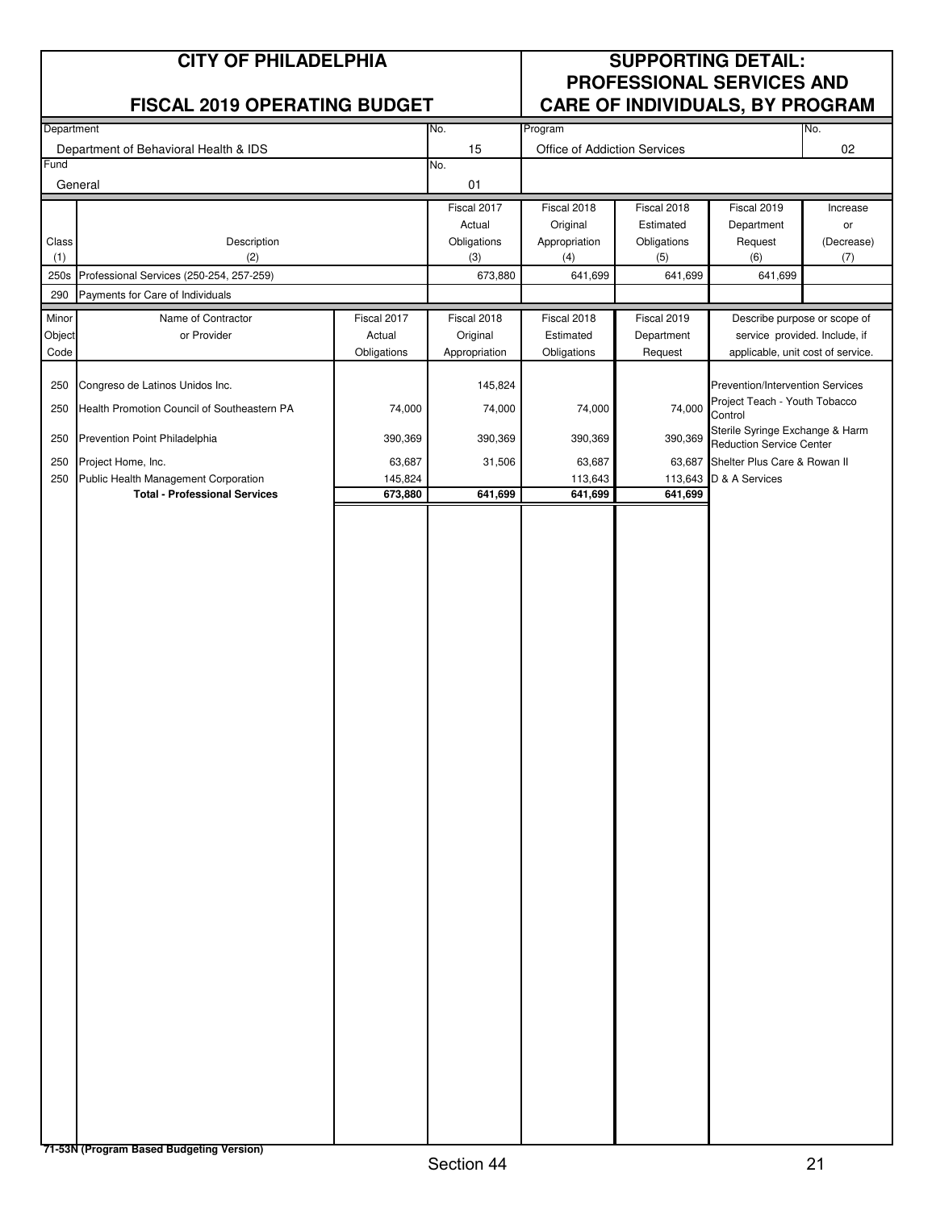| <b>CITY OF PHILADELPHIA</b>         |                  |
|-------------------------------------|------------------|
|                                     | <b>PROFE</b>     |
| <b>FISCAL 2019 OPERATING BUDGET</b> | <b>CARE OF I</b> |

### **CITY OF PHILADELPHIA SUPPORTING DETAIL: PROFINAL SERVICES AND FISCAL 2019 OPERATING BUDGET CARE OF INDIVIDUALS, BY PROGRAM**

|            |                                             |             | . .           |                              |             |                                   |            |
|------------|---------------------------------------------|-------------|---------------|------------------------------|-------------|-----------------------------------|------------|
| Department |                                             |             | No.           | Program                      |             |                                   | No.        |
|            | Department of Behavioral Health & IDS       |             | 15            | Office of Addiction Services |             |                                   | $02\,$     |
| Fund       |                                             |             | No.           |                              |             |                                   |            |
|            | General                                     |             | 01            |                              |             |                                   |            |
|            |                                             |             |               |                              |             |                                   |            |
|            |                                             |             | Fiscal 2017   | Fiscal 2018                  | Fiscal 2018 | Fiscal 2019                       | Increase   |
|            |                                             |             | Actual        | Original                     | Estimated   | Department                        | or         |
| Class      | Description                                 |             | Obligations   | Appropriation                | Obligations | Request                           | (Decrease) |
| (1)        | (2)                                         |             | (3)           | (4)                          | (5)         | (6)                               | (7)        |
| 250s       | Professional Services (250-254, 257-259)    |             | 673,880       | 641,699                      | 641,699     | 641,699                           |            |
| 290        | Payments for Care of Individuals            |             |               |                              |             |                                   |            |
|            |                                             |             |               |                              |             |                                   |            |
| Minor      | Name of Contractor                          | Fiscal 2017 | Fiscal 2018   | Fiscal 2018                  | Fiscal 2019 | Describe purpose or scope of      |            |
| Object     | or Provider                                 | Actual      | Original      | Estimated                    | Department  | service provided. Include, if     |            |
| Code       |                                             | Obligations | Appropriation | Obligations                  | Request     | applicable, unit cost of service. |            |
|            |                                             |             |               |                              |             |                                   |            |
| 250        | Congreso de Latinos Unidos Inc.             |             | 145,824       |                              |             | Prevention/Intervention Services  |            |
|            |                                             |             |               |                              |             | Project Teach - Youth Tobacco     |            |
| 250        | Health Promotion Council of Southeastern PA | 74,000      | 74,000        | 74,000                       | 74,000      | Control                           |            |
|            |                                             |             |               |                              |             | Sterile Syringe Exchange & Harm   |            |
| 250        | Prevention Point Philadelphia               | 390,369     | 390,369       | 390,369                      | 390,369     | <b>Reduction Service Center</b>   |            |
| 250        | Project Home, Inc.                          | 63,687      | 31,506        | 63,687                       | 63,687      | Shelter Plus Care & Rowan II      |            |
| 250        | Public Health Management Corporation        | 145,824     |               | 113,643                      | 113,643     | D & A Services                    |            |
|            | <b>Total - Professional Services</b>        | 673,880     | 641,699       | 641,699                      | 641,699     |                                   |            |
|            |                                             |             |               |                              |             |                                   |            |
|            |                                             |             |               |                              |             |                                   |            |
|            |                                             |             |               |                              |             |                                   |            |
|            |                                             |             |               |                              |             |                                   |            |
|            |                                             |             |               |                              |             |                                   |            |
|            |                                             |             |               |                              |             |                                   |            |
|            |                                             |             |               |                              |             |                                   |            |
|            |                                             |             |               |                              |             |                                   |            |
|            |                                             |             |               |                              |             |                                   |            |
|            |                                             |             |               |                              |             |                                   |            |
|            |                                             |             |               |                              |             |                                   |            |
|            |                                             |             |               |                              |             |                                   |            |
|            |                                             |             |               |                              |             |                                   |            |
|            |                                             |             |               |                              |             |                                   |            |
|            |                                             |             |               |                              |             |                                   |            |
|            |                                             |             |               |                              |             |                                   |            |
|            |                                             |             |               |                              |             |                                   |            |
|            |                                             |             |               |                              |             |                                   |            |
|            |                                             |             |               |                              |             |                                   |            |
|            |                                             |             |               |                              |             |                                   |            |
|            |                                             |             |               |                              |             |                                   |            |
|            |                                             |             |               |                              |             |                                   |            |
|            |                                             |             |               |                              |             |                                   |            |
|            |                                             |             |               |                              |             |                                   |            |
|            |                                             |             |               |                              |             |                                   |            |
|            |                                             |             |               |                              |             |                                   |            |
|            |                                             |             |               |                              |             |                                   |            |
|            |                                             |             |               |                              |             |                                   |            |
|            |                                             |             |               |                              |             |                                   |            |
|            |                                             |             |               |                              |             |                                   |            |
|            |                                             |             |               |                              |             |                                   |            |
|            |                                             |             |               |                              |             |                                   |            |
|            |                                             |             |               |                              |             |                                   |            |
|            |                                             |             |               |                              |             |                                   |            |
|            |                                             |             |               |                              |             |                                   |            |
|            |                                             |             |               |                              |             |                                   |            |
|            |                                             |             |               |                              |             |                                   |            |
|            |                                             |             |               |                              |             |                                   |            |
|            |                                             |             |               |                              |             |                                   |            |
|            |                                             |             |               |                              |             |                                   |            |
|            |                                             |             |               |                              |             |                                   |            |
|            |                                             |             |               |                              |             |                                   |            |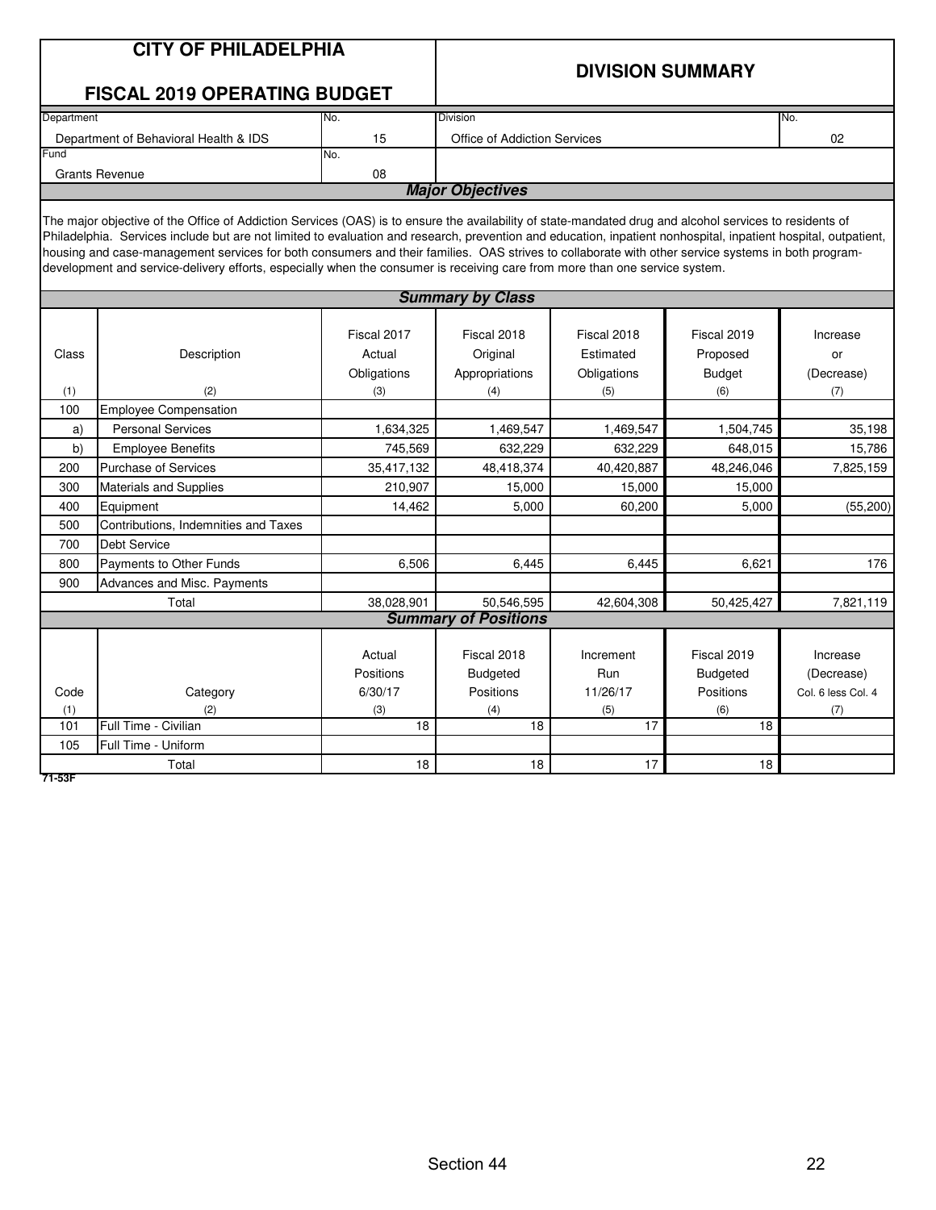|                                                                                               | <b>CITY OF PHILADELPHIA</b><br><b>FISCAL 2019 OPERATING BUDGET</b>                                                                                                                                                                                                                                                                                                                                                                                                                                                                                                                                                                         |             | <b>DIVISION SUMMARY</b>             |             |                  |                    |  |  |  |  |
|-----------------------------------------------------------------------------------------------|--------------------------------------------------------------------------------------------------------------------------------------------------------------------------------------------------------------------------------------------------------------------------------------------------------------------------------------------------------------------------------------------------------------------------------------------------------------------------------------------------------------------------------------------------------------------------------------------------------------------------------------------|-------------|-------------------------------------|-------------|------------------|--------------------|--|--|--|--|
| Department                                                                                    |                                                                                                                                                                                                                                                                                                                                                                                                                                                                                                                                                                                                                                            | No.         | <b>Division</b>                     |             |                  | No.                |  |  |  |  |
|                                                                                               | Department of Behavioral Health & IDS                                                                                                                                                                                                                                                                                                                                                                                                                                                                                                                                                                                                      | 15          | <b>Office of Addiction Services</b> |             |                  | 02                 |  |  |  |  |
| Fund                                                                                          |                                                                                                                                                                                                                                                                                                                                                                                                                                                                                                                                                                                                                                            | No.         |                                     |             |                  |                    |  |  |  |  |
|                                                                                               | <b>Grants Revenue</b>                                                                                                                                                                                                                                                                                                                                                                                                                                                                                                                                                                                                                      | 08          | <b>Major Objectives</b>             |             |                  |                    |  |  |  |  |
|                                                                                               |                                                                                                                                                                                                                                                                                                                                                                                                                                                                                                                                                                                                                                            |             |                                     |             |                  |                    |  |  |  |  |
|                                                                                               | The major objective of the Office of Addiction Services (OAS) is to ensure the availability of state-mandated drug and alcohol services to residents of<br>Philadelphia. Services include but are not limited to evaluation and research, prevention and education, inpatient nonhospital, inpatient hospital, outpatient,<br>housing and case-management services for both consumers and their families. OAS strives to collaborate with other service systems in both program-<br>development and service-delivery efforts, especially when the consumer is receiving care from more than one service system.<br><b>Summary by Class</b> |             |                                     |             |                  |                    |  |  |  |  |
|                                                                                               |                                                                                                                                                                                                                                                                                                                                                                                                                                                                                                                                                                                                                                            |             |                                     |             |                  |                    |  |  |  |  |
|                                                                                               |                                                                                                                                                                                                                                                                                                                                                                                                                                                                                                                                                                                                                                            | Fiscal 2017 | Fiscal 2018                         | Fiscal 2018 | Fiscal 2019      | Increase           |  |  |  |  |
| Class                                                                                         | Description                                                                                                                                                                                                                                                                                                                                                                                                                                                                                                                                                                                                                                | Actual      | Original                            | Estimated   | Proposed         | or                 |  |  |  |  |
|                                                                                               |                                                                                                                                                                                                                                                                                                                                                                                                                                                                                                                                                                                                                                            | Obligations | Appropriations                      | Obligations | <b>Budget</b>    | (Decrease)         |  |  |  |  |
| (1)                                                                                           | (2)                                                                                                                                                                                                                                                                                                                                                                                                                                                                                                                                                                                                                                        | (3)         | (4)                                 | (5)         | (6)              | (7)                |  |  |  |  |
| 100                                                                                           | <b>Employee Compensation</b>                                                                                                                                                                                                                                                                                                                                                                                                                                                                                                                                                                                                               |             |                                     |             |                  |                    |  |  |  |  |
| a)                                                                                            | <b>Personal Services</b>                                                                                                                                                                                                                                                                                                                                                                                                                                                                                                                                                                                                                   | 1,634,325   | 1,469,547                           | 1,469,547   | 1,504,745        | 35,198             |  |  |  |  |
| b)                                                                                            | <b>Employee Benefits</b>                                                                                                                                                                                                                                                                                                                                                                                                                                                                                                                                                                                                                   | 745,569     | 632,229                             | 632,229     | 648,015          | 15,786             |  |  |  |  |
| 200                                                                                           | <b>Purchase of Services</b>                                                                                                                                                                                                                                                                                                                                                                                                                                                                                                                                                                                                                | 35,417,132  | 48,418,374                          | 40,420,887  | 48,246,046       | 7,825,159          |  |  |  |  |
| 300                                                                                           | <b>Materials and Supplies</b>                                                                                                                                                                                                                                                                                                                                                                                                                                                                                                                                                                                                              | 210,907     | 15.000                              | 15.000      | 15.000           |                    |  |  |  |  |
| 400                                                                                           | Equipment                                                                                                                                                                                                                                                                                                                                                                                                                                                                                                                                                                                                                                  | 14,462      | 5,000                               | 60,200      | 5,000            | (55, 200)          |  |  |  |  |
| 500                                                                                           | Contributions, Indemnities and Taxes                                                                                                                                                                                                                                                                                                                                                                                                                                                                                                                                                                                                       |             |                                     |             |                  |                    |  |  |  |  |
| 700                                                                                           | <b>Debt Service</b>                                                                                                                                                                                                                                                                                                                                                                                                                                                                                                                                                                                                                        |             |                                     |             |                  |                    |  |  |  |  |
| 800                                                                                           | Payments to Other Funds                                                                                                                                                                                                                                                                                                                                                                                                                                                                                                                                                                                                                    | 6,506       | 6,445                               | 6,445       | 6,621            | 176                |  |  |  |  |
| 900                                                                                           | <b>Advances and Misc. Payments</b>                                                                                                                                                                                                                                                                                                                                                                                                                                                                                                                                                                                                         |             |                                     |             |                  |                    |  |  |  |  |
|                                                                                               | Total                                                                                                                                                                                                                                                                                                                                                                                                                                                                                                                                                                                                                                      | 38,028,901  | 50,546,595                          | 42,604,308  | 50,425,427       | 7,821,119          |  |  |  |  |
|                                                                                               |                                                                                                                                                                                                                                                                                                                                                                                                                                                                                                                                                                                                                                            |             | <b>Summary of Positions</b>         |             |                  |                    |  |  |  |  |
|                                                                                               |                                                                                                                                                                                                                                                                                                                                                                                                                                                                                                                                                                                                                                            |             |                                     |             |                  |                    |  |  |  |  |
|                                                                                               |                                                                                                                                                                                                                                                                                                                                                                                                                                                                                                                                                                                                                                            | Actual      | Fiscal 2018                         | Increment   | Fiscal 2019      | Increase           |  |  |  |  |
|                                                                                               |                                                                                                                                                                                                                                                                                                                                                                                                                                                                                                                                                                                                                                            | Positions   | <b>Budgeted</b>                     | Run         | <b>Budgeted</b>  | (Decrease)         |  |  |  |  |
| Code                                                                                          | Category                                                                                                                                                                                                                                                                                                                                                                                                                                                                                                                                                                                                                                   | 6/30/17     | Positions                           | 11/26/17    | <b>Positions</b> | Col. 6 less Col. 4 |  |  |  |  |
| (2)<br>(3)<br>(4)<br>(6)<br>(1)<br>(5)<br>Full Time - Civilian<br>18<br>18<br>17<br>18<br>101 |                                                                                                                                                                                                                                                                                                                                                                                                                                                                                                                                                                                                                                            |             |                                     |             | (7)              |                    |  |  |  |  |
| 105                                                                                           |                                                                                                                                                                                                                                                                                                                                                                                                                                                                                                                                                                                                                                            |             |                                     |             |                  |                    |  |  |  |  |
|                                                                                               | Full Time - Uniform                                                                                                                                                                                                                                                                                                                                                                                                                                                                                                                                                                                                                        |             |                                     |             |                  |                    |  |  |  |  |
| 71-53F                                                                                        | Total                                                                                                                                                                                                                                                                                                                                                                                                                                                                                                                                                                                                                                      | 18          | 18                                  | 17          | 18               |                    |  |  |  |  |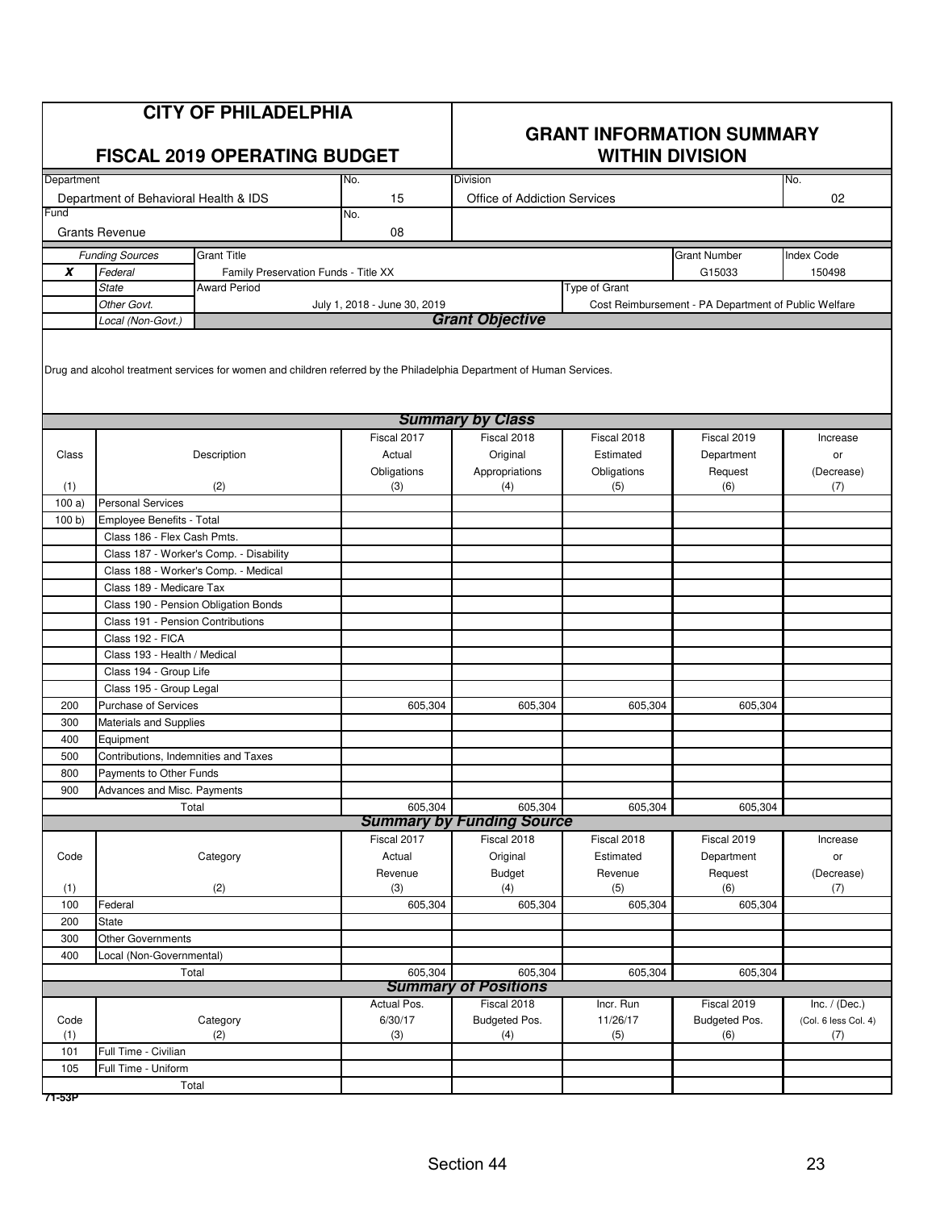|            | <b>CITY OF PHILADELPHIA</b><br><b>FISCAL 2019 OPERATING BUDGET</b> |                                                                                                                       |                              | <b>GRANT INFORMATION SUMMARY</b><br><b>WITHIN DIVISION</b> |               |                                                      |                      |  |
|------------|--------------------------------------------------------------------|-----------------------------------------------------------------------------------------------------------------------|------------------------------|------------------------------------------------------------|---------------|------------------------------------------------------|----------------------|--|
| Department |                                                                    |                                                                                                                       | No.                          | <b>Division</b>                                            |               |                                                      | No.                  |  |
|            | Department of Behavioral Health & IDS                              |                                                                                                                       | 15                           | <b>Office of Addiction Services</b>                        |               |                                                      | 02                   |  |
| Fund       | <b>Grants Revenue</b>                                              |                                                                                                                       | No.<br>08                    |                                                            |               |                                                      |                      |  |
|            | <b>Funding Sources</b>                                             | <b>Grant Title</b>                                                                                                    |                              |                                                            |               | <b>Grant Number</b>                                  | <b>Index Code</b>    |  |
| X          | Federal                                                            | Family Preservation Funds - Title XX                                                                                  |                              |                                                            |               | G15033                                               | 150498               |  |
|            | <b>State</b>                                                       | <b>Award Period</b>                                                                                                   |                              |                                                            | Type of Grant |                                                      |                      |  |
|            | Other Govt.                                                        |                                                                                                                       | July 1, 2018 - June 30, 2019 |                                                            |               | Cost Reimbursement - PA Department of Public Welfare |                      |  |
|            | Local (Non-Govt.)                                                  |                                                                                                                       |                              | <b>Grant Objective</b>                                     |               |                                                      |                      |  |
|            |                                                                    | Drug and alcohol treatment services for women and children referred by the Philadelphia Department of Human Services. |                              | <b>Summary by Class</b>                                    |               |                                                      |                      |  |
|            |                                                                    |                                                                                                                       | Fiscal 2017                  | Fiscal 2018                                                | Fiscal 2018   | Fiscal 2019                                          | Increase             |  |
| Class      |                                                                    | Description                                                                                                           | Actual                       | Original                                                   | Estimated     | Department                                           | or                   |  |
|            |                                                                    |                                                                                                                       | Obligations                  | Appropriations                                             | Obligations   | Request                                              | (Decrease)           |  |
| (1)        |                                                                    | (2)                                                                                                                   | (3)                          | (4)                                                        | (5)           | (6)                                                  | (7)                  |  |
| 100a)      | <b>Personal Services</b>                                           |                                                                                                                       |                              |                                                            |               |                                                      |                      |  |
| 100 b)     | Employee Benefits - Total                                          |                                                                                                                       |                              |                                                            |               |                                                      |                      |  |
|            | Class 186 - Flex Cash Pmts.                                        |                                                                                                                       |                              |                                                            |               |                                                      |                      |  |
|            |                                                                    | Class 187 - Worker's Comp. - Disability                                                                               |                              |                                                            |               |                                                      |                      |  |
|            |                                                                    | Class 188 - Worker's Comp. - Medical                                                                                  |                              |                                                            |               |                                                      |                      |  |
|            | Class 189 - Medicare Tax                                           |                                                                                                                       |                              |                                                            |               |                                                      |                      |  |
|            |                                                                    | Class 190 - Pension Obligation Bonds                                                                                  |                              |                                                            |               |                                                      |                      |  |
|            | Class 191 - Pension Contributions                                  |                                                                                                                       |                              |                                                            |               |                                                      |                      |  |
|            | Class 192 - FICA                                                   |                                                                                                                       |                              |                                                            |               |                                                      |                      |  |
|            | Class 193 - Health / Medical                                       |                                                                                                                       |                              |                                                            |               |                                                      |                      |  |
|            | Class 194 - Group Life                                             |                                                                                                                       |                              |                                                            |               |                                                      |                      |  |
|            | Class 195 - Group Legal                                            |                                                                                                                       |                              |                                                            |               |                                                      |                      |  |
| 200        | <b>Purchase of Services</b>                                        |                                                                                                                       | 605,304                      | 605,304                                                    | 605,304       | 605,304                                              |                      |  |
| 300        | <b>Materials and Supplies</b>                                      |                                                                                                                       |                              |                                                            |               |                                                      |                      |  |
| 400        | Equipment                                                          |                                                                                                                       |                              |                                                            |               |                                                      |                      |  |
| 500        | Contributions, Indemnities and Taxes                               |                                                                                                                       |                              |                                                            |               |                                                      |                      |  |
| 800        | Payments to Other Funds                                            |                                                                                                                       |                              |                                                            |               |                                                      |                      |  |
| 900        | Advances and Misc. Payments                                        |                                                                                                                       |                              |                                                            |               |                                                      |                      |  |
|            |                                                                    | Total                                                                                                                 | 605,304                      | 605,304                                                    | 605,304       | 605,304                                              |                      |  |
|            |                                                                    |                                                                                                                       |                              | <b>Summary by Funding Source</b>                           |               |                                                      |                      |  |
|            |                                                                    |                                                                                                                       | Fiscal 2017                  | Fiscal 2018                                                | Fiscal 2018   | Fiscal 2019                                          | Increase             |  |
| Code       |                                                                    | Category                                                                                                              | Actual                       | Original                                                   | Estimated     | Department                                           | or                   |  |
|            |                                                                    |                                                                                                                       | Revenue                      | <b>Budget</b>                                              | Revenue       | Request                                              | (Decrease)           |  |
| (1)        |                                                                    | (2)                                                                                                                   | (3)                          | (4)                                                        | (5)           | (6)                                                  | (7)                  |  |
| 100        | Federal                                                            |                                                                                                                       | 605,304                      | 605,304                                                    | 605,304       | 605,304                                              |                      |  |
| 200        | State                                                              |                                                                                                                       |                              |                                                            |               |                                                      |                      |  |
| 300        | <b>Other Governments</b>                                           |                                                                                                                       |                              |                                                            |               |                                                      |                      |  |
| 400        | Local (Non-Governmental)                                           |                                                                                                                       |                              |                                                            |               |                                                      |                      |  |
|            |                                                                    | Total                                                                                                                 | 605,304                      | 605,304                                                    | 605,304       | 605,304                                              |                      |  |
|            |                                                                    |                                                                                                                       |                              | <b>Summary of Positions</b>                                |               |                                                      |                      |  |
|            |                                                                    |                                                                                                                       | Actual Pos.                  | Fiscal 2018                                                | Incr. Run     | Fiscal 2019                                          | Inc. $/$ (Dec.)      |  |
| Code       |                                                                    | Category                                                                                                              | 6/30/17                      | Budgeted Pos.                                              | 11/26/17      | Budgeted Pos.                                        | (Col. 6 less Col. 4) |  |
| (1)        | Full Time - Civilian                                               | (2)                                                                                                                   | (3)                          | (4)                                                        | (5)           | (6)                                                  | (7)                  |  |
| 101<br>105 |                                                                    |                                                                                                                       |                              |                                                            |               |                                                      |                      |  |
|            | Full Time - Uniform                                                | Total                                                                                                                 |                              |                                                            |               |                                                      |                      |  |
| 71-53P     |                                                                    |                                                                                                                       |                              |                                                            |               |                                                      |                      |  |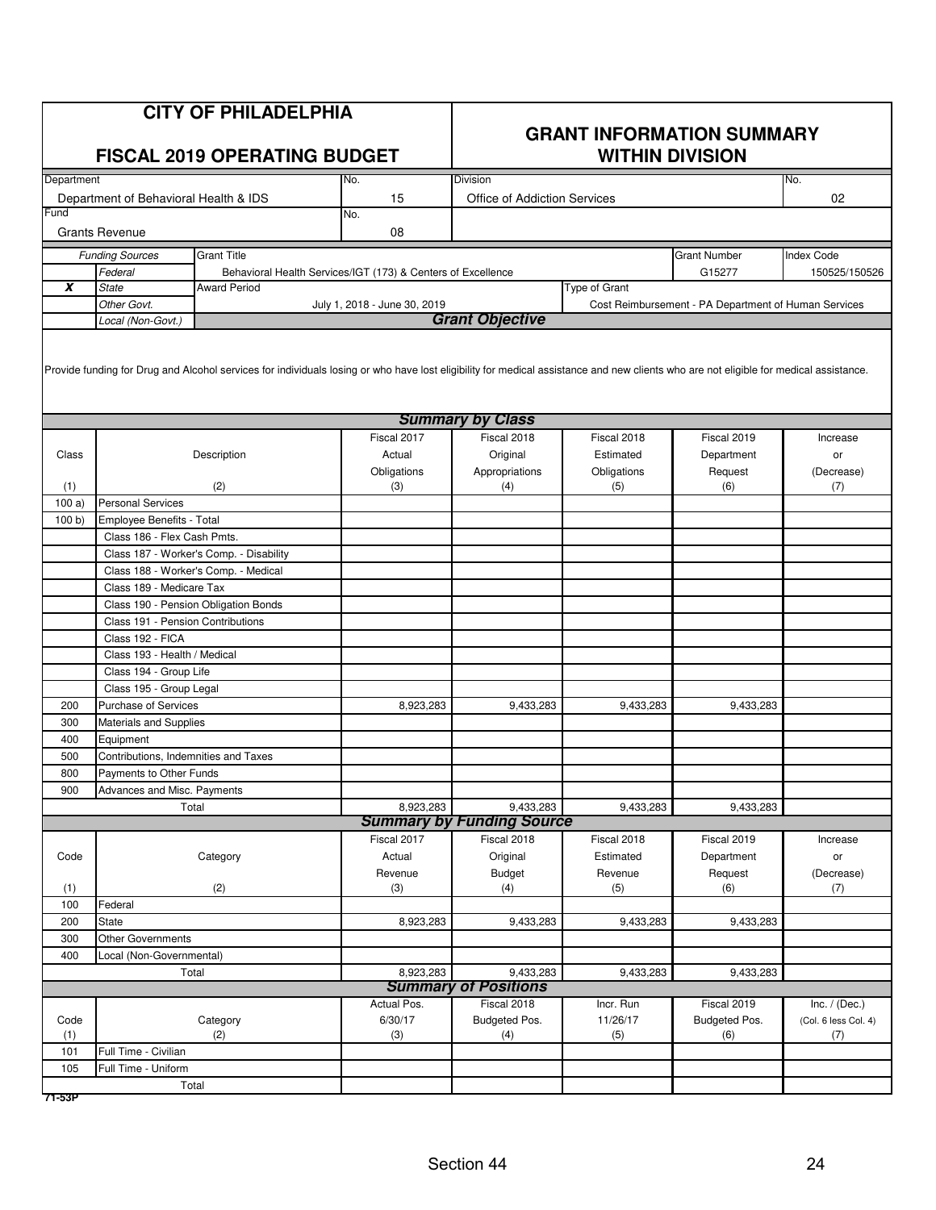| Department<br>No.<br>Department of Behavioral Health & IDS<br>15<br><b>Office of Addiction Services</b><br>02<br>No.<br>08<br><b>Grants Revenue</b><br><b>Grant Title</b><br><b>Grant Number</b><br><b>Index Code</b><br><b>Funding Sources</b><br>Federal<br>G15277<br>Behavioral Health Services/IGT (173) & Centers of Excellence<br><b>State</b><br>Type of Grant<br>X<br><b>Award Period</b><br>Other Govt.<br>July 1, 2018 - June 30, 2019<br>Cost Reimbursement - PA Department of Human Services<br><b>Grant Objective</b><br>Local (Non-Govt.)<br>Provide funding for Drug and Alcohol services for individuals losing or who have lost eligibility for medical assistance and new clients who are not eligible for medical assistance.<br><b>Summary by Class</b><br>Fiscal 2017<br>Fiscal 2018<br>Fiscal 2018<br>Fiscal 2019<br>Increase<br>Original<br>Class<br>Description<br>Actual<br>Estimated<br>Department<br>or<br>Appropriations<br>Request<br>Obligations<br>Obligations<br>(Decrease)<br>(2)<br>(3)<br>(4)<br>(5)<br>(6)<br>(1)<br>(7)<br><b>Personal Services</b><br>100a<br>100 b)<br>Employee Benefits - Total<br>Class 186 - Flex Cash Pmts.<br>Class 187 - Worker's Comp. - Disability<br>Class 188 - Worker's Comp. - Medical<br>Class 189 - Medicare Tax<br>Class 190 - Pension Obligation Bonds<br>Class 191 - Pension Contributions<br>Class 192 - FICA<br>Class 193 - Health / Medical<br>Class 194 - Group Life<br>Class 195 - Group Legal<br>200<br><b>Purchase of Services</b><br>8,923,283<br>9,433,283<br>9,433,283<br>9,433,283<br>300<br><b>Materials and Supplies</b><br>400<br>Equipment<br>500<br>Contributions, Indemnities and Taxes<br>800<br>Payments to Other Funds<br>900<br>Advances and Misc. Payments<br>8,923,283<br>9,433,283<br>Total<br>9,433,283<br>9,433,283<br><b>Summary by Funding Source</b><br>Fiscal 2017<br>Fiscal 2018<br>Fiscal 2019<br>Fiscal 2018<br>Increase<br>Actual<br>Code<br>Original<br>Estimated<br>Department<br>Category<br>or<br>Revenue<br>Revenue<br>Request<br>(Decrease)<br><b>Budget</b><br>(2)<br>(1)<br>(3)<br>(4)<br>(5)<br>(6)<br>(7)<br>Federal<br>100<br>8,923,283<br>200<br>State<br>9,433,283<br>9,433,283<br>9,433,283<br>300<br><b>Other Governments</b><br>400<br>Local (Non-Governmental)<br>8,923,283<br>Total<br>9,433,283<br>9,433,283<br>9,433,283<br><b>Summary of Positions</b><br>Fiscal 2018<br>Fiscal 2019<br>Actual Pos.<br>Incr. Run<br>Inc. $/$ (Dec.)<br>6/30/17<br>Budgeted Pos.<br>11/26/17<br>Code<br>Category<br>Budgeted Pos.<br>(Col. 6 less Col. 4)<br>(2)<br>(3)<br>(1)<br>(5)<br>(4)<br>(6)<br>(7)<br>Full Time - Civilian<br>101<br>105<br>Full Time - Uniform<br>Total<br>71-53P |      | <b>CITY OF PHILADELPHIA</b><br><b>FISCAL 2019 OPERATING BUDGET</b> |  |  | <b>GRANT INFORMATION SUMMARY</b><br><b>WITHIN DIVISION</b> |  |  |               |  |  |  |  |
|----------------------------------------------------------------------------------------------------------------------------------------------------------------------------------------------------------------------------------------------------------------------------------------------------------------------------------------------------------------------------------------------------------------------------------------------------------------------------------------------------------------------------------------------------------------------------------------------------------------------------------------------------------------------------------------------------------------------------------------------------------------------------------------------------------------------------------------------------------------------------------------------------------------------------------------------------------------------------------------------------------------------------------------------------------------------------------------------------------------------------------------------------------------------------------------------------------------------------------------------------------------------------------------------------------------------------------------------------------------------------------------------------------------------------------------------------------------------------------------------------------------------------------------------------------------------------------------------------------------------------------------------------------------------------------------------------------------------------------------------------------------------------------------------------------------------------------------------------------------------------------------------------------------------------------------------------------------------------------------------------------------------------------------------------------------------------------------------------------------------------------------------------------------------------------------------------------------------------------------------------------------------------------------------------------------------------------------------------------------------------------------------------------------------------------------------------------------------------------------------------------------------------------------------------------------------------------------------------------------------------------------------------------------------------------------------------------|------|--------------------------------------------------------------------|--|--|------------------------------------------------------------|--|--|---------------|--|--|--|--|
|                                                                                                                                                                                                                                                                                                                                                                                                                                                                                                                                                                                                                                                                                                                                                                                                                                                                                                                                                                                                                                                                                                                                                                                                                                                                                                                                                                                                                                                                                                                                                                                                                                                                                                                                                                                                                                                                                                                                                                                                                                                                                                                                                                                                                                                                                                                                                                                                                                                                                                                                                                                                                                                                                                          |      |                                                                    |  |  | <b>Division</b>                                            |  |  | No.           |  |  |  |  |
|                                                                                                                                                                                                                                                                                                                                                                                                                                                                                                                                                                                                                                                                                                                                                                                                                                                                                                                                                                                                                                                                                                                                                                                                                                                                                                                                                                                                                                                                                                                                                                                                                                                                                                                                                                                                                                                                                                                                                                                                                                                                                                                                                                                                                                                                                                                                                                                                                                                                                                                                                                                                                                                                                                          | Fund |                                                                    |  |  |                                                            |  |  |               |  |  |  |  |
|                                                                                                                                                                                                                                                                                                                                                                                                                                                                                                                                                                                                                                                                                                                                                                                                                                                                                                                                                                                                                                                                                                                                                                                                                                                                                                                                                                                                                                                                                                                                                                                                                                                                                                                                                                                                                                                                                                                                                                                                                                                                                                                                                                                                                                                                                                                                                                                                                                                                                                                                                                                                                                                                                                          |      |                                                                    |  |  |                                                            |  |  |               |  |  |  |  |
|                                                                                                                                                                                                                                                                                                                                                                                                                                                                                                                                                                                                                                                                                                                                                                                                                                                                                                                                                                                                                                                                                                                                                                                                                                                                                                                                                                                                                                                                                                                                                                                                                                                                                                                                                                                                                                                                                                                                                                                                                                                                                                                                                                                                                                                                                                                                                                                                                                                                                                                                                                                                                                                                                                          |      |                                                                    |  |  |                                                            |  |  |               |  |  |  |  |
|                                                                                                                                                                                                                                                                                                                                                                                                                                                                                                                                                                                                                                                                                                                                                                                                                                                                                                                                                                                                                                                                                                                                                                                                                                                                                                                                                                                                                                                                                                                                                                                                                                                                                                                                                                                                                                                                                                                                                                                                                                                                                                                                                                                                                                                                                                                                                                                                                                                                                                                                                                                                                                                                                                          |      |                                                                    |  |  |                                                            |  |  | 150525/150526 |  |  |  |  |
|                                                                                                                                                                                                                                                                                                                                                                                                                                                                                                                                                                                                                                                                                                                                                                                                                                                                                                                                                                                                                                                                                                                                                                                                                                                                                                                                                                                                                                                                                                                                                                                                                                                                                                                                                                                                                                                                                                                                                                                                                                                                                                                                                                                                                                                                                                                                                                                                                                                                                                                                                                                                                                                                                                          |      |                                                                    |  |  |                                                            |  |  |               |  |  |  |  |
|                                                                                                                                                                                                                                                                                                                                                                                                                                                                                                                                                                                                                                                                                                                                                                                                                                                                                                                                                                                                                                                                                                                                                                                                                                                                                                                                                                                                                                                                                                                                                                                                                                                                                                                                                                                                                                                                                                                                                                                                                                                                                                                                                                                                                                                                                                                                                                                                                                                                                                                                                                                                                                                                                                          |      |                                                                    |  |  |                                                            |  |  |               |  |  |  |  |
|                                                                                                                                                                                                                                                                                                                                                                                                                                                                                                                                                                                                                                                                                                                                                                                                                                                                                                                                                                                                                                                                                                                                                                                                                                                                                                                                                                                                                                                                                                                                                                                                                                                                                                                                                                                                                                                                                                                                                                                                                                                                                                                                                                                                                                                                                                                                                                                                                                                                                                                                                                                                                                                                                                          |      |                                                                    |  |  |                                                            |  |  |               |  |  |  |  |
|                                                                                                                                                                                                                                                                                                                                                                                                                                                                                                                                                                                                                                                                                                                                                                                                                                                                                                                                                                                                                                                                                                                                                                                                                                                                                                                                                                                                                                                                                                                                                                                                                                                                                                                                                                                                                                                                                                                                                                                                                                                                                                                                                                                                                                                                                                                                                                                                                                                                                                                                                                                                                                                                                                          |      |                                                                    |  |  |                                                            |  |  |               |  |  |  |  |
|                                                                                                                                                                                                                                                                                                                                                                                                                                                                                                                                                                                                                                                                                                                                                                                                                                                                                                                                                                                                                                                                                                                                                                                                                                                                                                                                                                                                                                                                                                                                                                                                                                                                                                                                                                                                                                                                                                                                                                                                                                                                                                                                                                                                                                                                                                                                                                                                                                                                                                                                                                                                                                                                                                          |      |                                                                    |  |  |                                                            |  |  |               |  |  |  |  |
|                                                                                                                                                                                                                                                                                                                                                                                                                                                                                                                                                                                                                                                                                                                                                                                                                                                                                                                                                                                                                                                                                                                                                                                                                                                                                                                                                                                                                                                                                                                                                                                                                                                                                                                                                                                                                                                                                                                                                                                                                                                                                                                                                                                                                                                                                                                                                                                                                                                                                                                                                                                                                                                                                                          |      |                                                                    |  |  |                                                            |  |  |               |  |  |  |  |
|                                                                                                                                                                                                                                                                                                                                                                                                                                                                                                                                                                                                                                                                                                                                                                                                                                                                                                                                                                                                                                                                                                                                                                                                                                                                                                                                                                                                                                                                                                                                                                                                                                                                                                                                                                                                                                                                                                                                                                                                                                                                                                                                                                                                                                                                                                                                                                                                                                                                                                                                                                                                                                                                                                          |      |                                                                    |  |  |                                                            |  |  |               |  |  |  |  |
|                                                                                                                                                                                                                                                                                                                                                                                                                                                                                                                                                                                                                                                                                                                                                                                                                                                                                                                                                                                                                                                                                                                                                                                                                                                                                                                                                                                                                                                                                                                                                                                                                                                                                                                                                                                                                                                                                                                                                                                                                                                                                                                                                                                                                                                                                                                                                                                                                                                                                                                                                                                                                                                                                                          |      |                                                                    |  |  |                                                            |  |  |               |  |  |  |  |
|                                                                                                                                                                                                                                                                                                                                                                                                                                                                                                                                                                                                                                                                                                                                                                                                                                                                                                                                                                                                                                                                                                                                                                                                                                                                                                                                                                                                                                                                                                                                                                                                                                                                                                                                                                                                                                                                                                                                                                                                                                                                                                                                                                                                                                                                                                                                                                                                                                                                                                                                                                                                                                                                                                          |      |                                                                    |  |  |                                                            |  |  |               |  |  |  |  |
|                                                                                                                                                                                                                                                                                                                                                                                                                                                                                                                                                                                                                                                                                                                                                                                                                                                                                                                                                                                                                                                                                                                                                                                                                                                                                                                                                                                                                                                                                                                                                                                                                                                                                                                                                                                                                                                                                                                                                                                                                                                                                                                                                                                                                                                                                                                                                                                                                                                                                                                                                                                                                                                                                                          |      |                                                                    |  |  |                                                            |  |  |               |  |  |  |  |
|                                                                                                                                                                                                                                                                                                                                                                                                                                                                                                                                                                                                                                                                                                                                                                                                                                                                                                                                                                                                                                                                                                                                                                                                                                                                                                                                                                                                                                                                                                                                                                                                                                                                                                                                                                                                                                                                                                                                                                                                                                                                                                                                                                                                                                                                                                                                                                                                                                                                                                                                                                                                                                                                                                          |      |                                                                    |  |  |                                                            |  |  |               |  |  |  |  |
|                                                                                                                                                                                                                                                                                                                                                                                                                                                                                                                                                                                                                                                                                                                                                                                                                                                                                                                                                                                                                                                                                                                                                                                                                                                                                                                                                                                                                                                                                                                                                                                                                                                                                                                                                                                                                                                                                                                                                                                                                                                                                                                                                                                                                                                                                                                                                                                                                                                                                                                                                                                                                                                                                                          |      |                                                                    |  |  |                                                            |  |  |               |  |  |  |  |
|                                                                                                                                                                                                                                                                                                                                                                                                                                                                                                                                                                                                                                                                                                                                                                                                                                                                                                                                                                                                                                                                                                                                                                                                                                                                                                                                                                                                                                                                                                                                                                                                                                                                                                                                                                                                                                                                                                                                                                                                                                                                                                                                                                                                                                                                                                                                                                                                                                                                                                                                                                                                                                                                                                          |      |                                                                    |  |  |                                                            |  |  |               |  |  |  |  |
|                                                                                                                                                                                                                                                                                                                                                                                                                                                                                                                                                                                                                                                                                                                                                                                                                                                                                                                                                                                                                                                                                                                                                                                                                                                                                                                                                                                                                                                                                                                                                                                                                                                                                                                                                                                                                                                                                                                                                                                                                                                                                                                                                                                                                                                                                                                                                                                                                                                                                                                                                                                                                                                                                                          |      |                                                                    |  |  |                                                            |  |  |               |  |  |  |  |
|                                                                                                                                                                                                                                                                                                                                                                                                                                                                                                                                                                                                                                                                                                                                                                                                                                                                                                                                                                                                                                                                                                                                                                                                                                                                                                                                                                                                                                                                                                                                                                                                                                                                                                                                                                                                                                                                                                                                                                                                                                                                                                                                                                                                                                                                                                                                                                                                                                                                                                                                                                                                                                                                                                          |      |                                                                    |  |  |                                                            |  |  |               |  |  |  |  |
|                                                                                                                                                                                                                                                                                                                                                                                                                                                                                                                                                                                                                                                                                                                                                                                                                                                                                                                                                                                                                                                                                                                                                                                                                                                                                                                                                                                                                                                                                                                                                                                                                                                                                                                                                                                                                                                                                                                                                                                                                                                                                                                                                                                                                                                                                                                                                                                                                                                                                                                                                                                                                                                                                                          |      |                                                                    |  |  |                                                            |  |  |               |  |  |  |  |
|                                                                                                                                                                                                                                                                                                                                                                                                                                                                                                                                                                                                                                                                                                                                                                                                                                                                                                                                                                                                                                                                                                                                                                                                                                                                                                                                                                                                                                                                                                                                                                                                                                                                                                                                                                                                                                                                                                                                                                                                                                                                                                                                                                                                                                                                                                                                                                                                                                                                                                                                                                                                                                                                                                          |      |                                                                    |  |  |                                                            |  |  |               |  |  |  |  |
|                                                                                                                                                                                                                                                                                                                                                                                                                                                                                                                                                                                                                                                                                                                                                                                                                                                                                                                                                                                                                                                                                                                                                                                                                                                                                                                                                                                                                                                                                                                                                                                                                                                                                                                                                                                                                                                                                                                                                                                                                                                                                                                                                                                                                                                                                                                                                                                                                                                                                                                                                                                                                                                                                                          |      |                                                                    |  |  |                                                            |  |  |               |  |  |  |  |
|                                                                                                                                                                                                                                                                                                                                                                                                                                                                                                                                                                                                                                                                                                                                                                                                                                                                                                                                                                                                                                                                                                                                                                                                                                                                                                                                                                                                                                                                                                                                                                                                                                                                                                                                                                                                                                                                                                                                                                                                                                                                                                                                                                                                                                                                                                                                                                                                                                                                                                                                                                                                                                                                                                          |      |                                                                    |  |  |                                                            |  |  |               |  |  |  |  |
|                                                                                                                                                                                                                                                                                                                                                                                                                                                                                                                                                                                                                                                                                                                                                                                                                                                                                                                                                                                                                                                                                                                                                                                                                                                                                                                                                                                                                                                                                                                                                                                                                                                                                                                                                                                                                                                                                                                                                                                                                                                                                                                                                                                                                                                                                                                                                                                                                                                                                                                                                                                                                                                                                                          |      |                                                                    |  |  |                                                            |  |  |               |  |  |  |  |
|                                                                                                                                                                                                                                                                                                                                                                                                                                                                                                                                                                                                                                                                                                                                                                                                                                                                                                                                                                                                                                                                                                                                                                                                                                                                                                                                                                                                                                                                                                                                                                                                                                                                                                                                                                                                                                                                                                                                                                                                                                                                                                                                                                                                                                                                                                                                                                                                                                                                                                                                                                                                                                                                                                          |      |                                                                    |  |  |                                                            |  |  |               |  |  |  |  |
|                                                                                                                                                                                                                                                                                                                                                                                                                                                                                                                                                                                                                                                                                                                                                                                                                                                                                                                                                                                                                                                                                                                                                                                                                                                                                                                                                                                                                                                                                                                                                                                                                                                                                                                                                                                                                                                                                                                                                                                                                                                                                                                                                                                                                                                                                                                                                                                                                                                                                                                                                                                                                                                                                                          |      |                                                                    |  |  |                                                            |  |  |               |  |  |  |  |
|                                                                                                                                                                                                                                                                                                                                                                                                                                                                                                                                                                                                                                                                                                                                                                                                                                                                                                                                                                                                                                                                                                                                                                                                                                                                                                                                                                                                                                                                                                                                                                                                                                                                                                                                                                                                                                                                                                                                                                                                                                                                                                                                                                                                                                                                                                                                                                                                                                                                                                                                                                                                                                                                                                          |      |                                                                    |  |  |                                                            |  |  |               |  |  |  |  |
|                                                                                                                                                                                                                                                                                                                                                                                                                                                                                                                                                                                                                                                                                                                                                                                                                                                                                                                                                                                                                                                                                                                                                                                                                                                                                                                                                                                                                                                                                                                                                                                                                                                                                                                                                                                                                                                                                                                                                                                                                                                                                                                                                                                                                                                                                                                                                                                                                                                                                                                                                                                                                                                                                                          |      |                                                                    |  |  |                                                            |  |  |               |  |  |  |  |
|                                                                                                                                                                                                                                                                                                                                                                                                                                                                                                                                                                                                                                                                                                                                                                                                                                                                                                                                                                                                                                                                                                                                                                                                                                                                                                                                                                                                                                                                                                                                                                                                                                                                                                                                                                                                                                                                                                                                                                                                                                                                                                                                                                                                                                                                                                                                                                                                                                                                                                                                                                                                                                                                                                          |      |                                                                    |  |  |                                                            |  |  |               |  |  |  |  |
|                                                                                                                                                                                                                                                                                                                                                                                                                                                                                                                                                                                                                                                                                                                                                                                                                                                                                                                                                                                                                                                                                                                                                                                                                                                                                                                                                                                                                                                                                                                                                                                                                                                                                                                                                                                                                                                                                                                                                                                                                                                                                                                                                                                                                                                                                                                                                                                                                                                                                                                                                                                                                                                                                                          |      |                                                                    |  |  |                                                            |  |  |               |  |  |  |  |
|                                                                                                                                                                                                                                                                                                                                                                                                                                                                                                                                                                                                                                                                                                                                                                                                                                                                                                                                                                                                                                                                                                                                                                                                                                                                                                                                                                                                                                                                                                                                                                                                                                                                                                                                                                                                                                                                                                                                                                                                                                                                                                                                                                                                                                                                                                                                                                                                                                                                                                                                                                                                                                                                                                          |      |                                                                    |  |  |                                                            |  |  |               |  |  |  |  |
|                                                                                                                                                                                                                                                                                                                                                                                                                                                                                                                                                                                                                                                                                                                                                                                                                                                                                                                                                                                                                                                                                                                                                                                                                                                                                                                                                                                                                                                                                                                                                                                                                                                                                                                                                                                                                                                                                                                                                                                                                                                                                                                                                                                                                                                                                                                                                                                                                                                                                                                                                                                                                                                                                                          |      |                                                                    |  |  |                                                            |  |  |               |  |  |  |  |
|                                                                                                                                                                                                                                                                                                                                                                                                                                                                                                                                                                                                                                                                                                                                                                                                                                                                                                                                                                                                                                                                                                                                                                                                                                                                                                                                                                                                                                                                                                                                                                                                                                                                                                                                                                                                                                                                                                                                                                                                                                                                                                                                                                                                                                                                                                                                                                                                                                                                                                                                                                                                                                                                                                          |      |                                                                    |  |  |                                                            |  |  |               |  |  |  |  |
|                                                                                                                                                                                                                                                                                                                                                                                                                                                                                                                                                                                                                                                                                                                                                                                                                                                                                                                                                                                                                                                                                                                                                                                                                                                                                                                                                                                                                                                                                                                                                                                                                                                                                                                                                                                                                                                                                                                                                                                                                                                                                                                                                                                                                                                                                                                                                                                                                                                                                                                                                                                                                                                                                                          |      |                                                                    |  |  |                                                            |  |  |               |  |  |  |  |
|                                                                                                                                                                                                                                                                                                                                                                                                                                                                                                                                                                                                                                                                                                                                                                                                                                                                                                                                                                                                                                                                                                                                                                                                                                                                                                                                                                                                                                                                                                                                                                                                                                                                                                                                                                                                                                                                                                                                                                                                                                                                                                                                                                                                                                                                                                                                                                                                                                                                                                                                                                                                                                                                                                          |      |                                                                    |  |  |                                                            |  |  |               |  |  |  |  |
|                                                                                                                                                                                                                                                                                                                                                                                                                                                                                                                                                                                                                                                                                                                                                                                                                                                                                                                                                                                                                                                                                                                                                                                                                                                                                                                                                                                                                                                                                                                                                                                                                                                                                                                                                                                                                                                                                                                                                                                                                                                                                                                                                                                                                                                                                                                                                                                                                                                                                                                                                                                                                                                                                                          |      |                                                                    |  |  |                                                            |  |  |               |  |  |  |  |
|                                                                                                                                                                                                                                                                                                                                                                                                                                                                                                                                                                                                                                                                                                                                                                                                                                                                                                                                                                                                                                                                                                                                                                                                                                                                                                                                                                                                                                                                                                                                                                                                                                                                                                                                                                                                                                                                                                                                                                                                                                                                                                                                                                                                                                                                                                                                                                                                                                                                                                                                                                                                                                                                                                          |      |                                                                    |  |  |                                                            |  |  |               |  |  |  |  |
|                                                                                                                                                                                                                                                                                                                                                                                                                                                                                                                                                                                                                                                                                                                                                                                                                                                                                                                                                                                                                                                                                                                                                                                                                                                                                                                                                                                                                                                                                                                                                                                                                                                                                                                                                                                                                                                                                                                                                                                                                                                                                                                                                                                                                                                                                                                                                                                                                                                                                                                                                                                                                                                                                                          |      |                                                                    |  |  |                                                            |  |  |               |  |  |  |  |
|                                                                                                                                                                                                                                                                                                                                                                                                                                                                                                                                                                                                                                                                                                                                                                                                                                                                                                                                                                                                                                                                                                                                                                                                                                                                                                                                                                                                                                                                                                                                                                                                                                                                                                                                                                                                                                                                                                                                                                                                                                                                                                                                                                                                                                                                                                                                                                                                                                                                                                                                                                                                                                                                                                          |      |                                                                    |  |  |                                                            |  |  |               |  |  |  |  |
|                                                                                                                                                                                                                                                                                                                                                                                                                                                                                                                                                                                                                                                                                                                                                                                                                                                                                                                                                                                                                                                                                                                                                                                                                                                                                                                                                                                                                                                                                                                                                                                                                                                                                                                                                                                                                                                                                                                                                                                                                                                                                                                                                                                                                                                                                                                                                                                                                                                                                                                                                                                                                                                                                                          |      |                                                                    |  |  |                                                            |  |  |               |  |  |  |  |
|                                                                                                                                                                                                                                                                                                                                                                                                                                                                                                                                                                                                                                                                                                                                                                                                                                                                                                                                                                                                                                                                                                                                                                                                                                                                                                                                                                                                                                                                                                                                                                                                                                                                                                                                                                                                                                                                                                                                                                                                                                                                                                                                                                                                                                                                                                                                                                                                                                                                                                                                                                                                                                                                                                          |      |                                                                    |  |  |                                                            |  |  |               |  |  |  |  |
|                                                                                                                                                                                                                                                                                                                                                                                                                                                                                                                                                                                                                                                                                                                                                                                                                                                                                                                                                                                                                                                                                                                                                                                                                                                                                                                                                                                                                                                                                                                                                                                                                                                                                                                                                                                                                                                                                                                                                                                                                                                                                                                                                                                                                                                                                                                                                                                                                                                                                                                                                                                                                                                                                                          |      |                                                                    |  |  |                                                            |  |  |               |  |  |  |  |
|                                                                                                                                                                                                                                                                                                                                                                                                                                                                                                                                                                                                                                                                                                                                                                                                                                                                                                                                                                                                                                                                                                                                                                                                                                                                                                                                                                                                                                                                                                                                                                                                                                                                                                                                                                                                                                                                                                                                                                                                                                                                                                                                                                                                                                                                                                                                                                                                                                                                                                                                                                                                                                                                                                          |      |                                                                    |  |  |                                                            |  |  |               |  |  |  |  |
|                                                                                                                                                                                                                                                                                                                                                                                                                                                                                                                                                                                                                                                                                                                                                                                                                                                                                                                                                                                                                                                                                                                                                                                                                                                                                                                                                                                                                                                                                                                                                                                                                                                                                                                                                                                                                                                                                                                                                                                                                                                                                                                                                                                                                                                                                                                                                                                                                                                                                                                                                                                                                                                                                                          |      |                                                                    |  |  |                                                            |  |  |               |  |  |  |  |
|                                                                                                                                                                                                                                                                                                                                                                                                                                                                                                                                                                                                                                                                                                                                                                                                                                                                                                                                                                                                                                                                                                                                                                                                                                                                                                                                                                                                                                                                                                                                                                                                                                                                                                                                                                                                                                                                                                                                                                                                                                                                                                                                                                                                                                                                                                                                                                                                                                                                                                                                                                                                                                                                                                          |      |                                                                    |  |  |                                                            |  |  |               |  |  |  |  |
|                                                                                                                                                                                                                                                                                                                                                                                                                                                                                                                                                                                                                                                                                                                                                                                                                                                                                                                                                                                                                                                                                                                                                                                                                                                                                                                                                                                                                                                                                                                                                                                                                                                                                                                                                                                                                                                                                                                                                                                                                                                                                                                                                                                                                                                                                                                                                                                                                                                                                                                                                                                                                                                                                                          |      |                                                                    |  |  |                                                            |  |  |               |  |  |  |  |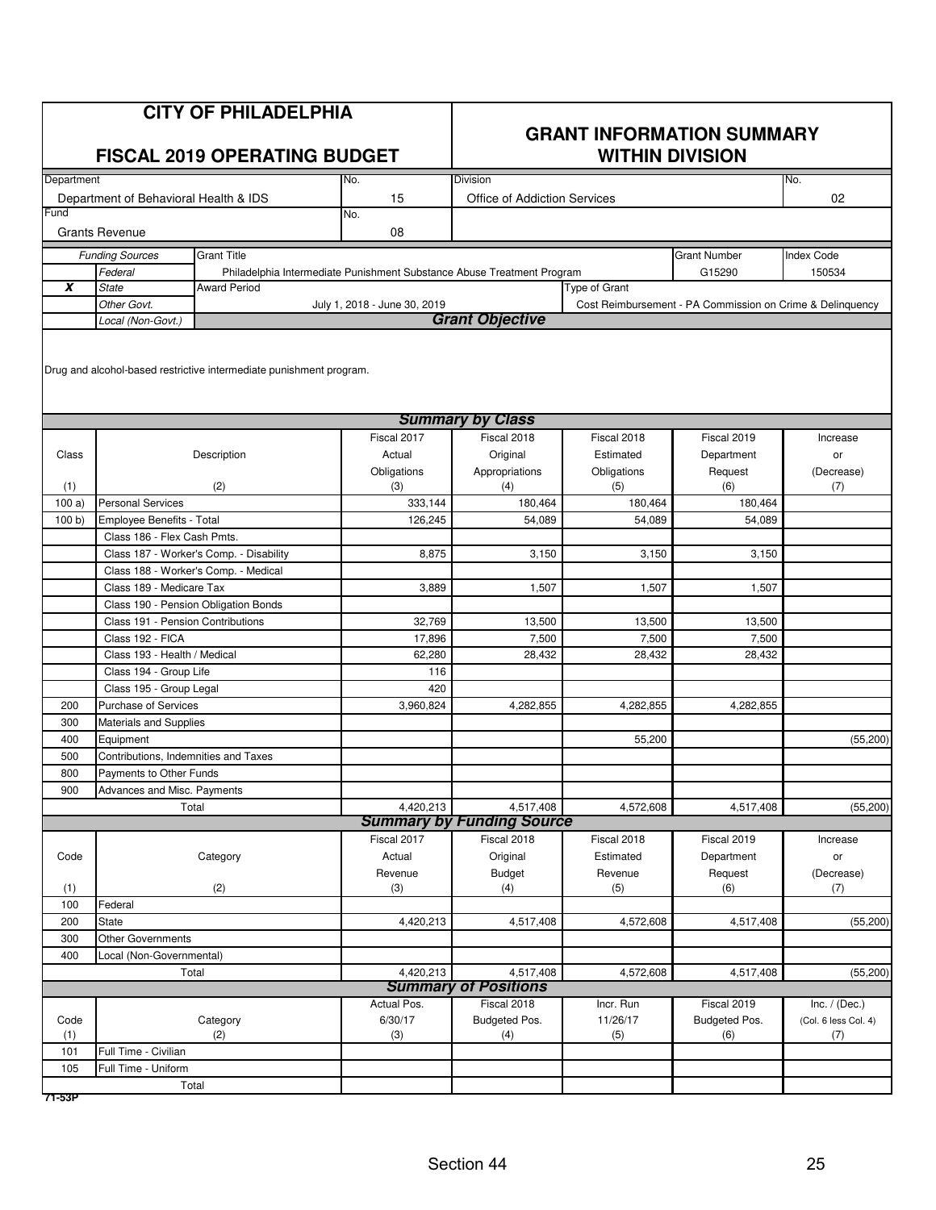|            | <b>CITY OF PHILADELPHIA</b><br><b>FISCAL 2019 OPERATING BUDGET</b> |                                                                     |                                                                        | <b>GRANT INFORMATION SUMMARY</b><br><b>WITHIN DIVISION</b> |               |                                                           |                      |  |
|------------|--------------------------------------------------------------------|---------------------------------------------------------------------|------------------------------------------------------------------------|------------------------------------------------------------|---------------|-----------------------------------------------------------|----------------------|--|
| Department |                                                                    |                                                                     | No.                                                                    | <b>Division</b>                                            |               |                                                           | No.                  |  |
|            |                                                                    |                                                                     | 15                                                                     |                                                            |               |                                                           | 02                   |  |
| Fund       | Department of Behavioral Health & IDS                              |                                                                     | No.                                                                    | <b>Office of Addiction Services</b>                        |               |                                                           |                      |  |
|            | <b>Grants Revenue</b>                                              |                                                                     | 08                                                                     |                                                            |               |                                                           |                      |  |
|            | <b>Funding Sources</b>                                             | <b>Grant Title</b>                                                  |                                                                        |                                                            |               | <b>Grant Number</b>                                       | <b>Index Code</b>    |  |
|            | Federal                                                            |                                                                     | Philadelphia Intermediate Punishment Substance Abuse Treatment Program |                                                            |               | G15290                                                    | 150534               |  |
| X          | <b>State</b>                                                       | <b>Award Period</b>                                                 |                                                                        |                                                            | Type of Grant |                                                           |                      |  |
|            | Other Govt.                                                        |                                                                     | July 1, 2018 - June 30, 2019                                           |                                                            |               | Cost Reimbursement - PA Commission on Crime & Delinquency |                      |  |
|            | Local (Non-Govt.)                                                  |                                                                     |                                                                        | <b>Grant Objective</b>                                     |               |                                                           |                      |  |
|            |                                                                    | Drug and alcohol-based restrictive intermediate punishment program. |                                                                        | <b>Summary by Class</b>                                    |               |                                                           |                      |  |
|            |                                                                    |                                                                     | Fiscal 2017                                                            | Fiscal 2018                                                | Fiscal 2018   | Fiscal 2019                                               | Increase             |  |
| Class      |                                                                    | Description                                                         | Actual                                                                 | Original                                                   | Estimated     | Department                                                | or                   |  |
|            |                                                                    |                                                                     | Obligations                                                            | Appropriations                                             | Obligations   | Request                                                   | (Decrease)           |  |
| (1)        |                                                                    | (2)                                                                 | (3)                                                                    | (4)                                                        | (5)           | (6)                                                       | (7)                  |  |
| 100a       | <b>Personal Services</b>                                           |                                                                     | 333,144                                                                | 180,464                                                    | 180,464       | 180.464                                                   |                      |  |
| 100 b)     | Employee Benefits - Total                                          |                                                                     | 126,245                                                                | 54,089                                                     | 54,089        | 54,089                                                    |                      |  |
|            | Class 186 - Flex Cash Pmts.                                        |                                                                     |                                                                        |                                                            |               |                                                           |                      |  |
|            |                                                                    | Class 187 - Worker's Comp. - Disability                             | 8,875                                                                  | 3,150                                                      | 3,150         | 3,150                                                     |                      |  |
|            |                                                                    | Class 188 - Worker's Comp. - Medical                                |                                                                        |                                                            |               |                                                           |                      |  |
|            | Class 189 - Medicare Tax                                           |                                                                     | 3,889                                                                  | 1,507                                                      | 1,507         | 1,507                                                     |                      |  |
|            |                                                                    | Class 190 - Pension Obligation Bonds                                |                                                                        |                                                            |               |                                                           |                      |  |
|            | Class 191 - Pension Contributions                                  |                                                                     | 32,769                                                                 | 13,500                                                     | 13,500        | 13,500                                                    |                      |  |
|            | Class 192 - FICA                                                   |                                                                     | 17,896                                                                 | 7,500                                                      | 7,500         | 7,500                                                     |                      |  |
|            | Class 193 - Health / Medical                                       |                                                                     | 62,280                                                                 | 28,432                                                     | 28,432        | 28,432                                                    |                      |  |
|            | Class 194 - Group Life                                             |                                                                     | 116                                                                    |                                                            |               |                                                           |                      |  |
|            | Class 195 - Group Legal                                            |                                                                     | 420                                                                    |                                                            |               |                                                           |                      |  |
| 200        | Purchase of Services                                               |                                                                     | 3,960,824                                                              | 4,282,855                                                  | 4,282,855     | 4,282,855                                                 |                      |  |
| 300        | <b>Materials and Supplies</b>                                      |                                                                     |                                                                        |                                                            |               |                                                           |                      |  |
| 400        | Equipment                                                          |                                                                     |                                                                        |                                                            | 55,200        |                                                           | (55, 200)            |  |
| 500        | Contributions, Indemnities and Taxes                               |                                                                     |                                                                        |                                                            |               |                                                           |                      |  |
| 800        | Payments to Other Funds                                            |                                                                     |                                                                        |                                                            |               |                                                           |                      |  |
| 900        | Advances and Misc. Payments                                        |                                                                     |                                                                        |                                                            |               |                                                           |                      |  |
|            |                                                                    | Total                                                               | 4,420,213                                                              | 4,517,408                                                  | 4,572,608     | 4,517,408                                                 | (55, 200)            |  |
|            |                                                                    |                                                                     |                                                                        | <b>Summary by Funding Source</b>                           |               |                                                           |                      |  |
|            |                                                                    |                                                                     | Fiscal 2017                                                            | Fiscal 2018                                                | Fiscal 2018   | Fiscal 2019                                               | Increase             |  |
| Code       |                                                                    | Category                                                            | Actual                                                                 | Original                                                   | Estimated     | Department                                                | or                   |  |
|            |                                                                    |                                                                     | Revenue                                                                | <b>Budget</b>                                              | Revenue       | Request                                                   | (Decrease)           |  |
| (1)        |                                                                    | (2)                                                                 | (3)                                                                    | (4)                                                        | (5)           | (6)                                                       | (7)                  |  |
| 100        | Federal                                                            |                                                                     |                                                                        |                                                            |               |                                                           |                      |  |
| 200        | <b>State</b>                                                       |                                                                     | 4,420,213                                                              | 4,517,408                                                  | 4,572,608     | 4,517,408                                                 | (55, 200)            |  |
| 300        | <b>Other Governments</b>                                           |                                                                     |                                                                        |                                                            |               |                                                           |                      |  |
| 400        | Local (Non-Governmental)                                           |                                                                     |                                                                        |                                                            |               |                                                           |                      |  |
|            |                                                                    | Total                                                               | 4,420,213                                                              | 4,517,408                                                  | 4,572,608     | 4,517,408                                                 | (55, 200)            |  |
|            |                                                                    |                                                                     |                                                                        | <b>Summary of Positions</b>                                |               |                                                           |                      |  |
|            |                                                                    |                                                                     | Actual Pos.                                                            | Fiscal 2018                                                | Incr. Run     | Fiscal 2019                                               | Inc. $/$ (Dec.)      |  |
| Code       |                                                                    | Category                                                            | 6/30/17                                                                | Budgeted Pos.                                              | 11/26/17      | Budgeted Pos.                                             | (Col. 6 less Col. 4) |  |
| (1)        |                                                                    | (2)                                                                 | (3)                                                                    | (4)                                                        | (5)           | (6)                                                       | (7)                  |  |
| 101        | Full Time - Civilian                                               |                                                                     |                                                                        |                                                            |               |                                                           |                      |  |
| 105        | Full Time - Uniform                                                |                                                                     |                                                                        |                                                            |               |                                                           |                      |  |
|            |                                                                    | Total                                                               |                                                                        |                                                            |               |                                                           |                      |  |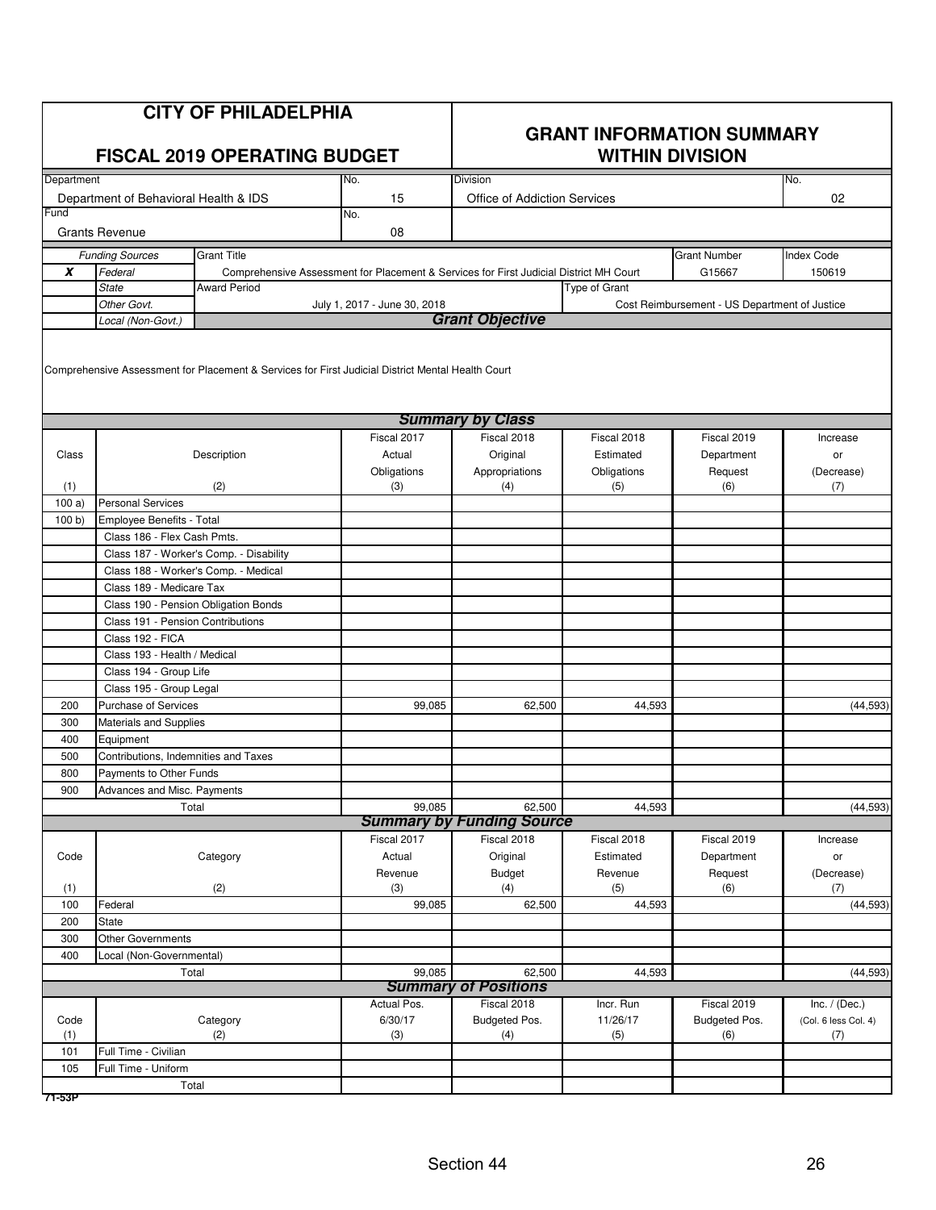|             |                                         | <b>CITY OF PHILADELPHIA</b><br><b>FISCAL 2019 OPERATING BUDGET</b>                                |                                                                                        |                                            | <b>GRANT INFORMATION SUMMARY</b><br><b>WITHIN DIVISION</b> |                                               |                             |
|-------------|-----------------------------------------|---------------------------------------------------------------------------------------------------|----------------------------------------------------------------------------------------|--------------------------------------------|------------------------------------------------------------|-----------------------------------------------|-----------------------------|
| Department  |                                         |                                                                                                   | No.                                                                                    | <b>Division</b>                            |                                                            |                                               | No.                         |
|             | Department of Behavioral Health & IDS   |                                                                                                   | 15                                                                                     | <b>Office of Addiction Services</b>        |                                                            |                                               | 02                          |
| Fund        | <b>Grants Revenue</b>                   |                                                                                                   | No.<br>08                                                                              |                                            |                                                            |                                               |                             |
|             |                                         | <b>Grant Title</b>                                                                                |                                                                                        |                                            |                                                            | <b>Grant Number</b>                           |                             |
| X           | <b>Funding Sources</b><br>Federal       |                                                                                                   | Comprehensive Assessment for Placement & Services for First Judicial District MH Court |                                            |                                                            | G15667                                        | <b>Index Code</b><br>150619 |
|             | <b>State</b>                            | <b>Award Period</b>                                                                               |                                                                                        |                                            | Type of Grant                                              |                                               |                             |
|             | Other Govt.                             |                                                                                                   | July 1, 2017 - June 30, 2018                                                           |                                            |                                                            | Cost Reimbursement - US Department of Justice |                             |
|             | Local (Non-Govt.)                       |                                                                                                   |                                                                                        | <b>Grant Objective</b>                     |                                                            |                                               |                             |
|             |                                         | Comprehensive Assessment for Placement & Services for First Judicial District Mental Health Court |                                                                                        | <b>Summary by Class</b>                    |                                                            |                                               |                             |
|             |                                         |                                                                                                   | Fiscal 2017                                                                            | Fiscal 2018                                | Fiscal 2018                                                | Fiscal 2019                                   | Increase                    |
| Class       |                                         | Description                                                                                       | Actual                                                                                 | Original                                   | Estimated                                                  | Department                                    | or                          |
|             |                                         |                                                                                                   | Obligations                                                                            | Appropriations                             | Obligations                                                | Request                                       | (Decrease)                  |
| (1)         |                                         | (2)                                                                                               | (3)                                                                                    | (4)                                        | (5)                                                        | (6)                                           | (7)                         |
| 100a)       | <b>Personal Services</b>                |                                                                                                   |                                                                                        |                                            |                                                            |                                               |                             |
| 100 b       | Employee Benefits - Total               |                                                                                                   |                                                                                        |                                            |                                                            |                                               |                             |
|             | Class 186 - Flex Cash Pmts.             |                                                                                                   |                                                                                        |                                            |                                                            |                                               |                             |
|             | Class 187 - Worker's Comp. - Disability |                                                                                                   |                                                                                        |                                            |                                                            |                                               |                             |
|             | Class 188 - Worker's Comp. - Medical    |                                                                                                   |                                                                                        |                                            |                                                            |                                               |                             |
|             | Class 189 - Medicare Tax                |                                                                                                   |                                                                                        |                                            |                                                            |                                               |                             |
|             | Class 190 - Pension Obligation Bonds    |                                                                                                   |                                                                                        |                                            |                                                            |                                               |                             |
|             | Class 191 - Pension Contributions       |                                                                                                   |                                                                                        |                                            |                                                            |                                               |                             |
|             | Class 192 - FICA                        |                                                                                                   |                                                                                        |                                            |                                                            |                                               |                             |
|             | Class 193 - Health / Medical            |                                                                                                   |                                                                                        |                                            |                                                            |                                               |                             |
|             | Class 194 - Group Life                  |                                                                                                   |                                                                                        |                                            |                                                            |                                               |                             |
|             | Class 195 - Group Legal                 |                                                                                                   |                                                                                        |                                            |                                                            |                                               |                             |
| 200         | <b>Purchase of Services</b>             |                                                                                                   | 99,085                                                                                 | 62,500                                     | 44,593                                                     |                                               | (44, 593)                   |
| 300         | Materials and Supplies                  |                                                                                                   |                                                                                        |                                            |                                                            |                                               |                             |
| 400         | Equipment                               |                                                                                                   |                                                                                        |                                            |                                                            |                                               |                             |
| 500         | Contributions, Indemnities and Taxes    |                                                                                                   |                                                                                        |                                            |                                                            |                                               |                             |
| 800         | Payments to Other Funds                 |                                                                                                   |                                                                                        |                                            |                                                            |                                               |                             |
| 900         | Advances and Misc. Payments             |                                                                                                   | 99,085                                                                                 |                                            |                                                            |                                               |                             |
|             | Total                                   |                                                                                                   |                                                                                        | 62,500<br><b>Summary by Funding Source</b> | 44,593                                                     |                                               | (44, 593)                   |
|             |                                         |                                                                                                   | Fiscal 2017                                                                            | Fiscal 2018                                | Fiscal 2018                                                | Fiscal 2019                                   | Increase                    |
| Code        |                                         | Category                                                                                          | Actual                                                                                 | Original                                   | Estimated                                                  | Department                                    | or                          |
|             |                                         |                                                                                                   | Revenue                                                                                | <b>Budget</b>                              | Revenue                                                    | Request                                       | (Decrease)                  |
| (1)         |                                         | (2)                                                                                               | (3)                                                                                    | (4)                                        | (5)                                                        | (6)                                           | (7)                         |
| 100         | Federal                                 |                                                                                                   | 99,085                                                                                 | 62,500                                     | 44,593                                                     |                                               | (44, 593)                   |
| 200         | State                                   |                                                                                                   |                                                                                        |                                            |                                                            |                                               |                             |
| 300         | Other Governments                       |                                                                                                   |                                                                                        |                                            |                                                            |                                               |                             |
| 400         | Local (Non-Governmental)                |                                                                                                   |                                                                                        |                                            |                                                            |                                               |                             |
|             | Total                                   |                                                                                                   | 99,085                                                                                 | 62,500                                     | 44,593                                                     |                                               | (44, 593)                   |
|             |                                         |                                                                                                   |                                                                                        | <b>Summary of Positions</b>                |                                                            |                                               |                             |
|             |                                         |                                                                                                   | Actual Pos.                                                                            | Fiscal 2018                                | Incr. Run                                                  | Fiscal 2019                                   | Inc. $/$ (Dec.)             |
| Code<br>(1) |                                         | Category<br>(2)                                                                                   | 6/30/17<br>(3)                                                                         | Budgeted Pos.<br>(4)                       | 11/26/17<br>(5)                                            | Budgeted Pos.<br>(6)                          | (Col. 6 less Col. 4)<br>(7) |
| 101         | Full Time - Civilian                    |                                                                                                   |                                                                                        |                                            |                                                            |                                               |                             |
| 105         | Full Time - Uniform                     |                                                                                                   |                                                                                        |                                            |                                                            |                                               |                             |
|             | Total                                   |                                                                                                   |                                                                                        |                                            |                                                            |                                               |                             |
| 71-53P      |                                         |                                                                                                   |                                                                                        |                                            |                                                            |                                               |                             |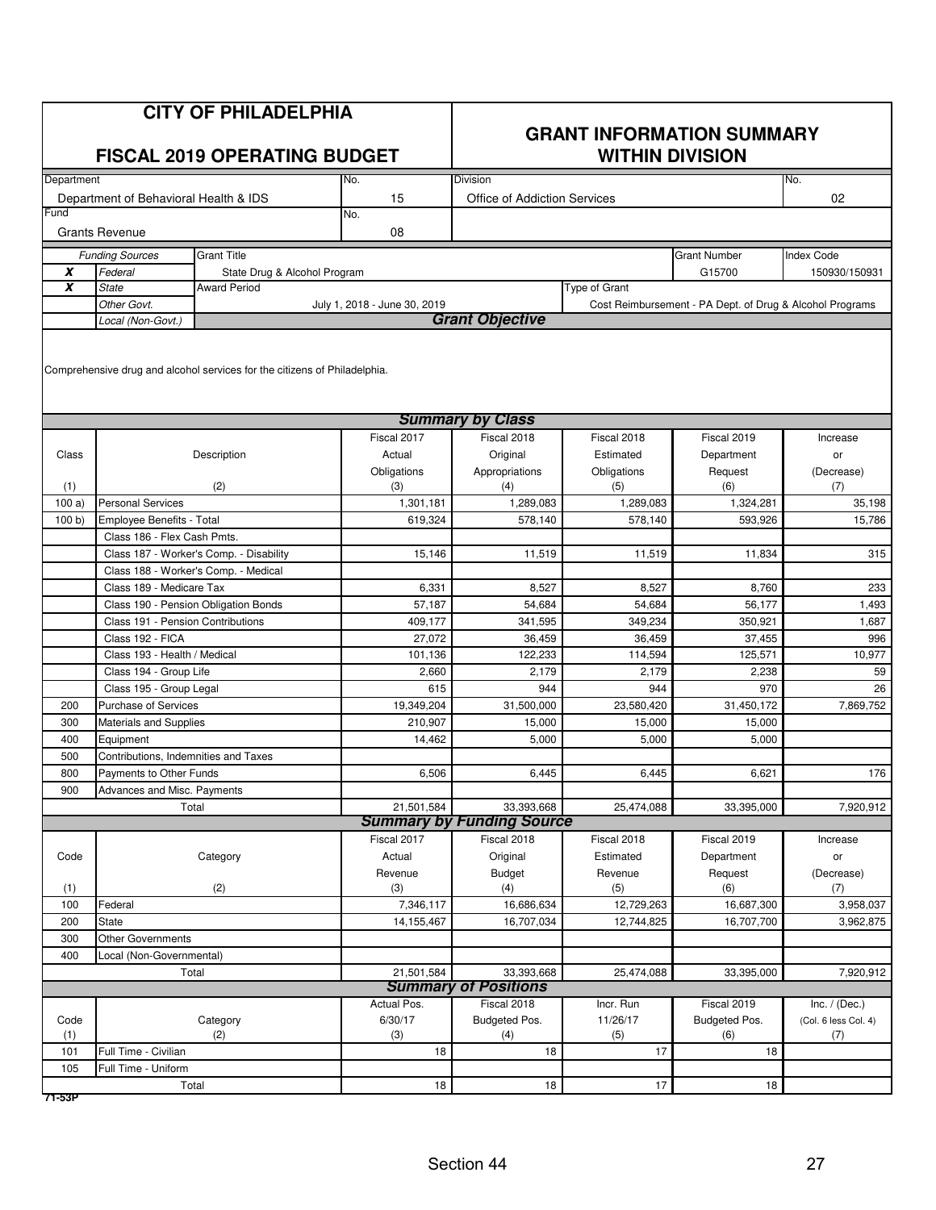|             | <b>CITY OF PHILADELPHIA</b><br><b>FISCAL 2019 OPERATING BUDGET</b><br>Department<br>No.                                  |                                         |                              |                                     | <b>GRANT INFORMATION SUMMARY</b><br><b>WITHIN DIVISION</b> |                                                          |                      |  |  |  |  |
|-------------|--------------------------------------------------------------------------------------------------------------------------|-----------------------------------------|------------------------------|-------------------------------------|------------------------------------------------------------|----------------------------------------------------------|----------------------|--|--|--|--|
|             |                                                                                                                          |                                         |                              | Division                            |                                                            |                                                          | No.                  |  |  |  |  |
|             | Department of Behavioral Health & IDS                                                                                    |                                         | 15                           | <b>Office of Addiction Services</b> |                                                            |                                                          | 02                   |  |  |  |  |
| Fund        |                                                                                                                          |                                         | No.                          |                                     |                                                            |                                                          |                      |  |  |  |  |
|             | <b>Grants Revenue</b>                                                                                                    |                                         | 08                           |                                     |                                                            |                                                          |                      |  |  |  |  |
|             | <b>Funding Sources</b>                                                                                                   | <b>Grant Title</b>                      |                              |                                     |                                                            | <b>Grant Number</b>                                      | <b>Index Code</b>    |  |  |  |  |
| X           | Federal                                                                                                                  | State Drug & Alcohol Program            |                              |                                     |                                                            | G15700                                                   | 150930/150931        |  |  |  |  |
| X           | <b>State</b>                                                                                                             | <b>Award Period</b>                     |                              |                                     | Type of Grant                                              |                                                          |                      |  |  |  |  |
|             | Other Govt.                                                                                                              |                                         | July 1, 2018 - June 30, 2019 |                                     |                                                            | Cost Reimbursement - PA Dept. of Drug & Alcohol Programs |                      |  |  |  |  |
|             | <b>Grant Objective</b><br>Local (Non-Govt.)<br>Comprehensive drug and alcohol services for the citizens of Philadelphia. |                                         |                              |                                     |                                                            |                                                          |                      |  |  |  |  |
|             |                                                                                                                          |                                         |                              |                                     |                                                            |                                                          |                      |  |  |  |  |
|             |                                                                                                                          |                                         |                              | <b>Summary by Class</b>             |                                                            |                                                          |                      |  |  |  |  |
|             |                                                                                                                          |                                         | Fiscal 2017                  | Fiscal 2018                         | Fiscal 2018                                                | Fiscal 2019                                              | Increase             |  |  |  |  |
| Class       |                                                                                                                          | Description                             | Actual                       | Original                            | Estimated                                                  | Department                                               | or                   |  |  |  |  |
|             |                                                                                                                          |                                         | Obligations                  | Appropriations                      | Obligations                                                | Request                                                  | (Decrease)           |  |  |  |  |
| (1)<br>100a | <b>Personal Services</b>                                                                                                 | (2)                                     | (3)<br>1,301,181             | (4)<br>1,289,083                    | (5)<br>1,289,083                                           | (6)<br>1.324.281                                         | (7)<br>35,198        |  |  |  |  |
| 100 b       | Employee Benefits - Total                                                                                                |                                         | 619,324                      | 578,140                             | 578,140                                                    | 593,926                                                  | 15,786               |  |  |  |  |
|             | Class 186 - Flex Cash Pmts.                                                                                              |                                         |                              |                                     |                                                            |                                                          |                      |  |  |  |  |
|             |                                                                                                                          | Class 187 - Worker's Comp. - Disability | 15,146                       | 11,519                              | 11,519                                                     | 11,834                                                   | 315                  |  |  |  |  |
|             | Class 188 - Worker's Comp. - Medical                                                                                     |                                         |                              |                                     |                                                            |                                                          |                      |  |  |  |  |
|             | Class 189 - Medicare Tax                                                                                                 |                                         | 6,331                        | 8,527                               | 8,527                                                      | 8,760                                                    | 233                  |  |  |  |  |
|             | Class 190 - Pension Obligation Bonds                                                                                     |                                         | 57,187                       | 54,684                              | 54,684                                                     | 56,177                                                   | 1,493                |  |  |  |  |
|             | Class 191 - Pension Contributions                                                                                        |                                         | 409,177                      | 341,595                             | 349,234                                                    | 350,921                                                  | 1,687                |  |  |  |  |
|             | Class 192 - FICA                                                                                                         |                                         | 27,072                       | 36,459                              | 36,459                                                     | 37,455                                                   | 996                  |  |  |  |  |
|             | Class 193 - Health / Medical                                                                                             |                                         | 101,136                      | 122,233                             | 114,594                                                    | 125,571                                                  | 10,977               |  |  |  |  |
|             | Class 194 - Group Life                                                                                                   |                                         | 2,660                        | 2,179                               | 2,179                                                      | 2,238                                                    | 59                   |  |  |  |  |
|             | Class 195 - Group Legal                                                                                                  |                                         | 615                          | 944                                 | 944                                                        | 970                                                      | 26                   |  |  |  |  |
| 200         | <b>Purchase of Services</b>                                                                                              |                                         | 19,349,204                   | 31,500,000                          | 23,580,420                                                 | 31,450,172                                               | 7.869.752            |  |  |  |  |
| 300         | Materials and Supplies                                                                                                   |                                         | 210,907                      | 15,000                              | 15,000                                                     | 15,000                                                   |                      |  |  |  |  |
| 400         | Equipment                                                                                                                |                                         | 14,462                       | 5,000                               | 5,000                                                      | 5,000                                                    |                      |  |  |  |  |
| 500         | Contributions, Indemnities and Taxes                                                                                     |                                         |                              |                                     |                                                            |                                                          |                      |  |  |  |  |
| 800         | Payments to Other Funds                                                                                                  |                                         | 6,506                        | 6,445                               | 6,445                                                      | 6,621                                                    | 176                  |  |  |  |  |
| 900         | Advances and Misc. Payments                                                                                              |                                         |                              |                                     |                                                            |                                                          |                      |  |  |  |  |
|             | Total                                                                                                                    |                                         | 21,501,584                   | 33,393,668                          | 25,474,088                                                 | 33,395,000                                               | 7,920,912            |  |  |  |  |
|             |                                                                                                                          |                                         |                              | <b>Summary by Funding Source</b>    |                                                            |                                                          |                      |  |  |  |  |
|             |                                                                                                                          |                                         | Fiscal 2017                  | Fiscal 2018                         | Fiscal 2018                                                | Fiscal 2019                                              | Increase             |  |  |  |  |
| Code        |                                                                                                                          | Category                                | Actual                       | Original                            | Estimated                                                  | Department                                               | or                   |  |  |  |  |
| (1)         |                                                                                                                          | (2)                                     | Revenue<br>(3)               | <b>Budget</b><br>(4)                | Revenue<br>(5)                                             | Request<br>(6)                                           | (Decrease)<br>(7)    |  |  |  |  |
| 100         | Federal                                                                                                                  |                                         | 7,346,117                    | 16,686,634                          | 12,729,263                                                 | 16,687,300                                               | 3,958,037            |  |  |  |  |
| 200         | State                                                                                                                    |                                         | 14, 155, 467                 | 16,707,034                          | 12,744,825                                                 | 16,707,700                                               | 3,962,875            |  |  |  |  |
| 300         | Other Governments                                                                                                        |                                         |                              |                                     |                                                            |                                                          |                      |  |  |  |  |
| 400         | Local (Non-Governmental)                                                                                                 |                                         |                              |                                     |                                                            |                                                          |                      |  |  |  |  |
|             | Total                                                                                                                    |                                         | 21,501,584                   | 33,393,668                          | 25,474,088                                                 | 33,395,000                                               | 7,920,912            |  |  |  |  |
|             |                                                                                                                          |                                         |                              | <b>Summary of Positions</b>         |                                                            |                                                          |                      |  |  |  |  |
|             |                                                                                                                          |                                         | Actual Pos.                  | Fiscal 2018                         | Incr. Run                                                  | Fiscal 2019                                              | Inc. $/$ (Dec.)      |  |  |  |  |
| Code        |                                                                                                                          | Category                                | 6/30/17                      | Budgeted Pos.                       | 11/26/17                                                   | Budgeted Pos.                                            | (Col. 6 less Col. 4) |  |  |  |  |
| (1)         |                                                                                                                          | (2)                                     | (3)                          | (4)                                 | (5)                                                        | (6)                                                      | (7)                  |  |  |  |  |
| 101         | Full Time - Civilian                                                                                                     |                                         | 18                           | 18                                  | 17                                                         | 18                                                       |                      |  |  |  |  |
| 105         | Full Time - Uniform                                                                                                      |                                         |                              |                                     |                                                            |                                                          |                      |  |  |  |  |
| 71-53P      | Total                                                                                                                    |                                         | 18                           | 18                                  | 17                                                         | 18                                                       |                      |  |  |  |  |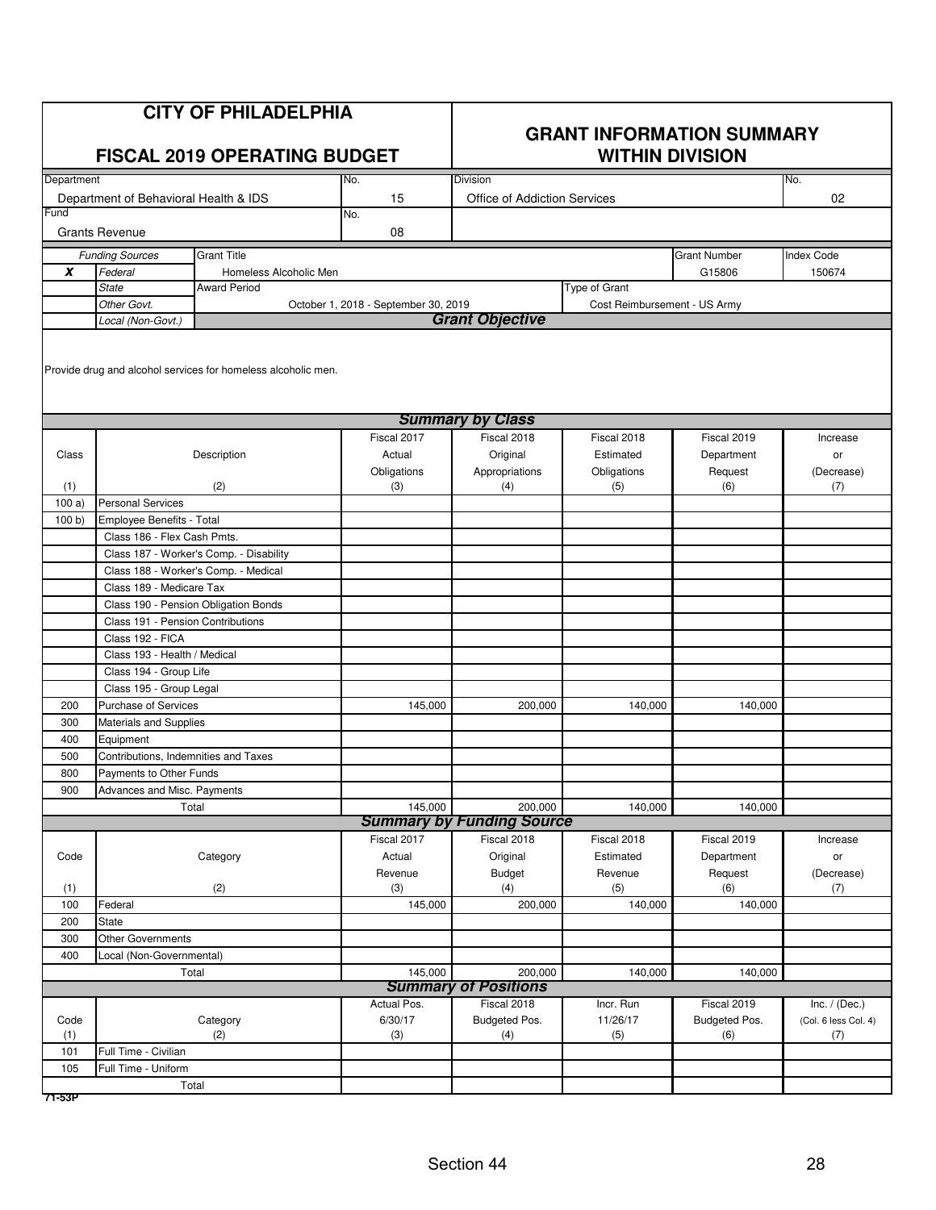| <b>Division</b><br>No.<br>Department<br>No.<br>15<br>02<br>Department of Behavioral Health & IDS<br><b>Office of Addiction Services</b><br>Fund<br>No.<br><b>Grants Revenue</b><br>08<br><b>Grant Title</b><br><b>Grant Number</b><br><b>Index Code</b><br><b>Funding Sources</b><br>X<br>Federal<br>G15806<br>150674<br>Homeless Alcoholic Men<br><b>State</b><br>Type of Grant<br><b>Award Period</b><br>Other Govt.<br>October 1, 2018 - September 30, 2019<br>Cost Reimbursement - US Army<br><b>Grant Objective</b><br>Local (Non-Govt.)<br>Provide drug and alcohol services for homeless alcoholic men.<br><b>Summary by Class</b><br>Fiscal 2017<br>Fiscal 2018<br>Fiscal 2018<br>Fiscal 2019<br>Increase<br>Class<br>Description<br>Actual<br>Original<br>Estimated<br>Department<br>or<br>Obligations<br>Appropriations<br>Obligations<br>Request<br>(Decrease)<br>(2)<br>(6)<br>(1)<br>(3)<br>(4)<br>(5)<br>(7)<br><b>Personal Services</b><br>100a<br>Employee Benefits - Total<br>100 b)<br>Class 186 - Flex Cash Pmts.<br>Class 187 - Worker's Comp. - Disability<br>Class 188 - Worker's Comp. - Medical<br>Class 189 - Medicare Tax<br>Class 190 - Pension Obligation Bonds<br>Class 191 - Pension Contributions<br>Class 192 - FICA<br>Class 193 - Health / Medical<br>Class 194 - Group Life<br>Class 195 - Group Legal<br><b>Purchase of Services</b><br>200<br>145,000<br>200,000<br>140,000<br>140,000<br>300<br>Materials and Supplies<br>400<br>Equipment<br>Contributions, Indemnities and Taxes<br>500<br>800<br>Payments to Other Funds<br>900<br>Advances and Misc. Payments<br>145,000<br>200,000<br>140,000<br>Total<br>140,000<br><b>Summary by Funding Source</b><br>Fiscal 2018<br>Fiscal 2017<br>Fiscal 2018<br>Fiscal 2019<br>Increase<br>Code<br>Actual<br>Original<br>Estimated<br>Department<br>Category<br>or<br>Revenue<br><b>Budget</b><br>Revenue<br>Request<br>(Decrease)<br>(2)<br>(4)<br>(5)<br>(6)<br>(1)<br>(3)<br>(7)<br>Federal<br>145,000<br>200,000<br>140,000<br>140,000<br>100<br>200<br>State<br>300<br><b>Other Governments</b><br>400<br>Local (Non-Governmental)<br>200,000<br>145,000<br>140,000<br>140,000<br>Total<br><b>Summary of Positions</b><br>Fiscal 2018<br>Fiscal 2019<br>Inc. $/$ (Dec.)<br>Actual Pos.<br>Incr. Run<br>6/30/17<br>Budgeted Pos.<br>Code<br>Category<br>11/26/17<br>Budgeted Pos.<br>(Col. 6 less Col. 4)<br>(2)<br>(3)<br>(5)<br>(1)<br>(6)<br>(7)<br>(4)<br>Full Time - Civilian<br>101<br>105<br>Full Time - Uniform<br>Total<br>71-53P | <b>CITY OF PHILADELPHIA</b><br><b>FISCAL 2019 OPERATING BUDGET</b> |  |  |  | <b>GRANT INFORMATION SUMMARY</b><br><b>WITHIN DIVISION</b> |  |  |  |  |  |
|---------------------------------------------------------------------------------------------------------------------------------------------------------------------------------------------------------------------------------------------------------------------------------------------------------------------------------------------------------------------------------------------------------------------------------------------------------------------------------------------------------------------------------------------------------------------------------------------------------------------------------------------------------------------------------------------------------------------------------------------------------------------------------------------------------------------------------------------------------------------------------------------------------------------------------------------------------------------------------------------------------------------------------------------------------------------------------------------------------------------------------------------------------------------------------------------------------------------------------------------------------------------------------------------------------------------------------------------------------------------------------------------------------------------------------------------------------------------------------------------------------------------------------------------------------------------------------------------------------------------------------------------------------------------------------------------------------------------------------------------------------------------------------------------------------------------------------------------------------------------------------------------------------------------------------------------------------------------------------------------------------------------------------------------------------------------------------------------------------------------------------------------------------------------------------------------------------------------------------------------------------------------------------------------------------------------------------------------------------------------------------------------------------------------------------------------------------------------------------------------------------------------------------|--------------------------------------------------------------------|--|--|--|------------------------------------------------------------|--|--|--|--|--|
|                                                                                                                                                                                                                                                                                                                                                                                                                                                                                                                                                                                                                                                                                                                                                                                                                                                                                                                                                                                                                                                                                                                                                                                                                                                                                                                                                                                                                                                                                                                                                                                                                                                                                                                                                                                                                                                                                                                                                                                                                                                                                                                                                                                                                                                                                                                                                                                                                                                                                                                                 |                                                                    |  |  |  |                                                            |  |  |  |  |  |
|                                                                                                                                                                                                                                                                                                                                                                                                                                                                                                                                                                                                                                                                                                                                                                                                                                                                                                                                                                                                                                                                                                                                                                                                                                                                                                                                                                                                                                                                                                                                                                                                                                                                                                                                                                                                                                                                                                                                                                                                                                                                                                                                                                                                                                                                                                                                                                                                                                                                                                                                 |                                                                    |  |  |  |                                                            |  |  |  |  |  |
|                                                                                                                                                                                                                                                                                                                                                                                                                                                                                                                                                                                                                                                                                                                                                                                                                                                                                                                                                                                                                                                                                                                                                                                                                                                                                                                                                                                                                                                                                                                                                                                                                                                                                                                                                                                                                                                                                                                                                                                                                                                                                                                                                                                                                                                                                                                                                                                                                                                                                                                                 |                                                                    |  |  |  |                                                            |  |  |  |  |  |
|                                                                                                                                                                                                                                                                                                                                                                                                                                                                                                                                                                                                                                                                                                                                                                                                                                                                                                                                                                                                                                                                                                                                                                                                                                                                                                                                                                                                                                                                                                                                                                                                                                                                                                                                                                                                                                                                                                                                                                                                                                                                                                                                                                                                                                                                                                                                                                                                                                                                                                                                 |                                                                    |  |  |  |                                                            |  |  |  |  |  |
|                                                                                                                                                                                                                                                                                                                                                                                                                                                                                                                                                                                                                                                                                                                                                                                                                                                                                                                                                                                                                                                                                                                                                                                                                                                                                                                                                                                                                                                                                                                                                                                                                                                                                                                                                                                                                                                                                                                                                                                                                                                                                                                                                                                                                                                                                                                                                                                                                                                                                                                                 |                                                                    |  |  |  |                                                            |  |  |  |  |  |
|                                                                                                                                                                                                                                                                                                                                                                                                                                                                                                                                                                                                                                                                                                                                                                                                                                                                                                                                                                                                                                                                                                                                                                                                                                                                                                                                                                                                                                                                                                                                                                                                                                                                                                                                                                                                                                                                                                                                                                                                                                                                                                                                                                                                                                                                                                                                                                                                                                                                                                                                 |                                                                    |  |  |  |                                                            |  |  |  |  |  |
|                                                                                                                                                                                                                                                                                                                                                                                                                                                                                                                                                                                                                                                                                                                                                                                                                                                                                                                                                                                                                                                                                                                                                                                                                                                                                                                                                                                                                                                                                                                                                                                                                                                                                                                                                                                                                                                                                                                                                                                                                                                                                                                                                                                                                                                                                                                                                                                                                                                                                                                                 |                                                                    |  |  |  |                                                            |  |  |  |  |  |
|                                                                                                                                                                                                                                                                                                                                                                                                                                                                                                                                                                                                                                                                                                                                                                                                                                                                                                                                                                                                                                                                                                                                                                                                                                                                                                                                                                                                                                                                                                                                                                                                                                                                                                                                                                                                                                                                                                                                                                                                                                                                                                                                                                                                                                                                                                                                                                                                                                                                                                                                 |                                                                    |  |  |  |                                                            |  |  |  |  |  |
|                                                                                                                                                                                                                                                                                                                                                                                                                                                                                                                                                                                                                                                                                                                                                                                                                                                                                                                                                                                                                                                                                                                                                                                                                                                                                                                                                                                                                                                                                                                                                                                                                                                                                                                                                                                                                                                                                                                                                                                                                                                                                                                                                                                                                                                                                                                                                                                                                                                                                                                                 |                                                                    |  |  |  |                                                            |  |  |  |  |  |
|                                                                                                                                                                                                                                                                                                                                                                                                                                                                                                                                                                                                                                                                                                                                                                                                                                                                                                                                                                                                                                                                                                                                                                                                                                                                                                                                                                                                                                                                                                                                                                                                                                                                                                                                                                                                                                                                                                                                                                                                                                                                                                                                                                                                                                                                                                                                                                                                                                                                                                                                 |                                                                    |  |  |  |                                                            |  |  |  |  |  |
|                                                                                                                                                                                                                                                                                                                                                                                                                                                                                                                                                                                                                                                                                                                                                                                                                                                                                                                                                                                                                                                                                                                                                                                                                                                                                                                                                                                                                                                                                                                                                                                                                                                                                                                                                                                                                                                                                                                                                                                                                                                                                                                                                                                                                                                                                                                                                                                                                                                                                                                                 |                                                                    |  |  |  |                                                            |  |  |  |  |  |
|                                                                                                                                                                                                                                                                                                                                                                                                                                                                                                                                                                                                                                                                                                                                                                                                                                                                                                                                                                                                                                                                                                                                                                                                                                                                                                                                                                                                                                                                                                                                                                                                                                                                                                                                                                                                                                                                                                                                                                                                                                                                                                                                                                                                                                                                                                                                                                                                                                                                                                                                 |                                                                    |  |  |  |                                                            |  |  |  |  |  |
|                                                                                                                                                                                                                                                                                                                                                                                                                                                                                                                                                                                                                                                                                                                                                                                                                                                                                                                                                                                                                                                                                                                                                                                                                                                                                                                                                                                                                                                                                                                                                                                                                                                                                                                                                                                                                                                                                                                                                                                                                                                                                                                                                                                                                                                                                                                                                                                                                                                                                                                                 |                                                                    |  |  |  |                                                            |  |  |  |  |  |
|                                                                                                                                                                                                                                                                                                                                                                                                                                                                                                                                                                                                                                                                                                                                                                                                                                                                                                                                                                                                                                                                                                                                                                                                                                                                                                                                                                                                                                                                                                                                                                                                                                                                                                                                                                                                                                                                                                                                                                                                                                                                                                                                                                                                                                                                                                                                                                                                                                                                                                                                 |                                                                    |  |  |  |                                                            |  |  |  |  |  |
|                                                                                                                                                                                                                                                                                                                                                                                                                                                                                                                                                                                                                                                                                                                                                                                                                                                                                                                                                                                                                                                                                                                                                                                                                                                                                                                                                                                                                                                                                                                                                                                                                                                                                                                                                                                                                                                                                                                                                                                                                                                                                                                                                                                                                                                                                                                                                                                                                                                                                                                                 |                                                                    |  |  |  |                                                            |  |  |  |  |  |
|                                                                                                                                                                                                                                                                                                                                                                                                                                                                                                                                                                                                                                                                                                                                                                                                                                                                                                                                                                                                                                                                                                                                                                                                                                                                                                                                                                                                                                                                                                                                                                                                                                                                                                                                                                                                                                                                                                                                                                                                                                                                                                                                                                                                                                                                                                                                                                                                                                                                                                                                 |                                                                    |  |  |  |                                                            |  |  |  |  |  |
|                                                                                                                                                                                                                                                                                                                                                                                                                                                                                                                                                                                                                                                                                                                                                                                                                                                                                                                                                                                                                                                                                                                                                                                                                                                                                                                                                                                                                                                                                                                                                                                                                                                                                                                                                                                                                                                                                                                                                                                                                                                                                                                                                                                                                                                                                                                                                                                                                                                                                                                                 |                                                                    |  |  |  |                                                            |  |  |  |  |  |
|                                                                                                                                                                                                                                                                                                                                                                                                                                                                                                                                                                                                                                                                                                                                                                                                                                                                                                                                                                                                                                                                                                                                                                                                                                                                                                                                                                                                                                                                                                                                                                                                                                                                                                                                                                                                                                                                                                                                                                                                                                                                                                                                                                                                                                                                                                                                                                                                                                                                                                                                 |                                                                    |  |  |  |                                                            |  |  |  |  |  |
|                                                                                                                                                                                                                                                                                                                                                                                                                                                                                                                                                                                                                                                                                                                                                                                                                                                                                                                                                                                                                                                                                                                                                                                                                                                                                                                                                                                                                                                                                                                                                                                                                                                                                                                                                                                                                                                                                                                                                                                                                                                                                                                                                                                                                                                                                                                                                                                                                                                                                                                                 |                                                                    |  |  |  |                                                            |  |  |  |  |  |
|                                                                                                                                                                                                                                                                                                                                                                                                                                                                                                                                                                                                                                                                                                                                                                                                                                                                                                                                                                                                                                                                                                                                                                                                                                                                                                                                                                                                                                                                                                                                                                                                                                                                                                                                                                                                                                                                                                                                                                                                                                                                                                                                                                                                                                                                                                                                                                                                                                                                                                                                 |                                                                    |  |  |  |                                                            |  |  |  |  |  |
|                                                                                                                                                                                                                                                                                                                                                                                                                                                                                                                                                                                                                                                                                                                                                                                                                                                                                                                                                                                                                                                                                                                                                                                                                                                                                                                                                                                                                                                                                                                                                                                                                                                                                                                                                                                                                                                                                                                                                                                                                                                                                                                                                                                                                                                                                                                                                                                                                                                                                                                                 |                                                                    |  |  |  |                                                            |  |  |  |  |  |
|                                                                                                                                                                                                                                                                                                                                                                                                                                                                                                                                                                                                                                                                                                                                                                                                                                                                                                                                                                                                                                                                                                                                                                                                                                                                                                                                                                                                                                                                                                                                                                                                                                                                                                                                                                                                                                                                                                                                                                                                                                                                                                                                                                                                                                                                                                                                                                                                                                                                                                                                 |                                                                    |  |  |  |                                                            |  |  |  |  |  |
|                                                                                                                                                                                                                                                                                                                                                                                                                                                                                                                                                                                                                                                                                                                                                                                                                                                                                                                                                                                                                                                                                                                                                                                                                                                                                                                                                                                                                                                                                                                                                                                                                                                                                                                                                                                                                                                                                                                                                                                                                                                                                                                                                                                                                                                                                                                                                                                                                                                                                                                                 |                                                                    |  |  |  |                                                            |  |  |  |  |  |
|                                                                                                                                                                                                                                                                                                                                                                                                                                                                                                                                                                                                                                                                                                                                                                                                                                                                                                                                                                                                                                                                                                                                                                                                                                                                                                                                                                                                                                                                                                                                                                                                                                                                                                                                                                                                                                                                                                                                                                                                                                                                                                                                                                                                                                                                                                                                                                                                                                                                                                                                 |                                                                    |  |  |  |                                                            |  |  |  |  |  |
|                                                                                                                                                                                                                                                                                                                                                                                                                                                                                                                                                                                                                                                                                                                                                                                                                                                                                                                                                                                                                                                                                                                                                                                                                                                                                                                                                                                                                                                                                                                                                                                                                                                                                                                                                                                                                                                                                                                                                                                                                                                                                                                                                                                                                                                                                                                                                                                                                                                                                                                                 |                                                                    |  |  |  |                                                            |  |  |  |  |  |
|                                                                                                                                                                                                                                                                                                                                                                                                                                                                                                                                                                                                                                                                                                                                                                                                                                                                                                                                                                                                                                                                                                                                                                                                                                                                                                                                                                                                                                                                                                                                                                                                                                                                                                                                                                                                                                                                                                                                                                                                                                                                                                                                                                                                                                                                                                                                                                                                                                                                                                                                 |                                                                    |  |  |  |                                                            |  |  |  |  |  |
|                                                                                                                                                                                                                                                                                                                                                                                                                                                                                                                                                                                                                                                                                                                                                                                                                                                                                                                                                                                                                                                                                                                                                                                                                                                                                                                                                                                                                                                                                                                                                                                                                                                                                                                                                                                                                                                                                                                                                                                                                                                                                                                                                                                                                                                                                                                                                                                                                                                                                                                                 |                                                                    |  |  |  |                                                            |  |  |  |  |  |
|                                                                                                                                                                                                                                                                                                                                                                                                                                                                                                                                                                                                                                                                                                                                                                                                                                                                                                                                                                                                                                                                                                                                                                                                                                                                                                                                                                                                                                                                                                                                                                                                                                                                                                                                                                                                                                                                                                                                                                                                                                                                                                                                                                                                                                                                                                                                                                                                                                                                                                                                 |                                                                    |  |  |  |                                                            |  |  |  |  |  |
|                                                                                                                                                                                                                                                                                                                                                                                                                                                                                                                                                                                                                                                                                                                                                                                                                                                                                                                                                                                                                                                                                                                                                                                                                                                                                                                                                                                                                                                                                                                                                                                                                                                                                                                                                                                                                                                                                                                                                                                                                                                                                                                                                                                                                                                                                                                                                                                                                                                                                                                                 |                                                                    |  |  |  |                                                            |  |  |  |  |  |
|                                                                                                                                                                                                                                                                                                                                                                                                                                                                                                                                                                                                                                                                                                                                                                                                                                                                                                                                                                                                                                                                                                                                                                                                                                                                                                                                                                                                                                                                                                                                                                                                                                                                                                                                                                                                                                                                                                                                                                                                                                                                                                                                                                                                                                                                                                                                                                                                                                                                                                                                 |                                                                    |  |  |  |                                                            |  |  |  |  |  |
|                                                                                                                                                                                                                                                                                                                                                                                                                                                                                                                                                                                                                                                                                                                                                                                                                                                                                                                                                                                                                                                                                                                                                                                                                                                                                                                                                                                                                                                                                                                                                                                                                                                                                                                                                                                                                                                                                                                                                                                                                                                                                                                                                                                                                                                                                                                                                                                                                                                                                                                                 |                                                                    |  |  |  |                                                            |  |  |  |  |  |
|                                                                                                                                                                                                                                                                                                                                                                                                                                                                                                                                                                                                                                                                                                                                                                                                                                                                                                                                                                                                                                                                                                                                                                                                                                                                                                                                                                                                                                                                                                                                                                                                                                                                                                                                                                                                                                                                                                                                                                                                                                                                                                                                                                                                                                                                                                                                                                                                                                                                                                                                 |                                                                    |  |  |  |                                                            |  |  |  |  |  |
|                                                                                                                                                                                                                                                                                                                                                                                                                                                                                                                                                                                                                                                                                                                                                                                                                                                                                                                                                                                                                                                                                                                                                                                                                                                                                                                                                                                                                                                                                                                                                                                                                                                                                                                                                                                                                                                                                                                                                                                                                                                                                                                                                                                                                                                                                                                                                                                                                                                                                                                                 |                                                                    |  |  |  |                                                            |  |  |  |  |  |
|                                                                                                                                                                                                                                                                                                                                                                                                                                                                                                                                                                                                                                                                                                                                                                                                                                                                                                                                                                                                                                                                                                                                                                                                                                                                                                                                                                                                                                                                                                                                                                                                                                                                                                                                                                                                                                                                                                                                                                                                                                                                                                                                                                                                                                                                                                                                                                                                                                                                                                                                 |                                                                    |  |  |  |                                                            |  |  |  |  |  |
|                                                                                                                                                                                                                                                                                                                                                                                                                                                                                                                                                                                                                                                                                                                                                                                                                                                                                                                                                                                                                                                                                                                                                                                                                                                                                                                                                                                                                                                                                                                                                                                                                                                                                                                                                                                                                                                                                                                                                                                                                                                                                                                                                                                                                                                                                                                                                                                                                                                                                                                                 |                                                                    |  |  |  |                                                            |  |  |  |  |  |
|                                                                                                                                                                                                                                                                                                                                                                                                                                                                                                                                                                                                                                                                                                                                                                                                                                                                                                                                                                                                                                                                                                                                                                                                                                                                                                                                                                                                                                                                                                                                                                                                                                                                                                                                                                                                                                                                                                                                                                                                                                                                                                                                                                                                                                                                                                                                                                                                                                                                                                                                 |                                                                    |  |  |  |                                                            |  |  |  |  |  |
|                                                                                                                                                                                                                                                                                                                                                                                                                                                                                                                                                                                                                                                                                                                                                                                                                                                                                                                                                                                                                                                                                                                                                                                                                                                                                                                                                                                                                                                                                                                                                                                                                                                                                                                                                                                                                                                                                                                                                                                                                                                                                                                                                                                                                                                                                                                                                                                                                                                                                                                                 |                                                                    |  |  |  |                                                            |  |  |  |  |  |
|                                                                                                                                                                                                                                                                                                                                                                                                                                                                                                                                                                                                                                                                                                                                                                                                                                                                                                                                                                                                                                                                                                                                                                                                                                                                                                                                                                                                                                                                                                                                                                                                                                                                                                                                                                                                                                                                                                                                                                                                                                                                                                                                                                                                                                                                                                                                                                                                                                                                                                                                 |                                                                    |  |  |  |                                                            |  |  |  |  |  |
|                                                                                                                                                                                                                                                                                                                                                                                                                                                                                                                                                                                                                                                                                                                                                                                                                                                                                                                                                                                                                                                                                                                                                                                                                                                                                                                                                                                                                                                                                                                                                                                                                                                                                                                                                                                                                                                                                                                                                                                                                                                                                                                                                                                                                                                                                                                                                                                                                                                                                                                                 |                                                                    |  |  |  |                                                            |  |  |  |  |  |
|                                                                                                                                                                                                                                                                                                                                                                                                                                                                                                                                                                                                                                                                                                                                                                                                                                                                                                                                                                                                                                                                                                                                                                                                                                                                                                                                                                                                                                                                                                                                                                                                                                                                                                                                                                                                                                                                                                                                                                                                                                                                                                                                                                                                                                                                                                                                                                                                                                                                                                                                 |                                                                    |  |  |  |                                                            |  |  |  |  |  |
|                                                                                                                                                                                                                                                                                                                                                                                                                                                                                                                                                                                                                                                                                                                                                                                                                                                                                                                                                                                                                                                                                                                                                                                                                                                                                                                                                                                                                                                                                                                                                                                                                                                                                                                                                                                                                                                                                                                                                                                                                                                                                                                                                                                                                                                                                                                                                                                                                                                                                                                                 |                                                                    |  |  |  |                                                            |  |  |  |  |  |
|                                                                                                                                                                                                                                                                                                                                                                                                                                                                                                                                                                                                                                                                                                                                                                                                                                                                                                                                                                                                                                                                                                                                                                                                                                                                                                                                                                                                                                                                                                                                                                                                                                                                                                                                                                                                                                                                                                                                                                                                                                                                                                                                                                                                                                                                                                                                                                                                                                                                                                                                 |                                                                    |  |  |  |                                                            |  |  |  |  |  |
|                                                                                                                                                                                                                                                                                                                                                                                                                                                                                                                                                                                                                                                                                                                                                                                                                                                                                                                                                                                                                                                                                                                                                                                                                                                                                                                                                                                                                                                                                                                                                                                                                                                                                                                                                                                                                                                                                                                                                                                                                                                                                                                                                                                                                                                                                                                                                                                                                                                                                                                                 |                                                                    |  |  |  |                                                            |  |  |  |  |  |
|                                                                                                                                                                                                                                                                                                                                                                                                                                                                                                                                                                                                                                                                                                                                                                                                                                                                                                                                                                                                                                                                                                                                                                                                                                                                                                                                                                                                                                                                                                                                                                                                                                                                                                                                                                                                                                                                                                                                                                                                                                                                                                                                                                                                                                                                                                                                                                                                                                                                                                                                 |                                                                    |  |  |  |                                                            |  |  |  |  |  |
|                                                                                                                                                                                                                                                                                                                                                                                                                                                                                                                                                                                                                                                                                                                                                                                                                                                                                                                                                                                                                                                                                                                                                                                                                                                                                                                                                                                                                                                                                                                                                                                                                                                                                                                                                                                                                                                                                                                                                                                                                                                                                                                                                                                                                                                                                                                                                                                                                                                                                                                                 |                                                                    |  |  |  |                                                            |  |  |  |  |  |
|                                                                                                                                                                                                                                                                                                                                                                                                                                                                                                                                                                                                                                                                                                                                                                                                                                                                                                                                                                                                                                                                                                                                                                                                                                                                                                                                                                                                                                                                                                                                                                                                                                                                                                                                                                                                                                                                                                                                                                                                                                                                                                                                                                                                                                                                                                                                                                                                                                                                                                                                 |                                                                    |  |  |  |                                                            |  |  |  |  |  |
|                                                                                                                                                                                                                                                                                                                                                                                                                                                                                                                                                                                                                                                                                                                                                                                                                                                                                                                                                                                                                                                                                                                                                                                                                                                                                                                                                                                                                                                                                                                                                                                                                                                                                                                                                                                                                                                                                                                                                                                                                                                                                                                                                                                                                                                                                                                                                                                                                                                                                                                                 |                                                                    |  |  |  |                                                            |  |  |  |  |  |
|                                                                                                                                                                                                                                                                                                                                                                                                                                                                                                                                                                                                                                                                                                                                                                                                                                                                                                                                                                                                                                                                                                                                                                                                                                                                                                                                                                                                                                                                                                                                                                                                                                                                                                                                                                                                                                                                                                                                                                                                                                                                                                                                                                                                                                                                                                                                                                                                                                                                                                                                 |                                                                    |  |  |  |                                                            |  |  |  |  |  |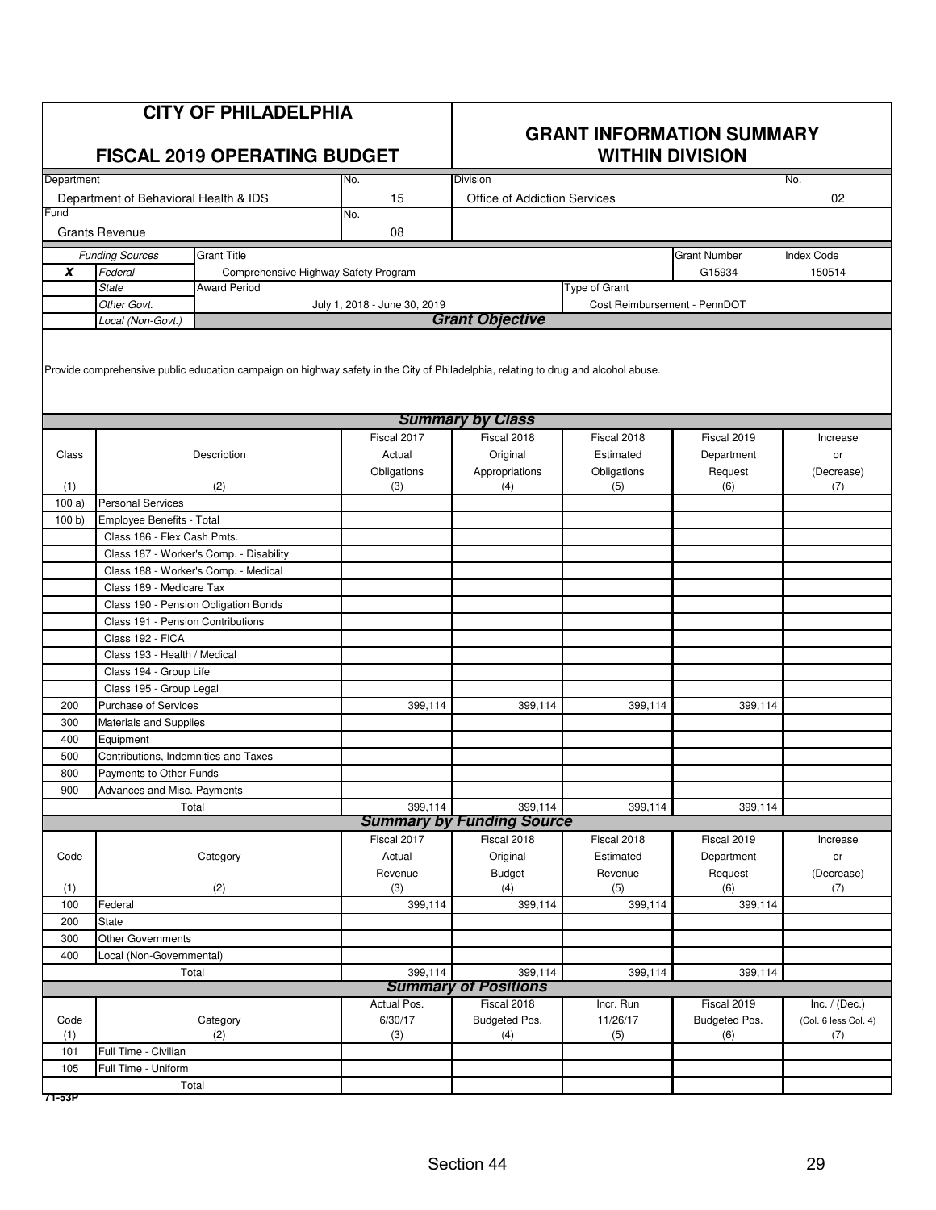|            | <b>CITY OF PHILADELPHIA</b><br><b>FISCAL 2019 OPERATING BUDGET</b><br>No.                                                                                     |                                         |                              | <b>GRANT INFORMATION SUMMARY</b><br><b>WITHIN DIVISION</b> |                              |                     |                      |  |  |  |
|------------|---------------------------------------------------------------------------------------------------------------------------------------------------------------|-----------------------------------------|------------------------------|------------------------------------------------------------|------------------------------|---------------------|----------------------|--|--|--|
| Department |                                                                                                                                                               |                                         |                              | No.<br>Division                                            |                              |                     |                      |  |  |  |
|            | Department of Behavioral Health & IDS                                                                                                                         |                                         | 15                           | <b>Office of Addiction Services</b>                        |                              |                     | 02                   |  |  |  |
| Fund       |                                                                                                                                                               |                                         | No.                          |                                                            |                              |                     |                      |  |  |  |
|            | <b>Grants Revenue</b>                                                                                                                                         |                                         | 08                           |                                                            |                              |                     |                      |  |  |  |
|            | <b>Funding Sources</b>                                                                                                                                        | <b>Grant Title</b>                      |                              |                                                            |                              | <b>Grant Number</b> | <b>Index Code</b>    |  |  |  |
| X          | Federal                                                                                                                                                       | Comprehensive Highway Safety Program    |                              |                                                            |                              | G15934              | 150514               |  |  |  |
|            | <b>State</b>                                                                                                                                                  | <b>Award Period</b>                     |                              |                                                            | Type of Grant                |                     |                      |  |  |  |
|            | Other Govt.                                                                                                                                                   |                                         | July 1, 2018 - June 30, 2019 |                                                            | Cost Reimbursement - PennDOT |                     |                      |  |  |  |
|            | Local (Non-Govt.)                                                                                                                                             |                                         |                              | <b>Grant Objective</b>                                     |                              |                     |                      |  |  |  |
|            | Provide comprehensive public education campaign on highway safety in the City of Philadelphia, relating to drug and alcohol abuse.<br><b>Summary by Class</b> |                                         |                              |                                                            |                              |                     |                      |  |  |  |
|            |                                                                                                                                                               |                                         |                              |                                                            |                              | Fiscal 2019         |                      |  |  |  |
| Class      |                                                                                                                                                               | Description                             | Fiscal 2017<br>Actual        | Fiscal 2018<br>Original                                    | Fiscal 2018<br>Estimated     | Department          | Increase             |  |  |  |
|            |                                                                                                                                                               |                                         |                              |                                                            |                              |                     | or                   |  |  |  |
|            |                                                                                                                                                               |                                         | Obligations                  | Appropriations                                             | Obligations                  | Request             | (Decrease)           |  |  |  |
| (1)        | <b>Personal Services</b>                                                                                                                                      | (2)                                     | (3)                          | (4)                                                        | (5)                          | (6)                 | (7)                  |  |  |  |
| 100a)      |                                                                                                                                                               |                                         |                              |                                                            |                              |                     |                      |  |  |  |
| 100 b)     | Employee Benefits - Total                                                                                                                                     |                                         |                              |                                                            |                              |                     |                      |  |  |  |
|            | Class 186 - Flex Cash Pmts.                                                                                                                                   |                                         |                              |                                                            |                              |                     |                      |  |  |  |
|            |                                                                                                                                                               | Class 187 - Worker's Comp. - Disability |                              |                                                            |                              |                     |                      |  |  |  |
|            |                                                                                                                                                               | Class 188 - Worker's Comp. - Medical    |                              |                                                            |                              |                     |                      |  |  |  |
|            | Class 189 - Medicare Tax                                                                                                                                      |                                         |                              |                                                            |                              |                     |                      |  |  |  |
|            |                                                                                                                                                               | Class 190 - Pension Obligation Bonds    |                              |                                                            |                              |                     |                      |  |  |  |
|            | Class 191 - Pension Contributions                                                                                                                             |                                         |                              |                                                            |                              |                     |                      |  |  |  |
|            | Class 192 - FICA                                                                                                                                              |                                         |                              |                                                            |                              |                     |                      |  |  |  |
|            | Class 193 - Health / Medical                                                                                                                                  |                                         |                              |                                                            |                              |                     |                      |  |  |  |
|            | Class 194 - Group Life                                                                                                                                        |                                         |                              |                                                            |                              |                     |                      |  |  |  |
|            | Class 195 - Group Legal                                                                                                                                       |                                         |                              |                                                            |                              |                     |                      |  |  |  |
| 200        | <b>Purchase of Services</b>                                                                                                                                   |                                         | 399,114                      | 399,114                                                    | 399.114                      | 399,114             |                      |  |  |  |
| 300        | Materials and Supplies                                                                                                                                        |                                         |                              |                                                            |                              |                     |                      |  |  |  |
| 400        | Equipment                                                                                                                                                     |                                         |                              |                                                            |                              |                     |                      |  |  |  |
| 500        | Contributions. Indemnities and Taxes                                                                                                                          |                                         |                              |                                                            |                              |                     |                      |  |  |  |
| 800        | Payments to Other Funds                                                                                                                                       |                                         |                              |                                                            |                              |                     |                      |  |  |  |
| 900        | Advances and Misc. Payments                                                                                                                                   |                                         |                              |                                                            |                              |                     |                      |  |  |  |
|            |                                                                                                                                                               | Total                                   | 399,114                      | 399.114                                                    | 399,114                      | 399,114             |                      |  |  |  |
|            |                                                                                                                                                               |                                         |                              | <b>Summary by Funding Source</b>                           |                              |                     |                      |  |  |  |
|            |                                                                                                                                                               |                                         | Fiscal 2017                  | Fiscal 2018                                                | Fiscal 2018                  | Fiscal 2019         | Increase             |  |  |  |
| Code       |                                                                                                                                                               | Category                                | Actual                       | Original                                                   | Estimated                    | Department          | or                   |  |  |  |
|            |                                                                                                                                                               |                                         | Revenue                      | <b>Budget</b>                                              | Revenue                      | Request             | (Decrease)           |  |  |  |
| (1)        |                                                                                                                                                               | (2)                                     | (3)                          | (4)                                                        | (5)                          | (6)                 | (7)                  |  |  |  |
| 100        | Federal                                                                                                                                                       |                                         | 399,114                      | 399,114                                                    | 399,114                      | 399,114             |                      |  |  |  |
| 200        | State                                                                                                                                                         |                                         |                              |                                                            |                              |                     |                      |  |  |  |
| 300        | Other Governments                                                                                                                                             |                                         |                              |                                                            |                              |                     |                      |  |  |  |
| 400        | Local (Non-Governmental)                                                                                                                                      |                                         |                              |                                                            |                              |                     |                      |  |  |  |
|            |                                                                                                                                                               | Total                                   | 399,114                      | 399,114                                                    | 399,114                      | 399,114             |                      |  |  |  |
|            |                                                                                                                                                               |                                         |                              | <b>Summary of Positions</b>                                |                              |                     |                      |  |  |  |
|            |                                                                                                                                                               |                                         | Actual Pos.                  | Fiscal 2018                                                | Incr. Run                    | Fiscal 2019         | Inc. $/$ (Dec.)      |  |  |  |
| Code       |                                                                                                                                                               | Category                                | 6/30/17                      | Budgeted Pos.                                              | 11/26/17                     | Budgeted Pos.       | (Col. 6 less Col. 4) |  |  |  |
| (1)        |                                                                                                                                                               | (2)                                     | (3)                          | (4)                                                        | (5)                          | (6)                 | (7)                  |  |  |  |
| 101        | Full Time - Civilian                                                                                                                                          |                                         |                              |                                                            |                              |                     |                      |  |  |  |
| 105        | Full Time - Uniform                                                                                                                                           |                                         |                              |                                                            |                              |                     |                      |  |  |  |
|            |                                                                                                                                                               | Total                                   |                              |                                                            |                              |                     |                      |  |  |  |
| 71-53P     |                                                                                                                                                               |                                         |                              |                                                            |                              |                     |                      |  |  |  |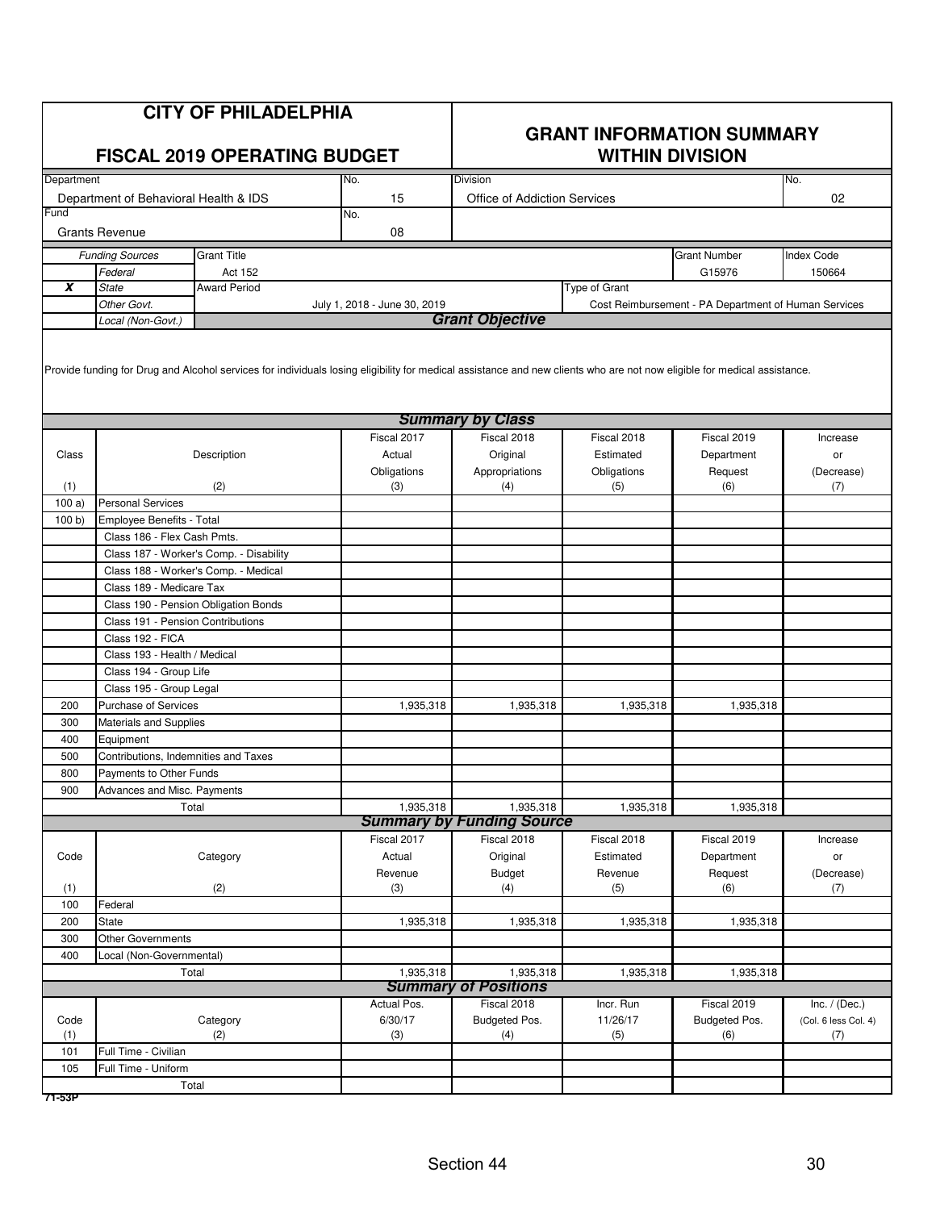|             | <b>CITY OF PHILADELPHIA</b><br><b>FISCAL 2019 OPERATING BUDGET</b><br>Department<br>No.<br>Department of Behavioral Health & IDS                                                                    |                                         |                              |                                     | <b>GRANT INFORMATION SUMMARY</b><br><b>WITHIN DIVISION</b> |                                                      |                             |  |  |  |
|-------------|-----------------------------------------------------------------------------------------------------------------------------------------------------------------------------------------------------|-----------------------------------------|------------------------------|-------------------------------------|------------------------------------------------------------|------------------------------------------------------|-----------------------------|--|--|--|
|             |                                                                                                                                                                                                     |                                         |                              | <b>Division</b>                     |                                                            |                                                      | No.                         |  |  |  |
| Fund        |                                                                                                                                                                                                     |                                         | 15<br>No.                    | <b>Office of Addiction Services</b> |                                                            |                                                      | 02                          |  |  |  |
|             | <b>Grants Revenue</b>                                                                                                                                                                               |                                         | 08                           |                                     |                                                            |                                                      |                             |  |  |  |
|             | <b>Funding Sources</b>                                                                                                                                                                              | <b>Grant Title</b>                      |                              |                                     |                                                            | <b>Grant Number</b>                                  | <b>Index Code</b>           |  |  |  |
|             | Federal                                                                                                                                                                                             | Act 152                                 |                              |                                     |                                                            | G15976                                               | 150664                      |  |  |  |
| X           | <b>State</b>                                                                                                                                                                                        | <b>Award Period</b>                     |                              |                                     | Type of Grant                                              |                                                      |                             |  |  |  |
|             | Other Govt.                                                                                                                                                                                         |                                         | July 1, 2018 - June 30, 2019 |                                     |                                                            | Cost Reimbursement - PA Department of Human Services |                             |  |  |  |
|             | Local (Non-Govt.)                                                                                                                                                                                   |                                         |                              | <b>Grant Objective</b>              |                                                            |                                                      |                             |  |  |  |
|             | Provide funding for Drug and Alcohol services for individuals losing eligibility for medical assistance and new clients who are not now eligible for medical assistance.<br><b>Summary by Class</b> |                                         |                              |                                     |                                                            |                                                      |                             |  |  |  |
|             |                                                                                                                                                                                                     |                                         | Fiscal 2017                  | Fiscal 2018                         | Fiscal 2018                                                | Fiscal 2019                                          | Increase                    |  |  |  |
| Class       |                                                                                                                                                                                                     | Description                             | Actual                       | Original                            | Estimated                                                  | Department                                           | or                          |  |  |  |
|             |                                                                                                                                                                                                     |                                         | Obligations                  | Appropriations                      | Obligations                                                | Request                                              | (Decrease)                  |  |  |  |
| (1)         |                                                                                                                                                                                                     | (2)                                     | (3)                          | (4)                                 | (5)                                                        | (6)                                                  | (7)                         |  |  |  |
| 100a        | <b>Personal Services</b>                                                                                                                                                                            |                                         |                              |                                     |                                                            |                                                      |                             |  |  |  |
| 100 b)      | Employee Benefits - Total                                                                                                                                                                           |                                         |                              |                                     |                                                            |                                                      |                             |  |  |  |
|             | Class 186 - Flex Cash Pmts.                                                                                                                                                                         |                                         |                              |                                     |                                                            |                                                      |                             |  |  |  |
|             |                                                                                                                                                                                                     | Class 187 - Worker's Comp. - Disability |                              |                                     |                                                            |                                                      |                             |  |  |  |
|             | Class 188 - Worker's Comp. - Medical                                                                                                                                                                |                                         |                              |                                     |                                                            |                                                      |                             |  |  |  |
|             | Class 189 - Medicare Tax                                                                                                                                                                            |                                         |                              |                                     |                                                            |                                                      |                             |  |  |  |
|             | Class 190 - Pension Obligation Bonds                                                                                                                                                                |                                         |                              |                                     |                                                            |                                                      |                             |  |  |  |
|             | Class 191 - Pension Contributions                                                                                                                                                                   |                                         |                              |                                     |                                                            |                                                      |                             |  |  |  |
|             | Class 192 - FICA                                                                                                                                                                                    |                                         |                              |                                     |                                                            |                                                      |                             |  |  |  |
|             | Class 193 - Health / Medical                                                                                                                                                                        |                                         |                              |                                     |                                                            |                                                      |                             |  |  |  |
|             | Class 194 - Group Life                                                                                                                                                                              |                                         |                              |                                     |                                                            |                                                      |                             |  |  |  |
| 200         | Class 195 - Group Legal<br>Purchase of Services                                                                                                                                                     |                                         |                              |                                     |                                                            |                                                      |                             |  |  |  |
| 300         | Materials and Supplies                                                                                                                                                                              |                                         | 1,935,318                    | 1,935,318                           | 1,935,318                                                  | 1,935,318                                            |                             |  |  |  |
| 400         | Equipment                                                                                                                                                                                           |                                         |                              |                                     |                                                            |                                                      |                             |  |  |  |
| 500         | Contributions, Indemnities and Taxes                                                                                                                                                                |                                         |                              |                                     |                                                            |                                                      |                             |  |  |  |
| 800         | Payments to Other Funds                                                                                                                                                                             |                                         |                              |                                     |                                                            |                                                      |                             |  |  |  |
| 900         | Advances and Misc. Payments                                                                                                                                                                         |                                         |                              |                                     |                                                            |                                                      |                             |  |  |  |
|             | Total                                                                                                                                                                                               |                                         | 1,935,318                    | 1,935,318                           | 1,935,318                                                  | 1,935,318                                            |                             |  |  |  |
|             |                                                                                                                                                                                                     |                                         |                              | <b>Summary by Funding Source</b>    |                                                            |                                                      |                             |  |  |  |
|             |                                                                                                                                                                                                     |                                         | Fiscal 2017                  | Fiscal 2018                         | Fiscal 2018                                                | Fiscal 2019                                          | Increase                    |  |  |  |
| Code        |                                                                                                                                                                                                     | Category                                | Actual                       | Original                            | Estimated                                                  | Department                                           | or                          |  |  |  |
|             |                                                                                                                                                                                                     |                                         | Revenue                      | <b>Budget</b>                       | Revenue                                                    | Request                                              | (Decrease)                  |  |  |  |
| (1)         |                                                                                                                                                                                                     | (2)                                     | (3)                          | (4)                                 | (5)                                                        | (6)                                                  | (7)                         |  |  |  |
| 100         | Federal                                                                                                                                                                                             |                                         |                              |                                     |                                                            |                                                      |                             |  |  |  |
| 200         | State                                                                                                                                                                                               |                                         | 1,935,318                    | 1,935,318                           | 1,935,318                                                  | 1,935,318                                            |                             |  |  |  |
| 300         | <b>Other Governments</b>                                                                                                                                                                            |                                         |                              |                                     |                                                            |                                                      |                             |  |  |  |
| 400         | Local (Non-Governmental)                                                                                                                                                                            |                                         |                              |                                     |                                                            |                                                      |                             |  |  |  |
|             | Total                                                                                                                                                                                               |                                         | 1,935,318                    | 1,935,318                           | 1,935,318                                                  | 1,935,318                                            |                             |  |  |  |
|             |                                                                                                                                                                                                     |                                         |                              | <b>Summary of Positions</b>         |                                                            |                                                      |                             |  |  |  |
|             |                                                                                                                                                                                                     |                                         | Actual Pos.<br>6/30/17       | Fiscal 2018                         | Incr. Run                                                  | Fiscal 2019                                          | Inc. $/$ (Dec.)             |  |  |  |
| Code<br>(1) |                                                                                                                                                                                                     | Category<br>(2)                         | (3)                          | Budgeted Pos.<br>(4)                | 11/26/17<br>(5)                                            | Budgeted Pos.<br>(6)                                 | (Col. 6 less Col. 4)<br>(7) |  |  |  |
| 101         | Full Time - Civilian                                                                                                                                                                                |                                         |                              |                                     |                                                            |                                                      |                             |  |  |  |
| 105         | Full Time - Uniform                                                                                                                                                                                 |                                         |                              |                                     |                                                            |                                                      |                             |  |  |  |
|             | Total                                                                                                                                                                                               |                                         |                              |                                     |                                                            |                                                      |                             |  |  |  |
| 71-53P      |                                                                                                                                                                                                     |                                         |                              |                                     |                                                            |                                                      |                             |  |  |  |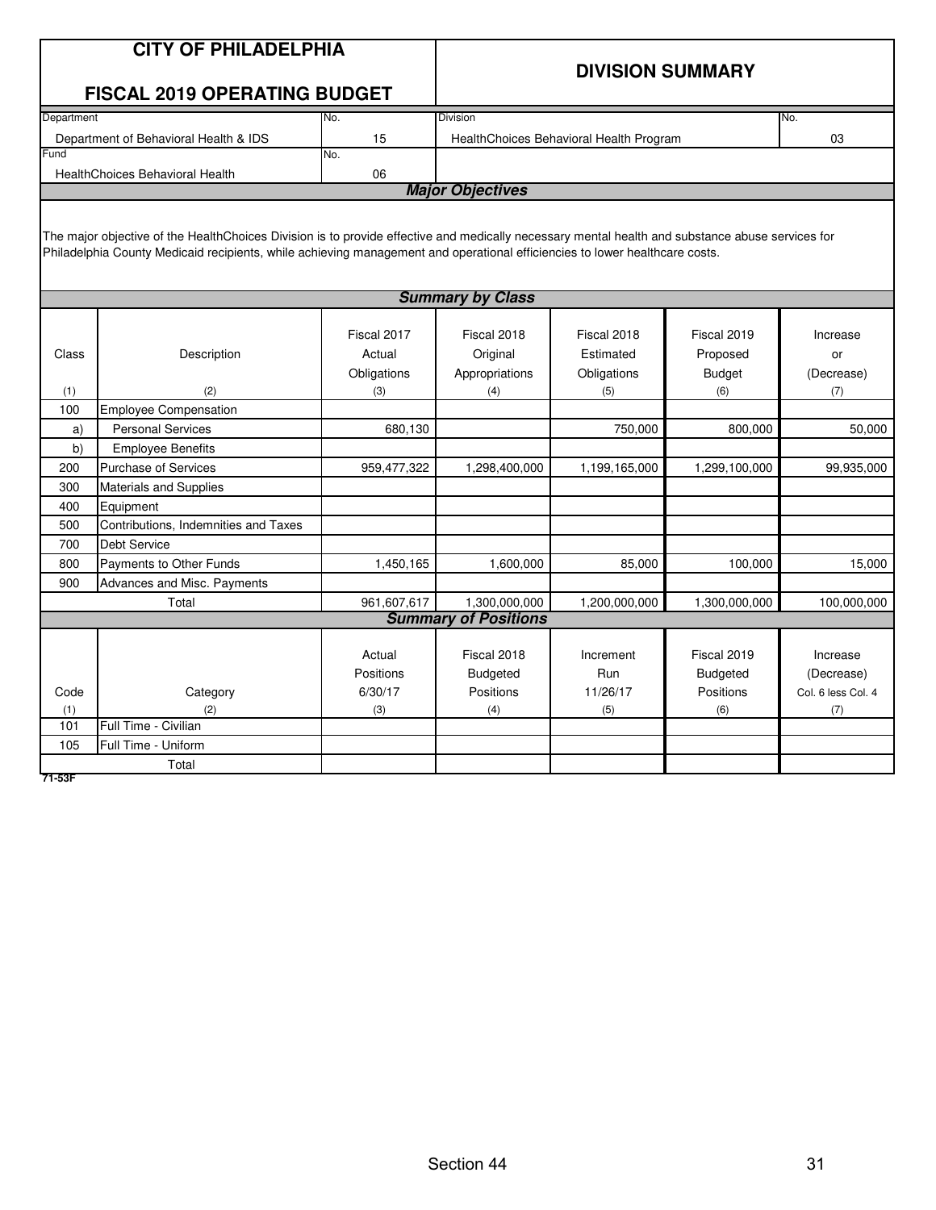|                    | <b>CITY OF PHILADELPHIA</b><br>FISCAL 2019 OPERATING BUDGET                                                                                                                                                                                                                     |                                       | <b>DIVISION SUMMARY</b>                            |                                         |                                                           |                                                     |  |  |  |  |  |
|--------------------|---------------------------------------------------------------------------------------------------------------------------------------------------------------------------------------------------------------------------------------------------------------------------------|---------------------------------------|----------------------------------------------------|-----------------------------------------|-----------------------------------------------------------|-----------------------------------------------------|--|--|--|--|--|
| Department         |                                                                                                                                                                                                                                                                                 | No.                                   | Division                                           |                                         |                                                           | No.                                                 |  |  |  |  |  |
| Fund               | Department of Behavioral Health & IDS                                                                                                                                                                                                                                           | 15                                    |                                                    | HealthChoices Behavioral Health Program |                                                           | 03                                                  |  |  |  |  |  |
|                    |                                                                                                                                                                                                                                                                                 | No.                                   |                                                    |                                         |                                                           |                                                     |  |  |  |  |  |
|                    | <b>HealthChoices Behavioral Health</b>                                                                                                                                                                                                                                          | 06                                    | <b>Major Objectives</b>                            |                                         |                                                           |                                                     |  |  |  |  |  |
|                    | The major objective of the HealthChoices Division is to provide effective and medically necessary mental health and substance abuse services for<br>Philadelphia County Medicaid recipients, while achieving management and operational efficiencies to lower healthcare costs. |                                       |                                                    |                                         |                                                           |                                                     |  |  |  |  |  |
|                    |                                                                                                                                                                                                                                                                                 |                                       | <b>Summary by Class</b>                            |                                         |                                                           |                                                     |  |  |  |  |  |
| Class              | Description                                                                                                                                                                                                                                                                     | Fiscal 2017<br>Actual                 | Fiscal 2018<br>Original                            | Fiscal 2018<br>Estimated                | Fiscal 2019<br>Proposed                                   | Increase<br>or                                      |  |  |  |  |  |
|                    |                                                                                                                                                                                                                                                                                 | Obligations                           | Appropriations                                     | Obligations                             | <b>Budget</b>                                             | (Decrease)                                          |  |  |  |  |  |
| (1)                | (2)                                                                                                                                                                                                                                                                             | (3)                                   | (4)                                                | (5)                                     | (6)                                                       | (7)                                                 |  |  |  |  |  |
| 100                | <b>Employee Compensation</b>                                                                                                                                                                                                                                                    |                                       |                                                    |                                         |                                                           |                                                     |  |  |  |  |  |
| a)                 | <b>Personal Services</b>                                                                                                                                                                                                                                                        | 680,130                               |                                                    | 750,000                                 | 800,000                                                   | 50,000                                              |  |  |  |  |  |
| b)                 | <b>Employee Benefits</b>                                                                                                                                                                                                                                                        |                                       |                                                    |                                         |                                                           |                                                     |  |  |  |  |  |
| 200                | <b>Purchase of Services</b>                                                                                                                                                                                                                                                     | 959,477,322                           | 1,298,400,000                                      | 1,199,165,000                           | 1,299,100,000                                             | 99,935,000                                          |  |  |  |  |  |
| 300                | Materials and Supplies                                                                                                                                                                                                                                                          |                                       |                                                    |                                         |                                                           |                                                     |  |  |  |  |  |
| 400                | Equipment                                                                                                                                                                                                                                                                       |                                       |                                                    |                                         |                                                           |                                                     |  |  |  |  |  |
| 500                | Contributions, Indemnities and Taxes                                                                                                                                                                                                                                            |                                       |                                                    |                                         |                                                           |                                                     |  |  |  |  |  |
| 700                | <b>Debt Service</b>                                                                                                                                                                                                                                                             |                                       |                                                    |                                         |                                                           |                                                     |  |  |  |  |  |
| 800                | Payments to Other Funds                                                                                                                                                                                                                                                         | 1,450,165                             | 1,600,000                                          | 85,000                                  | 100,000                                                   | 15,000                                              |  |  |  |  |  |
| 900                | Advances and Misc. Payments                                                                                                                                                                                                                                                     |                                       |                                                    |                                         |                                                           |                                                     |  |  |  |  |  |
|                    | Total                                                                                                                                                                                                                                                                           | 961,607,617                           | 1,300,000,000                                      | 1,200,000,000                           | 1,300,000,000                                             | 100,000,000                                         |  |  |  |  |  |
|                    |                                                                                                                                                                                                                                                                                 |                                       | <b>Summary of Positions</b>                        |                                         |                                                           |                                                     |  |  |  |  |  |
| Code<br>(1)<br>101 | Category<br>(2)<br>Full Time - Civilian                                                                                                                                                                                                                                         | Actual<br>Positions<br>6/30/17<br>(3) | Fiscal 2018<br><b>Budgeted</b><br>Positions<br>(4) | Increment<br>Run<br>11/26/17<br>(5)     | Fiscal 2019<br><b>Budgeted</b><br><b>Positions</b><br>(6) | Increase<br>(Decrease)<br>Col. 6 less Col. 4<br>(7) |  |  |  |  |  |
| 105                | Full Time - Uniform                                                                                                                                                                                                                                                             |                                       |                                                    |                                         |                                                           |                                                     |  |  |  |  |  |
|                    | Total                                                                                                                                                                                                                                                                           |                                       |                                                    |                                         |                                                           |                                                     |  |  |  |  |  |
| 71-53F             |                                                                                                                                                                                                                                                                                 |                                       |                                                    |                                         |                                                           |                                                     |  |  |  |  |  |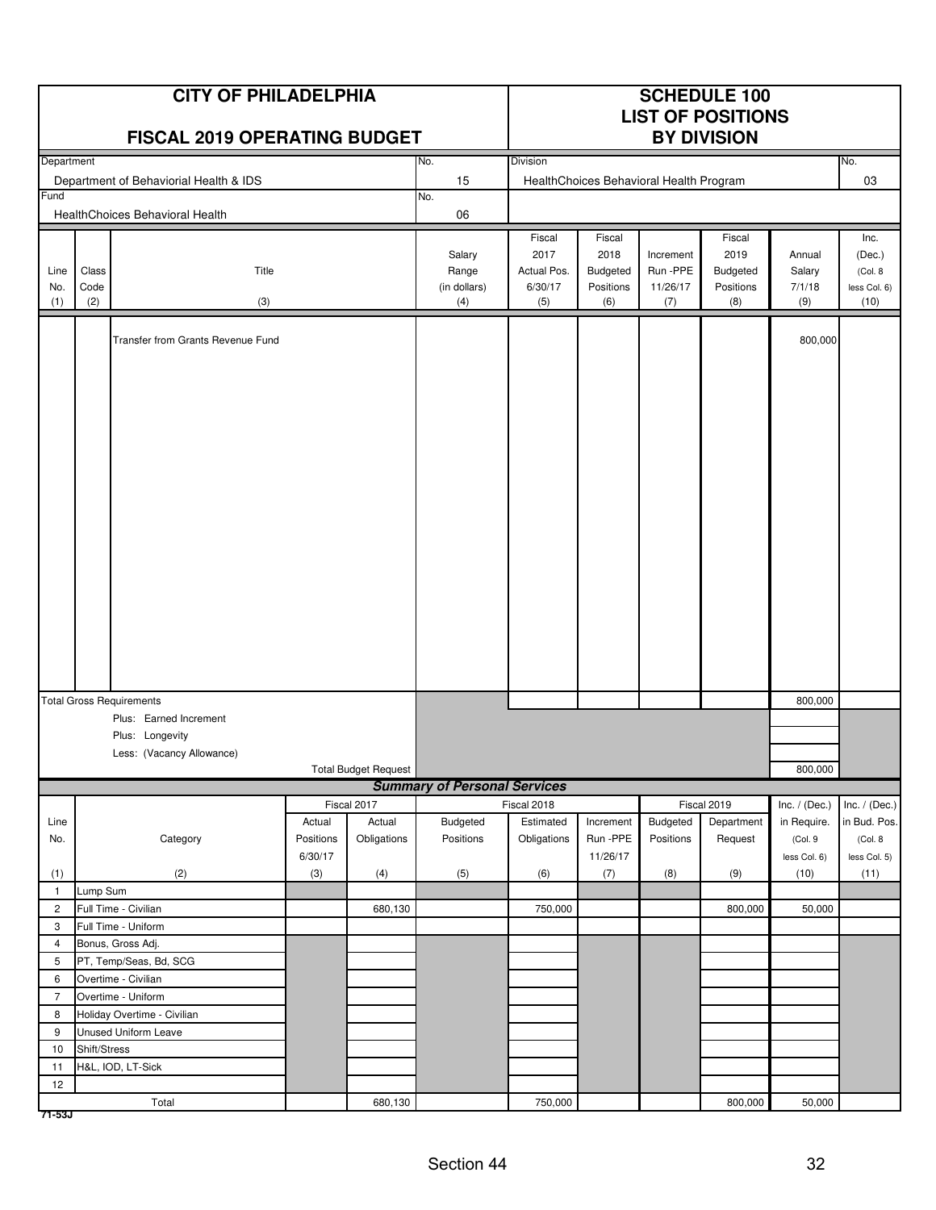|                | <b>CITY OF PHILADELPHIA</b><br>FISCAL 2019 OPERATING BUDGET |                                           |                                |                             |                                     | <b>SCHEDULE 100</b><br><b>LIST OF POSITIONS</b><br><b>BY DIVISION</b> |                                         |                       |                            |                                       |                                          |
|----------------|-------------------------------------------------------------|-------------------------------------------|--------------------------------|-----------------------------|-------------------------------------|-----------------------------------------------------------------------|-----------------------------------------|-----------------------|----------------------------|---------------------------------------|------------------------------------------|
| Department     |                                                             |                                           |                                |                             | No.                                 | <b>Division</b>                                                       |                                         |                       |                            | No.                                   |                                          |
|                |                                                             | Department of Behaviorial Health & IDS    |                                |                             | 15                                  |                                                                       | HealthChoices Behavioral Health Program |                       |                            |                                       | 03                                       |
| Fund           |                                                             |                                           |                                |                             | No.                                 |                                                                       |                                         |                       |                            |                                       |                                          |
|                |                                                             | HealthChoices Behavioral Health           |                                |                             | 06                                  |                                                                       |                                         |                       |                            |                                       |                                          |
| Line           | Class                                                       | Title                                     |                                |                             | Salary<br>Range                     | Fiscal<br>2017<br>Actual Pos.                                         | Fiscal<br>2018<br>Budgeted              | Increment<br>Run -PPE | Fiscal<br>2019<br>Budgeted | Annual<br>Salary                      | Inc.<br>(Dec.)<br>(Col. 8)               |
| No.            | Code                                                        |                                           |                                |                             | (in dollars)                        | 6/30/17                                                               | Positions                               | 11/26/17              | Positions                  | 7/1/18                                | less Col. 6)                             |
| (1)            | (2)                                                         | (3)                                       |                                |                             | (4)                                 | (5)                                                                   | (6)                                     | (7)                   | (8)                        | (9)                                   | (10)                                     |
|                |                                                             | Transfer from Grants Revenue Fund         |                                |                             |                                     |                                                                       |                                         |                       |                            | 800,000                               |                                          |
|                |                                                             | <b>Total Gross Requirements</b>           |                                |                             |                                     |                                                                       |                                         |                       |                            | 800,000                               |                                          |
|                |                                                             | Plus: Earned Increment<br>Plus: Longevity |                                |                             |                                     |                                                                       |                                         |                       |                            |                                       |                                          |
|                |                                                             | Less: (Vacancy Allowance)                 |                                |                             |                                     |                                                                       |                                         |                       |                            |                                       |                                          |
|                |                                                             |                                           |                                | <b>Total Budget Request</b> |                                     |                                                                       |                                         |                       |                            | 800,000                               |                                          |
|                |                                                             |                                           |                                |                             | <b>Summary of Personal Services</b> |                                                                       |                                         |                       |                            |                                       |                                          |
|                |                                                             |                                           |                                | Fiscal 2017                 |                                     | Fiscal 2018                                                           |                                         |                       | Fiscal 2019                | Inc. / (Dec.)                         | Inc. $/$ (Dec.)                          |
| Line<br>No.    |                                                             | Category                                  | Actual<br>Positions<br>6/30/17 | Actual<br>Obligations       | Budgeted<br>Positions               | Estimated<br>Obligations                                              | Increment<br>Run - PPE<br>11/26/17      | Budgeted<br>Positions | Department<br>Request      | in Require.<br>(Col.9<br>less Col. 6) | in Bud. Pos.<br>(Col. 8)<br>less Col. 5) |
| (1)            |                                                             | (2)                                       | (3)                            | (4)                         | (5)                                 | (6)                                                                   | (7)                                     | (8)                   | (9)                        | (10)                                  | (11)                                     |
| $\mathbf{1}$   | Lump Sum                                                    |                                           |                                |                             |                                     |                                                                       |                                         |                       |                            |                                       |                                          |
| 2              |                                                             | Full Time - Civilian                      |                                | 680,130                     |                                     | 750,000                                                               |                                         |                       | 800,000                    | 50,000                                |                                          |
| 3              |                                                             | Full Time - Uniform                       |                                |                             |                                     |                                                                       |                                         |                       |                            |                                       |                                          |
| 4              |                                                             | Bonus, Gross Adj.                         |                                |                             |                                     |                                                                       |                                         |                       |                            |                                       |                                          |
| 5              |                                                             | PT, Temp/Seas, Bd, SCG                    |                                |                             |                                     |                                                                       |                                         |                       |                            |                                       |                                          |
| 6              |                                                             | Overtime - Civilian                       |                                |                             |                                     |                                                                       |                                         |                       |                            |                                       |                                          |
| $\overline{7}$ |                                                             | Overtime - Uniform                        |                                |                             |                                     |                                                                       |                                         |                       |                            |                                       |                                          |
| 8              |                                                             | Holiday Overtime - Civilian               |                                |                             |                                     |                                                                       |                                         |                       |                            |                                       |                                          |
| 9              |                                                             | Unused Uniform Leave                      |                                |                             |                                     |                                                                       |                                         |                       |                            |                                       |                                          |
| 10             | Shift/Stress                                                |                                           |                                |                             |                                     |                                                                       |                                         |                       |                            |                                       |                                          |
| 11             |                                                             | H&L, IOD, LT-Sick                         |                                |                             |                                     |                                                                       |                                         |                       |                            |                                       |                                          |
| 12             |                                                             |                                           |                                |                             |                                     |                                                                       |                                         |                       |                            |                                       |                                          |
| 71-53J         |                                                             | Total                                     |                                | 680,130                     |                                     | 750,000                                                               |                                         |                       | 800,000                    | 50,000                                |                                          |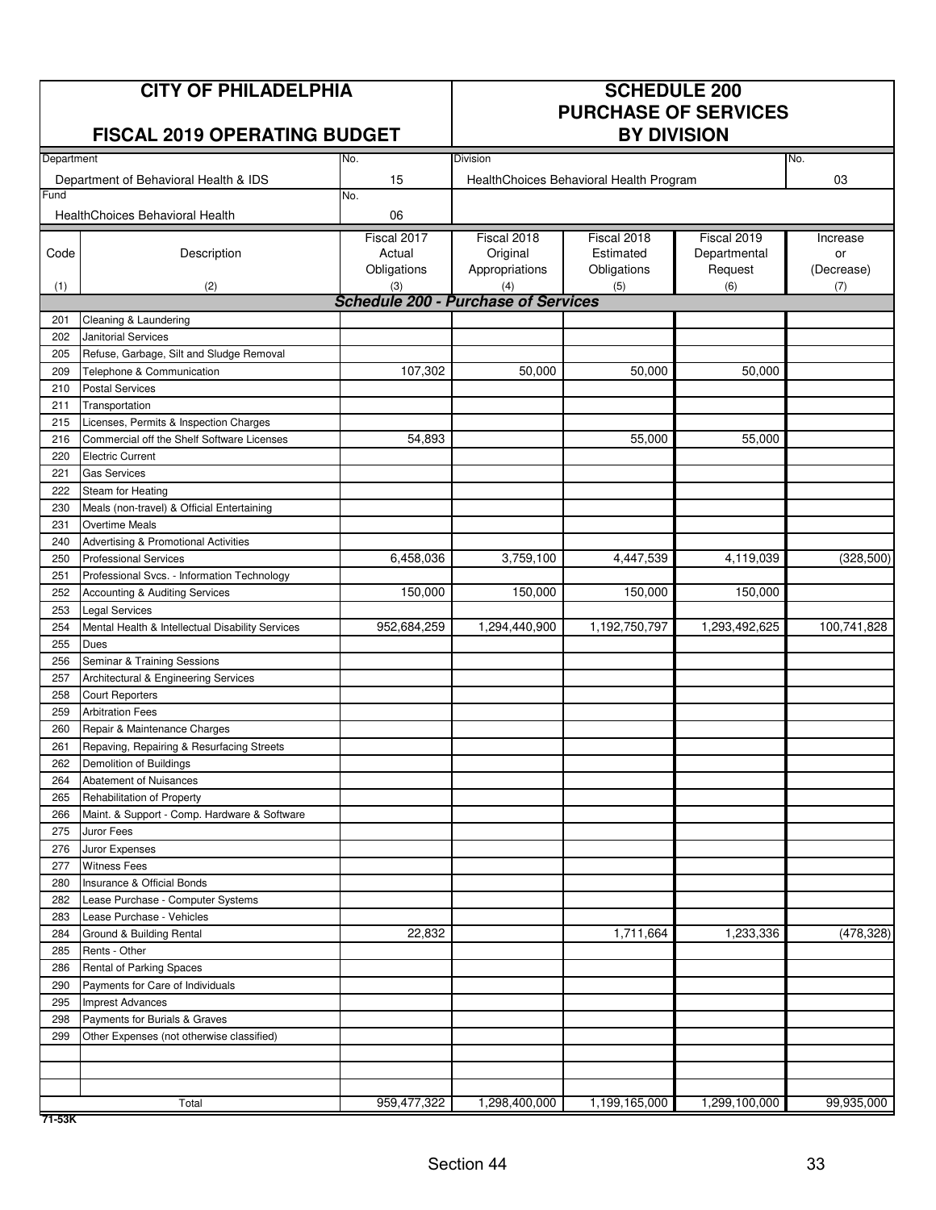|            | <b>CITY OF PHILADELPHIA</b>                                     |             | <b>SCHEDULE 200</b><br><b>PURCHASE OF SERVICES</b><br><b>BY DIVISION</b> |                                         |               |             |  |
|------------|-----------------------------------------------------------------|-------------|--------------------------------------------------------------------------|-----------------------------------------|---------------|-------------|--|
|            | <b>FISCAL 2019 OPERATING BUDGET</b>                             |             |                                                                          |                                         |               |             |  |
| Department |                                                                 | No.         | <b>Division</b>                                                          |                                         |               | No.         |  |
|            | Department of Behavioral Health & IDS                           | 15          |                                                                          | HealthChoices Behavioral Health Program |               | 03          |  |
| Fund       | Health Choices Behavioral Health                                | No.<br>06   |                                                                          |                                         |               |             |  |
|            |                                                                 | Fiscal 2017 | Fiscal 2018                                                              | Fiscal 2018                             | Fiscal 2019   | Increase    |  |
| Code       | Description                                                     | Actual      | Original                                                                 | Estimated                               | Departmental  | or          |  |
|            |                                                                 | Obligations | Appropriations                                                           | Obligations                             | Request       | (Decrease)  |  |
| (1)        | (2)                                                             | (3)         | (4)                                                                      | (5)                                     | (6)           | (7)         |  |
|            |                                                                 |             | <b>Schedule 200 - Purchase of Services</b>                               |                                         |               |             |  |
| 201        | Cleaning & Laundering                                           |             |                                                                          |                                         |               |             |  |
| 202<br>205 | Janitorial Services<br>Refuse, Garbage, Silt and Sludge Removal |             |                                                                          |                                         |               |             |  |
| 209        | Telephone & Communication                                       | 107,302     | 50,000                                                                   | 50,000                                  | 50.000        |             |  |
| 210        | <b>Postal Services</b>                                          |             |                                                                          |                                         |               |             |  |
| 211        | Transportation                                                  |             |                                                                          |                                         |               |             |  |
| 215        | Licenses, Permits & Inspection Charges                          |             |                                                                          |                                         |               |             |  |
| 216        | Commercial off the Shelf Software Licenses                      | 54,893      |                                                                          | 55,000                                  | 55,000        |             |  |
| 220        | <b>Electric Current</b>                                         |             |                                                                          |                                         |               |             |  |
| 221        | <b>Gas Services</b>                                             |             |                                                                          |                                         |               |             |  |
| 222        | Steam for Heating                                               |             |                                                                          |                                         |               |             |  |
| 230        | Meals (non-travel) & Official Entertaining                      |             |                                                                          |                                         |               |             |  |
| 231        | <b>Overtime Meals</b>                                           |             |                                                                          |                                         |               |             |  |
| 240        | Advertising & Promotional Activities                            |             |                                                                          |                                         |               |             |  |
| 250        | <b>Professional Services</b>                                    | 6,458,036   | 3,759,100                                                                | 4,447,539                               | 4,119,039     | (328, 500)  |  |
| 251        | Professional Svcs. - Information Technology                     |             |                                                                          |                                         |               |             |  |
| 252        | Accounting & Auditing Services                                  | 150,000     | 150,000                                                                  | 150,000                                 | 150,000       |             |  |
| 253        | Legal Services                                                  |             |                                                                          |                                         |               |             |  |
| 254        | Mental Health & Intellectual Disability Services                | 952,684,259 | 1,294,440,900                                                            | 1,192,750,797                           | 1,293,492,625 | 100,741,828 |  |
| 255        | <b>Dues</b>                                                     |             |                                                                          |                                         |               |             |  |
| 256        | Seminar & Training Sessions                                     |             |                                                                          |                                         |               |             |  |
| 257        | Architectural & Engineering Services                            |             |                                                                          |                                         |               |             |  |
| 258        | <b>Court Reporters</b>                                          |             |                                                                          |                                         |               |             |  |
| 259        | <b>Arbitration Fees</b>                                         |             |                                                                          |                                         |               |             |  |
| 260        | Repair & Maintenance Charges                                    |             |                                                                          |                                         |               |             |  |
| 261        | Repaving, Repairing & Resurfacing Streets                       |             |                                                                          |                                         |               |             |  |
| 262        | Demolition of Buildings                                         |             |                                                                          |                                         |               |             |  |
| 264        | Abatement of Nuisances                                          |             |                                                                          |                                         |               |             |  |
| 265        | Rehabilitation of Property                                      |             |                                                                          |                                         |               |             |  |
| 266        | Maint. & Support - Comp. Hardware & Software                    |             |                                                                          |                                         |               |             |  |
| 275        | Juror Fees                                                      |             |                                                                          |                                         |               |             |  |
| 276        | Juror Expenses                                                  |             |                                                                          |                                         |               |             |  |
| 277        | <b>Witness Fees</b><br>Insurance & Official Bonds               |             |                                                                          |                                         |               |             |  |
| 280<br>282 | Lease Purchase - Computer Systems                               |             |                                                                          |                                         |               |             |  |
| 283        | Lease Purchase - Vehicles                                       |             |                                                                          |                                         |               |             |  |
| 284        | Ground & Building Rental                                        | 22,832      |                                                                          | 1,711,664                               | 1,233,336     | (478, 328)  |  |
| 285        | Rents - Other                                                   |             |                                                                          |                                         |               |             |  |
| 286        | Rental of Parking Spaces                                        |             |                                                                          |                                         |               |             |  |
| 290        | Payments for Care of Individuals                                |             |                                                                          |                                         |               |             |  |
| 295        | <b>Imprest Advances</b>                                         |             |                                                                          |                                         |               |             |  |
| 298        | Payments for Burials & Graves                                   |             |                                                                          |                                         |               |             |  |
| 299        | Other Expenses (not otherwise classified)                       |             |                                                                          |                                         |               |             |  |
|            |                                                                 |             |                                                                          |                                         |               |             |  |
|            |                                                                 |             |                                                                          |                                         |               |             |  |
|            |                                                                 |             |                                                                          |                                         |               |             |  |
|            | Total                                                           | 959,477,322 | 1,298,400,000                                                            | 1,199,165,000                           | 1,299,100,000 | 99,935,000  |  |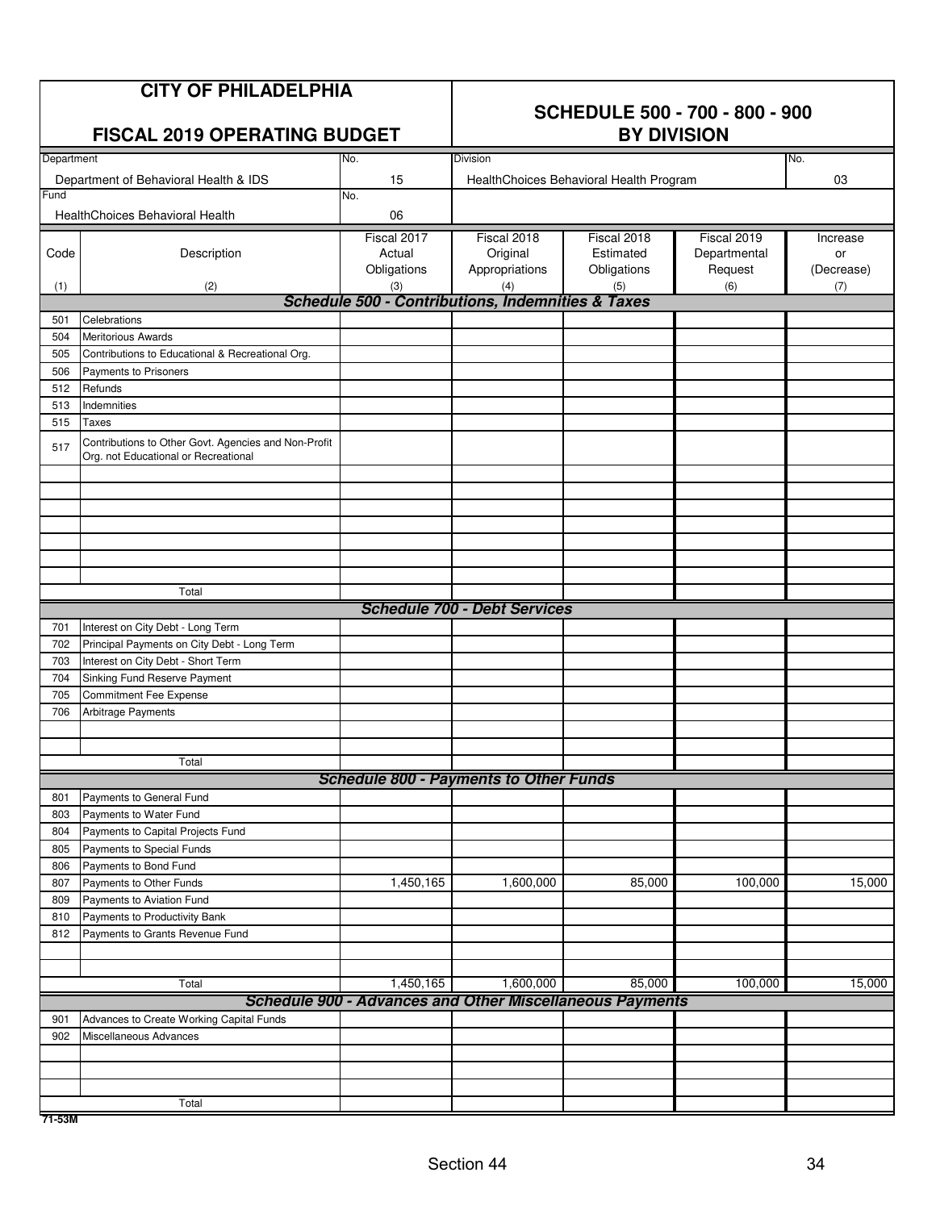|            | <b>CITY OF PHILADELPHIA</b>                                                                  |                                      |                                                                              |                                         |                                        |                              |  |
|------------|----------------------------------------------------------------------------------------------|--------------------------------------|------------------------------------------------------------------------------|-----------------------------------------|----------------------------------------|------------------------------|--|
|            |                                                                                              |                                      |                                                                              | <b>SCHEDULE 500 - 700 - 800 - 900</b>   |                                        |                              |  |
|            | <b>FISCAL 2019 OPERATING BUDGET</b>                                                          |                                      | <b>BY DIVISION</b>                                                           |                                         |                                        |                              |  |
| Department |                                                                                              | No.                                  | <b>Division</b>                                                              |                                         |                                        | No.                          |  |
|            | Department of Behavioral Health & IDS                                                        | 15                                   |                                                                              | HealthChoices Behavioral Health Program |                                        | 03                           |  |
| Fund       |                                                                                              | No.                                  |                                                                              |                                         |                                        |                              |  |
|            | HealthChoices Behavioral Health                                                              | 06                                   |                                                                              |                                         |                                        |                              |  |
| Code       | Description                                                                                  | Fiscal 2017<br>Actual<br>Obligations | Fiscal 2018<br>Original<br>Appropriations                                    | Fiscal 2018<br>Estimated<br>Obligations | Fiscal 2019<br>Departmental<br>Request | Increase<br>or<br>(Decrease) |  |
| (1)        | (2)                                                                                          | (3)                                  | (4)<br><b>Schedule 500 - Contributions, Indemnities &amp; Taxes</b>          | (5)                                     | (6)                                    | (7)                          |  |
| 501        | Celebrations                                                                                 |                                      |                                                                              |                                         |                                        |                              |  |
| 504        | <b>Meritorious Awards</b>                                                                    |                                      |                                                                              |                                         |                                        |                              |  |
| 505        | Contributions to Educational & Recreational Org.                                             |                                      |                                                                              |                                         |                                        |                              |  |
| 506        | Payments to Prisoners                                                                        |                                      |                                                                              |                                         |                                        |                              |  |
| 512        | Refunds                                                                                      |                                      |                                                                              |                                         |                                        |                              |  |
| 513        | Indemnities                                                                                  |                                      |                                                                              |                                         |                                        |                              |  |
| 515        | <b>Taxes</b>                                                                                 |                                      |                                                                              |                                         |                                        |                              |  |
| 517        | Contributions to Other Govt. Agencies and Non-Profit<br>Org. not Educational or Recreational |                                      |                                                                              |                                         |                                        |                              |  |
|            |                                                                                              |                                      |                                                                              |                                         |                                        |                              |  |
|            |                                                                                              |                                      |                                                                              |                                         |                                        |                              |  |
|            |                                                                                              |                                      |                                                                              |                                         |                                        |                              |  |
|            |                                                                                              |                                      |                                                                              |                                         |                                        |                              |  |
|            |                                                                                              |                                      |                                                                              |                                         |                                        |                              |  |
|            | Total                                                                                        |                                      |                                                                              |                                         |                                        |                              |  |
|            |                                                                                              |                                      | <b>Schedule 700 - Debt Services</b>                                          |                                         |                                        |                              |  |
| 701        | Interest on City Debt - Long Term                                                            |                                      |                                                                              |                                         |                                        |                              |  |
| 702        | Principal Payments on City Debt - Long Term                                                  |                                      |                                                                              |                                         |                                        |                              |  |
| 703        | Interest on City Debt - Short Term                                                           |                                      |                                                                              |                                         |                                        |                              |  |
| 704        | Sinking Fund Reserve Payment                                                                 |                                      |                                                                              |                                         |                                        |                              |  |
| 705        | <b>Commitment Fee Expense</b>                                                                |                                      |                                                                              |                                         |                                        |                              |  |
| 706        | Arbitrage Payments                                                                           |                                      |                                                                              |                                         |                                        |                              |  |
|            |                                                                                              |                                      |                                                                              |                                         |                                        |                              |  |
|            |                                                                                              |                                      |                                                                              |                                         |                                        |                              |  |
|            | Total                                                                                        |                                      | <b>Schedule 800 - Payments to Other Funds</b>                                |                                         |                                        |                              |  |
| 801        | Payments to General Fund                                                                     |                                      |                                                                              |                                         |                                        |                              |  |
| 803        | Payments to Water Fund                                                                       |                                      |                                                                              |                                         |                                        |                              |  |
| 804        | Payments to Capital Projects Fund                                                            |                                      |                                                                              |                                         |                                        |                              |  |
| 805        | Payments to Special Funds                                                                    |                                      |                                                                              |                                         |                                        |                              |  |
| 806        | Payments to Bond Fund                                                                        |                                      |                                                                              |                                         |                                        |                              |  |
| 807        | Payments to Other Funds                                                                      | 1,450,165                            | 1,600,000                                                                    | 85,000                                  | 100,000                                | 15,000                       |  |
| 809        | Payments to Aviation Fund                                                                    |                                      |                                                                              |                                         |                                        |                              |  |
| 810        | Payments to Productivity Bank                                                                |                                      |                                                                              |                                         |                                        |                              |  |
| 812        | Payments to Grants Revenue Fund                                                              |                                      |                                                                              |                                         |                                        |                              |  |
|            |                                                                                              |                                      |                                                                              |                                         |                                        |                              |  |
|            |                                                                                              |                                      |                                                                              |                                         |                                        |                              |  |
|            | Total                                                                                        | 1,450,165                            | 1,600,000<br><b>Schedule 900 - Advances and Other Miscellaneous Payments</b> | 85,000                                  | 100,000                                | 15,000                       |  |
|            |                                                                                              |                                      |                                                                              |                                         |                                        |                              |  |
| 901<br>902 | Advances to Create Working Capital Funds<br>Miscellaneous Advances                           |                                      |                                                                              |                                         |                                        |                              |  |
|            |                                                                                              |                                      |                                                                              |                                         |                                        |                              |  |
|            |                                                                                              |                                      |                                                                              |                                         |                                        |                              |  |
|            |                                                                                              |                                      |                                                                              |                                         |                                        |                              |  |
|            | Total                                                                                        |                                      |                                                                              |                                         |                                        |                              |  |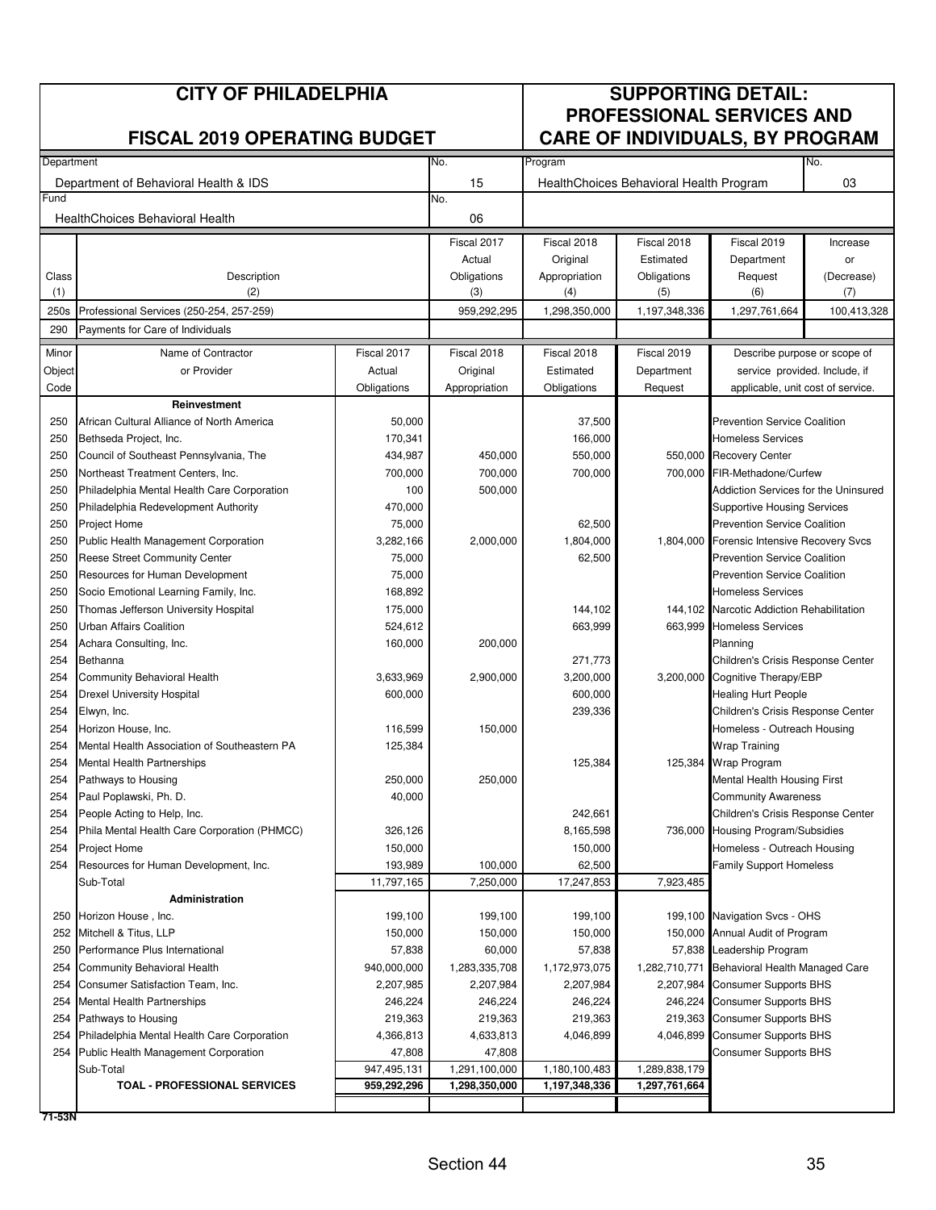|              | <b>CITY OF PHILADELPHIA</b><br><b>FISCAL 2019 OPERATING BUDGET</b> |                      |                    |                      | <b>SUPPORTING DETAIL:</b><br><b>PROFESSIONAL SERVICES AND</b><br>CARE OF INDIVIDUALS, BY PROGRAM |                                                     |                   |  |  |
|--------------|--------------------------------------------------------------------|----------------------|--------------------|----------------------|--------------------------------------------------------------------------------------------------|-----------------------------------------------------|-------------------|--|--|
| Department   |                                                                    |                      | No.                | Program              |                                                                                                  |                                                     | No.               |  |  |
|              | Department of Behavioral Health & IDS                              |                      | 15                 |                      | HealthChoices Behavioral Health Program                                                          |                                                     | 03                |  |  |
| Fund         | Health Choices Behavioral Health                                   |                      | No.<br>06          |                      |                                                                                                  |                                                     |                   |  |  |
|              |                                                                    |                      | Fiscal 2017        | Fiscal 2018          | Fiscal 2018                                                                                      | Fiscal 2019                                         | Increase          |  |  |
|              |                                                                    |                      | Actual             | Original             | Estimated                                                                                        | Department                                          | or                |  |  |
| Class<br>(1) | Description<br>(2)                                                 |                      | Obligations<br>(3) | Appropriation<br>(4) | Obligations<br>(5)                                                                               | Request<br>(6)                                      | (Decrease)<br>(7) |  |  |
| 250s         | Professional Services (250-254, 257-259)                           |                      | 959,292,295        | 1,298,350,000        | 1,197,348,336                                                                                    | 1,297,761,664                                       | 100,413,328       |  |  |
| 290          | Payments for Care of Individuals                                   |                      |                    |                      |                                                                                                  |                                                     |                   |  |  |
| Minor        | Name of Contractor                                                 | Fiscal 2017          | Fiscal 2018        | Fiscal 2018          | Fiscal 2019                                                                                      | Describe purpose or scope of                        |                   |  |  |
| Object       | or Provider                                                        | Actual               | Original           | Estimated            | Department                                                                                       | service provided. Include, if                       |                   |  |  |
| Code         |                                                                    | Obligations          | Appropriation      | Obligations          | Request                                                                                          | applicable, unit cost of service.                   |                   |  |  |
|              | Reinvestment                                                       |                      |                    |                      |                                                                                                  |                                                     |                   |  |  |
| 250          | African Cultural Alliance of North America                         | 50,000               |                    | 37,500               |                                                                                                  | <b>Prevention Service Coalition</b>                 |                   |  |  |
| 250<br>250   | Bethseda Project, Inc.<br>Council of Southeast Pennsylvania, The   | 170,341<br>434,987   | 450,000            | 166,000<br>550,000   |                                                                                                  | <b>Homeless Services</b><br>550,000 Recovery Center |                   |  |  |
| 250          | Northeast Treatment Centers, Inc.                                  | 700,000              | 700,000            | 700,000              |                                                                                                  | 700,000 FIR-Methadone/Curfew                        |                   |  |  |
| 250          | Philadelphia Mental Health Care Corporation                        | 100                  | 500,000            |                      |                                                                                                  | Addiction Services for the Uninsured                |                   |  |  |
| 250          | Philadelphia Redevelopment Authority                               | 470,000              |                    |                      |                                                                                                  | <b>Supportive Housing Services</b>                  |                   |  |  |
| 250          | Project Home                                                       | 75,000               |                    | 62,500               |                                                                                                  | Prevention Service Coalition                        |                   |  |  |
| 250          | Public Health Management Corporation                               | 3,282,166            | 2,000,000          | 1,804,000            | 1,804,000                                                                                        | Forensic Intensive Recovery Svcs                    |                   |  |  |
| 250          | <b>Reese Street Community Center</b>                               | 75,000               |                    | 62,500               |                                                                                                  | <b>Prevention Service Coalition</b>                 |                   |  |  |
| 250          | Resources for Human Development                                    | 75,000               |                    |                      |                                                                                                  | <b>Prevention Service Coalition</b>                 |                   |  |  |
| 250          | Socio Emotional Learning Family, Inc.                              | 168,892              |                    |                      |                                                                                                  | <b>Homeless Services</b>                            |                   |  |  |
| 250          | Thomas Jefferson University Hospital                               | 175,000              |                    | 144,102              |                                                                                                  | 144,102 Narcotic Addiction Rehabilitation           |                   |  |  |
| 250          | Urban Affairs Coalition                                            | 524,612              |                    | 663,999              | 663,999                                                                                          | <b>Homeless Services</b>                            |                   |  |  |
| 254          | Achara Consulting, Inc.                                            | 160,000              | 200,000            |                      |                                                                                                  | Planning                                            |                   |  |  |
| 254          | Bethanna                                                           |                      |                    | 271,773              |                                                                                                  | Children's Crisis Response Center                   |                   |  |  |
| 254<br>254   | Community Behavioral Health<br><b>Drexel University Hospital</b>   | 3,633,969<br>600,000 | 2,900,000          | 3,200,000<br>600,000 | 3,200,000                                                                                        | Cognitive Therapy/EBP<br><b>Healing Hurt People</b> |                   |  |  |
| 254          | Elwyn, Inc.                                                        |                      |                    | 239,336              |                                                                                                  | Children's Crisis Response Center                   |                   |  |  |
| 254          | Horizon House, Inc.                                                | 116,599              | 150,000            |                      |                                                                                                  | Homeless - Outreach Housing                         |                   |  |  |
| 254          | Mental Health Association of Southeastern PA                       | 125,384              |                    |                      |                                                                                                  | Wrap Training                                       |                   |  |  |
| 254          | Mental Health Partnerships                                         |                      |                    | 125,384              |                                                                                                  | 125,384 Wrap Program                                |                   |  |  |
| 254          | Pathways to Housing                                                | 250,000              | 250,000            |                      |                                                                                                  | Mental Health Housing First                         |                   |  |  |
| 254          | Paul Poplawski, Ph. D.                                             | 40,000               |                    |                      |                                                                                                  | <b>Community Awareness</b>                          |                   |  |  |
| 254          | People Acting to Help, Inc.                                        |                      |                    | 242,661              |                                                                                                  | Children's Crisis Response Center                   |                   |  |  |
| 254          | Phila Mental Health Care Corporation (PHMCC)                       | 326,126              |                    | 8,165,598            |                                                                                                  | 736,000 Housing Program/Subsidies                   |                   |  |  |
| 254          | Project Home                                                       | 150,000              |                    | 150,000              |                                                                                                  | Homeless - Outreach Housing                         |                   |  |  |
| 254          | Resources for Human Development, Inc.                              | 193,989              | 100,000            | 62,500               |                                                                                                  | <b>Family Support Homeless</b>                      |                   |  |  |
|              | Sub-Total                                                          | 11,797,165           | 7,250,000          | 17,247,853           | 7,923,485                                                                                        |                                                     |                   |  |  |
| 250          | Administration<br>Horizon House, Inc.                              | 199,100              | 199,100            | 199,100              |                                                                                                  | 199,100 Navigation Svcs - OHS                       |                   |  |  |
| 252          | Mitchell & Titus, LLP                                              | 150,000              | 150,000            | 150,000              |                                                                                                  | 150,000 Annual Audit of Program                     |                   |  |  |
| 250          | Performance Plus International                                     | 57,838               | 60,000             | 57,838               |                                                                                                  | 57,838 Leadership Program                           |                   |  |  |
| 254          | Community Behavioral Health                                        | 940,000,000          | 1,283,335,708      | 1,172,973,075        | 1,282,710,771                                                                                    | Behavioral Health Managed Care                      |                   |  |  |
| 254          | Consumer Satisfaction Team, Inc.                                   | 2,207,985            | 2,207,984          | 2,207,984            |                                                                                                  | 2,207,984 Consumer Supports BHS                     |                   |  |  |
| 254          | Mental Health Partnerships                                         | 246,224              | 246,224            | 246,224              |                                                                                                  | 246,224 Consumer Supports BHS                       |                   |  |  |
| 254          | Pathways to Housing                                                | 219,363              | 219,363            | 219,363              | 219,363                                                                                          | <b>Consumer Supports BHS</b>                        |                   |  |  |
| 254          | Philadelphia Mental Health Care Corporation                        | 4,366,813            | 4,633,813          | 4,046,899            | 4,046,899                                                                                        | Consumer Supports BHS                               |                   |  |  |
|              | 254 Public Health Management Corporation                           | 47,808               | 47,808             |                      |                                                                                                  | Consumer Supports BHS                               |                   |  |  |
|              | Sub-Total                                                          | 947,495,131          | 1,291,100,000      | 1,180,100,483        | 1,289,838,179                                                                                    |                                                     |                   |  |  |
|              | <b>TOAL - PROFESSIONAL SERVICES</b>                                | 959,292,296          | 1,298,350,000      | 1,197,348,336        | 1,297,761,664                                                                                    |                                                     |                   |  |  |
| 71-53N       |                                                                    |                      |                    |                      |                                                                                                  |                                                     |                   |  |  |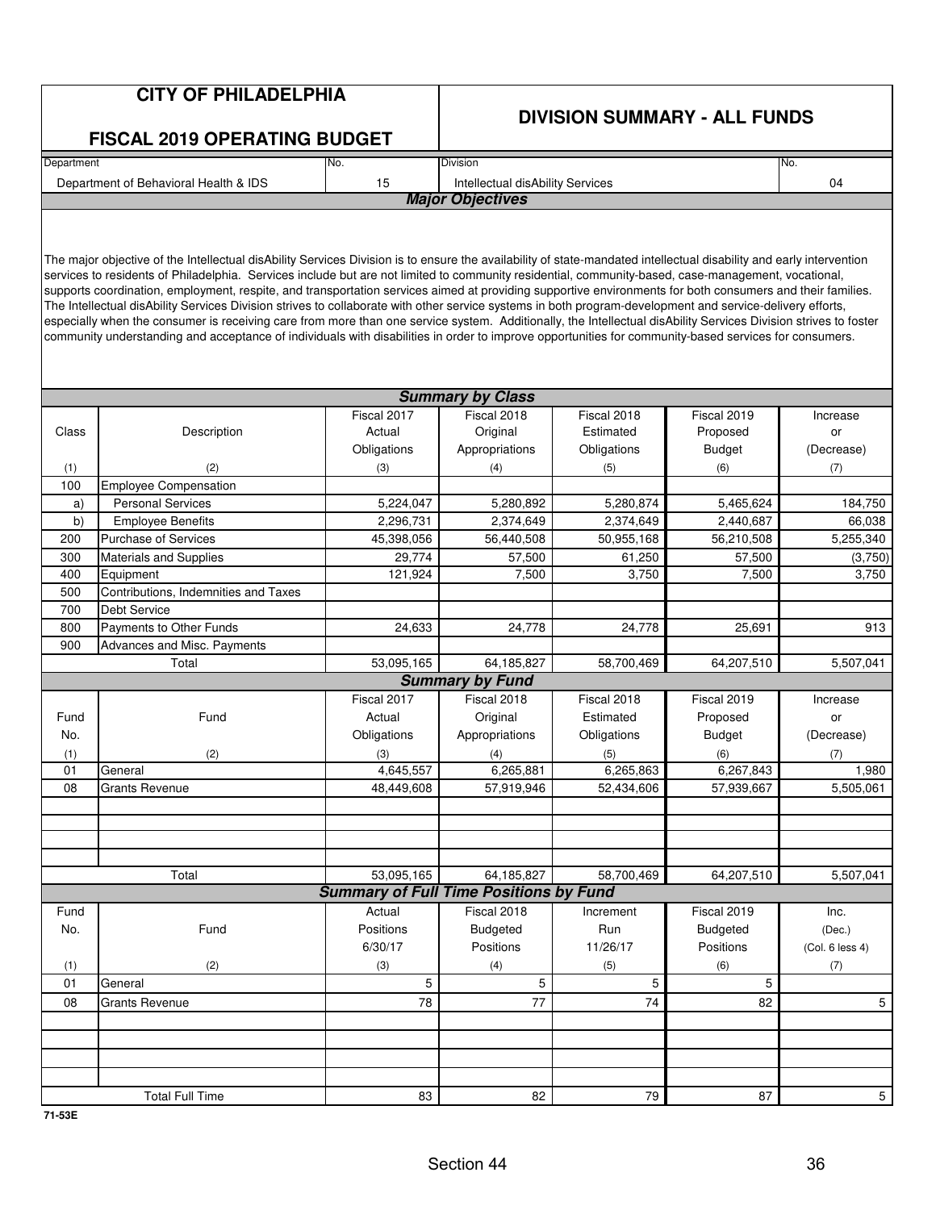|            | <b>CITY OF PHILADELPHIA</b>                                                                                                                                                                                                                                                                                                                                                                                                                                                                                                                                                                                                                                                                                                                                                                                                                                                                                                                                                      |                                               |                                  |                                     |                 |                 |
|------------|----------------------------------------------------------------------------------------------------------------------------------------------------------------------------------------------------------------------------------------------------------------------------------------------------------------------------------------------------------------------------------------------------------------------------------------------------------------------------------------------------------------------------------------------------------------------------------------------------------------------------------------------------------------------------------------------------------------------------------------------------------------------------------------------------------------------------------------------------------------------------------------------------------------------------------------------------------------------------------|-----------------------------------------------|----------------------------------|-------------------------------------|-----------------|-----------------|
|            |                                                                                                                                                                                                                                                                                                                                                                                                                                                                                                                                                                                                                                                                                                                                                                                                                                                                                                                                                                                  |                                               |                                  | <b>DIVISION SUMMARY - ALL FUNDS</b> |                 |                 |
|            | <b>FISCAL 2019 OPERATING BUDGET</b>                                                                                                                                                                                                                                                                                                                                                                                                                                                                                                                                                                                                                                                                                                                                                                                                                                                                                                                                              |                                               |                                  |                                     |                 |                 |
| Department |                                                                                                                                                                                                                                                                                                                                                                                                                                                                                                                                                                                                                                                                                                                                                                                                                                                                                                                                                                                  | No.                                           | Division                         |                                     |                 | No.             |
|            | Department of Behavioral Health & IDS                                                                                                                                                                                                                                                                                                                                                                                                                                                                                                                                                                                                                                                                                                                                                                                                                                                                                                                                            | 15                                            | Intellectual disAbility Services |                                     |                 | 04              |
|            |                                                                                                                                                                                                                                                                                                                                                                                                                                                                                                                                                                                                                                                                                                                                                                                                                                                                                                                                                                                  |                                               | <b>Major Objectives</b>          |                                     |                 |                 |
|            |                                                                                                                                                                                                                                                                                                                                                                                                                                                                                                                                                                                                                                                                                                                                                                                                                                                                                                                                                                                  |                                               |                                  |                                     |                 |                 |
|            | The major objective of the Intellectual disAbility Services Division is to ensure the availability of state-mandated intellectual disability and early intervention<br>services to residents of Philadelphia. Services include but are not limited to community residential, community-based, case-management, vocational,<br>supports coordination, employment, respite, and transportation services aimed at providing supportive environments for both consumers and their families.<br>The Intellectual disAbility Services Division strives to collaborate with other service systems in both program-development and service-delivery efforts,<br>especially when the consumer is receiving care from more than one service system. Additionally, the Intellectual disAbility Services Division strives to foster<br>community understanding and acceptance of individuals with disabilities in order to improve opportunities for community-based services for consumers. |                                               |                                  |                                     |                 |                 |
|            |                                                                                                                                                                                                                                                                                                                                                                                                                                                                                                                                                                                                                                                                                                                                                                                                                                                                                                                                                                                  |                                               | <b>Summary by Class</b>          |                                     |                 |                 |
|            |                                                                                                                                                                                                                                                                                                                                                                                                                                                                                                                                                                                                                                                                                                                                                                                                                                                                                                                                                                                  | Fiscal 2017                                   | Fiscal 2018                      | Fiscal 2018                         | Fiscal 2019     | Increase        |
| Class      | Description                                                                                                                                                                                                                                                                                                                                                                                                                                                                                                                                                                                                                                                                                                                                                                                                                                                                                                                                                                      | Actual                                        | Original                         | Estimated                           | Proposed        | or              |
|            |                                                                                                                                                                                                                                                                                                                                                                                                                                                                                                                                                                                                                                                                                                                                                                                                                                                                                                                                                                                  | Obligations                                   | Appropriations                   | Obligations                         | <b>Budget</b>   | (Decrease)      |
| (1)        | (2)                                                                                                                                                                                                                                                                                                                                                                                                                                                                                                                                                                                                                                                                                                                                                                                                                                                                                                                                                                              | (3)                                           | (4)                              | (5)                                 | (6)             | (7)             |
| 100        | <b>Employee Compensation</b>                                                                                                                                                                                                                                                                                                                                                                                                                                                                                                                                                                                                                                                                                                                                                                                                                                                                                                                                                     |                                               |                                  |                                     |                 |                 |
| a)         | <b>Personal Services</b>                                                                                                                                                                                                                                                                                                                                                                                                                                                                                                                                                                                                                                                                                                                                                                                                                                                                                                                                                         | 5,224,047                                     | 5,280,892                        | 5,280,874                           | 5,465,624       | 184,750         |
| b)         | <b>Employee Benefits</b>                                                                                                                                                                                                                                                                                                                                                                                                                                                                                                                                                                                                                                                                                                                                                                                                                                                                                                                                                         | 2,296,731                                     | 2,374,649                        | 2,374,649                           | 2,440,687       | 66,038          |
| 200        | <b>Purchase of Services</b>                                                                                                                                                                                                                                                                                                                                                                                                                                                                                                                                                                                                                                                                                                                                                                                                                                                                                                                                                      | 45,398,056                                    | 56,440,508                       | 50,955,168                          | 56,210,508      | 5,255,340       |
| 300        | <b>Materials and Supplies</b>                                                                                                                                                                                                                                                                                                                                                                                                                                                                                                                                                                                                                                                                                                                                                                                                                                                                                                                                                    | 29,774                                        | 57,500                           | 61,250                              | 57,500          | (3,750)         |
| 400        | Equipment                                                                                                                                                                                                                                                                                                                                                                                                                                                                                                                                                                                                                                                                                                                                                                                                                                                                                                                                                                        | 121,924                                       | 7,500                            | 3,750                               | 7,500           | 3,750           |
| 500        | Contributions, Indemnities and Taxes                                                                                                                                                                                                                                                                                                                                                                                                                                                                                                                                                                                                                                                                                                                                                                                                                                                                                                                                             |                                               |                                  |                                     |                 |                 |
| 700        | Debt Service                                                                                                                                                                                                                                                                                                                                                                                                                                                                                                                                                                                                                                                                                                                                                                                                                                                                                                                                                                     |                                               |                                  |                                     |                 |                 |
| 800        | Payments to Other Funds                                                                                                                                                                                                                                                                                                                                                                                                                                                                                                                                                                                                                                                                                                                                                                                                                                                                                                                                                          | 24,633                                        | 24,778                           | 24,778                              | 25,691          | 913             |
| 900        | Advances and Misc. Payments                                                                                                                                                                                                                                                                                                                                                                                                                                                                                                                                                                                                                                                                                                                                                                                                                                                                                                                                                      |                                               |                                  |                                     |                 |                 |
|            | Total                                                                                                                                                                                                                                                                                                                                                                                                                                                                                                                                                                                                                                                                                                                                                                                                                                                                                                                                                                            | 53,095,165                                    | 64,185,827                       | 58,700,469                          | 64,207,510      | 5,507,041       |
|            |                                                                                                                                                                                                                                                                                                                                                                                                                                                                                                                                                                                                                                                                                                                                                                                                                                                                                                                                                                                  |                                               | <b>Summary by Fund</b>           |                                     |                 |                 |
|            |                                                                                                                                                                                                                                                                                                                                                                                                                                                                                                                                                                                                                                                                                                                                                                                                                                                                                                                                                                                  | Fiscal 2017                                   | Fiscal 2018                      | Fiscal 2018                         | Fiscal 2019     | Increase        |
| Fund       | Fund                                                                                                                                                                                                                                                                                                                                                                                                                                                                                                                                                                                                                                                                                                                                                                                                                                                                                                                                                                             | Actual                                        | Original                         | Estimated                           | Proposed        | or              |
| No.        |                                                                                                                                                                                                                                                                                                                                                                                                                                                                                                                                                                                                                                                                                                                                                                                                                                                                                                                                                                                  | Obligations                                   | Appropriations                   | Obligations                         | <b>Budget</b>   | (Decrease)      |
| (1)        | (2)                                                                                                                                                                                                                                                                                                                                                                                                                                                                                                                                                                                                                                                                                                                                                                                                                                                                                                                                                                              | (3)                                           | (4)                              | (5)                                 | (6)             | (7)             |
| 01<br>08   | General<br><b>Grants Revenue</b>                                                                                                                                                                                                                                                                                                                                                                                                                                                                                                                                                                                                                                                                                                                                                                                                                                                                                                                                                 | 4,645,557                                     | 6,265,881                        | 6,265,863                           | 6,267,843       | 1,980           |
|            |                                                                                                                                                                                                                                                                                                                                                                                                                                                                                                                                                                                                                                                                                                                                                                                                                                                                                                                                                                                  | 48,449,608                                    | 57,919,946                       | 52,434,606                          | 57,939,667      | 5,505,061       |
|            |                                                                                                                                                                                                                                                                                                                                                                                                                                                                                                                                                                                                                                                                                                                                                                                                                                                                                                                                                                                  |                                               |                                  |                                     |                 |                 |
|            |                                                                                                                                                                                                                                                                                                                                                                                                                                                                                                                                                                                                                                                                                                                                                                                                                                                                                                                                                                                  |                                               |                                  |                                     |                 |                 |
|            |                                                                                                                                                                                                                                                                                                                                                                                                                                                                                                                                                                                                                                                                                                                                                                                                                                                                                                                                                                                  |                                               |                                  |                                     |                 |                 |
|            | Total                                                                                                                                                                                                                                                                                                                                                                                                                                                                                                                                                                                                                                                                                                                                                                                                                                                                                                                                                                            | 53,095,165                                    | 64,185,827                       | 58,700,469                          | 64,207,510      | 5,507,041       |
|            |                                                                                                                                                                                                                                                                                                                                                                                                                                                                                                                                                                                                                                                                                                                                                                                                                                                                                                                                                                                  | <b>Summary of Full Time Positions by Fund</b> |                                  |                                     |                 |                 |
| Fund       |                                                                                                                                                                                                                                                                                                                                                                                                                                                                                                                                                                                                                                                                                                                                                                                                                                                                                                                                                                                  | Actual                                        | Fiscal 2018                      | Increment                           | Fiscal 2019     | Inc.            |
| No.        | Fund                                                                                                                                                                                                                                                                                                                                                                                                                                                                                                                                                                                                                                                                                                                                                                                                                                                                                                                                                                             | Positions                                     | Budgeted                         | Run                                 | <b>Budgeted</b> | (Dec.)          |
|            |                                                                                                                                                                                                                                                                                                                                                                                                                                                                                                                                                                                                                                                                                                                                                                                                                                                                                                                                                                                  | 6/30/17                                       | Positions                        | 11/26/17                            | Positions       | (Col. 6 less 4) |
| (1)        | (2)                                                                                                                                                                                                                                                                                                                                                                                                                                                                                                                                                                                                                                                                                                                                                                                                                                                                                                                                                                              | (3)                                           | (4)                              | (5)                                 | (6)             | (7)             |
| 01         | General                                                                                                                                                                                                                                                                                                                                                                                                                                                                                                                                                                                                                                                                                                                                                                                                                                                                                                                                                                          | 5                                             | 5                                | 5                                   | 5               |                 |
| 08         | <b>Grants Revenue</b>                                                                                                                                                                                                                                                                                                                                                                                                                                                                                                                                                                                                                                                                                                                                                                                                                                                                                                                                                            | 78                                            | 77                               | 74                                  | 82              | 5               |
|            |                                                                                                                                                                                                                                                                                                                                                                                                                                                                                                                                                                                                                                                                                                                                                                                                                                                                                                                                                                                  |                                               |                                  |                                     |                 |                 |
|            |                                                                                                                                                                                                                                                                                                                                                                                                                                                                                                                                                                                                                                                                                                                                                                                                                                                                                                                                                                                  |                                               |                                  |                                     |                 |                 |
|            |                                                                                                                                                                                                                                                                                                                                                                                                                                                                                                                                                                                                                                                                                                                                                                                                                                                                                                                                                                                  |                                               |                                  |                                     |                 |                 |
|            |                                                                                                                                                                                                                                                                                                                                                                                                                                                                                                                                                                                                                                                                                                                                                                                                                                                                                                                                                                                  |                                               |                                  |                                     |                 |                 |
|            | <b>Total Full Time</b>                                                                                                                                                                                                                                                                                                                                                                                                                                                                                                                                                                                                                                                                                                                                                                                                                                                                                                                                                           | 83                                            | 82                               | 79                                  | 87              | 5 <sup>5</sup>  |
|            |                                                                                                                                                                                                                                                                                                                                                                                                                                                                                                                                                                                                                                                                                                                                                                                                                                                                                                                                                                                  |                                               |                                  |                                     |                 |                 |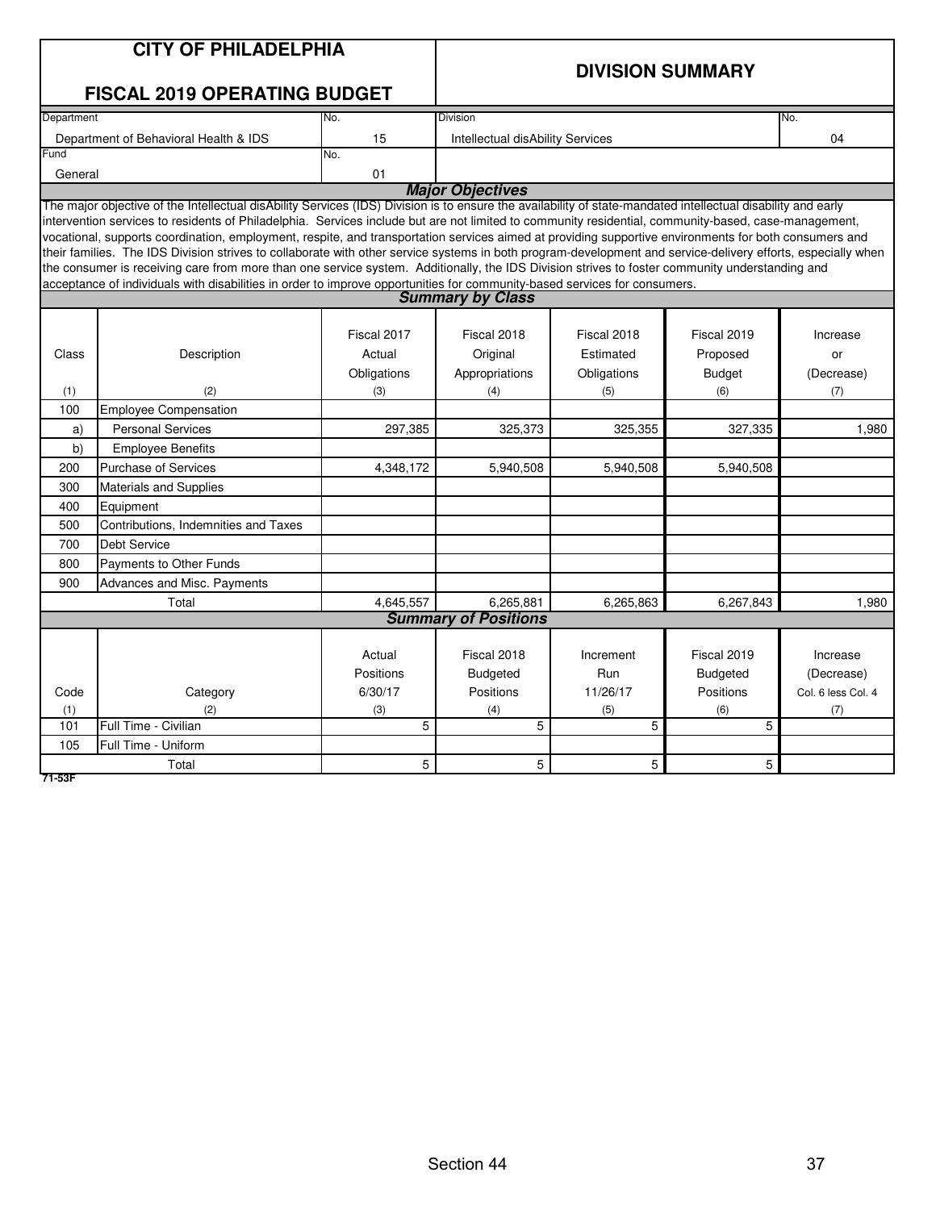|             | <b>CITY OF PHILADELPHIA</b><br><b>FISCAL 2019 OPERATING BUDGET</b>                                                                                                                                                                                                                                                                                                                                                                                                                                                                                                                                                                                                                                                                                                                                                                                                                                                                                      |                                       | <b>DIVISION SUMMARY</b>                            |                                            |                                                    |                                                     |  |  |  |  |
|-------------|---------------------------------------------------------------------------------------------------------------------------------------------------------------------------------------------------------------------------------------------------------------------------------------------------------------------------------------------------------------------------------------------------------------------------------------------------------------------------------------------------------------------------------------------------------------------------------------------------------------------------------------------------------------------------------------------------------------------------------------------------------------------------------------------------------------------------------------------------------------------------------------------------------------------------------------------------------|---------------------------------------|----------------------------------------------------|--------------------------------------------|----------------------------------------------------|-----------------------------------------------------|--|--|--|--|
| Department  |                                                                                                                                                                                                                                                                                                                                                                                                                                                                                                                                                                                                                                                                                                                                                                                                                                                                                                                                                         | No.                                   | <b>Division</b><br>No.                             |                                            |                                                    |                                                     |  |  |  |  |
|             | Department of Behavioral Health & IDS                                                                                                                                                                                                                                                                                                                                                                                                                                                                                                                                                                                                                                                                                                                                                                                                                                                                                                                   | 15                                    | Intellectual disAbility Services                   |                                            |                                                    | 04                                                  |  |  |  |  |
| Fund        |                                                                                                                                                                                                                                                                                                                                                                                                                                                                                                                                                                                                                                                                                                                                                                                                                                                                                                                                                         | No.                                   |                                                    |                                            |                                                    |                                                     |  |  |  |  |
| General     |                                                                                                                                                                                                                                                                                                                                                                                                                                                                                                                                                                                                                                                                                                                                                                                                                                                                                                                                                         | 01                                    | <b>Major Objectives</b>                            |                                            |                                                    |                                                     |  |  |  |  |
|             | The major objective of the Intellectual disAbility Services (IDS) Division is to ensure the availability of state-mandated intellectual disability and early<br>intervention services to residents of Philadelphia. Services include but are not limited to community residential, community-based, case-management,<br>vocational, supports coordination, employment, respite, and transportation services aimed at providing supportive environments for both consumers and<br>their families. The IDS Division strives to collaborate with other service systems in both program-development and service-delivery efforts, especially when<br>the consumer is receiving care from more than one service system. Additionally, the IDS Division strives to foster community understanding and<br>acceptance of individuals with disabilities in order to improve opportunities for community-based services for consumers.<br><b>Summary by Class</b> |                                       |                                                    |                                            |                                                    |                                                     |  |  |  |  |
|             |                                                                                                                                                                                                                                                                                                                                                                                                                                                                                                                                                                                                                                                                                                                                                                                                                                                                                                                                                         |                                       |                                                    |                                            |                                                    |                                                     |  |  |  |  |
| Class       | Description                                                                                                                                                                                                                                                                                                                                                                                                                                                                                                                                                                                                                                                                                                                                                                                                                                                                                                                                             | Fiscal 2017<br>Actual                 | Fiscal 2018<br>Original                            | Fiscal 2018<br>Estimated                   | Fiscal 2019<br>Proposed                            | Increase<br>or                                      |  |  |  |  |
|             |                                                                                                                                                                                                                                                                                                                                                                                                                                                                                                                                                                                                                                                                                                                                                                                                                                                                                                                                                         | Obligations                           | Appropriations                                     | Obligations                                | <b>Budget</b>                                      | (Decrease)                                          |  |  |  |  |
| (1)         | (2)                                                                                                                                                                                                                                                                                                                                                                                                                                                                                                                                                                                                                                                                                                                                                                                                                                                                                                                                                     | (3)                                   | (4)                                                | (5)                                        | (6)                                                | (7)                                                 |  |  |  |  |
| 100         | <b>Employee Compensation</b>                                                                                                                                                                                                                                                                                                                                                                                                                                                                                                                                                                                                                                                                                                                                                                                                                                                                                                                            |                                       |                                                    |                                            |                                                    |                                                     |  |  |  |  |
| a)          | <b>Personal Services</b>                                                                                                                                                                                                                                                                                                                                                                                                                                                                                                                                                                                                                                                                                                                                                                                                                                                                                                                                | 297,385                               | 325,373                                            | 325,355                                    | 327,335                                            | 1,980                                               |  |  |  |  |
| b)          | <b>Employee Benefits</b>                                                                                                                                                                                                                                                                                                                                                                                                                                                                                                                                                                                                                                                                                                                                                                                                                                                                                                                                |                                       |                                                    |                                            |                                                    |                                                     |  |  |  |  |
| 200         | <b>Purchase of Services</b>                                                                                                                                                                                                                                                                                                                                                                                                                                                                                                                                                                                                                                                                                                                                                                                                                                                                                                                             | 4,348,172                             | 5,940,508                                          | 5,940,508                                  | 5,940,508                                          |                                                     |  |  |  |  |
| 300         | Materials and Supplies                                                                                                                                                                                                                                                                                                                                                                                                                                                                                                                                                                                                                                                                                                                                                                                                                                                                                                                                  |                                       |                                                    |                                            |                                                    |                                                     |  |  |  |  |
| 400         | Equipment                                                                                                                                                                                                                                                                                                                                                                                                                                                                                                                                                                                                                                                                                                                                                                                                                                                                                                                                               |                                       |                                                    |                                            |                                                    |                                                     |  |  |  |  |
| 500         | Contributions, Indemnities and Taxes                                                                                                                                                                                                                                                                                                                                                                                                                                                                                                                                                                                                                                                                                                                                                                                                                                                                                                                    |                                       |                                                    |                                            |                                                    |                                                     |  |  |  |  |
| 700         | Debt Service                                                                                                                                                                                                                                                                                                                                                                                                                                                                                                                                                                                                                                                                                                                                                                                                                                                                                                                                            |                                       |                                                    |                                            |                                                    |                                                     |  |  |  |  |
| 800         | Payments to Other Funds                                                                                                                                                                                                                                                                                                                                                                                                                                                                                                                                                                                                                                                                                                                                                                                                                                                                                                                                 |                                       |                                                    |                                            |                                                    |                                                     |  |  |  |  |
| 900         | Advances and Misc. Payments                                                                                                                                                                                                                                                                                                                                                                                                                                                                                                                                                                                                                                                                                                                                                                                                                                                                                                                             |                                       |                                                    |                                            |                                                    |                                                     |  |  |  |  |
|             | Total                                                                                                                                                                                                                                                                                                                                                                                                                                                                                                                                                                                                                                                                                                                                                                                                                                                                                                                                                   | 4,645,557                             | 6,265,881                                          | 6,265,863                                  | 6,267,843                                          | 1,980                                               |  |  |  |  |
|             |                                                                                                                                                                                                                                                                                                                                                                                                                                                                                                                                                                                                                                                                                                                                                                                                                                                                                                                                                         |                                       | <b>Summary of Positions</b>                        |                                            |                                                    |                                                     |  |  |  |  |
| Code<br>(1) | Category<br>(2)                                                                                                                                                                                                                                                                                                                                                                                                                                                                                                                                                                                                                                                                                                                                                                                                                                                                                                                                         | Actual<br>Positions<br>6/30/17<br>(3) | Fiscal 2018<br><b>Budgeted</b><br>Positions<br>(4) | Increment<br><b>Run</b><br>11/26/17<br>(5) | Fiscal 2019<br><b>Budgeted</b><br>Positions<br>(6) | Increase<br>(Decrease)<br>Col. 6 less Col. 4<br>(7) |  |  |  |  |
| 101         | Full Time - Civilian                                                                                                                                                                                                                                                                                                                                                                                                                                                                                                                                                                                                                                                                                                                                                                                                                                                                                                                                    | 5                                     | 5                                                  | 5                                          | 5                                                  |                                                     |  |  |  |  |
| 105         | Full Time - Uniform                                                                                                                                                                                                                                                                                                                                                                                                                                                                                                                                                                                                                                                                                                                                                                                                                                                                                                                                     |                                       |                                                    |                                            |                                                    |                                                     |  |  |  |  |
|             | Total                                                                                                                                                                                                                                                                                                                                                                                                                                                                                                                                                                                                                                                                                                                                                                                                                                                                                                                                                   | 5                                     | 5                                                  | 5                                          | 5                                                  |                                                     |  |  |  |  |
| 71-53F      |                                                                                                                                                                                                                                                                                                                                                                                                                                                                                                                                                                                                                                                                                                                                                                                                                                                                                                                                                         |                                       |                                                    |                                            |                                                    |                                                     |  |  |  |  |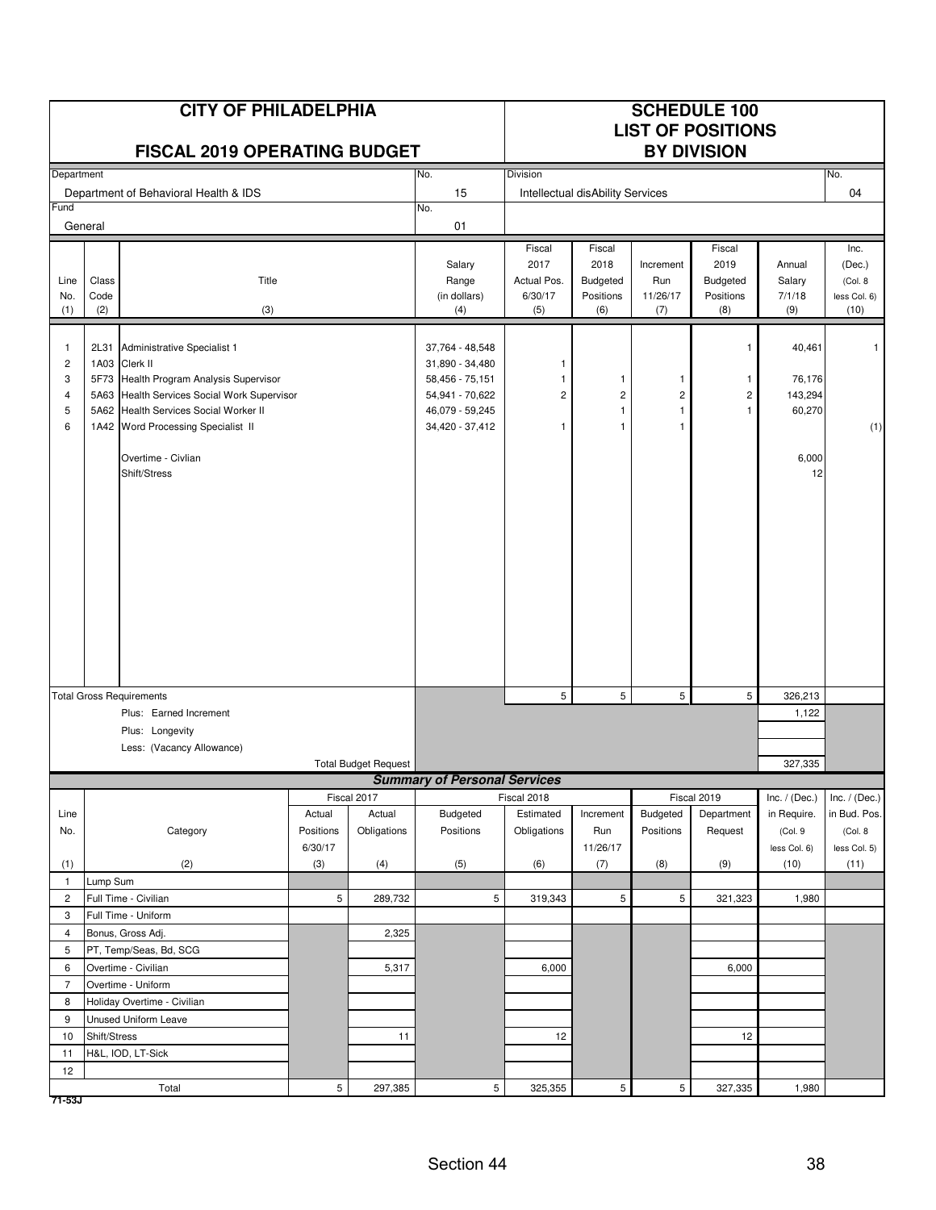|                                         |                                                                                                                                                                                                                                                                  | <b>CITY OF PHILADELPHIA</b><br><b>FISCAL 2019 OPERATING BUDGET</b> |                 |                                                                                                                | <b>SCHEDULE 100</b><br><b>LIST OF POSITIONS</b><br><b>BY DIVISION</b> |                                        |                                                              |                                         |                                                      |                  |                          |
|-----------------------------------------|------------------------------------------------------------------------------------------------------------------------------------------------------------------------------------------------------------------------------------------------------------------|--------------------------------------------------------------------|-----------------|----------------------------------------------------------------------------------------------------------------|-----------------------------------------------------------------------|----------------------------------------|--------------------------------------------------------------|-----------------------------------------|------------------------------------------------------|------------------|--------------------------|
| Department                              |                                                                                                                                                                                                                                                                  |                                                                    |                 |                                                                                                                | No.                                                                   | <b>Division</b>                        |                                                              |                                         |                                                      |                  | No.                      |
| Fund                                    |                                                                                                                                                                                                                                                                  | Department of Behavioral Health & IDS                              |                 |                                                                                                                | 15<br>No.                                                             |                                        | Intellectual disAbility Services                             |                                         |                                                      |                  | 04                       |
|                                         | General                                                                                                                                                                                                                                                          |                                                                    |                 |                                                                                                                | 01                                                                    |                                        |                                                              |                                         |                                                      |                  |                          |
|                                         |                                                                                                                                                                                                                                                                  |                                                                    |                 |                                                                                                                |                                                                       | Fiscal                                 | Fiscal                                                       |                                         | Fiscal                                               |                  | Inc.                     |
|                                         |                                                                                                                                                                                                                                                                  |                                                                    |                 |                                                                                                                | Salary                                                                | 2017                                   | 2018                                                         | Increment                               | 2019                                                 | Annual           | (Dec.)                   |
| Line<br>No.                             | Class<br>Code                                                                                                                                                                                                                                                    | Title                                                              |                 |                                                                                                                | Range<br>(in dollars)                                                 | Actual Pos.<br>6/30/17                 | Budgeted<br>Positions                                        | Run<br>11/26/17                         | Budgeted<br>Positions                                | Salary<br>7/1/18 | (Col. 8)<br>less Col. 6) |
| (1)                                     | (2)                                                                                                                                                                                                                                                              | (3)                                                                |                 |                                                                                                                | (4)                                                                   | (5)                                    | (6)                                                          | (7)                                     | (8)                                                  | (9)              | (10)                     |
| 1<br>$\overline{c}$<br>3<br>4<br>5<br>6 | 2L31 Administrative Specialist 1<br>1A03 Clerk II<br>5F73 Health Program Analysis Supervisor<br>5A63 Health Services Social Work Supervisor<br>5A62 Health Services Social Worker II<br>1A42 Word Processing Specialist II<br>Overtime - Civlian<br>Shift/Stress |                                                                    |                 | 37,764 - 48,548<br>31,890 - 34,480<br>58,456 - 75,151<br>54,941 - 70,622<br>46,079 - 59,245<br>34,420 - 37,412 | $\mathbf{1}$<br>$\mathbf{1}$<br>$\overline{c}$<br>$\overline{1}$      | 1<br>$\overline{\mathbf{c}}$<br>1<br>1 | $\mathbf{1}$<br>$\overline{\mathbf{c}}$<br>$\mathbf{1}$<br>1 | 1<br>-1<br>$\overline{\mathbf{c}}$<br>1 | 40,461<br>76,176<br>143,294<br>60,270<br>6,000<br>12 | 1<br>(1)         |                          |
|                                         |                                                                                                                                                                                                                                                                  |                                                                    |                 |                                                                                                                |                                                                       |                                        |                                                              |                                         |                                                      |                  |                          |
|                                         |                                                                                                                                                                                                                                                                  | <b>Total Gross Requirements</b><br>Plus: Earned Increment          |                 |                                                                                                                |                                                                       | 5                                      | $\sqrt{5}$                                                   | $\,$ 5 $\,$                             | $5\phantom{.0}$                                      | 326,213<br>1,122 |                          |
|                                         |                                                                                                                                                                                                                                                                  | Plus: Longevity                                                    |                 |                                                                                                                |                                                                       |                                        |                                                              |                                         |                                                      |                  |                          |
|                                         |                                                                                                                                                                                                                                                                  | Less: (Vacancy Allowance)                                          |                 |                                                                                                                |                                                                       |                                        |                                                              |                                         |                                                      |                  |                          |
|                                         |                                                                                                                                                                                                                                                                  |                                                                    |                 | <b>Total Budget Request</b>                                                                                    | <b>Summary of Personal Services</b>                                   |                                        |                                                              |                                         |                                                      | 327,335          |                          |
|                                         |                                                                                                                                                                                                                                                                  |                                                                    |                 | Fiscal 2017                                                                                                    |                                                                       | Fiscal 2018                            |                                                              |                                         | Fiscal 2019                                          | Inc. $/$ (Dec.)  | Inc. $/$ (Dec.)          |
| Line                                    |                                                                                                                                                                                                                                                                  |                                                                    | Actual          | Actual                                                                                                         | Budgeted                                                              | Estimated                              | Increment                                                    | Budgeted                                | Department                                           | in Require.      | in Bud. Pos.             |
| No.                                     |                                                                                                                                                                                                                                                                  | Category                                                           | Positions       | Obligations                                                                                                    | Positions                                                             | Obligations                            | Run                                                          | Positions                               | Request                                              | (Col. 9          | (Col. 8                  |
|                                         |                                                                                                                                                                                                                                                                  |                                                                    | 6/30/17         |                                                                                                                |                                                                       |                                        | 11/26/17                                                     |                                         |                                                      | less Col. 6)     | less Col. 5)             |
| (1)<br>1                                | Lump Sum                                                                                                                                                                                                                                                         | (2)                                                                | $(3)$           | (4)                                                                                                            | (5)                                                                   | (6)                                    | (7)                                                          | (8)                                     | (9)                                                  | (10)             | (11)                     |
| $\overline{c}$                          |                                                                                                                                                                                                                                                                  | Full Time - Civilian                                               | $5\overline{)}$ | 289,732                                                                                                        | $5\overline{)}$                                                       | 319,343                                | 5                                                            | 5                                       | 321,323                                              | 1,980            |                          |
| 3                                       |                                                                                                                                                                                                                                                                  | Full Time - Uniform                                                |                 |                                                                                                                |                                                                       |                                        |                                                              |                                         |                                                      |                  |                          |
| 4                                       |                                                                                                                                                                                                                                                                  | Bonus, Gross Adj.                                                  |                 | 2,325                                                                                                          |                                                                       |                                        |                                                              |                                         |                                                      |                  |                          |
| 5                                       |                                                                                                                                                                                                                                                                  | PT, Temp/Seas, Bd, SCG                                             |                 |                                                                                                                |                                                                       |                                        |                                                              |                                         |                                                      |                  |                          |
| 6                                       |                                                                                                                                                                                                                                                                  | Overtime - Civilian                                                |                 | 5,317                                                                                                          |                                                                       | 6,000                                  |                                                              |                                         | 6,000                                                |                  |                          |
| $\overline{7}$<br>8                     |                                                                                                                                                                                                                                                                  | Overtime - Uniform<br>Holiday Overtime - Civilian                  |                 |                                                                                                                |                                                                       |                                        |                                                              |                                         |                                                      |                  |                          |
| 9                                       |                                                                                                                                                                                                                                                                  | Unused Uniform Leave                                               |                 |                                                                                                                |                                                                       |                                        |                                                              |                                         |                                                      |                  |                          |
| 10                                      | Shift/Stress                                                                                                                                                                                                                                                     |                                                                    |                 | 11                                                                                                             |                                                                       | 12                                     |                                                              |                                         | 12                                                   |                  |                          |
| 11                                      |                                                                                                                                                                                                                                                                  | H&L, IOD, LT-Sick                                                  |                 |                                                                                                                |                                                                       |                                        |                                                              |                                         |                                                      |                  |                          |
| 12                                      |                                                                                                                                                                                                                                                                  |                                                                    |                 |                                                                                                                |                                                                       |                                        |                                                              |                                         |                                                      |                  |                          |
| 71-53J                                  |                                                                                                                                                                                                                                                                  | Total                                                              | $5\phantom{.0}$ | 297,385                                                                                                        | 5 <sup>1</sup>                                                        | 325,355                                | $\sqrt{5}$                                                   | $\,$ 5 $\,$                             | 327,335                                              | 1,980            |                          |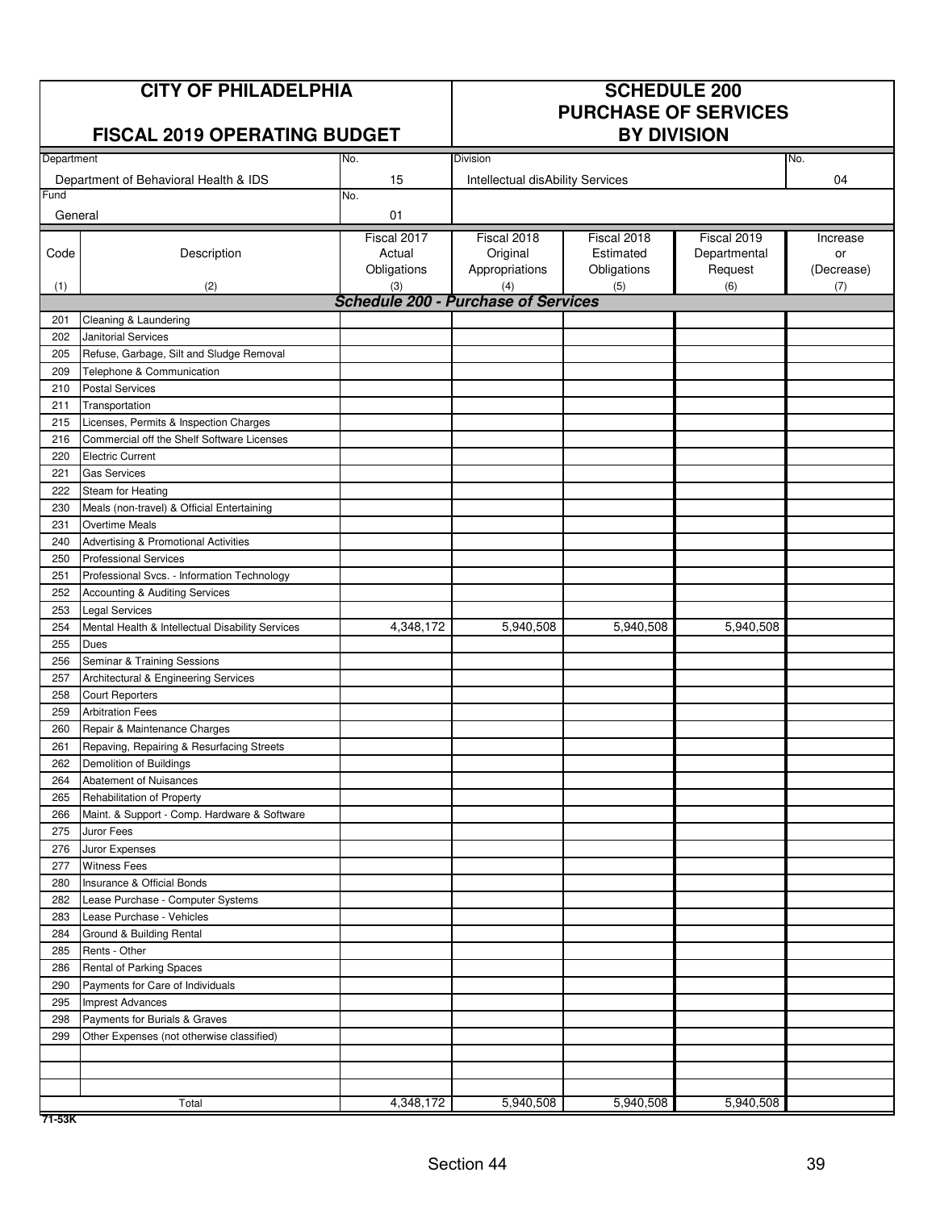|            | <b>CITY OF PHILADELPHIA</b>                                               |             | <b>SCHEDULE 200</b><br><b>PURCHASE OF SERVICES</b> |                    |              |            |  |
|------------|---------------------------------------------------------------------------|-------------|----------------------------------------------------|--------------------|--------------|------------|--|
|            | <b>FISCAL 2019 OPERATING BUDGET</b>                                       |             |                                                    | <b>BY DIVISION</b> |              |            |  |
| Department |                                                                           | No.         | Division                                           |                    |              | No.        |  |
|            | Department of Behavioral Health & IDS                                     | 15          | Intellectual disAbility Services                   |                    |              | 04         |  |
| Fund       |                                                                           | No.         |                                                    |                    |              |            |  |
| General    |                                                                           | 01          |                                                    |                    |              |            |  |
|            |                                                                           | Fiscal 2017 | Fiscal 2018                                        | Fiscal 2018        | Fiscal 2019  | Increase   |  |
| Code       | Description                                                               | Actual      | Original                                           | Estimated          | Departmental | or         |  |
|            |                                                                           | Obligations | Appropriations                                     | Obligations        | Request      | (Decrease) |  |
| (1)        | (2)                                                                       | (3)         | (4)<br><b>Schedule 200 - Purchase of Services</b>  | (5)                | (6)          | (7)        |  |
| 201        | Cleaning & Laundering                                                     |             |                                                    |                    |              |            |  |
| 202        | Janitorial Services                                                       |             |                                                    |                    |              |            |  |
| 205        | Refuse, Garbage, Silt and Sludge Removal                                  |             |                                                    |                    |              |            |  |
| 209        | Telephone & Communication                                                 |             |                                                    |                    |              |            |  |
| 210        | Postal Services                                                           |             |                                                    |                    |              |            |  |
| 211        | Transportation                                                            |             |                                                    |                    |              |            |  |
| 215        | Licenses, Permits & Inspection Charges                                    |             |                                                    |                    |              |            |  |
| 216        | Commercial off the Shelf Software Licenses                                |             |                                                    |                    |              |            |  |
| 220        | <b>Electric Current</b>                                                   |             |                                                    |                    |              |            |  |
| 221        | <b>Gas Services</b>                                                       |             |                                                    |                    |              |            |  |
| 222        | Steam for Heating                                                         |             |                                                    |                    |              |            |  |
| 230        | Meals (non-travel) & Official Entertaining                                |             |                                                    |                    |              |            |  |
| 231        | <b>Overtime Meals</b>                                                     |             |                                                    |                    |              |            |  |
| 240        | Advertising & Promotional Activities                                      |             |                                                    |                    |              |            |  |
| 250        | <b>Professional Services</b>                                              |             |                                                    |                    |              |            |  |
| 251        | Professional Svcs. - Information Technology                               |             |                                                    |                    |              |            |  |
| 252        | Accounting & Auditing Services                                            |             |                                                    |                    |              |            |  |
| 253        | Legal Services                                                            |             |                                                    |                    |              |            |  |
| 254        | Mental Health & Intellectual Disability Services                          | 4,348,172   | 5,940,508                                          | 5,940,508          | 5,940,508    |            |  |
| 255        | Dues                                                                      |             |                                                    |                    |              |            |  |
| 256        | Seminar & Training Sessions                                               |             |                                                    |                    |              |            |  |
| 257        | Architectural & Engineering Services                                      |             |                                                    |                    |              |            |  |
| 258        | <b>Court Reporters</b>                                                    |             |                                                    |                    |              |            |  |
| 259<br>260 | <b>Arbitration Fees</b>                                                   |             |                                                    |                    |              |            |  |
| 261        | Repair & Maintenance Charges<br>Repaving, Repairing & Resurfacing Streets |             |                                                    |                    |              |            |  |
| 262        | Demolition of Buildings                                                   |             |                                                    |                    |              |            |  |
| 264        | Abatement of Nuisances                                                    |             |                                                    |                    |              |            |  |
| 265        | Rehabilitation of Property                                                |             |                                                    |                    |              |            |  |
| 266        | Maint. & Support - Comp. Hardware & Software                              |             |                                                    |                    |              |            |  |
| 275        | Juror Fees                                                                |             |                                                    |                    |              |            |  |
| 276        | Juror Expenses                                                            |             |                                                    |                    |              |            |  |
| 277        | <b>Witness Fees</b>                                                       |             |                                                    |                    |              |            |  |
| 280        | Insurance & Official Bonds                                                |             |                                                    |                    |              |            |  |
| 282        | Lease Purchase - Computer Systems                                         |             |                                                    |                    |              |            |  |
| 283        | Lease Purchase - Vehicles                                                 |             |                                                    |                    |              |            |  |
| 284        | Ground & Building Rental                                                  |             |                                                    |                    |              |            |  |
| 285        | Rents - Other                                                             |             |                                                    |                    |              |            |  |
| 286        | Rental of Parking Spaces                                                  |             |                                                    |                    |              |            |  |
| 290        | Payments for Care of Individuals                                          |             |                                                    |                    |              |            |  |
| 295        | <b>Imprest Advances</b>                                                   |             |                                                    |                    |              |            |  |
| 298        | Payments for Burials & Graves                                             |             |                                                    |                    |              |            |  |
| 299        | Other Expenses (not otherwise classified)                                 |             |                                                    |                    |              |            |  |
|            |                                                                           |             |                                                    |                    |              |            |  |
|            |                                                                           |             |                                                    |                    |              |            |  |
|            |                                                                           |             |                                                    |                    |              |            |  |
|            | Total                                                                     | 4,348,172   | 5,940,508                                          | 5,940,508          | 5,940,508    |            |  |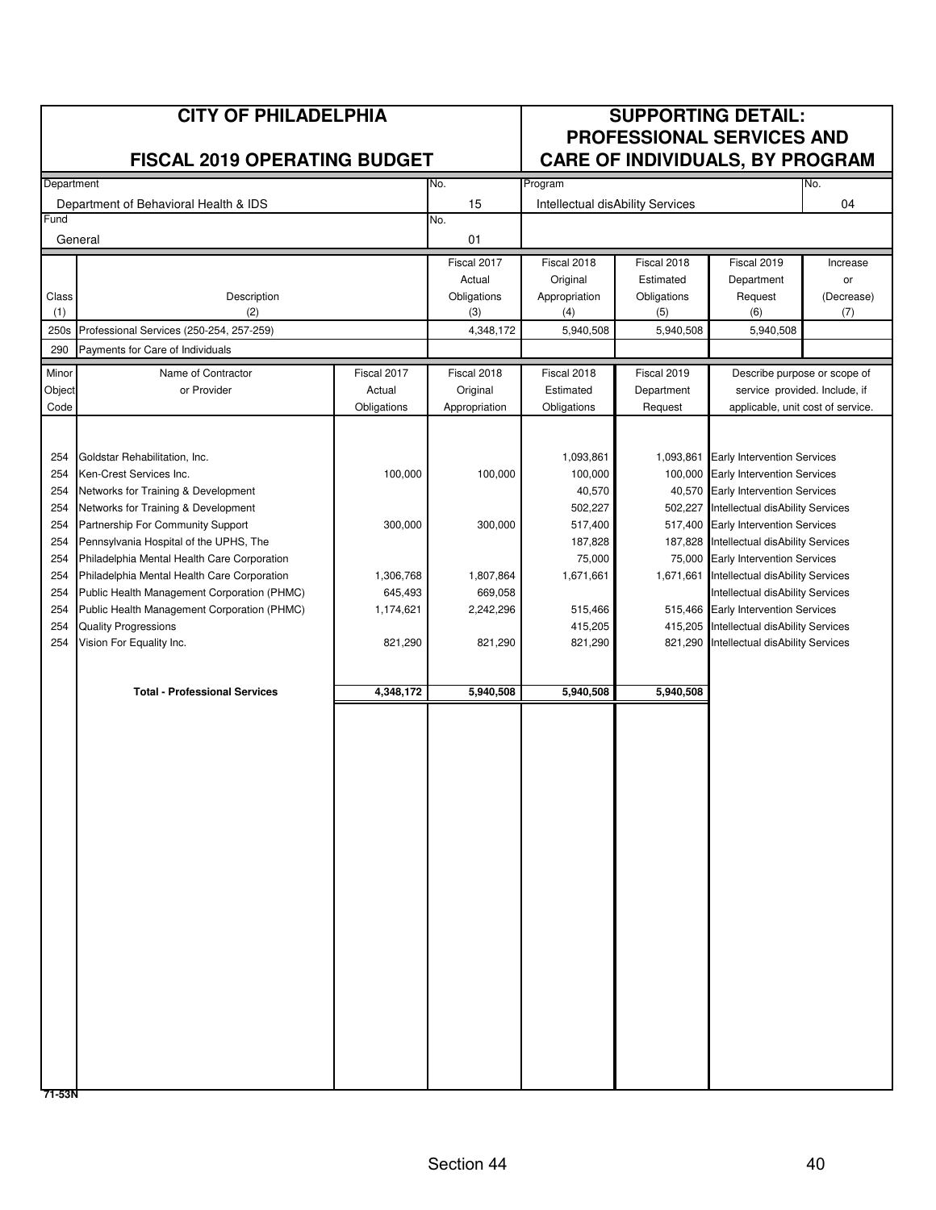|                          | <b>CITY OF PHILADELPHIA</b>                                                                                                            |                      |                      | <b>SUPPORTING DETAIL:</b><br><b>PROFESSIONAL SERVICES AND</b><br><b>CARE OF INDIVIDUALS, BY PROGRAM</b> |                                           |                                                                                                                                                    |            |  |
|--------------------------|----------------------------------------------------------------------------------------------------------------------------------------|----------------------|----------------------|---------------------------------------------------------------------------------------------------------|-------------------------------------------|----------------------------------------------------------------------------------------------------------------------------------------------------|------------|--|
|                          | <b>FISCAL 2019 OPERATING BUDGET</b>                                                                                                    |                      |                      |                                                                                                         |                                           |                                                                                                                                                    |            |  |
| Department               |                                                                                                                                        |                      | No.                  | Program                                                                                                 |                                           |                                                                                                                                                    | No.        |  |
| Fund                     | Department of Behavioral Health & IDS                                                                                                  |                      | 15                   | Intellectual disAbility Services                                                                        |                                           |                                                                                                                                                    | 04         |  |
|                          | General                                                                                                                                |                      | No.<br>01            |                                                                                                         |                                           |                                                                                                                                                    |            |  |
|                          |                                                                                                                                        |                      | Fiscal 2017          | Fiscal 2018                                                                                             | Fiscal 2018                               | Fiscal 2019                                                                                                                                        | Increase   |  |
|                          |                                                                                                                                        |                      | Actual               | Original                                                                                                | Estimated                                 | Department                                                                                                                                         | or         |  |
| Class                    | Description                                                                                                                            |                      | Obligations          | Appropriation                                                                                           | Obligations                               | Request                                                                                                                                            | (Decrease) |  |
| (1)                      | (2)                                                                                                                                    |                      | (3)                  | (4)                                                                                                     | (5)                                       | (6)                                                                                                                                                | (7)        |  |
| 250s                     | Professional Services (250-254, 257-259)                                                                                               |                      | 4,348,172            | 5,940,508                                                                                               | 5,940,508                                 | 5,940,508                                                                                                                                          |            |  |
| 290                      | Payments for Care of Individuals                                                                                                       |                      |                      |                                                                                                         |                                           |                                                                                                                                                    |            |  |
| Minor                    | Name of Contractor                                                                                                                     | Fiscal 2017          | Fiscal 2018          | Fiscal 2018                                                                                             | Fiscal 2019                               | Describe purpose or scope of                                                                                                                       |            |  |
| Object                   | or Provider                                                                                                                            | Actual               | Original             | Estimated                                                                                               | Department                                | service provided. Include, if                                                                                                                      |            |  |
| Code                     |                                                                                                                                        | Obligations          | Appropriation        | Obligations<br>Request<br>applicable, unit cost of service.                                             |                                           |                                                                                                                                                    |            |  |
| 254<br>254<br>254<br>254 | Goldstar Rehabilitation, Inc.<br>Ken-Crest Services Inc.<br>Networks for Training & Development<br>Networks for Training & Development | 100,000              | 100,000              | 1,093,861<br>100,000<br>40,570<br>502,227                                                               | 1,093,861<br>100,000<br>40,570<br>502,227 | <b>Early Intervention Services</b><br><b>Early Intervention Services</b><br><b>Early Intervention Services</b><br>Intellectual disAbility Services |            |  |
| 254                      | Partnership For Community Support                                                                                                      | 300,000              | 300,000              | 517,400                                                                                                 | 517,400                                   | Early Intervention Services                                                                                                                        |            |  |
| 254                      | Pennsylvania Hospital of the UPHS, The                                                                                                 |                      |                      | 187,828                                                                                                 | 187,828                                   | Intellectual disAbility Services                                                                                                                   |            |  |
| 254                      | Philadelphia Mental Health Care Corporation                                                                                            |                      |                      | 75,000                                                                                                  | 75,000                                    | Early Intervention Services                                                                                                                        |            |  |
| 254<br>254               | Philadelphia Mental Health Care Corporation<br>Public Health Management Corporation (PHMC)                                             | 1,306,768<br>645,493 | 1,807,864<br>669,058 | 1,671,661                                                                                               | 1,671,661                                 | Intellectual disAbility Services<br>Intellectual disAbility Services                                                                               |            |  |
| 254                      | Public Health Management Corporation (PHMC)                                                                                            | 1,174,621            | 2,242,296            | 515,466                                                                                                 |                                           | 515,466 Early Intervention Services                                                                                                                |            |  |
| 254                      | Quality Progressions                                                                                                                   |                      |                      | 415,205                                                                                                 | 415,205                                   | Intellectual disAbility Services                                                                                                                   |            |  |
| 254                      | Vision For Equality Inc.                                                                                                               | 821,290              | 821,290              | 821,290                                                                                                 | 821,290                                   | Intellectual disAbility Services                                                                                                                   |            |  |
|                          |                                                                                                                                        |                      |                      |                                                                                                         |                                           |                                                                                                                                                    |            |  |
|                          | <b>Total - Professional Services</b>                                                                                                   | 4,348,172            | 5,940,508            | 5,940,508                                                                                               | 5,940,508                                 |                                                                                                                                                    |            |  |
|                          |                                                                                                                                        |                      |                      |                                                                                                         |                                           |                                                                                                                                                    |            |  |
| 71-53N                   |                                                                                                                                        |                      |                      |                                                                                                         |                                           |                                                                                                                                                    |            |  |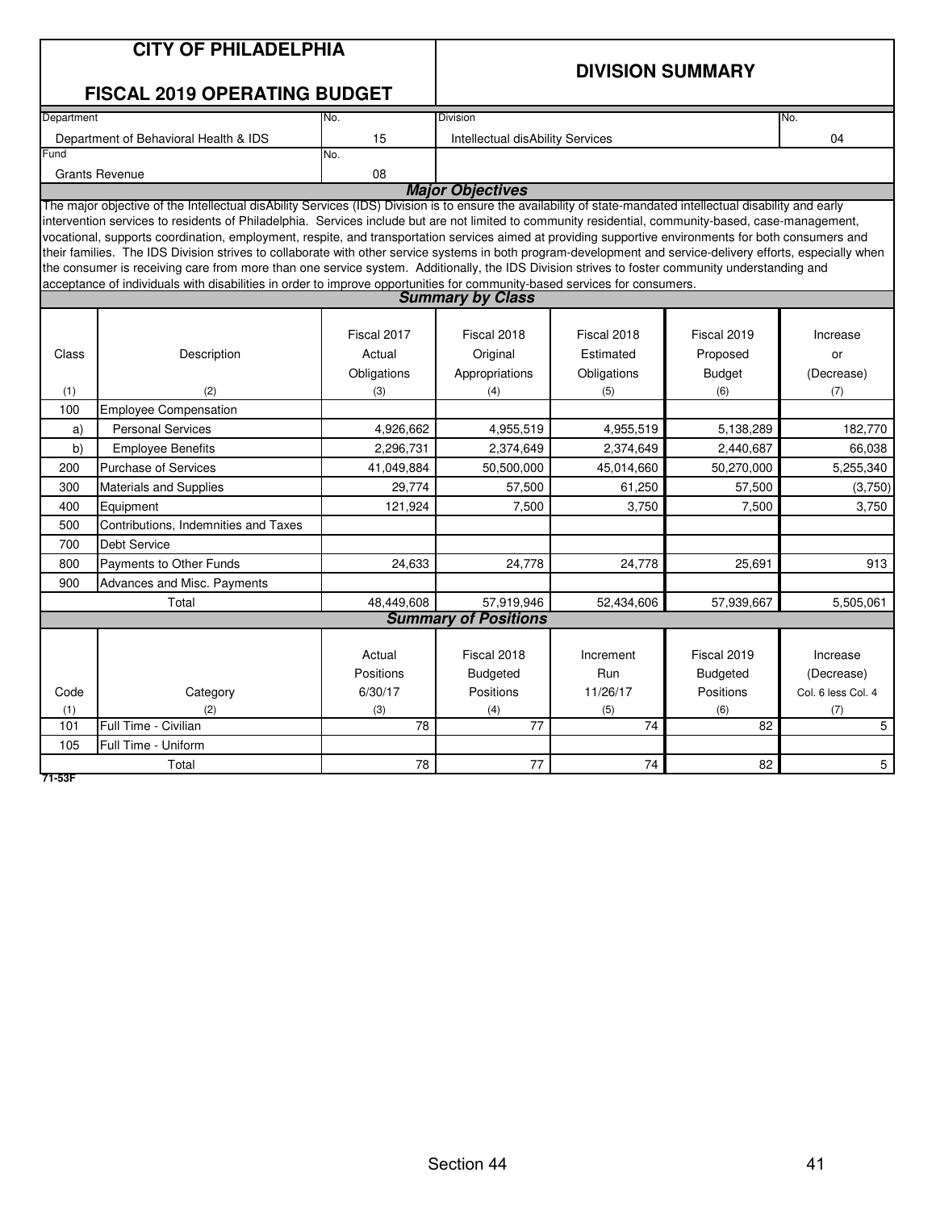|            | <b>CITY OF PHILADELPHIA</b>                                                                                                                                                                                                                                                                                   |             |                                        |             | <b>DIVISION SUMMARY</b> |                    |  |  |  |  |
|------------|---------------------------------------------------------------------------------------------------------------------------------------------------------------------------------------------------------------------------------------------------------------------------------------------------------------|-------------|----------------------------------------|-------------|-------------------------|--------------------|--|--|--|--|
|            | <b>FISCAL 2019 OPERATING BUDGET</b>                                                                                                                                                                                                                                                                           |             |                                        |             |                         |                    |  |  |  |  |
| Department |                                                                                                                                                                                                                                                                                                               | No.         | <b>Division</b>                        |             |                         | No.                |  |  |  |  |
|            | Department of Behavioral Health & IDS                                                                                                                                                                                                                                                                         | 15          | 04<br>Intellectual disAbility Services |             |                         |                    |  |  |  |  |
| Fund       |                                                                                                                                                                                                                                                                                                               | No.         |                                        |             |                         |                    |  |  |  |  |
|            | <b>Grants Revenue</b>                                                                                                                                                                                                                                                                                         | 08          |                                        |             |                         |                    |  |  |  |  |
|            |                                                                                                                                                                                                                                                                                                               |             | <b>Major Objectives</b>                |             |                         |                    |  |  |  |  |
|            | The major objective of the Intellectual disAbility Services (IDS) Division is to ensure the availability of state-mandated intellectual disability and early                                                                                                                                                  |             |                                        |             |                         |                    |  |  |  |  |
|            | intervention services to residents of Philadelphia. Services include but are not limited to community residential, community-based, case-management,<br>vocational, supports coordination, employment, respite, and transportation services aimed at providing supportive environments for both consumers and |             |                                        |             |                         |                    |  |  |  |  |
|            | their families. The IDS Division strives to collaborate with other service systems in both program-development and service-delivery efforts, especially when                                                                                                                                                  |             |                                        |             |                         |                    |  |  |  |  |
|            | the consumer is receiving care from more than one service system. Additionally, the IDS Division strives to foster community understanding and                                                                                                                                                                |             |                                        |             |                         |                    |  |  |  |  |
|            | acceptance of individuals with disabilities in order to improve opportunities for community-based services for consumers.                                                                                                                                                                                     |             |                                        |             |                         |                    |  |  |  |  |
|            |                                                                                                                                                                                                                                                                                                               |             | <b>Summary by Class</b>                |             |                         |                    |  |  |  |  |
|            |                                                                                                                                                                                                                                                                                                               |             |                                        |             |                         |                    |  |  |  |  |
|            |                                                                                                                                                                                                                                                                                                               | Fiscal 2017 | Fiscal 2018                            | Fiscal 2018 | Fiscal 2019             | Increase           |  |  |  |  |
| Class      | Description                                                                                                                                                                                                                                                                                                   | Actual      | Original                               | Estimated   | Proposed                | or                 |  |  |  |  |
|            |                                                                                                                                                                                                                                                                                                               | Obligations | Appropriations                         | Obligations | <b>Budget</b>           | (Decrease)         |  |  |  |  |
| (1)        | (2)                                                                                                                                                                                                                                                                                                           | (3)         | (4)                                    | (5)         | (6)                     | (7)                |  |  |  |  |
| 100        | <b>Employee Compensation</b>                                                                                                                                                                                                                                                                                  |             |                                        |             |                         |                    |  |  |  |  |
| a)         | <b>Personal Services</b>                                                                                                                                                                                                                                                                                      | 4,926,662   | 4,955,519                              | 4,955,519   | 5,138,289               | 182,770            |  |  |  |  |
| b)         | <b>Employee Benefits</b>                                                                                                                                                                                                                                                                                      | 2,296,731   | 2,374,649                              | 2,374,649   | 2,440,687               | 66,038             |  |  |  |  |
| 200        | <b>Purchase of Services</b>                                                                                                                                                                                                                                                                                   | 41,049,884  | 50,500,000                             | 45,014,660  | 50,270,000              | 5,255,340          |  |  |  |  |
| 300        | Materials and Supplies                                                                                                                                                                                                                                                                                        | 29.774      | 57,500                                 | 61.250      | 57,500                  | (3,750)            |  |  |  |  |
| 400        | Equipment                                                                                                                                                                                                                                                                                                     | 121,924     | 7,500                                  | 3,750       | 7,500                   | 3,750              |  |  |  |  |
| 500        | Contributions, Indemnities and Taxes                                                                                                                                                                                                                                                                          |             |                                        |             |                         |                    |  |  |  |  |
| 700        | Debt Service                                                                                                                                                                                                                                                                                                  |             |                                        |             |                         |                    |  |  |  |  |
| 800        | Payments to Other Funds                                                                                                                                                                                                                                                                                       | 24,633      | 24,778                                 | 24.778      | 25,691                  | 913                |  |  |  |  |
| 900        | Advances and Misc. Payments                                                                                                                                                                                                                                                                                   |             |                                        |             |                         |                    |  |  |  |  |
|            | Total                                                                                                                                                                                                                                                                                                         | 48,449,608  | 57,919,946                             | 52,434,606  | 57,939,667              | 5,505,061          |  |  |  |  |
|            |                                                                                                                                                                                                                                                                                                               |             | <b>Summary of Positions</b>            |             |                         |                    |  |  |  |  |
|            |                                                                                                                                                                                                                                                                                                               |             |                                        |             |                         |                    |  |  |  |  |
|            |                                                                                                                                                                                                                                                                                                               | Actual      | Fiscal 2018                            | Increment   | Fiscal 2019             | Increase           |  |  |  |  |
|            |                                                                                                                                                                                                                                                                                                               | Positions   | <b>Budgeted</b>                        | Run         | <b>Budgeted</b>         | (Decrease)         |  |  |  |  |
| Code       | Category                                                                                                                                                                                                                                                                                                      | 6/30/17     | Positions                              | 11/26/17    | <b>Positions</b>        | Col. 6 less Col. 4 |  |  |  |  |
| (1)        | (2)                                                                                                                                                                                                                                                                                                           | (3)         | (4)                                    | (5)         | (6)                     | (7)                |  |  |  |  |
| 101        | Full Time - Civilian                                                                                                                                                                                                                                                                                          | 78          | 77                                     | 74          | 82                      | 5                  |  |  |  |  |
| 105        | Full Time - Uniform                                                                                                                                                                                                                                                                                           |             |                                        |             |                         |                    |  |  |  |  |
| 71-53F     | Total                                                                                                                                                                                                                                                                                                         | 78          | 77                                     | 74          | 82                      | 5                  |  |  |  |  |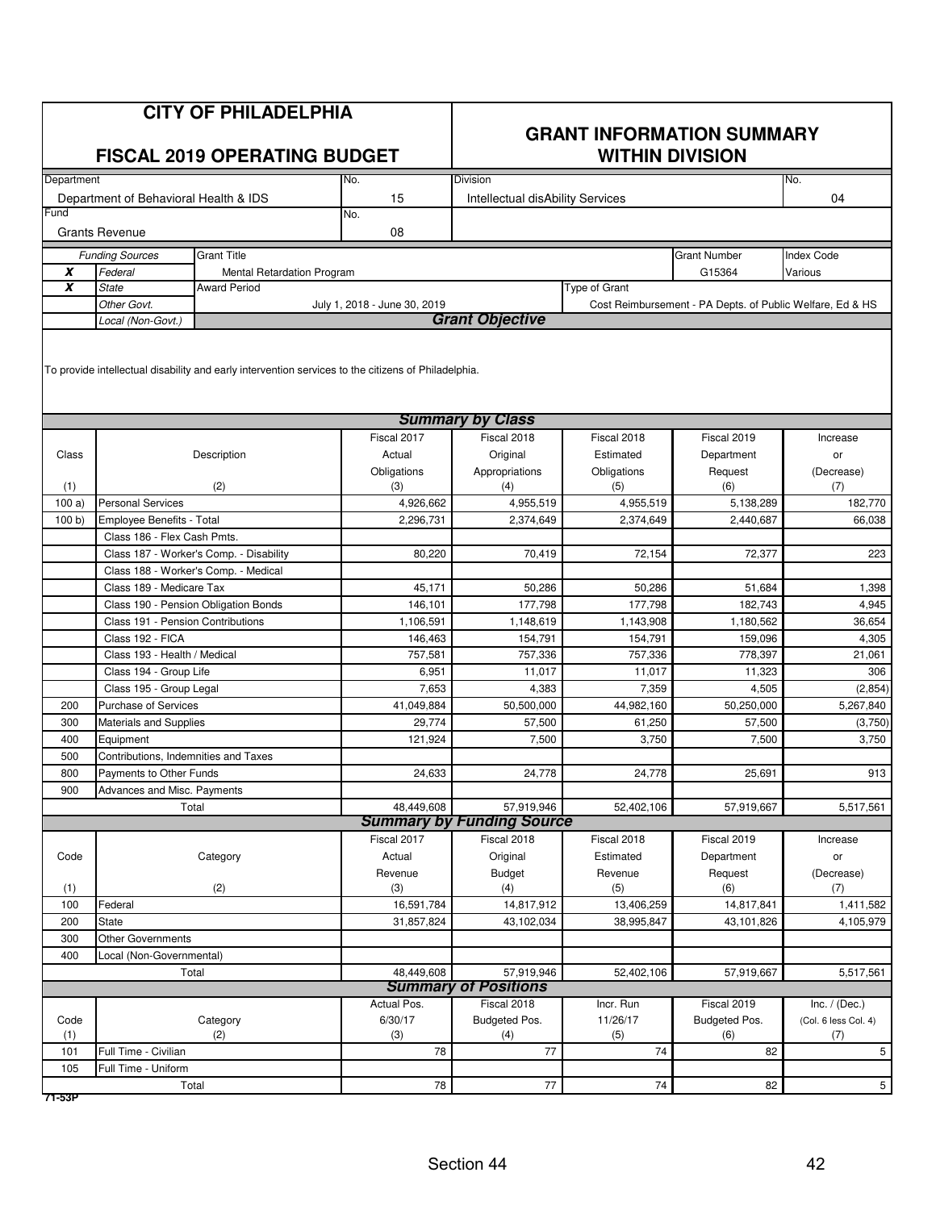|            |                                                                                               | <b>CITY OF PHILADELPHIA</b><br><b>FISCAL 2019 OPERATING BUDGET</b>                                  |                              |                                  | <b>GRANT INFORMATION SUMMARY</b><br><b>WITHIN DIVISION</b> |                                                           |                      |  |  |
|------------|-----------------------------------------------------------------------------------------------|-----------------------------------------------------------------------------------------------------|------------------------------|----------------------------------|------------------------------------------------------------|-----------------------------------------------------------|----------------------|--|--|
| Department |                                                                                               |                                                                                                     | No.                          | <b>Division</b>                  |                                                            |                                                           | No.                  |  |  |
|            | Department of Behavioral Health & IDS                                                         |                                                                                                     | 15                           | Intellectual disAbility Services |                                                            |                                                           | 04                   |  |  |
| Fund       |                                                                                               |                                                                                                     | No.                          |                                  |                                                            |                                                           |                      |  |  |
|            | <b>Grants Revenue</b>                                                                         |                                                                                                     | 08                           |                                  |                                                            |                                                           |                      |  |  |
|            | <b>Funding Sources</b>                                                                        | <b>Grant Title</b>                                                                                  |                              |                                  |                                                            | <b>Grant Number</b>                                       | Index Code           |  |  |
| X          | Federal<br>Mental Retardation Program<br><b>State</b><br>Type of Grant<br><b>Award Period</b> |                                                                                                     |                              |                                  |                                                            | G15364                                                    | Various              |  |  |
| X          |                                                                                               |                                                                                                     |                              |                                  |                                                            |                                                           |                      |  |  |
|            | Other Govt.<br>Local (Non-Govt.)                                                              |                                                                                                     | July 1, 2018 - June 30, 2019 | <b>Grant Objective</b>           |                                                            | Cost Reimbursement - PA Depts. of Public Welfare, Ed & HS |                      |  |  |
|            |                                                                                               | To provide intellectual disability and early intervention services to the citizens of Philadelphia. |                              | <b>Summary by Class</b>          |                                                            |                                                           |                      |  |  |
|            |                                                                                               |                                                                                                     | Fiscal 2017                  | Fiscal 2018                      |                                                            |                                                           |                      |  |  |
| Class      |                                                                                               | Description                                                                                         | Actual                       | Original                         | Fiscal 2018<br>Estimated                                   | Fiscal 2019                                               | Increase             |  |  |
|            |                                                                                               |                                                                                                     | Obligations                  | Appropriations                   |                                                            | Department                                                | or<br>(Decrease)     |  |  |
| (1)        |                                                                                               | (2)                                                                                                 | (3)                          | (4)                              | Obligations<br>(5)                                         | Request<br>(6)                                            | (7)                  |  |  |
| 100a       | <b>Personal Services</b>                                                                      |                                                                                                     | 4,926,662                    | 4,955,519                        | 4,955,519                                                  | 5,138,289                                                 | 182,770              |  |  |
| 100 b      | Employee Benefits - Total                                                                     |                                                                                                     | 2,296,731                    | 2,374,649                        | 2,374,649                                                  | 2,440,687                                                 | 66,038               |  |  |
|            | Class 186 - Flex Cash Pmts.                                                                   |                                                                                                     |                              |                                  |                                                            |                                                           |                      |  |  |
|            |                                                                                               | Class 187 - Worker's Comp. - Disability                                                             | 80,220                       | 70,419                           | 72,154                                                     | 72,377                                                    | 223                  |  |  |
|            |                                                                                               | Class 188 - Worker's Comp. - Medical                                                                |                              |                                  |                                                            |                                                           |                      |  |  |
|            | Class 189 - Medicare Tax                                                                      |                                                                                                     | 45,171                       | 50,286                           | 50,286                                                     | 51,684                                                    | 1,398                |  |  |
|            |                                                                                               | Class 190 - Pension Obligation Bonds                                                                | 146,101                      | 177,798                          | 177,798                                                    | 182,743                                                   | 4,945                |  |  |
|            | Class 191 - Pension Contributions                                                             |                                                                                                     | 1,106,591                    | 1,148,619                        | 1,143,908                                                  | 1,180,562                                                 | 36,654               |  |  |
|            | Class 192 - FICA                                                                              |                                                                                                     | 146,463                      | 154,791                          | 154,791                                                    | 159,096                                                   | 4,305                |  |  |
|            | Class 193 - Health / Medical                                                                  |                                                                                                     | 757,581                      | 757,336                          | 757,336                                                    | 778,397                                                   | 21,061               |  |  |
|            | Class 194 - Group Life                                                                        |                                                                                                     | 6,951                        | 11,017                           | 11,017                                                     | 11,323                                                    | 306                  |  |  |
|            | Class 195 - Group Legal                                                                       |                                                                                                     | 7,653                        | 4,383                            | 7,359                                                      | 4,505                                                     | (2, 854)             |  |  |
| 200        | <b>Purchase of Services</b>                                                                   |                                                                                                     | 41,049,884                   | 50,500,000                       | 44,982,160                                                 | 50,250,000                                                | 5,267,840            |  |  |
| 300        | Materials and Supplies                                                                        |                                                                                                     | 29,774                       | 57,500                           | 61,250                                                     | 57,500                                                    | (3,750)              |  |  |
| 400        | Equipment                                                                                     |                                                                                                     | 121,924                      | 7,500                            | 3,750                                                      | 7,500                                                     | 3,750                |  |  |
| 500        | Contributions, Indemnities and Taxes                                                          |                                                                                                     |                              |                                  |                                                            |                                                           |                      |  |  |
| 800        | Payments to Other Funds                                                                       |                                                                                                     | 24,633                       | 24,778                           | 24,778                                                     | 25,691                                                    | 913                  |  |  |
| 900        | Advances and Misc. Payments                                                                   |                                                                                                     |                              |                                  |                                                            |                                                           |                      |  |  |
|            |                                                                                               | Total                                                                                               | 48,449,608                   | 57,919,946                       | 52,402,106                                                 | 57,919,667                                                | 5,517,561            |  |  |
|            |                                                                                               |                                                                                                     |                              | <b>Summary by Funding Source</b> |                                                            |                                                           |                      |  |  |
|            |                                                                                               |                                                                                                     | Fiscal 2017                  | Fiscal 2018                      | Fiscal 2018                                                | Fiscal 2019                                               | Increase             |  |  |
| Code       |                                                                                               | Category                                                                                            | Actual                       | Original                         | Estimated                                                  | Department                                                | or                   |  |  |
| (1)        |                                                                                               | (2)                                                                                                 | Revenue<br>(3)               | <b>Budget</b><br>(4)             | Revenue<br>(5)                                             | Request<br>(6)                                            | (Decrease)<br>(7)    |  |  |
| 100        | Federal                                                                                       |                                                                                                     | 16,591,784                   | 14,817,912                       | 13,406,259                                                 | 14,817,841                                                | 1,411,582            |  |  |
| 200        | State                                                                                         |                                                                                                     | 31,857,824                   | 43,102,034                       | 38,995,847                                                 | 43,101,826                                                | 4,105,979            |  |  |
| 300        | Other Governments                                                                             |                                                                                                     |                              |                                  |                                                            |                                                           |                      |  |  |
| 400        | Local (Non-Governmental)                                                                      |                                                                                                     |                              |                                  |                                                            |                                                           |                      |  |  |
|            |                                                                                               | Total                                                                                               | 48,449,608                   | 57,919,946                       | 52,402,106                                                 | 57,919,667                                                | 5,517,561            |  |  |
|            |                                                                                               |                                                                                                     |                              | <b>Summary of Positions</b>      |                                                            |                                                           |                      |  |  |
|            |                                                                                               |                                                                                                     | Actual Pos.                  | Fiscal 2018                      | Incr. Run                                                  | Fiscal 2019                                               | Inc. $/$ (Dec.)      |  |  |
| Code       |                                                                                               | Category                                                                                            | 6/30/17                      | Budgeted Pos.                    | 11/26/17                                                   | Budgeted Pos.                                             | (Col. 6 less Col. 4) |  |  |
| (1)        |                                                                                               | (2)                                                                                                 | (3)                          | (4)                              | (5)                                                        | (6)                                                       | (7)                  |  |  |
| 101        | Full Time - Civilian                                                                          |                                                                                                     | 78                           | 77                               | 74                                                         | 82                                                        | 5                    |  |  |
| 105        | Full Time - Uniform                                                                           |                                                                                                     |                              |                                  |                                                            |                                                           |                      |  |  |
|            |                                                                                               | Total                                                                                               | 78                           | 77                               | 74                                                         | 82                                                        | 5                    |  |  |

**71-53P**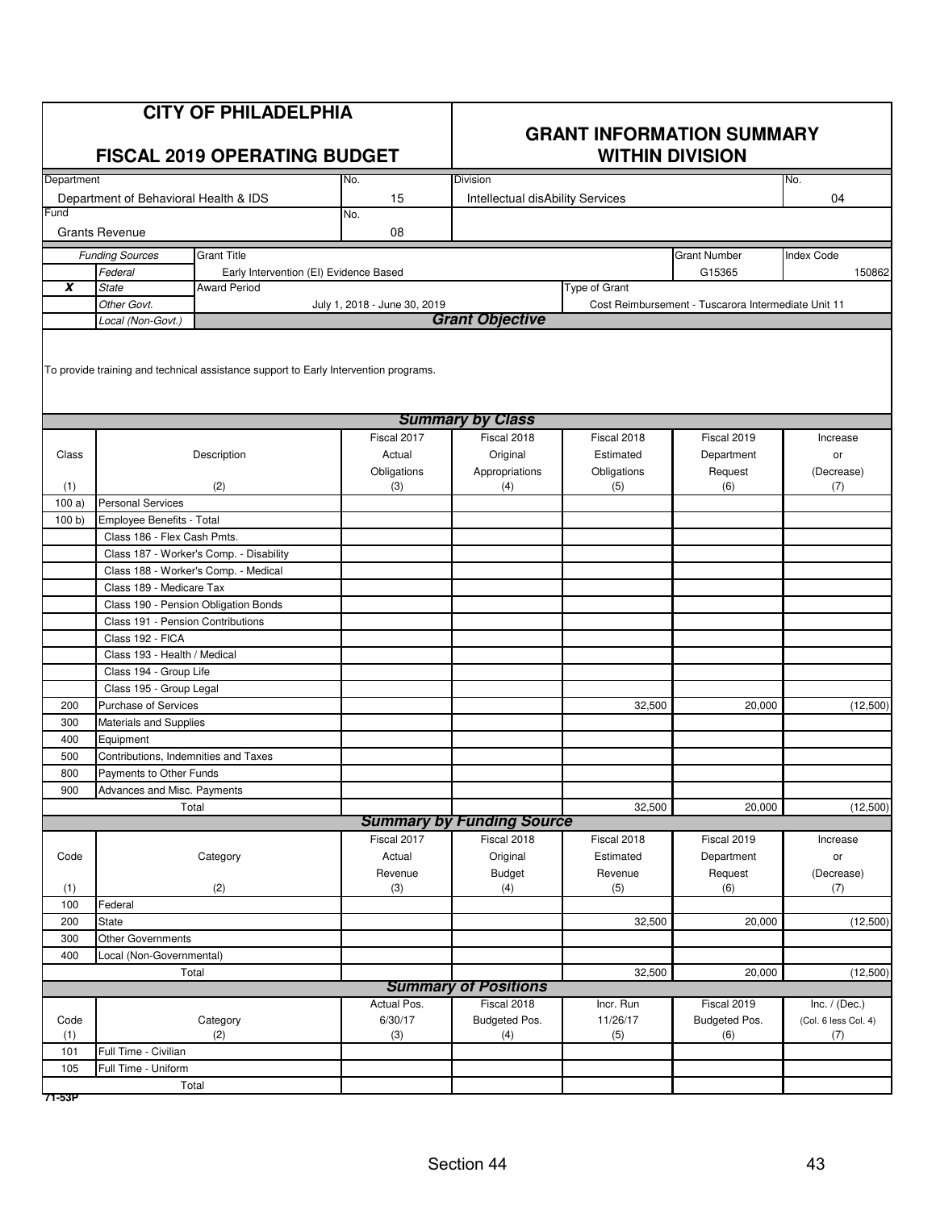|             | <b>CITY OF PHILADELPHIA</b><br><b>FISCAL 2019 OPERATING BUDGET</b> |                                                                                      |                              | <b>GRANT INFORMATION SUMMARY</b><br><b>WITHIN DIVISION</b> |               |                                                     |                      |  |
|-------------|--------------------------------------------------------------------|--------------------------------------------------------------------------------------|------------------------------|------------------------------------------------------------|---------------|-----------------------------------------------------|----------------------|--|
| Department  |                                                                    |                                                                                      | No.                          | Division                                                   |               |                                                     | No.                  |  |
|             | Department of Behavioral Health & IDS                              |                                                                                      | 15                           | Intellectual disAbility Services                           |               |                                                     | 04                   |  |
| Fund        | <b>Grants Revenue</b>                                              |                                                                                      | No.<br>08                    |                                                            |               |                                                     |                      |  |
|             | <b>Funding Sources</b>                                             | <b>Grant Title</b>                                                                   |                              |                                                            |               | <b>Grant Number</b>                                 | <b>Index Code</b>    |  |
|             | Federal                                                            | Early Intervention (EI) Evidence Based                                               |                              |                                                            |               | G15365                                              | 150862               |  |
| X           | <b>State</b>                                                       | <b>Award Period</b>                                                                  |                              |                                                            | Type of Grant |                                                     |                      |  |
|             | Other Govt.                                                        |                                                                                      | July 1, 2018 - June 30, 2019 |                                                            |               | Cost Reimbursement - Tuscarora Intermediate Unit 11 |                      |  |
|             | Local (Non-Govt.)                                                  |                                                                                      |                              | <b>Grant Objective</b>                                     |               |                                                     |                      |  |
|             |                                                                    | To provide training and technical assistance support to Early Intervention programs. |                              |                                                            |               |                                                     |                      |  |
|             |                                                                    |                                                                                      |                              | <b>Summary by Class</b>                                    |               |                                                     |                      |  |
|             |                                                                    |                                                                                      | Fiscal 2017                  | Fiscal 2018                                                | Fiscal 2018   | Fiscal 2019                                         | Increase             |  |
| Class       |                                                                    | Description                                                                          | Actual                       | Original                                                   | Estimated     | Department                                          | or                   |  |
|             |                                                                    | (2)                                                                                  | Obligations                  | Appropriations                                             | Obligations   | Request                                             | (Decrease)           |  |
| (1)<br>100a | <b>Personal Services</b>                                           |                                                                                      | (3)                          | (4)                                                        | (5)           | (6)                                                 | (7)                  |  |
| 100 b       | Employee Benefits - Total                                          |                                                                                      |                              |                                                            |               |                                                     |                      |  |
|             | Class 186 - Flex Cash Pmts.                                        |                                                                                      |                              |                                                            |               |                                                     |                      |  |
|             |                                                                    | Class 187 - Worker's Comp. - Disability                                              |                              |                                                            |               |                                                     |                      |  |
|             |                                                                    | Class 188 - Worker's Comp. - Medical                                                 |                              |                                                            |               |                                                     |                      |  |
|             | Class 189 - Medicare Tax                                           |                                                                                      |                              |                                                            |               |                                                     |                      |  |
|             |                                                                    | Class 190 - Pension Obligation Bonds                                                 |                              |                                                            |               |                                                     |                      |  |
|             | Class 191 - Pension Contributions                                  |                                                                                      |                              |                                                            |               |                                                     |                      |  |
|             | Class 192 - FICA                                                   |                                                                                      |                              |                                                            |               |                                                     |                      |  |
|             | Class 193 - Health / Medical                                       |                                                                                      |                              |                                                            |               |                                                     |                      |  |
|             | Class 194 - Group Life                                             |                                                                                      |                              |                                                            |               |                                                     |                      |  |
|             | Class 195 - Group Legal                                            |                                                                                      |                              |                                                            |               |                                                     |                      |  |
| 200         | Purchase of Services                                               |                                                                                      |                              |                                                            | 32,500        | 20,000                                              | (12,500)             |  |
| 300         | Materials and Supplies                                             |                                                                                      |                              |                                                            |               |                                                     |                      |  |
| 400         | Equipment                                                          |                                                                                      |                              |                                                            |               |                                                     |                      |  |
| 500         | Contributions, Indemnities and Taxes                               |                                                                                      |                              |                                                            |               |                                                     |                      |  |
| 800         | Payments to Other Funds                                            |                                                                                      |                              |                                                            |               |                                                     |                      |  |
| 900         | Advances and Misc. Payments<br>Total                               |                                                                                      |                              |                                                            | 32,500        | 20,000                                              |                      |  |
|             |                                                                    |                                                                                      |                              | <b>Summary by Funding Source</b>                           |               |                                                     | (12,500)             |  |
|             |                                                                    |                                                                                      | Fiscal 2017                  | Fiscal 2018                                                | Fiscal 2018   | Fiscal 2019                                         | Increase             |  |
| Code        |                                                                    | Category                                                                             | Actual                       | Original                                                   | Estimated     | Department                                          | or                   |  |
|             |                                                                    |                                                                                      | Revenue                      | <b>Budget</b>                                              | Revenue       | Request                                             | (Decrease)           |  |
| (1)         |                                                                    | (2)                                                                                  | (3)                          | (4)                                                        | (5)           | (6)                                                 | (7)                  |  |
| 100         | Federal                                                            |                                                                                      |                              |                                                            |               |                                                     |                      |  |
| 200         | State                                                              |                                                                                      |                              |                                                            | 32,500        | 20.000                                              | (12,500)             |  |
| 300         | Other Governments                                                  |                                                                                      |                              |                                                            |               |                                                     |                      |  |
| 400         | Local (Non-Governmental)                                           |                                                                                      |                              |                                                            |               |                                                     |                      |  |
|             | Total                                                              |                                                                                      |                              | <b>Summary of Positions</b>                                | 32,500        | 20,000                                              | (12,500)             |  |
|             |                                                                    |                                                                                      | Actual Pos.                  | Fiscal 2018                                                | Incr. Run     | Fiscal 2019                                         | Inc. $/$ (Dec.)      |  |
| Code        |                                                                    | Category                                                                             | 6/30/17                      | Budgeted Pos.                                              | 11/26/17      | Budgeted Pos.                                       | (Col. 6 less Col. 4) |  |
| (1)         |                                                                    | (2)                                                                                  | (3)                          | (4)                                                        | (5)           | (6)                                                 | (7)                  |  |
| 101         | Full Time - Civilian                                               |                                                                                      |                              |                                                            |               |                                                     |                      |  |
| 105         | Full Time - Uniform                                                |                                                                                      |                              |                                                            |               |                                                     |                      |  |
|             | Total                                                              |                                                                                      |                              |                                                            |               |                                                     |                      |  |
| 71-53P      |                                                                    |                                                                                      |                              |                                                            |               |                                                     |                      |  |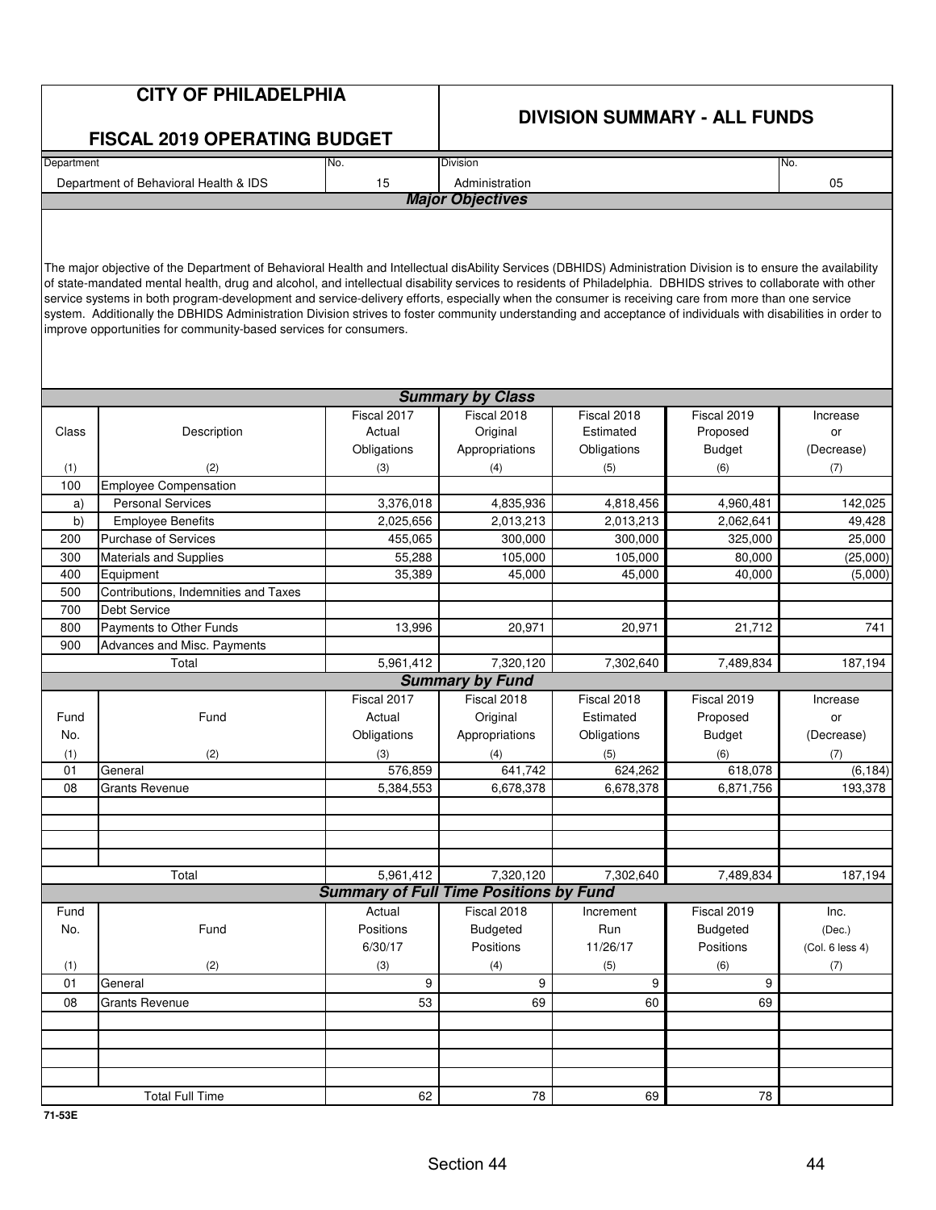|            | <b>CITY OF PHILADELPHIA</b>                                                                                                                                                                                                                                                                                                                                                                                                                                                                                                                                                                                                                                                                                                   |                                               |                                     |             |               |                 |  |  |
|------------|-------------------------------------------------------------------------------------------------------------------------------------------------------------------------------------------------------------------------------------------------------------------------------------------------------------------------------------------------------------------------------------------------------------------------------------------------------------------------------------------------------------------------------------------------------------------------------------------------------------------------------------------------------------------------------------------------------------------------------|-----------------------------------------------|-------------------------------------|-------------|---------------|-----------------|--|--|
|            |                                                                                                                                                                                                                                                                                                                                                                                                                                                                                                                                                                                                                                                                                                                               |                                               | <b>DIVISION SUMMARY - ALL FUNDS</b> |             |               |                 |  |  |
|            | <b>FISCAL 2019 OPERATING BUDGET</b>                                                                                                                                                                                                                                                                                                                                                                                                                                                                                                                                                                                                                                                                                           |                                               |                                     |             |               |                 |  |  |
| Department |                                                                                                                                                                                                                                                                                                                                                                                                                                                                                                                                                                                                                                                                                                                               | No.                                           | <b>Division</b>                     |             |               | No.             |  |  |
|            | Department of Behavioral Health & IDS                                                                                                                                                                                                                                                                                                                                                                                                                                                                                                                                                                                                                                                                                         | 15                                            | Administration                      |             |               | 05              |  |  |
|            |                                                                                                                                                                                                                                                                                                                                                                                                                                                                                                                                                                                                                                                                                                                               |                                               | <b>Major Objectives</b>             |             |               |                 |  |  |
|            |                                                                                                                                                                                                                                                                                                                                                                                                                                                                                                                                                                                                                                                                                                                               |                                               |                                     |             |               |                 |  |  |
|            | The major objective of the Department of Behavioral Health and Intellectual disAbility Services (DBHIDS) Administration Division is to ensure the availability<br>of state-mandated mental health, drug and alcohol, and intellectual disability services to residents of Philadelphia. DBHIDS strives to collaborate with other<br>service systems in both program-development and service-delivery efforts, especially when the consumer is receiving care from more than one service<br>system. Additionally the DBHIDS Administration Division strives to foster community understanding and acceptance of individuals with disabilities in order to<br>improve opportunities for community-based services for consumers. |                                               |                                     |             |               |                 |  |  |
|            |                                                                                                                                                                                                                                                                                                                                                                                                                                                                                                                                                                                                                                                                                                                               |                                               | <b>Summary by Class</b>             |             |               |                 |  |  |
|            |                                                                                                                                                                                                                                                                                                                                                                                                                                                                                                                                                                                                                                                                                                                               | Fiscal 2017                                   | Fiscal 2018                         | Fiscal 2018 | Fiscal 2019   | Increase        |  |  |
| Class      | Description                                                                                                                                                                                                                                                                                                                                                                                                                                                                                                                                                                                                                                                                                                                   | Actual                                        | Original                            | Estimated   | Proposed      | or              |  |  |
|            |                                                                                                                                                                                                                                                                                                                                                                                                                                                                                                                                                                                                                                                                                                                               | Obligations                                   | Appropriations                      | Obligations | <b>Budget</b> | (Decrease)      |  |  |
| (1)        | (2)                                                                                                                                                                                                                                                                                                                                                                                                                                                                                                                                                                                                                                                                                                                           | (3)                                           | (4)                                 | (5)         | (6)           | (7)             |  |  |
| 100        | <b>Employee Compensation</b>                                                                                                                                                                                                                                                                                                                                                                                                                                                                                                                                                                                                                                                                                                  |                                               |                                     |             |               |                 |  |  |
| a)         | <b>Personal Services</b>                                                                                                                                                                                                                                                                                                                                                                                                                                                                                                                                                                                                                                                                                                      | 3,376,018                                     | 4,835,936                           | 4,818,456   | 4,960,481     | 142.025         |  |  |
| b)         | <b>Employee Benefits</b>                                                                                                                                                                                                                                                                                                                                                                                                                                                                                                                                                                                                                                                                                                      | 2,025,656                                     | 2,013,213                           | 2,013,213   | 2,062,641     | 49,428          |  |  |
| 200        | <b>Purchase of Services</b>                                                                                                                                                                                                                                                                                                                                                                                                                                                                                                                                                                                                                                                                                                   | 455,065                                       | 300,000                             | 300,000     | 325,000       | 25,000          |  |  |
| 300        | <b>Materials and Supplies</b>                                                                                                                                                                                                                                                                                                                                                                                                                                                                                                                                                                                                                                                                                                 | 55,288                                        | 105,000                             | 105,000     | 80,000        | (25,000)        |  |  |
| 400        | Equipment                                                                                                                                                                                                                                                                                                                                                                                                                                                                                                                                                                                                                                                                                                                     | 35,389                                        | 45,000                              | 45,000      | 40,000        | (5,000)         |  |  |
| 500        | Contributions, Indemnities and Taxes                                                                                                                                                                                                                                                                                                                                                                                                                                                                                                                                                                                                                                                                                          |                                               |                                     |             |               |                 |  |  |
| 700        | <b>Debt Service</b>                                                                                                                                                                                                                                                                                                                                                                                                                                                                                                                                                                                                                                                                                                           |                                               |                                     |             |               |                 |  |  |
| 800        | Payments to Other Funds                                                                                                                                                                                                                                                                                                                                                                                                                                                                                                                                                                                                                                                                                                       | 13,996                                        | 20,971                              | 20,971      | 21,712        | 741             |  |  |
| 900        | Advances and Misc. Payments                                                                                                                                                                                                                                                                                                                                                                                                                                                                                                                                                                                                                                                                                                   |                                               |                                     |             |               |                 |  |  |
|            | Total                                                                                                                                                                                                                                                                                                                                                                                                                                                                                                                                                                                                                                                                                                                         | 5,961,412                                     | 7,320,120                           | 7,302,640   | 7,489,834     | 187,194         |  |  |
|            |                                                                                                                                                                                                                                                                                                                                                                                                                                                                                                                                                                                                                                                                                                                               |                                               | <b>Summary by Fund</b>              |             |               |                 |  |  |
|            |                                                                                                                                                                                                                                                                                                                                                                                                                                                                                                                                                                                                                                                                                                                               | Fiscal 2017                                   | Fiscal 2018                         | Fiscal 2018 | Fiscal 2019   | Increase        |  |  |
| Fund       | Fund                                                                                                                                                                                                                                                                                                                                                                                                                                                                                                                                                                                                                                                                                                                          | Actual                                        | Original                            | Estimated   | Proposed      | or              |  |  |
| No.        |                                                                                                                                                                                                                                                                                                                                                                                                                                                                                                                                                                                                                                                                                                                               | Obligations                                   | Appropriations                      | Obligations | <b>Budget</b> | (Decrease)      |  |  |
| (1)        | (2)                                                                                                                                                                                                                                                                                                                                                                                                                                                                                                                                                                                                                                                                                                                           | (3)                                           | (4)                                 | (5)         | (6)           | (7)             |  |  |
| 01         | General                                                                                                                                                                                                                                                                                                                                                                                                                                                                                                                                                                                                                                                                                                                       | 576,859                                       | 641,742                             | 624,262     | 618,078       | (6, 184)        |  |  |
| 08         | <b>Grants Revenue</b>                                                                                                                                                                                                                                                                                                                                                                                                                                                                                                                                                                                                                                                                                                         | 5,384,553                                     | 6,678,378                           | 6,678,378   | 6,871,756     | 193,378         |  |  |
|            |                                                                                                                                                                                                                                                                                                                                                                                                                                                                                                                                                                                                                                                                                                                               |                                               |                                     |             |               |                 |  |  |
|            |                                                                                                                                                                                                                                                                                                                                                                                                                                                                                                                                                                                                                                                                                                                               |                                               |                                     |             |               |                 |  |  |
|            |                                                                                                                                                                                                                                                                                                                                                                                                                                                                                                                                                                                                                                                                                                                               |                                               |                                     |             |               |                 |  |  |
|            | Total                                                                                                                                                                                                                                                                                                                                                                                                                                                                                                                                                                                                                                                                                                                         | $\overline{5,}961,412$                        | 7,320,120                           | 7,302,640   | 7,489,834     | 187,194         |  |  |
|            |                                                                                                                                                                                                                                                                                                                                                                                                                                                                                                                                                                                                                                                                                                                               | <b>Summary of Full Time Positions by Fund</b> |                                     |             |               |                 |  |  |
| Fund       |                                                                                                                                                                                                                                                                                                                                                                                                                                                                                                                                                                                                                                                                                                                               | Actual                                        | Fiscal 2018                         | Increment   | Fiscal 2019   | Inc.            |  |  |
| No.        | Fund                                                                                                                                                                                                                                                                                                                                                                                                                                                                                                                                                                                                                                                                                                                          | Positions                                     | <b>Budgeted</b>                     | Run         | Budgeted      | (Dec.)          |  |  |
|            |                                                                                                                                                                                                                                                                                                                                                                                                                                                                                                                                                                                                                                                                                                                               | 6/30/17                                       | Positions                           | 11/26/17    | Positions     | (Col. 6 less 4) |  |  |
| (1)        | (2)                                                                                                                                                                                                                                                                                                                                                                                                                                                                                                                                                                                                                                                                                                                           | (3)                                           | (4)                                 | (5)         | (6)           | (7)             |  |  |
| 01         | General                                                                                                                                                                                                                                                                                                                                                                                                                                                                                                                                                                                                                                                                                                                       | 9                                             | 9                                   | 9           | 9             |                 |  |  |
| 08         | <b>Grants Revenue</b>                                                                                                                                                                                                                                                                                                                                                                                                                                                                                                                                                                                                                                                                                                         | 53                                            | 69                                  | 60          | 69            |                 |  |  |
|            |                                                                                                                                                                                                                                                                                                                                                                                                                                                                                                                                                                                                                                                                                                                               |                                               |                                     |             |               |                 |  |  |
|            |                                                                                                                                                                                                                                                                                                                                                                                                                                                                                                                                                                                                                                                                                                                               |                                               |                                     |             |               |                 |  |  |
|            |                                                                                                                                                                                                                                                                                                                                                                                                                                                                                                                                                                                                                                                                                                                               |                                               |                                     |             |               |                 |  |  |
|            |                                                                                                                                                                                                                                                                                                                                                                                                                                                                                                                                                                                                                                                                                                                               |                                               |                                     |             |               |                 |  |  |
|            | <b>Total Full Time</b>                                                                                                                                                                                                                                                                                                                                                                                                                                                                                                                                                                                                                                                                                                        | 62                                            | 78                                  | 69          | 78            |                 |  |  |
|            |                                                                                                                                                                                                                                                                                                                                                                                                                                                                                                                                                                                                                                                                                                                               |                                               |                                     |             |               |                 |  |  |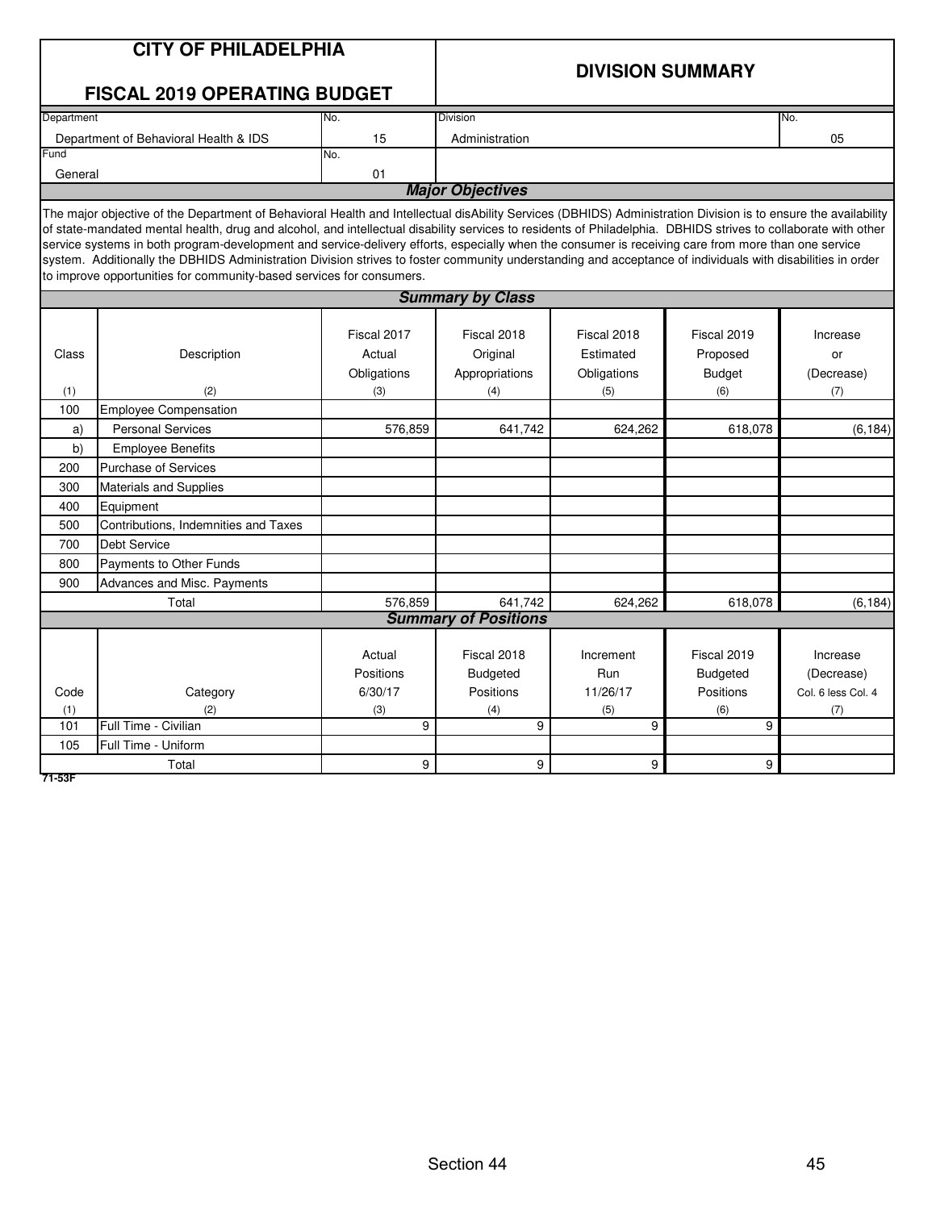|                    | <b>CITY OF PHILADELPHIA</b><br><b>FISCAL 2019 OPERATING BUDGET</b>                                                                                                                                                                                                                                                                                                                                                                                                                                                                                                                                                                                                                                                            |                                            | <b>DIVISION SUMMARY</b>                                 |                                          |                                                         |                                                     |  |  |  |  |
|--------------------|-------------------------------------------------------------------------------------------------------------------------------------------------------------------------------------------------------------------------------------------------------------------------------------------------------------------------------------------------------------------------------------------------------------------------------------------------------------------------------------------------------------------------------------------------------------------------------------------------------------------------------------------------------------------------------------------------------------------------------|--------------------------------------------|---------------------------------------------------------|------------------------------------------|---------------------------------------------------------|-----------------------------------------------------|--|--|--|--|
| Department         |                                                                                                                                                                                                                                                                                                                                                                                                                                                                                                                                                                                                                                                                                                                               | No.                                        | <b>Division</b>                                         |                                          |                                                         | No.                                                 |  |  |  |  |
|                    | Department of Behavioral Health & IDS                                                                                                                                                                                                                                                                                                                                                                                                                                                                                                                                                                                                                                                                                         | 15                                         | Administration                                          |                                          |                                                         | 05                                                  |  |  |  |  |
| Fund               |                                                                                                                                                                                                                                                                                                                                                                                                                                                                                                                                                                                                                                                                                                                               | No.                                        |                                                         |                                          |                                                         |                                                     |  |  |  |  |
| General            |                                                                                                                                                                                                                                                                                                                                                                                                                                                                                                                                                                                                                                                                                                                               | 01                                         | <b>Major Objectives</b>                                 |                                          |                                                         |                                                     |  |  |  |  |
|                    | The major objective of the Department of Behavioral Health and Intellectual disAbility Services (DBHIDS) Administration Division is to ensure the availability<br>of state-mandated mental health, drug and alcohol, and intellectual disability services to residents of Philadelphia. DBHIDS strives to collaborate with other<br>service systems in both program-development and service-delivery efforts, especially when the consumer is receiving care from more than one service<br>system. Additionally the DBHIDS Administration Division strives to foster community understanding and acceptance of individuals with disabilities in order<br>to improve opportunities for community-based services for consumers. |                                            |                                                         |                                          |                                                         |                                                     |  |  |  |  |
|                    |                                                                                                                                                                                                                                                                                                                                                                                                                                                                                                                                                                                                                                                                                                                               |                                            | <b>Summary by Class</b>                                 |                                          |                                                         |                                                     |  |  |  |  |
| Class              | Description                                                                                                                                                                                                                                                                                                                                                                                                                                                                                                                                                                                                                                                                                                                   | Fiscal 2017<br>Actual                      | Fiscal 2018<br>Original                                 | Fiscal 2018<br>Estimated                 | Fiscal 2019<br>Proposed                                 | Increase<br>or                                      |  |  |  |  |
|                    |                                                                                                                                                                                                                                                                                                                                                                                                                                                                                                                                                                                                                                                                                                                               | Obligations                                | Appropriations                                          | Obligations                              | <b>Budget</b>                                           | (Decrease)                                          |  |  |  |  |
| (1)                | (2)                                                                                                                                                                                                                                                                                                                                                                                                                                                                                                                                                                                                                                                                                                                           | (3)                                        | (4)                                                     | (5)                                      | (6)                                                     | (7)                                                 |  |  |  |  |
| 100                | <b>Employee Compensation</b>                                                                                                                                                                                                                                                                                                                                                                                                                                                                                                                                                                                                                                                                                                  |                                            |                                                         |                                          |                                                         |                                                     |  |  |  |  |
| a)                 | <b>Personal Services</b>                                                                                                                                                                                                                                                                                                                                                                                                                                                                                                                                                                                                                                                                                                      | 576,859                                    | 641,742                                                 | 624,262                                  | 618,078                                                 | (6, 184)                                            |  |  |  |  |
| b)                 | <b>Employee Benefits</b>                                                                                                                                                                                                                                                                                                                                                                                                                                                                                                                                                                                                                                                                                                      |                                            |                                                         |                                          |                                                         |                                                     |  |  |  |  |
| 200                | <b>Purchase of Services</b>                                                                                                                                                                                                                                                                                                                                                                                                                                                                                                                                                                                                                                                                                                   |                                            |                                                         |                                          |                                                         |                                                     |  |  |  |  |
| 300                | Materials and Supplies                                                                                                                                                                                                                                                                                                                                                                                                                                                                                                                                                                                                                                                                                                        |                                            |                                                         |                                          |                                                         |                                                     |  |  |  |  |
| 400                | Equipment                                                                                                                                                                                                                                                                                                                                                                                                                                                                                                                                                                                                                                                                                                                     |                                            |                                                         |                                          |                                                         |                                                     |  |  |  |  |
| 500                | Contributions, Indemnities and Taxes                                                                                                                                                                                                                                                                                                                                                                                                                                                                                                                                                                                                                                                                                          |                                            |                                                         |                                          |                                                         |                                                     |  |  |  |  |
| 700                | <b>Debt Service</b>                                                                                                                                                                                                                                                                                                                                                                                                                                                                                                                                                                                                                                                                                                           |                                            |                                                         |                                          |                                                         |                                                     |  |  |  |  |
| 800                | Payments to Other Funds                                                                                                                                                                                                                                                                                                                                                                                                                                                                                                                                                                                                                                                                                                       |                                            |                                                         |                                          |                                                         |                                                     |  |  |  |  |
| 900                | Advances and Misc. Payments                                                                                                                                                                                                                                                                                                                                                                                                                                                                                                                                                                                                                                                                                                   |                                            |                                                         |                                          |                                                         |                                                     |  |  |  |  |
|                    | Total                                                                                                                                                                                                                                                                                                                                                                                                                                                                                                                                                                                                                                                                                                                         | 576,859                                    | 641,742                                                 | 624.262                                  | 618,078                                                 | (6, 184)                                            |  |  |  |  |
|                    |                                                                                                                                                                                                                                                                                                                                                                                                                                                                                                                                                                                                                                                                                                                               |                                            | <b>Summary of Positions</b>                             |                                          |                                                         |                                                     |  |  |  |  |
| Code<br>(1)<br>101 | Category<br>(2)<br>Full Time - Civilian                                                                                                                                                                                                                                                                                                                                                                                                                                                                                                                                                                                                                                                                                       | Actual<br>Positions<br>6/30/17<br>(3)<br>9 | Fiscal 2018<br><b>Budgeted</b><br>Positions<br>(4)<br>9 | Increment<br>Run<br>11/26/17<br>(5)<br>9 | Fiscal 2019<br><b>Budgeted</b><br>Positions<br>(6)<br>9 | Increase<br>(Decrease)<br>Col. 6 less Col. 4<br>(7) |  |  |  |  |
| 105                | Full Time - Uniform                                                                                                                                                                                                                                                                                                                                                                                                                                                                                                                                                                                                                                                                                                           |                                            |                                                         |                                          |                                                         |                                                     |  |  |  |  |
|                    |                                                                                                                                                                                                                                                                                                                                                                                                                                                                                                                                                                                                                                                                                                                               | 9                                          | 9                                                       | 9                                        |                                                         |                                                     |  |  |  |  |
| 71-53F             | Total                                                                                                                                                                                                                                                                                                                                                                                                                                                                                                                                                                                                                                                                                                                         |                                            |                                                         |                                          | 9                                                       |                                                     |  |  |  |  |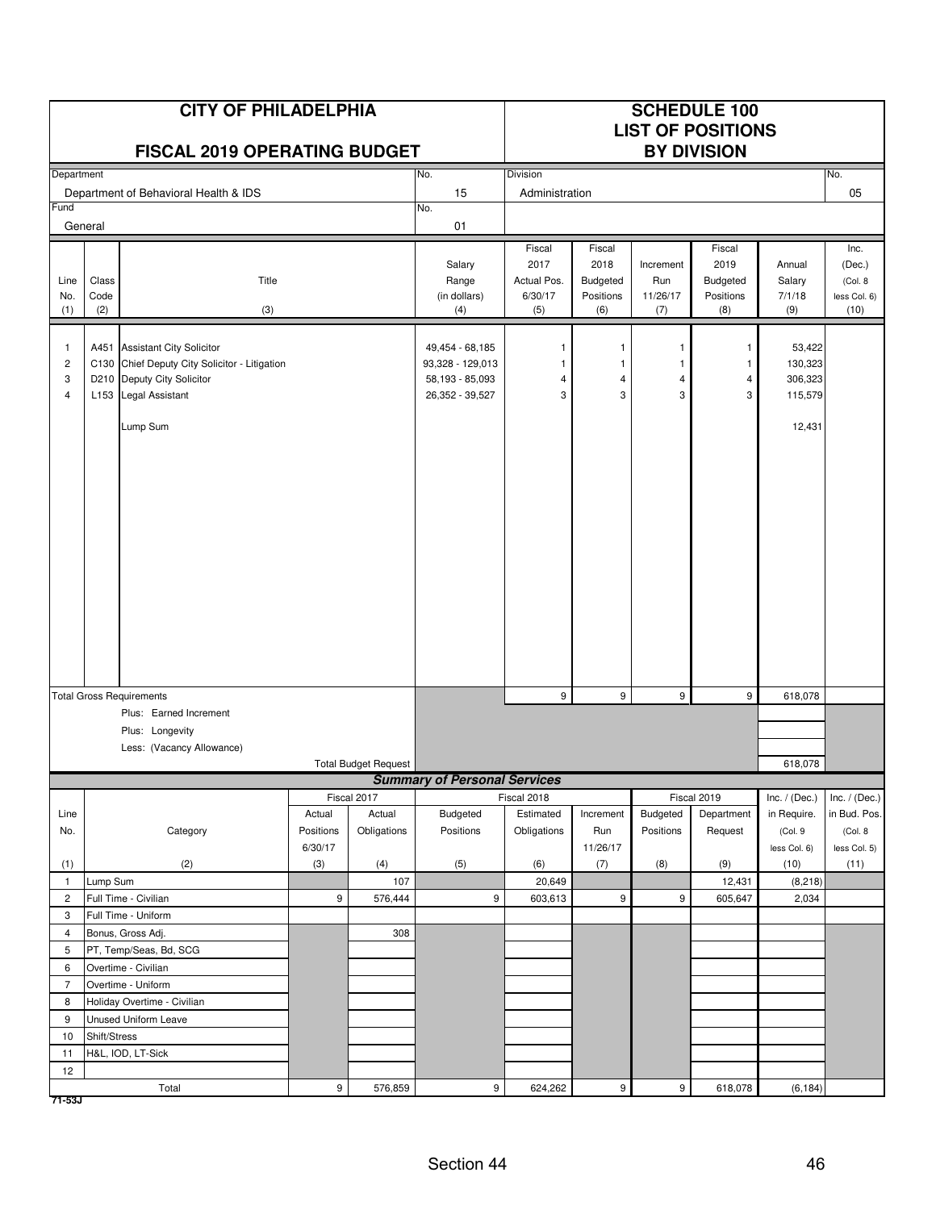|                               |               | <b>CITY OF PHILADELPHIA</b><br><b>FISCAL 2019 OPERATING BUDGET</b>                                                                               |           |                             |                                                                           | <b>SCHEDULE 100</b><br><b>LIST OF POSITIONS</b><br><b>BY DIVISION</b> |                       |                    |                       |                                                   |                      |
|-------------------------------|---------------|--------------------------------------------------------------------------------------------------------------------------------------------------|-----------|-----------------------------|---------------------------------------------------------------------------|-----------------------------------------------------------------------|-----------------------|--------------------|-----------------------|---------------------------------------------------|----------------------|
| Department                    |               |                                                                                                                                                  |           |                             | No.                                                                       | <b>Division</b>                                                       |                       |                    |                       |                                                   | No.                  |
| Fund                          |               | Department of Behavioral Health & IDS                                                                                                            |           |                             | 15<br>No.                                                                 | Administration                                                        |                       |                    |                       |                                                   | 05                   |
|                               | General       |                                                                                                                                                  |           |                             | 01                                                                        |                                                                       |                       |                    |                       |                                                   |                      |
|                               |               |                                                                                                                                                  |           |                             |                                                                           | Fiscal                                                                | Fiscal                |                    | Fiscal                |                                                   | Inc.                 |
|                               |               |                                                                                                                                                  |           |                             | Salary                                                                    | 2017                                                                  | 2018                  | Increment          | 2019                  | Annual                                            | (Dec.)               |
| Line<br>No.                   | Class<br>Code | Title                                                                                                                                            |           |                             | Range<br>(in dollars)                                                     | Actual Pos.<br>6/30/17                                                | Budgeted<br>Positions | Run<br>11/26/17    | Budgeted<br>Positions | Salary<br>7/1/18                                  | (Col. 8)             |
| (1)                           | (2)           | (3)                                                                                                                                              |           |                             | (4)                                                                       | (5)                                                                   | (6)                   | (7)                | (8)                   | (9)                                               | less Col. 6)<br>(10) |
| 1<br>$\overline{c}$<br>3<br>4 |               | A451 Assistant City Solicitor<br>C130 Chief Deputy City Solicitor - Litigation<br>D210 Deputy City Solicitor<br>L153 Legal Assistant<br>Lump Sum |           |                             | 49,454 - 68,185<br>93,328 - 129,013<br>58,193 - 85,093<br>26,352 - 39,527 | 1<br>$\mathbf{1}$<br>4<br>3                                           | 1<br>1<br>4<br>3      | -1<br>-1<br>4<br>3 | 1<br>-1<br>4<br>3     | 53,422<br>130,323<br>306,323<br>115,579<br>12,431 |                      |
|                               |               | <b>Total Gross Requirements</b>                                                                                                                  |           |                             |                                                                           | 9                                                                     | 9                     | 9                  | $\boldsymbol{9}$      | 618,078                                           |                      |
|                               |               | Plus: Earned Increment                                                                                                                           |           |                             |                                                                           |                                                                       |                       |                    |                       |                                                   |                      |
|                               |               | Plus: Longevity                                                                                                                                  |           |                             |                                                                           |                                                                       |                       |                    |                       |                                                   |                      |
|                               |               | Less: (Vacancy Allowance)                                                                                                                        |           |                             |                                                                           |                                                                       |                       |                    |                       |                                                   |                      |
|                               |               |                                                                                                                                                  |           | <b>Total Budget Request</b> | <b>Summary of Personal Services</b>                                       |                                                                       |                       |                    |                       | 618,078                                           |                      |
|                               |               |                                                                                                                                                  |           | Fiscal 2017                 |                                                                           | Fiscal 2018                                                           |                       |                    | Fiscal 2019           | Inc. $/$ (Dec.)                                   | Inc. $/$ (Dec.)      |
| Line                          |               |                                                                                                                                                  | Actual    | Actual                      | Budgeted                                                                  | Estimated                                                             | Increment             | Budgeted           | Department            | in Require.                                       | in Bud. Pos.         |
| No.                           |               | Category                                                                                                                                         | Positions | Obligations                 | Positions                                                                 | Obligations                                                           | Run                   | Positions          | Request               | (Col. 9                                           | (Col. 8              |
|                               |               |                                                                                                                                                  | 6/30/17   |                             |                                                                           |                                                                       | 11/26/17              |                    |                       | less Col. 6)                                      | less Col. 5)         |
| (1)<br>$\mathbf{1}$           | Lump Sum      | (2)                                                                                                                                              | (3)       | (4)<br>107                  | (5)                                                                       | (6)<br>20,649                                                         | (7)                   | (8)                | (9)<br>12,431         | (10)<br>(8, 218)                                  | (11)                 |
| $\overline{c}$                |               | Full Time - Civilian                                                                                                                             | 9         | 576,444                     | 9                                                                         | 603,613                                                               | 9                     | 9                  | 605,647               | 2,034                                             |                      |
| 3                             |               | Full Time - Uniform                                                                                                                              |           |                             |                                                                           |                                                                       |                       |                    |                       |                                                   |                      |
| 4                             |               | Bonus, Gross Adj.                                                                                                                                |           | 308                         |                                                                           |                                                                       |                       |                    |                       |                                                   |                      |
| 5                             |               | PT, Temp/Seas, Bd, SCG                                                                                                                           |           |                             |                                                                           |                                                                       |                       |                    |                       |                                                   |                      |
| 6                             |               | Overtime - Civilian                                                                                                                              |           |                             |                                                                           |                                                                       |                       |                    |                       |                                                   |                      |
| $\overline{7}$                |               | Overtime - Uniform                                                                                                                               |           |                             |                                                                           |                                                                       |                       |                    |                       |                                                   |                      |
| 8                             |               | Holiday Overtime - Civilian                                                                                                                      |           |                             |                                                                           |                                                                       |                       |                    |                       |                                                   |                      |
| 9                             |               | Unused Uniform Leave                                                                                                                             |           |                             |                                                                           |                                                                       |                       |                    |                       |                                                   |                      |
| 10                            | Shift/Stress  |                                                                                                                                                  |           |                             |                                                                           |                                                                       |                       |                    |                       |                                                   |                      |
| 11                            |               | H&L, IOD, LT-Sick                                                                                                                                |           |                             |                                                                           |                                                                       |                       |                    |                       |                                                   |                      |
| 12                            |               | Total                                                                                                                                            | 9         | 576,859                     | $9\,$                                                                     | 624,262                                                               | $\boldsymbol{9}$      | 9                  | 618,078               | (6, 184)                                          |                      |
| 71-53J                        |               |                                                                                                                                                  |           |                             |                                                                           |                                                                       |                       |                    |                       |                                                   |                      |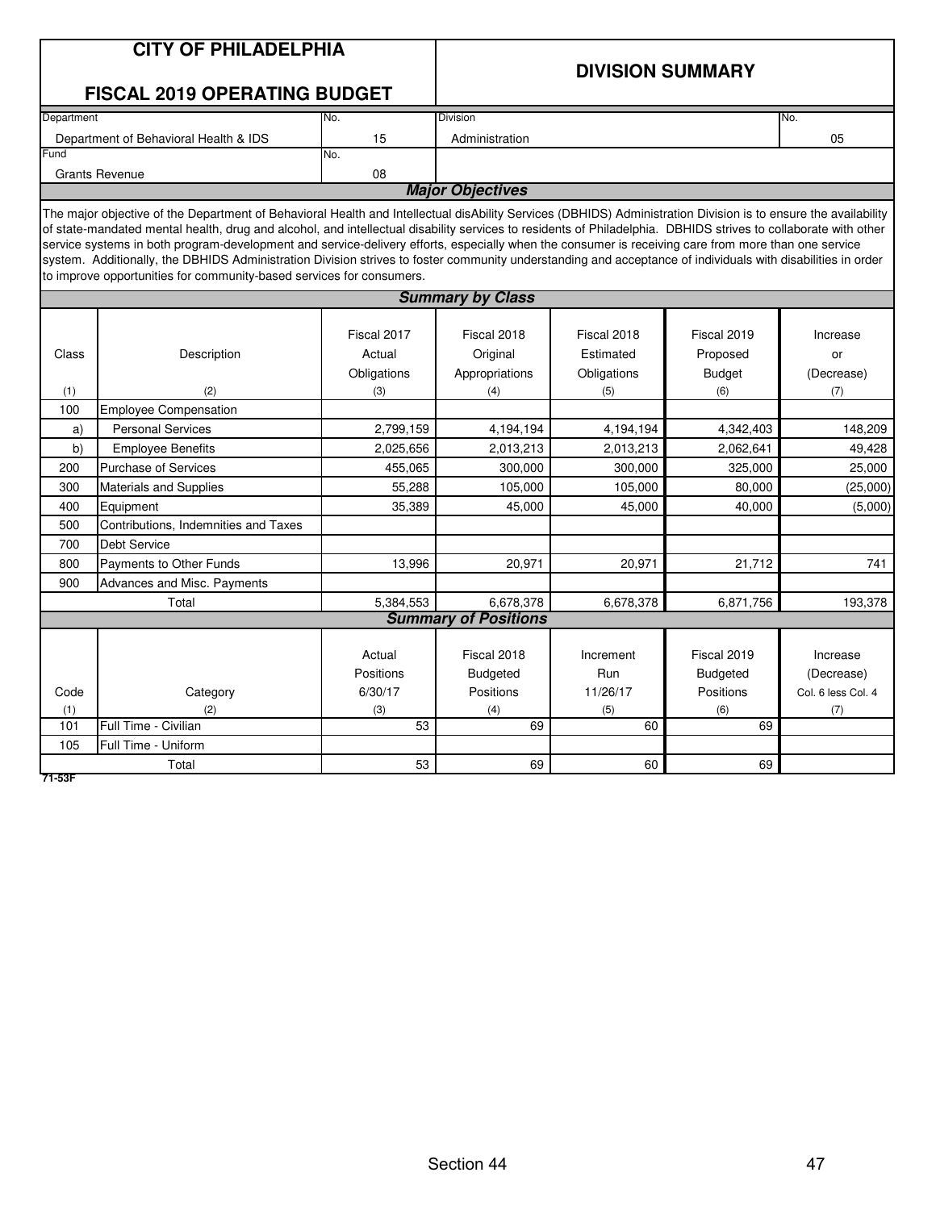|             | <b>CITY OF PHILADELPHIA</b><br><b>FISCAL 2019 OPERATING BUDGET</b>                                                                                                                                                                                                                                                                                                                                                                                                                                                                                                                                                                                                                                                             |                                       | <b>DIVISION SUMMARY</b>                            |                                     |                                                    |                                                     |  |  |  |  |
|-------------|--------------------------------------------------------------------------------------------------------------------------------------------------------------------------------------------------------------------------------------------------------------------------------------------------------------------------------------------------------------------------------------------------------------------------------------------------------------------------------------------------------------------------------------------------------------------------------------------------------------------------------------------------------------------------------------------------------------------------------|---------------------------------------|----------------------------------------------------|-------------------------------------|----------------------------------------------------|-----------------------------------------------------|--|--|--|--|
| Department  |                                                                                                                                                                                                                                                                                                                                                                                                                                                                                                                                                                                                                                                                                                                                | No.                                   | <b>Division</b>                                    |                                     |                                                    | No.                                                 |  |  |  |  |
|             | Department of Behavioral Health & IDS                                                                                                                                                                                                                                                                                                                                                                                                                                                                                                                                                                                                                                                                                          | 15                                    | Administration<br>05                               |                                     |                                                    |                                                     |  |  |  |  |
| Fund        |                                                                                                                                                                                                                                                                                                                                                                                                                                                                                                                                                                                                                                                                                                                                | No.                                   |                                                    |                                     |                                                    |                                                     |  |  |  |  |
|             | <b>Grants Revenue</b>                                                                                                                                                                                                                                                                                                                                                                                                                                                                                                                                                                                                                                                                                                          | 08                                    |                                                    |                                     |                                                    |                                                     |  |  |  |  |
|             |                                                                                                                                                                                                                                                                                                                                                                                                                                                                                                                                                                                                                                                                                                                                |                                       | <b>Major Objectives</b>                            |                                     |                                                    |                                                     |  |  |  |  |
|             | The major objective of the Department of Behavioral Health and Intellectual disAbility Services (DBHIDS) Administration Division is to ensure the availability<br>of state-mandated mental health, drug and alcohol, and intellectual disability services to residents of Philadelphia. DBHIDS strives to collaborate with other<br>service systems in both program-development and service-delivery efforts, especially when the consumer is receiving care from more than one service<br>system. Additionally, the DBHIDS Administration Division strives to foster community understanding and acceptance of individuals with disabilities in order<br>to improve opportunities for community-based services for consumers. |                                       |                                                    |                                     |                                                    |                                                     |  |  |  |  |
|             |                                                                                                                                                                                                                                                                                                                                                                                                                                                                                                                                                                                                                                                                                                                                |                                       | <b>Summary by Class</b>                            |                                     |                                                    |                                                     |  |  |  |  |
| Class       | Description                                                                                                                                                                                                                                                                                                                                                                                                                                                                                                                                                                                                                                                                                                                    | Fiscal 2017<br>Actual                 | Fiscal 2018<br>Original                            | Fiscal 2018<br>Estimated            | Fiscal 2019<br>Proposed                            | Increase<br>or                                      |  |  |  |  |
|             |                                                                                                                                                                                                                                                                                                                                                                                                                                                                                                                                                                                                                                                                                                                                | Obligations                           | Appropriations                                     | Obligations                         | <b>Budget</b>                                      | (Decrease)                                          |  |  |  |  |
| (1)         | (2)                                                                                                                                                                                                                                                                                                                                                                                                                                                                                                                                                                                                                                                                                                                            | (3)                                   | (4)                                                | (5)                                 | (6)                                                | (7)                                                 |  |  |  |  |
| 100         | <b>Employee Compensation</b>                                                                                                                                                                                                                                                                                                                                                                                                                                                                                                                                                                                                                                                                                                   |                                       |                                                    |                                     |                                                    |                                                     |  |  |  |  |
| a)          | <b>Personal Services</b>                                                                                                                                                                                                                                                                                                                                                                                                                                                                                                                                                                                                                                                                                                       | 2,799,159                             | 4,194,194                                          | 4,194,194                           | 4,342,403                                          | 148,209                                             |  |  |  |  |
| b)          | <b>Employee Benefits</b>                                                                                                                                                                                                                                                                                                                                                                                                                                                                                                                                                                                                                                                                                                       | 2,025,656                             | 2,013,213                                          | 2,013,213                           | 2,062,641                                          | 49,428                                              |  |  |  |  |
| 200         | <b>Purchase of Services</b>                                                                                                                                                                                                                                                                                                                                                                                                                                                                                                                                                                                                                                                                                                    | 455,065                               | 300,000                                            | 300,000                             | 325,000                                            | 25,000                                              |  |  |  |  |
| 300         | <b>Materials and Supplies</b>                                                                                                                                                                                                                                                                                                                                                                                                                                                                                                                                                                                                                                                                                                  | 55.288                                | 105,000                                            | 105.000                             | 80.000                                             | (25,000)                                            |  |  |  |  |
| 400         | Equipment                                                                                                                                                                                                                                                                                                                                                                                                                                                                                                                                                                                                                                                                                                                      | 35,389                                | 45,000                                             | 45,000                              | 40.000                                             | (5,000)                                             |  |  |  |  |
| 500         | Contributions. Indemnities and Taxes                                                                                                                                                                                                                                                                                                                                                                                                                                                                                                                                                                                                                                                                                           |                                       |                                                    |                                     |                                                    |                                                     |  |  |  |  |
| 700         | <b>Debt Service</b>                                                                                                                                                                                                                                                                                                                                                                                                                                                                                                                                                                                                                                                                                                            |                                       |                                                    |                                     |                                                    |                                                     |  |  |  |  |
| 800         | Payments to Other Funds                                                                                                                                                                                                                                                                                                                                                                                                                                                                                                                                                                                                                                                                                                        | 13,996                                | 20,971                                             | 20,971                              | 21,712                                             | 741                                                 |  |  |  |  |
| 900         | Advances and Misc. Payments                                                                                                                                                                                                                                                                                                                                                                                                                                                                                                                                                                                                                                                                                                    |                                       |                                                    |                                     |                                                    |                                                     |  |  |  |  |
|             | Total                                                                                                                                                                                                                                                                                                                                                                                                                                                                                                                                                                                                                                                                                                                          | 5,384,553                             | 6,678,378                                          | 6,678,378                           | 6,871,756                                          | 193,378                                             |  |  |  |  |
|             |                                                                                                                                                                                                                                                                                                                                                                                                                                                                                                                                                                                                                                                                                                                                |                                       | <b>Summary of Positions</b>                        |                                     |                                                    |                                                     |  |  |  |  |
| Code<br>(1) | Category<br>(2)                                                                                                                                                                                                                                                                                                                                                                                                                                                                                                                                                                                                                                                                                                                | Actual<br>Positions<br>6/30/17<br>(3) | Fiscal 2018<br><b>Budgeted</b><br>Positions<br>(4) | Increment<br>Run<br>11/26/17<br>(5) | Fiscal 2019<br><b>Budgeted</b><br>Positions<br>(6) | Increase<br>(Decrease)<br>Col. 6 less Col. 4<br>(7) |  |  |  |  |
| 101         | Full Time - Civilian                                                                                                                                                                                                                                                                                                                                                                                                                                                                                                                                                                                                                                                                                                           | 53                                    | 69                                                 | 60                                  | 69                                                 |                                                     |  |  |  |  |
| 105         | Full Time - Uniform                                                                                                                                                                                                                                                                                                                                                                                                                                                                                                                                                                                                                                                                                                            |                                       |                                                    |                                     |                                                    |                                                     |  |  |  |  |
|             | Total                                                                                                                                                                                                                                                                                                                                                                                                                                                                                                                                                                                                                                                                                                                          | 53                                    | 69                                                 | 60                                  | 69                                                 |                                                     |  |  |  |  |
| 71-53F      |                                                                                                                                                                                                                                                                                                                                                                                                                                                                                                                                                                                                                                                                                                                                |                                       |                                                    |                                     |                                                    |                                                     |  |  |  |  |